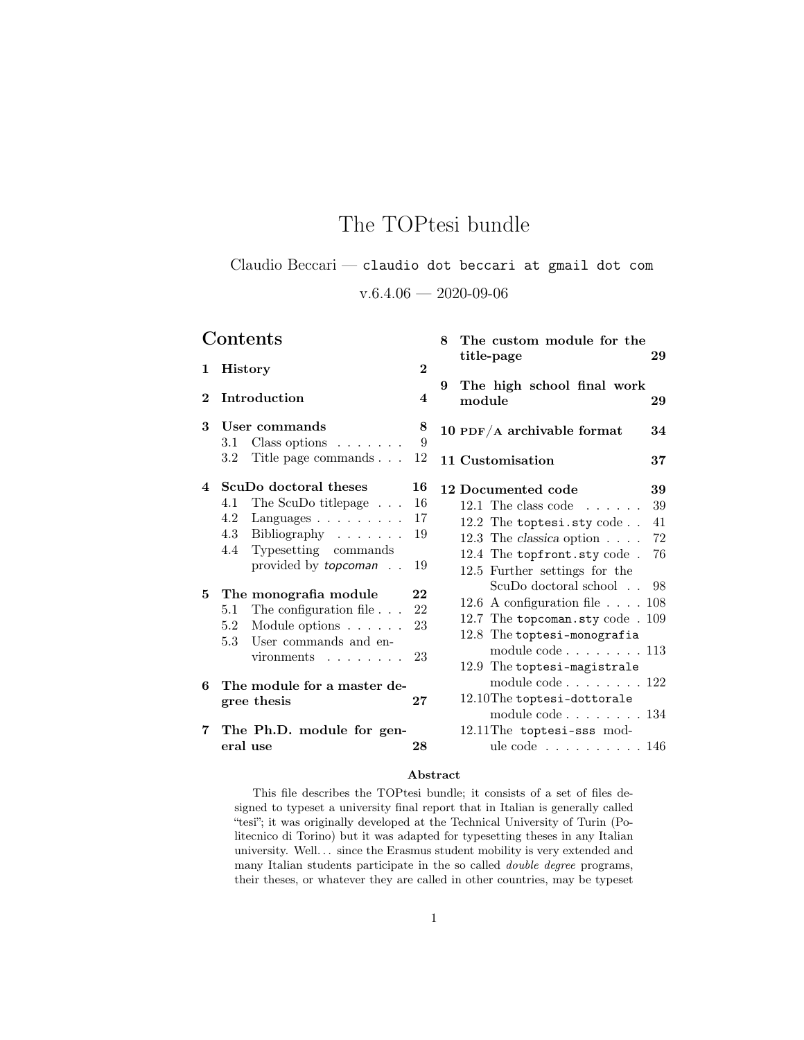# The TOPtesi bundle

# Claudio Beccari — claudio dot beccari at gmail dot com

 $v.6.4.06 - 2020 - 09 - 06$ 

|             | Contents                                                                                                                                                                                                                                                                                                 |                                              | 8 The custom module for the<br>title-page                                                                                                                                                                                                                                                                                                                    | 29                          |
|-------------|----------------------------------------------------------------------------------------------------------------------------------------------------------------------------------------------------------------------------------------------------------------------------------------------------------|----------------------------------------------|--------------------------------------------------------------------------------------------------------------------------------------------------------------------------------------------------------------------------------------------------------------------------------------------------------------------------------------------------------------|-----------------------------|
| $\mathbf 1$ | <b>History</b>                                                                                                                                                                                                                                                                                           | $\bf{2}$                                     |                                                                                                                                                                                                                                                                                                                                                              |                             |
| $\bf{2}$    | Introduction                                                                                                                                                                                                                                                                                             | 4                                            | The high school final work<br>9<br>module                                                                                                                                                                                                                                                                                                                    | 29                          |
| 3           | User commands<br>3.1 Class options $\ldots \ldots$                                                                                                                                                                                                                                                       | 8<br>9                                       | 10 PDF/A archivable format                                                                                                                                                                                                                                                                                                                                   | 34                          |
|             | 3.2 Title page commands                                                                                                                                                                                                                                                                                  | 12                                           | 11 Customisation                                                                                                                                                                                                                                                                                                                                             | 37                          |
| 4           | ScuDo doctoral theses                                                                                                                                                                                                                                                                                    | 16                                           | 12 Documented code                                                                                                                                                                                                                                                                                                                                           | 39                          |
| $5^{\circ}$ | The ScuDo titlepage<br>4.1<br>4.2<br>Languages $\ldots \ldots \ldots$<br>4.3<br>Bibliography<br>Typesetting commands<br>4.4<br>provided by <i>topcoman</i><br>The monografia module<br>5.1 The configuration file<br>Module options<br>5.2<br>5.3<br>User commands and en-<br>$vironments \ldots \ldots$ | 16<br>17<br>19<br>19<br>22<br>22<br>23<br>23 | 12.1 The class code $\ldots$<br>12.2 The toptesi.sty code<br>12.3 The classica option $\ldots$ .<br>12.4 The topfront.sty code.<br>12.5 Further settings for the<br>ScuDo doctoral school<br>12.6 A configuration file $\ldots$ . 108<br>12.7 The topcoman.sty code . 109<br>12.8 The toptesi-monografia<br>module $code 113$<br>12.9 The toptesi-magistrale | 39<br>41<br>72<br>76<br>-98 |
| 6           | The module for a master de-<br>gree thesis                                                                                                                                                                                                                                                               | 27                                           | module $code 122$<br>12.10The toptesi-dottorale                                                                                                                                                                                                                                                                                                              |                             |
| 7           | The Ph.D. module for gen-<br>eral use                                                                                                                                                                                                                                                                    | 28                                           | module $code 134$<br>12.11The toptesi-sss mod-<br>ule code $\ldots \ldots \ldots 146$                                                                                                                                                                                                                                                                        |                             |

#### Abstract

This file describes the TOPtesi bundle; it consists of a set of files designed to typeset a university final report that in Italian is generally called "tesi"; it was originally developed at the Technical University of Turin (Politecnico di Torino) but it was adapted for typesetting theses in any Italian university. Well.  $\ldots$  since the Erasmus student mobility is very extended and many Italian students participate in the so called double degree programs, their theses, or whatever they are called in other countries, may be typeset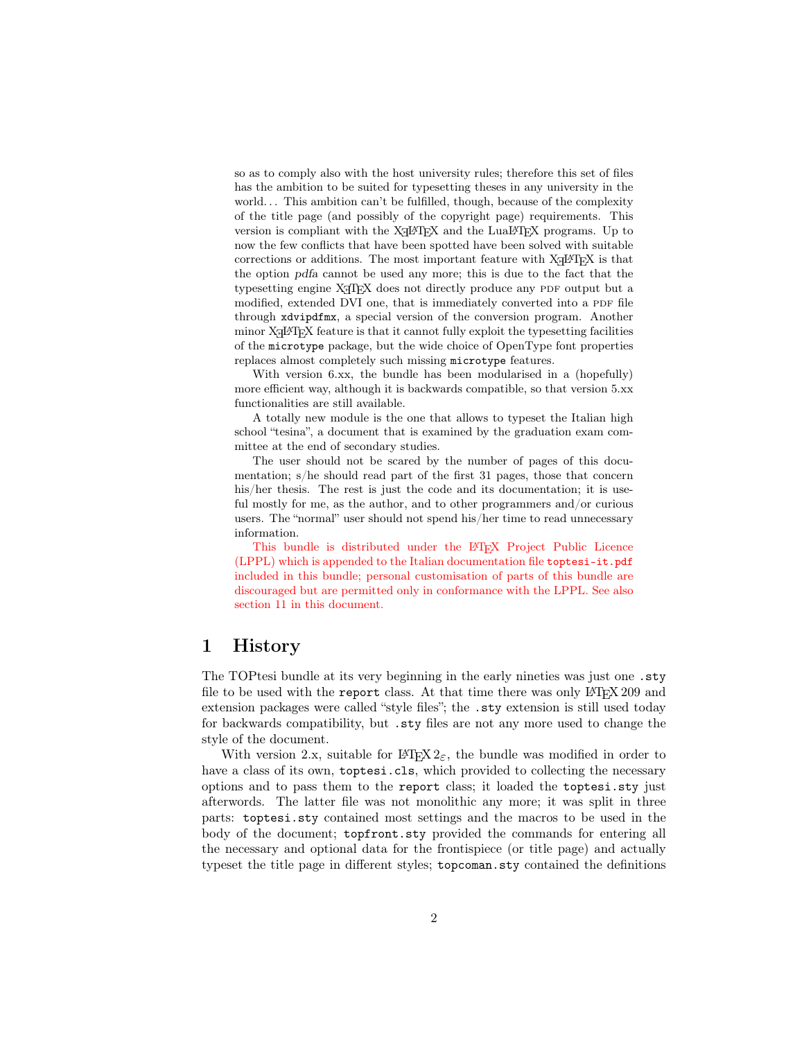so as to comply also with the host university rules; therefore this set of files has the ambition to be suited for typesetting theses in any university in the world... This ambition can't be fulfilled, though, because of the complexity of the title page (and possibly of the copyright page) requirements. This version is compliant with the  $X_{\overline{A}}$  EX and the LuaLAT<sub>E</sub>X programs. Up to now the few conflicts that have been spotted have been solved with suitable corrections or additions. The most important feature with  $X_{\text{d}}\text{LFT}_{\text{E}}X$  is that the option pdfa cannot be used any more; this is due to the fact that the typesetting engine X<sub>7</sub>T<sub>F</sub>X does not directly produce any PDF output but a modified, extended DVI one, that is immediately converted into a PDF file through xdvipdfmx, a special version of the conversion program. Another minor  $X\exists E$  feature is that it cannot fully exploit the typesetting facilities of the microtype package, but the wide choice of OpenType font properties replaces almost completely such missing microtype features.

With version 6.xx, the bundle has been modularised in a (hopefully) more efficient way, although it is backwards compatible, so that version 5.xx functionalities are still available.

A totally new module is the one that allows to typeset the Italian high school "tesina", a document that is examined by the graduation exam committee at the end of secondary studies.

The user should not be scared by the number of pages of this documentation; s/he should read part of the first 31 pages, those that concern his/her thesis. The rest is just the code and its documentation; it is useful mostly for me, as the author, and to other programmers and/or curious users. The "normal" user should not spend his/her time to read unnecessary information.

This bundle is distributed under the L<sup>AT</sup>EX Project Public Licence (LPPL) which is appended to the Italian documentation file toptesi-it.pdf included in this bundle; personal customisation of parts of this bundle are discouraged but are permitted only in conformance with the LPPL. See also section 11 in this document.

# 1 History

The TOPtesi bundle at its very beginning in the early nineties was just one .sty file to be used with the report class. At that time there was only  $L^2T_FX$  209 and extension packages were called "style files"; the .sty extension is still used today for backwards compatibility, but .sty files are not any more used to change the style of the document.

With version 2.x, suitable for LATEX  $2\varepsilon$ , the bundle was modified in order to have a class of its own, toptesi.cls, which provided to collecting the necessary options and to pass them to the report class; it loaded the toptesi.sty just afterwords. The latter file was not monolithic any more; it was split in three parts: toptesi.sty contained most settings and the macros to be used in the body of the document; topfront.sty provided the commands for entering all the necessary and optional data for the frontispiece (or title page) and actually typeset the title page in different styles; topcoman.sty contained the definitions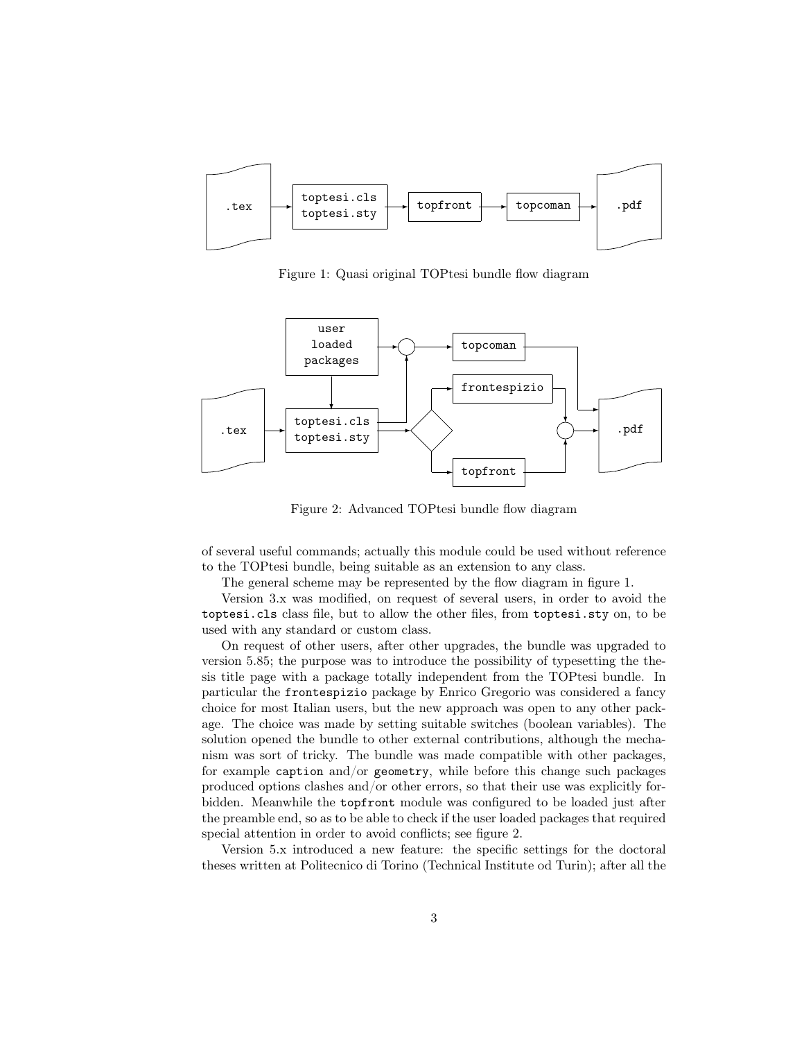

Figure 1: Quasi original TOPtesi bundle flow diagram



Figure 2: Advanced TOPtesi bundle flow diagram

of several useful commands; actually this module could be used without reference to the TOPtesi bundle, being suitable as an extension to any class.

The general scheme may be represented by the flow diagram in figure 1.

Version 3.x was modified, on request of several users, in order to avoid the toptesi.cls class file, but to allow the other files, from toptesi.sty on, to be used with any standard or custom class.

On request of other users, after other upgrades, the bundle was upgraded to version 5.85; the purpose was to introduce the possibility of typesetting the thesis title page with a package totally independent from the TOPtesi bundle. In particular the frontespizio package by Enrico Gregorio was considered a fancy choice for most Italian users, but the new approach was open to any other package. The choice was made by setting suitable switches (boolean variables). The solution opened the bundle to other external contributions, although the mechanism was sort of tricky. The bundle was made compatible with other packages, for example caption and/or geometry, while before this change such packages produced options clashes and/or other errors, so that their use was explicitly forbidden. Meanwhile the topfront module was configured to be loaded just after the preamble end, so as to be able to check if the user loaded packages that required special attention in order to avoid conflicts; see figure 2.

Version 5.x introduced a new feature: the specific settings for the doctoral theses written at Politecnico di Torino (Technical Institute od Turin); after all the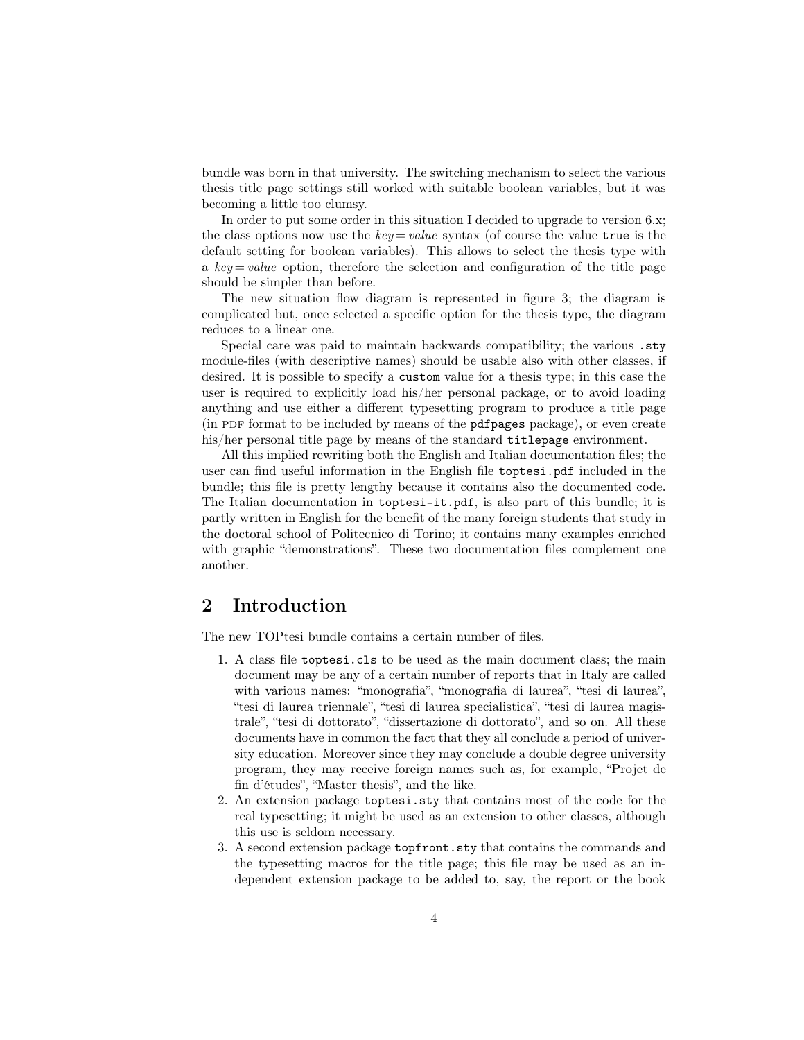bundle was born in that university. The switching mechanism to select the various thesis title page settings still worked with suitable boolean variables, but it was becoming a little too clumsy.

In order to put some order in this situation I decided to upgrade to version 6.x; the class options now use the  $key = value$  syntax (of course the value true is the default setting for boolean variables). This allows to select the thesis type with a  $key = value$  option, therefore the selection and configuration of the title page should be simpler than before.

The new situation flow diagram is represented in figure 3; the diagram is complicated but, once selected a specific option for the thesis type, the diagram reduces to a linear one.

Special care was paid to maintain backwards compatibility; the various .sty module-files (with descriptive names) should be usable also with other classes, if desired. It is possible to specify a custom value for a thesis type; in this case the user is required to explicitly load his/her personal package, or to avoid loading anything and use either a different typesetting program to produce a title page (in pdf format to be included by means of the pdfpages package), or even create his/her personal title page by means of the standard titlepage environment.

All this implied rewriting both the English and Italian documentation files; the user can find useful information in the English file toptesi.pdf included in the bundle; this file is pretty lengthy because it contains also the documented code. The Italian documentation in toptesi-it.pdf, is also part of this bundle; it is partly written in English for the benefit of the many foreign students that study in the doctoral school of Politecnico di Torino; it contains many examples enriched with graphic "demonstrations". These two documentation files complement one another.

### 2 Introduction

The new TOPtesi bundle contains a certain number of files.

- 1. A class file toptesi.cls to be used as the main document class; the main document may be any of a certain number of reports that in Italy are called with various names: "monografia", "monografia di laurea", "tesi di laurea", "tesi di laurea triennale", "tesi di laurea specialistica", "tesi di laurea magistrale", "tesi di dottorato", "dissertazione di dottorato", and so on. All these documents have in common the fact that they all conclude a period of university education. Moreover since they may conclude a double degree university program, they may receive foreign names such as, for example, "Projet de fin d'études", "Master thesis", and the like.
- 2. An extension package toptesi.sty that contains most of the code for the real typesetting; it might be used as an extension to other classes, although this use is seldom necessary.
- 3. A second extension package topfront.sty that contains the commands and the typesetting macros for the title page; this file may be used as an independent extension package to be added to, say, the report or the book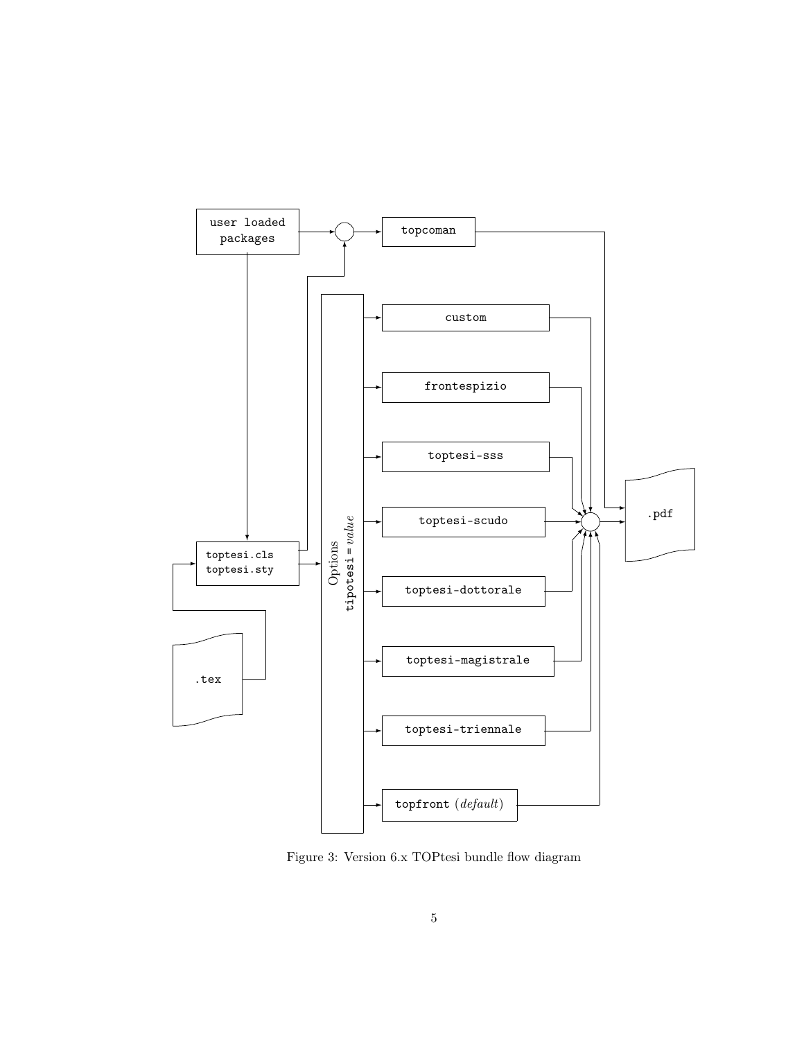

Figure 3: Version 6.x TOPtesi bundle flow diagram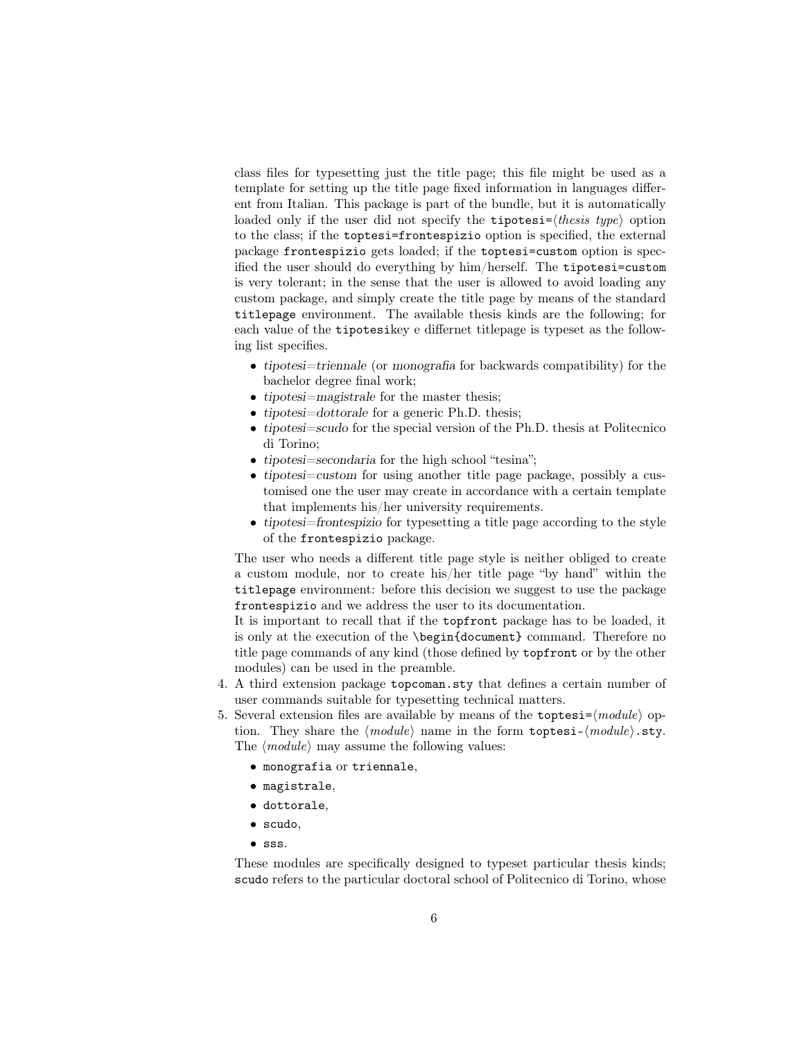class files for typesetting just the title page; this file might be used as a template for setting up the title page fixed information in languages different from Italian. This package is part of the bundle, but it is automatically loaded only if the user did not specify the **tipotesi**= $\langle \text{thesis type} \rangle$  option to the class; if the toptesi=frontespizio option is specified, the external package frontespizio gets loaded; if the toptesi=custom option is specified the user should do everything by him/herself. The tipotesi=custom is very tolerant; in the sense that the user is allowed to avoid loading any custom package, and simply create the title page by means of the standard titlepage environment. The available thesis kinds are the following; for each value of the tipotesikey e differnet titlepage is typeset as the following list specifies.

- tipotesi=triennale (or monografia for backwards compatibility) for the bachelor degree final work;
- tipotesi=magistrale for the master thesis;
- tipotesi=dottorale for a generic Ph.D. thesis;
- tipotesi=scudo for the special version of the Ph.D. thesis at Politecnico di Torino;
- tipotesi=secondaria for the high school "tesina";
- tipotesi=custom for using another title page package, possibly a customised one the user may create in accordance with a certain template that implements his/her university requirements.
- tipotesi=frontespizio for typesetting a title page according to the style of the frontespizio package.

The user who needs a different title page style is neither obliged to create a custom module, nor to create his/her title page "by hand" within the titlepage environment: before this decision we suggest to use the package frontespizio and we address the user to its documentation.

It is important to recall that if the topfront package has to be loaded, it is only at the execution of the \begin{document} command. Therefore no title page commands of any kind (those defined by topfront or by the other modules) can be used in the preamble.

- 4. A third extension package topcoman.sty that defines a certain number of user commands suitable for typesetting technical matters.
- 5. Several extension files are available by means of the toptesi= $\langle \textit{module} \rangle$  option. They share the  $\langle module \rangle$  name in the form toptesi- $\langle module \rangle$ .sty.
	- The  $\langle module \rangle$  may assume the following values:
		- monografia or triennale,
		- magistrale,
		- dottorale,
		- scudo,
		- sss.

These modules are specifically designed to typeset particular thesis kinds; scudo refers to the particular doctoral school of Politecnico di Torino, whose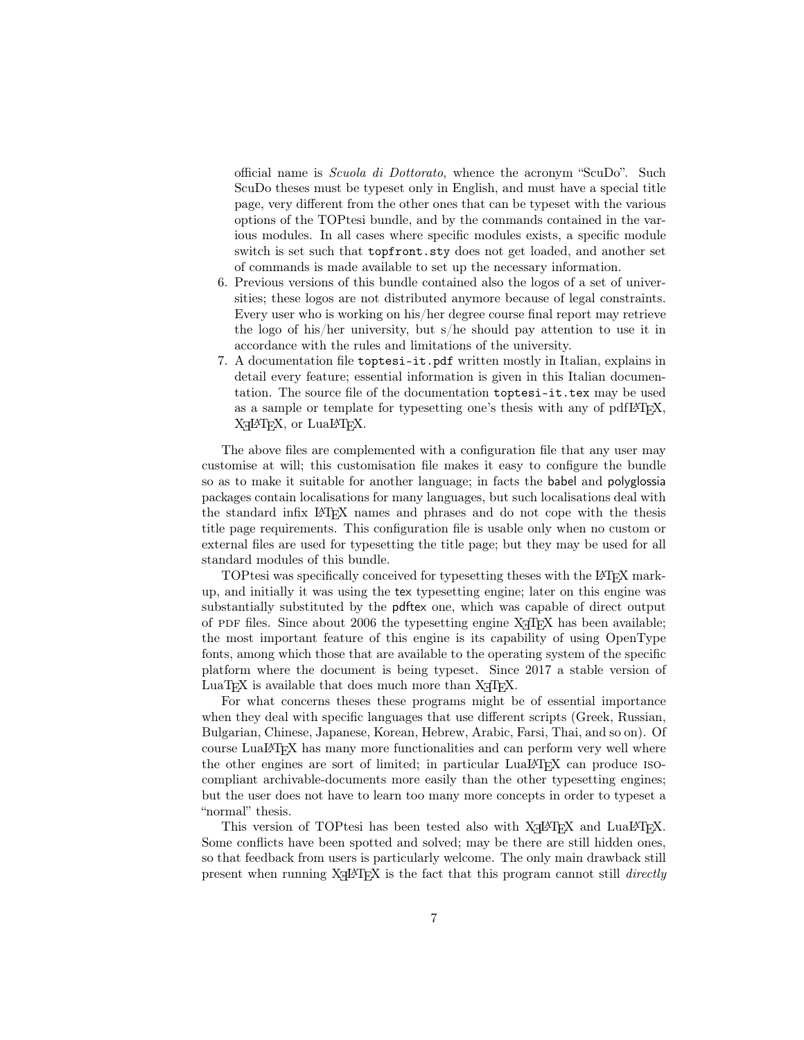official name is Scuola di Dottorato, whence the acronym "ScuDo". Such ScuDo theses must be typeset only in English, and must have a special title page, very different from the other ones that can be typeset with the various options of the TOPtesi bundle, and by the commands contained in the various modules. In all cases where specific modules exists, a specific module switch is set such that topfront.sty does not get loaded, and another set of commands is made available to set up the necessary information.

- 6. Previous versions of this bundle contained also the logos of a set of universities; these logos are not distributed anymore because of legal constraints. Every user who is working on his/her degree course final report may retrieve the logo of his/her university, but s/he should pay attention to use it in accordance with the rules and limitations of the university.
- 7. A documentation file toptesi-it.pdf written mostly in Italian, explains in detail every feature; essential information is given in this Italian documentation. The source file of the documentation toptesi-it.tex may be used as a sample or template for typesetting one's thesis with any of pdfLATEX, X<sub>H</sub>LAT<sub>E</sub>X, or LuaLAT<sub>E</sub>X.

The above files are complemented with a configuration file that any user may customise at will; this customisation file makes it easy to configure the bundle so as to make it suitable for another language; in facts the babel and polyglossia packages contain localisations for many languages, but such localisations deal with the standard infix LATEX names and phrases and do not cope with the thesis title page requirements. This configuration file is usable only when no custom or external files are used for typesetting the title page; but they may be used for all standard modules of this bundle.

TOPtesi was specifically conceived for typesetting theses with the LATEX markup, and initially it was using the tex typesetting engine; later on this engine was substantially substituted by the pdftex one, which was capable of direct output of PDF files. Since about 2006 the typesetting engine  $X \nsubseteq T$  has been available; the most important feature of this engine is its capability of using OpenType fonts, among which those that are available to the operating system of the specific platform where the document is being typeset. Since 2017 a stable version of LuaT<sub>EX</sub> is available that does much more than  $X \nsubseteq T$ <sub>EX</sub>.

For what concerns theses these programs might be of essential importance when they deal with specific languages that use different scripts (Greek, Russian, Bulgarian, Chinese, Japanese, Korean, Hebrew, Arabic, Farsi, Thai, and so on). Of course LuaLATEX has many more functionalities and can perform very well where the other engines are sort of limited; in particular LuaLATEX can produce isocompliant archivable-documents more easily than the other typesetting engines; but the user does not have to learn too many more concepts in order to typeset a "normal" thesis.

This version of TOPtesi has been tested also with X<sub>H</sub>AT<sub>E</sub>X and LuaL<sup>A</sup>T<sub>E</sub>X. Some conflicts have been spotted and solved; may be there are still hidden ones, so that feedback from users is particularly welcome. The only main drawback still present when running  $X \rightarrow E X$  is the fact that this program cannot still *directly*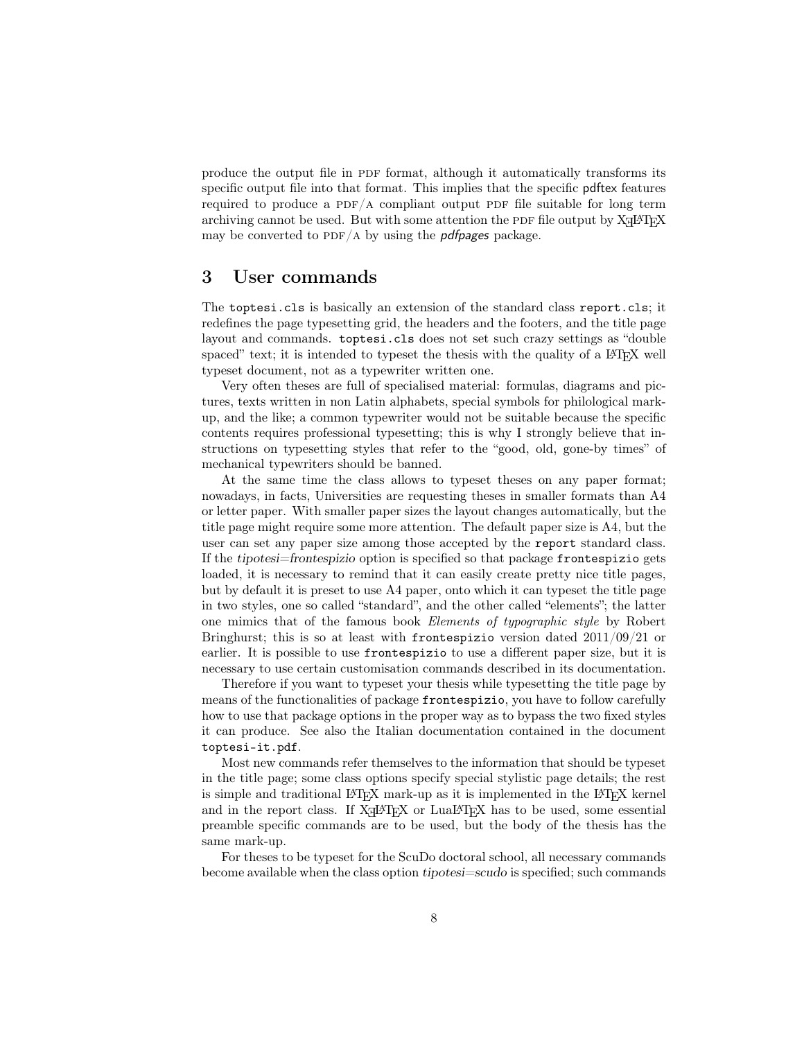produce the output file in PDF format, although it automatically transforms its specific output file into that format. This implies that the specific pdftex features required to produce a PDF/A compliant output PDF file suitable for long term archiving cannot be used. But with some attention the PDF file output by  $X \rightarrow X H$ may be converted to PDF/A by using the *pdfpages* package.

### 3 User commands

The toptesi.cls is basically an extension of the standard class report.cls; it redefines the page typesetting grid, the headers and the footers, and the title page layout and commands. toptesi.cls does not set such crazy settings as "double spaced" text; it is intended to typeset the thesis with the quality of a LATEX well typeset document, not as a typewriter written one.

Very often theses are full of specialised material: formulas, diagrams and pictures, texts written in non Latin alphabets, special symbols for philological markup, and the like; a common typewriter would not be suitable because the specific contents requires professional typesetting; this is why I strongly believe that instructions on typesetting styles that refer to the "good, old, gone-by times" of mechanical typewriters should be banned.

At the same time the class allows to typeset theses on any paper format; nowadays, in facts, Universities are requesting theses in smaller formats than A4 or letter paper. With smaller paper sizes the layout changes automatically, but the title page might require some more attention. The default paper size is A4, but the user can set any paper size among those accepted by the report standard class. If the tipotesi=frontespizio option is specified so that package frontespizio gets loaded, it is necessary to remind that it can easily create pretty nice title pages, but by default it is preset to use A4 paper, onto which it can typeset the title page in two styles, one so called "standard", and the other called "elements"; the latter one mimics that of the famous book Elements of typographic style by Robert Bringhurst; this is so at least with frontespizio version dated  $2011/09/21$  or earlier. It is possible to use frontespizio to use a different paper size, but it is necessary to use certain customisation commands described in its documentation.

Therefore if you want to typeset your thesis while typesetting the title page by means of the functionalities of package frontespizio, you have to follow carefully how to use that package options in the proper way as to bypass the two fixed styles it can produce. See also the Italian documentation contained in the document toptesi-it.pdf.

Most new commands refer themselves to the information that should be typeset in the title page; some class options specify special stylistic page details; the rest is simple and traditional LAT<sub>EX</sub> mark-up as it is implemented in the LAT<sub>EX</sub> kernel and in the report class. If  $X \rightarrow Y$  or LuaLAT<sub>E</sub>X has to be used, some essential preamble specific commands are to be used, but the body of the thesis has the same mark-up.

For theses to be typeset for the ScuDo doctoral school, all necessary commands become available when the class option tipotesi=scudo is specified; such commands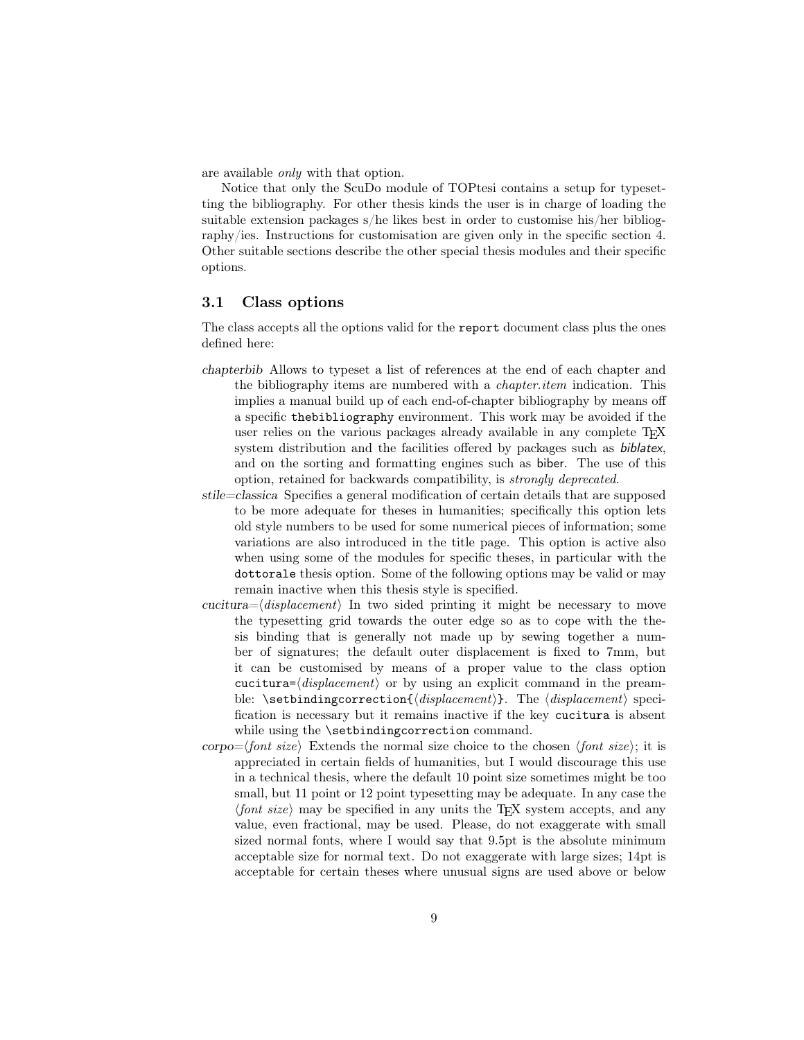are available only with that option.

Notice that only the ScuDo module of TOPtesi contains a setup for typesetting the bibliography. For other thesis kinds the user is in charge of loading the suitable extension packages s/he likes best in order to customise his/her bibliography/ies. Instructions for customisation are given only in the specific section 4. Other suitable sections describe the other special thesis modules and their specific options.

#### 3.1 Class options

The class accepts all the options valid for the report document class plus the ones defined here:

- chapterbib Allows to typeset a list of references at the end of each chapter and the bibliography items are numbered with a chapter.item indication. This implies a manual build up of each end-of-chapter bibliography by means off a specific thebibliography environment. This work may be avoided if the user relies on the various packages already available in any complete TFX system distribution and the facilities offered by packages such as biblatex, and on the sorting and formatting engines such as biber. The use of this option, retained for backwards compatibility, is strongly deprecated.
- stile=classica Specifies a general modification of certain details that are supposed to be more adequate for theses in humanities; specifically this option lets old style numbers to be used for some numerical pieces of information; some variations are also introduced in the title page. This option is active also when using some of the modules for specific theses, in particular with the dottorale thesis option. Some of the following options may be valid or may remain inactive when this thesis style is specified.
- cucitura= $\langle displacement \rangle$  In two sided printing it might be necessary to move the typesetting grid towards the outer edge so as to cope with the thesis binding that is generally not made up by sewing together a number of signatures; the default outer displacement is fixed to 7mm, but it can be customised by means of a proper value to the class option cucitura= $\langle displacement \rangle$  or by using an explicit command in the preamble: \setbindingcorrection{ $\{displacement\}$ . The  $\{displacement\}$  specification is necessary but it remains inactive if the key cucitura is absent while using the **\setbindingcorrection** command.
- corpo= $\langle$ font size) Extends the normal size choice to the chosen  $\langle$ font size); it is appreciated in certain fields of humanities, but I would discourage this use in a technical thesis, where the default 10 point size sometimes might be too small, but 11 point or 12 point typesetting may be adequate. In any case the  $\langle$ font size) may be specified in any units the TEX system accepts, and any value, even fractional, may be used. Please, do not exaggerate with small sized normal fonts, where I would say that 9.5pt is the absolute minimum acceptable size for normal text. Do not exaggerate with large sizes; 14pt is acceptable for certain theses where unusual signs are used above or below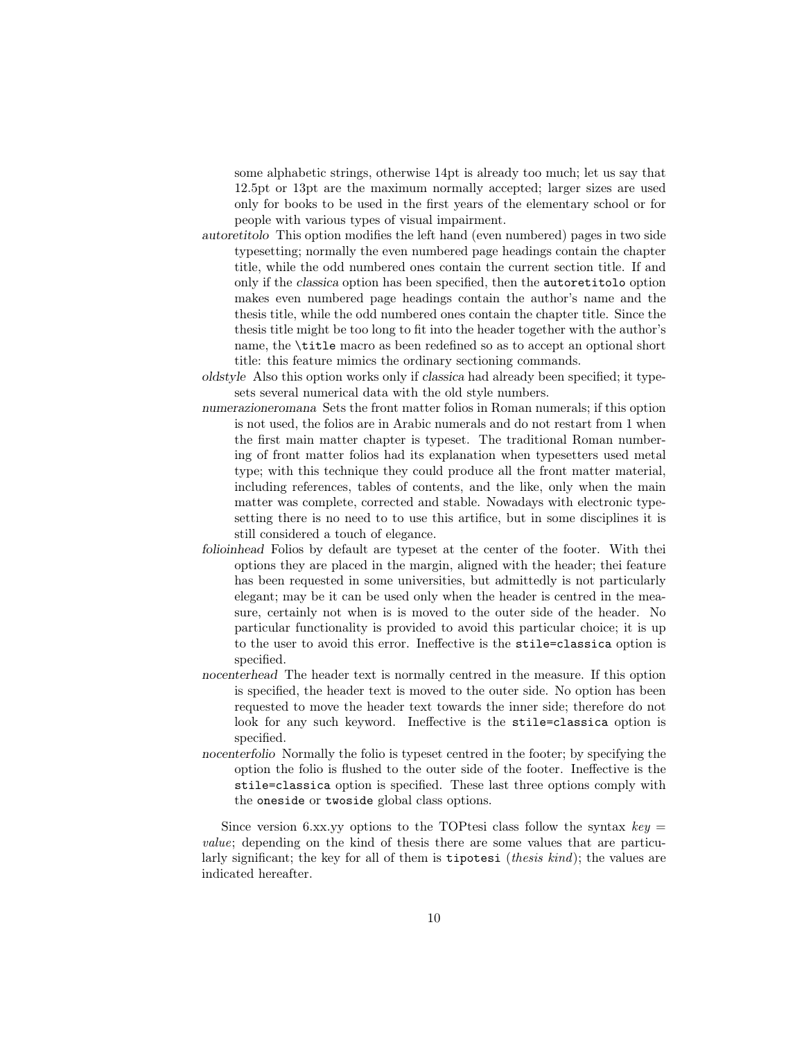some alphabetic strings, otherwise 14pt is already too much; let us say that 12.5pt or 13pt are the maximum normally accepted; larger sizes are used only for books to be used in the first years of the elementary school or for people with various types of visual impairment.

- autoretitolo This option modifies the left hand (even numbered) pages in two side typesetting; normally the even numbered page headings contain the chapter title, while the odd numbered ones contain the current section title. If and only if the classica option has been specified, then the autoretitolo option makes even numbered page headings contain the author's name and the thesis title, while the odd numbered ones contain the chapter title. Since the thesis title might be too long to fit into the header together with the author's name, the \title macro as been redefined so as to accept an optional short title: this feature mimics the ordinary sectioning commands.
- oldstyle Also this option works only if classica had already been specified; it typesets several numerical data with the old style numbers.
- numerazioneromana Sets the front matter folios in Roman numerals; if this option is not used, the folios are in Arabic numerals and do not restart from 1 when the first main matter chapter is typeset. The traditional Roman numbering of front matter folios had its explanation when typesetters used metal type; with this technique they could produce all the front matter material, including references, tables of contents, and the like, only when the main matter was complete, corrected and stable. Nowadays with electronic typesetting there is no need to to use this artifice, but in some disciplines it is still considered a touch of elegance.
- folioinhead Folios by default are typeset at the center of the footer. With thei options they are placed in the margin, aligned with the header; thei feature has been requested in some universities, but admittedly is not particularly elegant; may be it can be used only when the header is centred in the measure, certainly not when is is moved to the outer side of the header. No particular functionality is provided to avoid this particular choice; it is up to the user to avoid this error. Ineffective is the stile=classica option is specified.
- nocenterhead The header text is normally centred in the measure. If this option is specified, the header text is moved to the outer side. No option has been requested to move the header text towards the inner side; therefore do not look for any such keyword. Ineffective is the stile=classica option is specified.
- nocenterfolio Normally the folio is typeset centred in the footer; by specifying the option the folio is flushed to the outer side of the footer. Ineffective is the stile=classica option is specified. These last three options comply with the oneside or twoside global class options.

Since version 6.xx.yy options to the TOPtesi class follow the syntax  $key =$ value; depending on the kind of thesis there are some values that are particularly significant; the key for all of them is tipotesi (thesis kind); the values are indicated hereafter.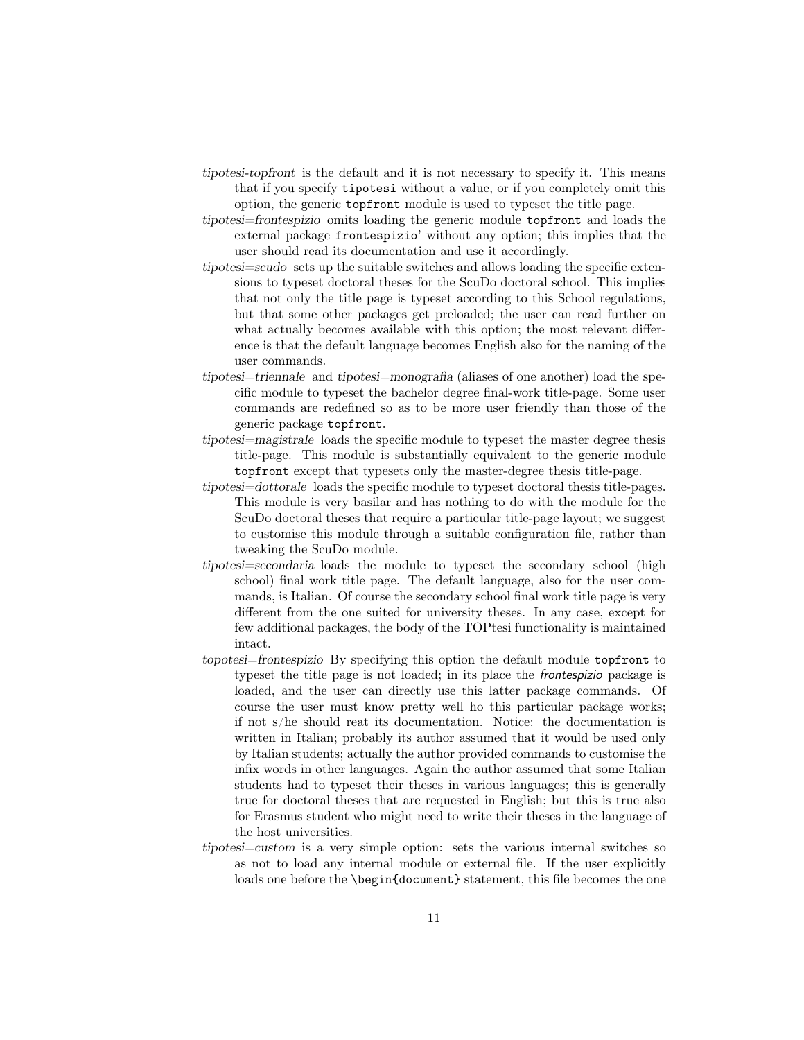- tipotesi-topfront is the default and it is not necessary to specify it. This means that if you specify tipotesi without a value, or if you completely omit this option, the generic topfront module is used to typeset the title page.
- tipotesi=frontespizio omits loading the generic module topfront and loads the external package frontespizio' without any option; this implies that the user should read its documentation and use it accordingly.
- tipotesi=scudo sets up the suitable switches and allows loading the specific extensions to typeset doctoral theses for the ScuDo doctoral school. This implies that not only the title page is typeset according to this School regulations, but that some other packages get preloaded; the user can read further on what actually becomes available with this option; the most relevant difference is that the default language becomes English also for the naming of the user commands.
- tipotesi=triennale and tipotesi=monografia (aliases of one another) load the specific module to typeset the bachelor degree final-work title-page. Some user commands are redefined so as to be more user friendly than those of the generic package topfront.
- tipotesi=magistrale loads the specific module to typeset the master degree thesis title-page. This module is substantially equivalent to the generic module topfront except that typesets only the master-degree thesis title-page.
- tipotesi=dottorale loads the specific module to typeset doctoral thesis title-pages. This module is very basilar and has nothing to do with the module for the ScuDo doctoral theses that require a particular title-page layout; we suggest to customise this module through a suitable configuration file, rather than tweaking the ScuDo module.
- tipotesi=secondaria loads the module to typeset the secondary school (high school) final work title page. The default language, also for the user commands, is Italian. Of course the secondary school final work title page is very different from the one suited for university theses. In any case, except for few additional packages, the body of the TOPtesi functionality is maintained intact.
- topotesi=frontespizio By specifying this option the default module topfront to typeset the title page is not loaded; in its place the frontespizio package is loaded, and the user can directly use this latter package commands. Of course the user must know pretty well ho this particular package works; if not s/he should reat its documentation. Notice: the documentation is written in Italian; probably its author assumed that it would be used only by Italian students; actually the author provided commands to customise the infix words in other languages. Again the author assumed that some Italian students had to typeset their theses in various languages; this is generally true for doctoral theses that are requested in English; but this is true also for Erasmus student who might need to write their theses in the language of the host universities.
- tipotesi=custom is a very simple option: sets the various internal switches so as not to load any internal module or external file. If the user explicitly loads one before the **\begin{document}** statement, this file becomes the one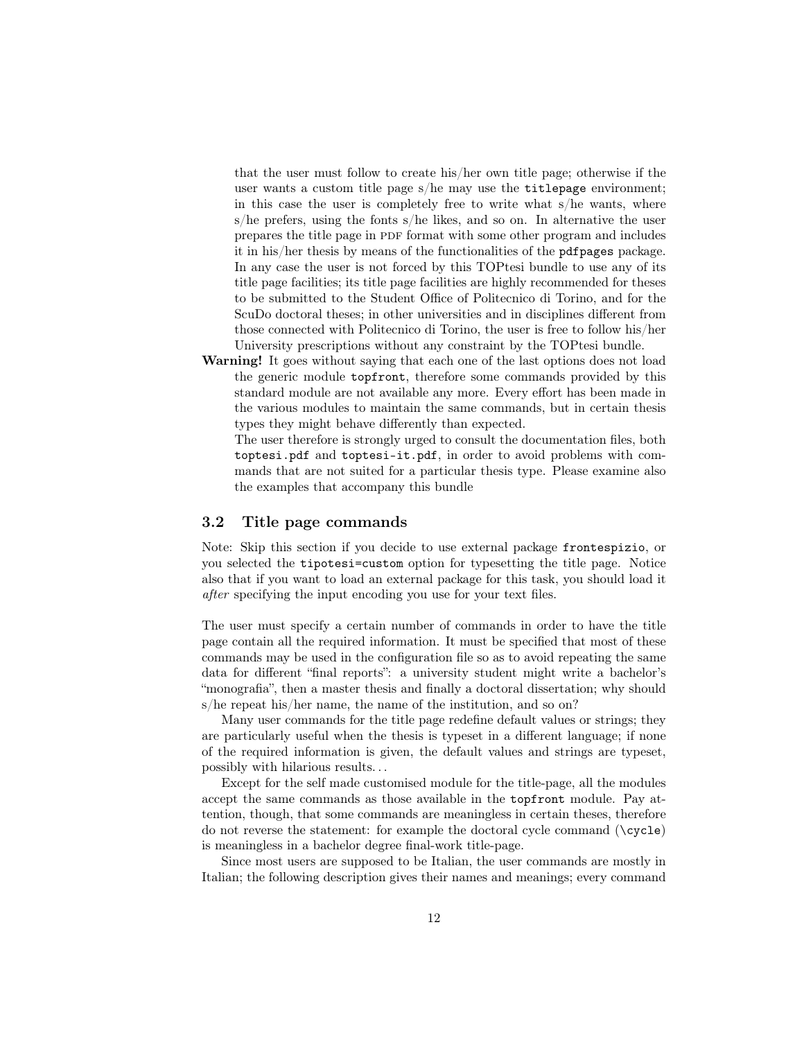that the user must follow to create his/her own title page; otherwise if the user wants a custom title page s/he may use the titlepage environment; in this case the user is completely free to write what s/he wants, where s/he prefers, using the fonts s/he likes, and so on. In alternative the user prepares the title page in PDF format with some other program and includes it in his/her thesis by means of the functionalities of the pdfpages package. In any case the user is not forced by this TOPtesi bundle to use any of its title page facilities; its title page facilities are highly recommended for theses to be submitted to the Student Office of Politecnico di Torino, and for the ScuDo doctoral theses; in other universities and in disciplines different from those connected with Politecnico di Torino, the user is free to follow his/her University prescriptions without any constraint by the TOPtesi bundle.

Warning! It goes without saying that each one of the last options does not load the generic module topfront, therefore some commands provided by this standard module are not available any more. Every effort has been made in the various modules to maintain the same commands, but in certain thesis types they might behave differently than expected.

The user therefore is strongly urged to consult the documentation files, both toptesi.pdf and toptesi-it.pdf, in order to avoid problems with commands that are not suited for a particular thesis type. Please examine also the examples that accompany this bundle

#### 3.2 Title page commands

Note: Skip this section if you decide to use external package frontespizio, or you selected the tipotesi=custom option for typesetting the title page. Notice also that if you want to load an external package for this task, you should load it after specifying the input encoding you use for your text files.

The user must specify a certain number of commands in order to have the title page contain all the required information. It must be specified that most of these commands may be used in the configuration file so as to avoid repeating the same data for different "final reports": a university student might write a bachelor's "monografia", then a master thesis and finally a doctoral dissertation; why should s/he repeat his/her name, the name of the institution, and so on?

Many user commands for the title page redefine default values or strings; they are particularly useful when the thesis is typeset in a different language; if none of the required information is given, the default values and strings are typeset, possibly with hilarious results. . .

Except for the self made customised module for the title-page, all the modules accept the same commands as those available in the topfront module. Pay attention, though, that some commands are meaningless in certain theses, therefore do not reverse the statement: for example the doctoral cycle command  $(\csc)$ is meaningless in a bachelor degree final-work title-page.

Since most users are supposed to be Italian, the user commands are mostly in Italian; the following description gives their names and meanings; every command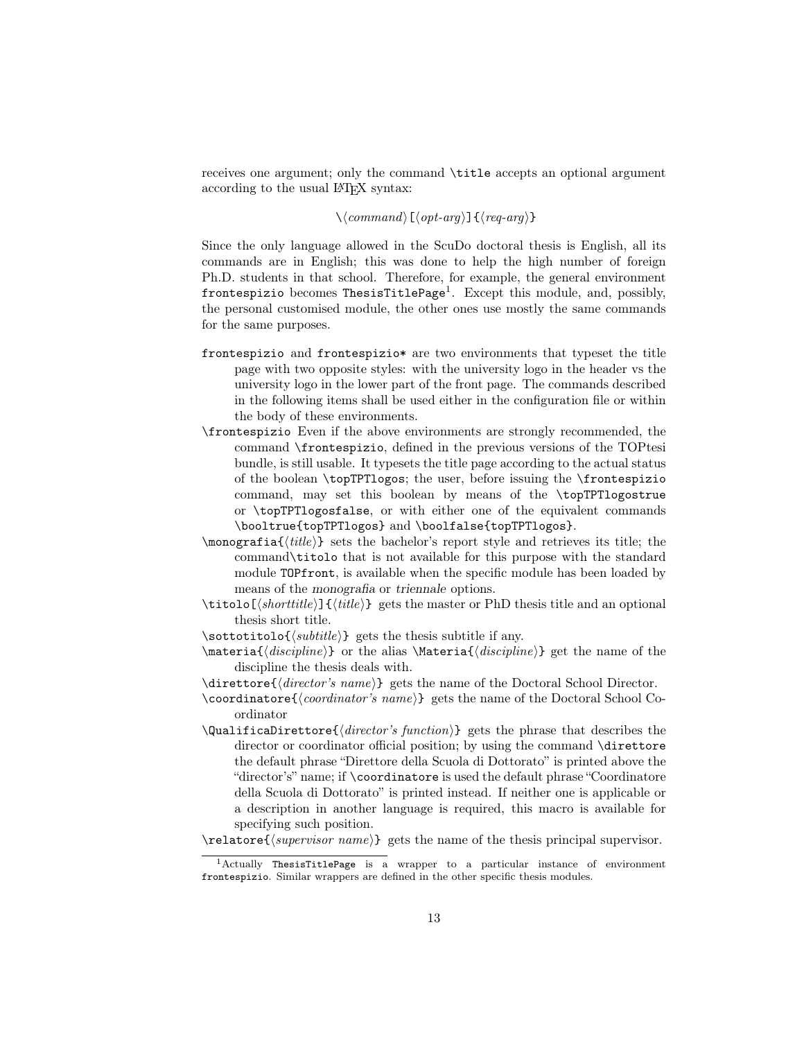receives one argument; only the command \title accepts an optional argument according to the usual LAT<sub>EX</sub> syntax:

#### $\langle\langle command \rangle[\langle opt-arg \rangle]{\langle (req-arg \rangle)}$

Since the only language allowed in the ScuDo doctoral thesis is English, all its commands are in English; this was done to help the high number of foreign Ph.D. students in that school. Therefore, for example, the general environment frontespizio becomes ThesisTitlePage<sup>1</sup>. Except this module, and, possibly, the personal customised module, the other ones use mostly the same commands for the same purposes.

- frontespizio and frontespizio\* are two environments that typeset the title page with two opposite styles: with the university logo in the header vs the university logo in the lower part of the front page. The commands described in the following items shall be used either in the configuration file or within the body of these environments.
- \frontespizio Even if the above environments are strongly recommended, the command \frontespizio, defined in the previous versions of the TOPtesi bundle, is still usable. It typesets the title page according to the actual status of the boolean \topTPTlogos; the user, before issuing the \frontespizio command, may set this boolean by means of the \topTPTlogostrue or \topTPTlogosfalse, or with either one of the equivalent commands \booltrue{topTPTlogos} and \boolfalse{topTPTlogos}.
- $\emptyset$  sets the bachelor's report style and retrieves its title; the command\titolo that is not available for this purpose with the standard module TOPfront, is available when the specific module has been loaded by means of the monografia or triennale options.
- $\tilde{\int}_{shorttitle}$  { $\tilde{\int}_{tilte}$ } gets the master or PhD thesis title and an optional thesis short title.
- $\setminus$ sottotitolo $\{\substack{\substack{\text{sets} \text{ }}}}$  gets the thesis subtitle if any.
- $\mathcal{\langle} \mathcal{h}$  or the alias  $\mathcal{\langle} \mathcal{h}$  get the name of the discipline the thesis deals with.
- $\langle$  directore{ $\langle$  director's name}} gets the name of the Doctoral School Director.
- \coordinatore $\{\langle \textit{coordinator's name} \rangle\}$  gets the name of the Doctoral School Coordinator
- $\text{Qualification}$  gets the phrase that describes the director or coordinator official position; by using the command \direttore the default phrase "Direttore della Scuola di Dottorato" is printed above the "director's" name; if \coordinatore is used the default phrase "Coordinatore della Scuola di Dottorato" is printed instead. If neither one is applicable or a description in another language is required, this macro is available for specifying such position.

 $\text{degree}(supervisor \ name)$  gets the name of the thesis principal supervisor.

<sup>1</sup>Actually ThesisTitlePage is a wrapper to a particular instance of environment frontespizio. Similar wrappers are defined in the other specific thesis modules.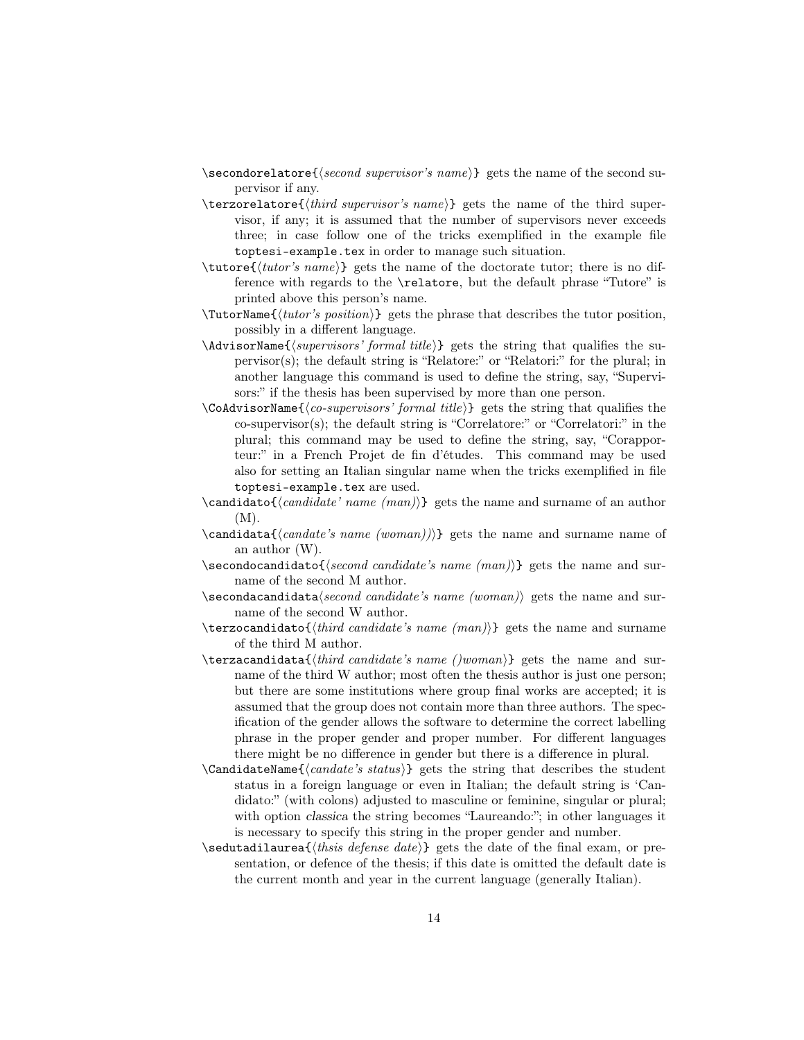- $\text{secondorelator}$ {second supervisor's name}} gets the name of the second supervisor if any.
- $\text{terzorelator}\{\text{third supervisor's name}\}$  gets the name of the third supervisor, if any; it is assumed that the number of supervisors never exceeds three; in case follow one of the tricks exemplified in the example file toptesi-example.tex in order to manage such situation.
- \tutore{htutor's namei} gets the name of the doctorate tutor; there is no difference with regards to the \relatore, but the default phrase "Tutore" is printed above this person's name.
- $\text{TutorName} \{ \text{tutor's position} \}$  gets the phrase that describes the tutor position, possibly in a different language.
- $\AA$ dvisorName $\{\langle supervisors' formal title \rangle\}$  gets the string that qualifies the supervisor(s); the default string is "Relatore:" or "Relatori:" for the plural; in another language this command is used to define the string, say, "Supervisors:" if the thesis has been supervised by more than one person.
- $\text{CoAdvisorName}$ { $\{co-supervisors' formal title$ } gets the string that qualifies the co-supervisor(s); the default string is "Correlatore:" or "Correlatori:" in the plural; this command may be used to define the string, say, "Corapporteur:" in a French Projet de fin d'études. This command may be used also for setting an Italian singular name when the tricks exemplified in file toptesi-example.tex are used.
- $\c{candidate' name (man)}$  gets the name and surname of an author (M).
- $\{\c{and} \alpha\} \$ gets the name and surname name of an author (W).
- $\searrow$  \secondocandidato{ $\searrow$ candidate's name (man)}} gets the name and surname of the second M author.
- $\seccondacandidata$  (second candidate's name (woman)) gets the name and surname of the second W author.

 $\texttt{\#}$  terzocandidato ${\texttt{\#}}$  candidate's name  $(\text{man})$ } gets the name and surname of the third M author.

- $\texttt{\textbf{}}(third\ candidate\'s\ name\ (two\ mean)$ gets the name and surname of the third W author; most often the thesis author is just one person; but there are some institutions where group final works are accepted; it is assumed that the group does not contain more than three authors. The specification of the gender allows the software to determine the correct labelling phrase in the proper gender and proper number. For different languages there might be no difference in gender but there is a difference in plural.
- $\text{CandidateName}\{ \text{ } s \text{ status} \}$  gets the string that describes the student status in a foreign language or even in Italian; the default string is 'Candidato:" (with colons) adjusted to masculine or feminine, singular or plural; with option classica the string becomes "Laureando:"; in other languages it is necessary to specify this string in the proper gender and number.
- $\setminus$ sedutadilaurea $\{\langle \text{this is } \text{defense} \text{ } \text{ } \text{ } \text{def} \text{ } \text{ } \text{def} \text{ } \text{ } \text{def} \text{ } \text{def} \text{ } \text{def} \text{ } \text{def} \text{ } \text{def} \text{ } \text{def} \text{ } \text{def} \text{ } \text{def} \text{ } \text{def} \text{ } \text{def} \text{ } \text{def} \text{ } \text{def} \text{ } \text{def} \text{ } \text{def} \text{ } \text{def} \text{ } \text{def} \text{ } \text{def$ sentation, or defence of the thesis; if this date is omitted the default date is the current month and year in the current language (generally Italian).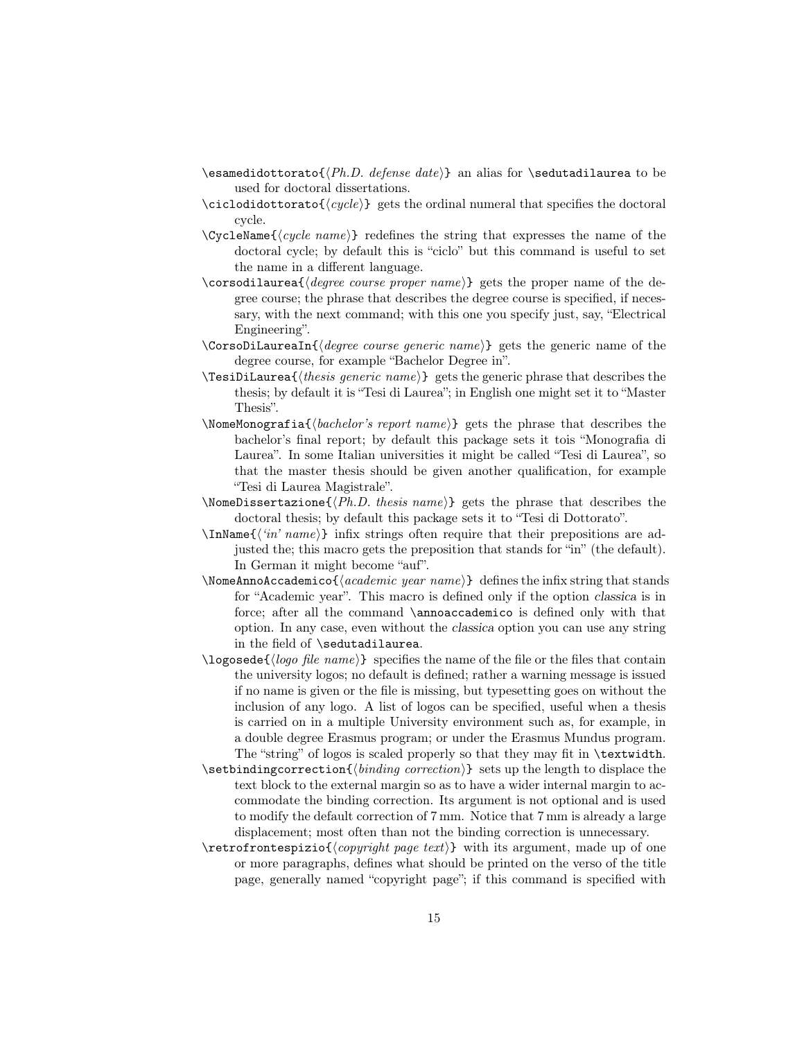- \esamedidottorato{ $\langle Ph.D.$  defense date}} an alias for \sedutadilaurea to be used for doctoral dissertations.
- $\c{cyclic1}$  gets the ordinal numeral that specifies the doctoral cycle.
- $\C{cycleName} \{cycle name\}$  redefines the string that expresses the name of the doctoral cycle; by default this is "ciclo" but this command is useful to set the name in a different language.
- $\corsodilaurea$ { $\degree$  course proper name}} gets the proper name of the degree course; the phrase that describes the degree course is specified, if necessary, with the next command; with this one you specify just, say, "Electrical Engineering".
- $\text{CorsoDilau}$ reaIn{ $\text{degree course}$  generic name}} gets the generic name of the degree course, for example "Bachelor Degree in".
- $\text{TestDilaurea}\{\text{thesis generic name}\}$  gets the generic phrase that describes the thesis; by default it is "Tesi di Laurea"; in English one might set it to "Master Thesis".
- $\text{NoneMonographic}$ {bachelor's report name}} gets the phrase that describes the bachelor's final report; by default this package sets it tois "Monografia di Laurea". In some Italian universities it might be called "Tesi di Laurea", so that the master thesis should be given another qualification, for example "Tesi di Laurea Magistrale".
- $\Omega$  \NomeDissertazione{ $\langle Ph.D.$  thesis name}} gets the phrase that describes the doctoral thesis; by default this package sets it to "Tesi di Dottorato".
- $\{\langle in' name \rangle\}$  infix strings often require that their prepositions are adjusted the; this macro gets the preposition that stands for "in" (the default). In German it might become "auf".
- $\Omega$  \NomeAnnoAccademico{ $\langle academic\ year\ name\rangle$ } defines the infix string that stands for "Academic year". This macro is defined only if the option classica is in force; after all the command \annoaccademico is defined only with that option. In any case, even without the classica option you can use any string in the field of \sedutadilaurea.
- $\log$ osede $\{\log$  file name)} specifies the name of the file or the files that contain the university logos; no default is defined; rather a warning message is issued if no name is given or the file is missing, but typesetting goes on without the inclusion of any logo. A list of logos can be specified, useful when a thesis is carried on in a multiple University environment such as, for example, in a double degree Erasmus program; or under the Erasmus Mundus program. The "string" of logos is scaled properly so that they may fit in \textwidth.
- \setbindingcorrection{hbinding correctioni} sets up the length to displace the text block to the external margin so as to have a wider internal margin to accommodate the binding correction. Its argument is not optional and is used to modify the default correction of 7 mm. Notice that 7 mm is already a large displacement; most often than not the binding correction is unnecessary.
- $\text{rotromt}$  espizio $\{ \text{copyright page text} \}$  with its argument, made up of one or more paragraphs, defines what should be printed on the verso of the title page, generally named "copyright page"; if this command is specified with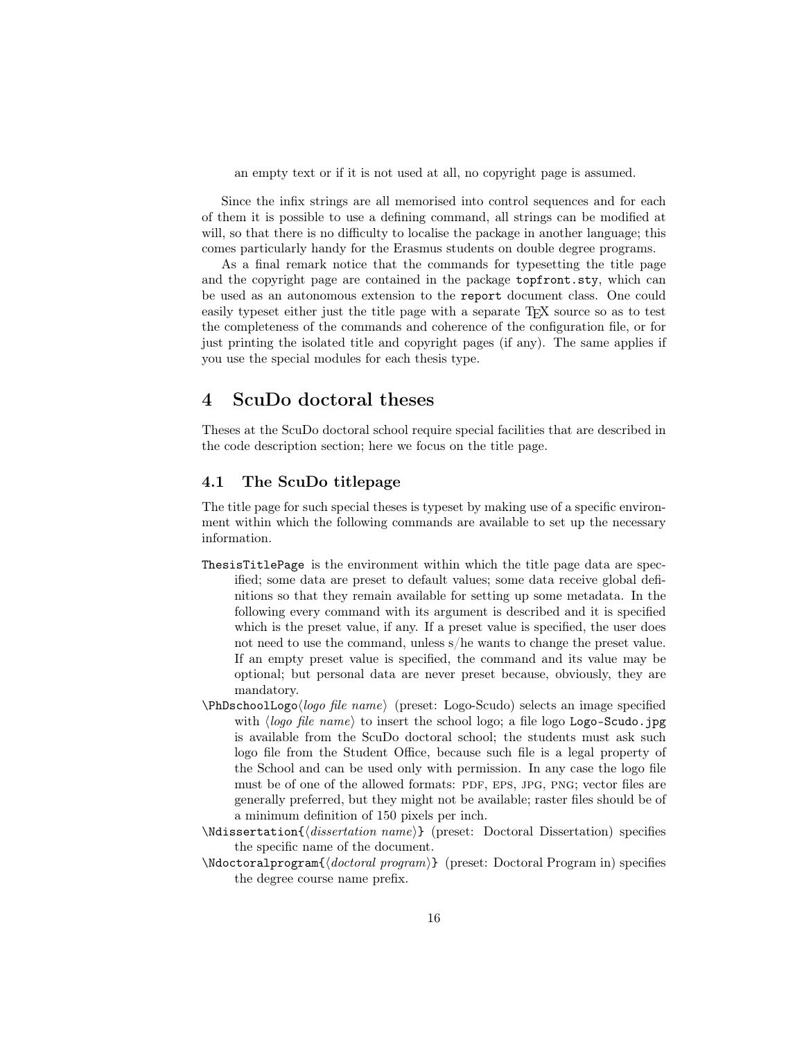an empty text or if it is not used at all, no copyright page is assumed.

Since the infix strings are all memorised into control sequences and for each of them it is possible to use a defining command, all strings can be modified at will, so that there is no difficulty to localise the package in another language; this comes particularly handy for the Erasmus students on double degree programs.

As a final remark notice that the commands for typesetting the title page and the copyright page are contained in the package topfront.sty, which can be used as an autonomous extension to the report document class. One could easily typeset either just the title page with a separate T<sub>EX</sub> source so as to test the completeness of the commands and coherence of the configuration file, or for just printing the isolated title and copyright pages (if any). The same applies if you use the special modules for each thesis type.

# 4 ScuDo doctoral theses

Theses at the ScuDo doctoral school require special facilities that are described in the code description section; here we focus on the title page.

#### 4.1 The ScuDo titlepage

The title page for such special theses is typeset by making use of a specific environment within which the following commands are available to set up the necessary information.

- ThesisTitlePage is the environment within which the title page data are specified; some data are preset to default values; some data receive global definitions so that they remain available for setting up some metadata. In the following every command with its argument is described and it is specified which is the preset value, if any. If a preset value is specified, the user does not need to use the command, unless s/he wants to change the preset value. If an empty preset value is specified, the command and its value may be optional; but personal data are never preset because, obviously, they are mandatory.
- $\Phi$ logo file name $\rho$  (preset: Logo-Scudo) selects an image specified with  $\langle logo file name \rangle$  to insert the school logo; a file logo Logo-Scudo.jpg is available from the ScuDo doctoral school; the students must ask such logo file from the Student Office, because such file is a legal property of the School and can be used only with permission. In any case the logo file must be of one of the allowed formats: PDF, EPS, JPG, PNG; vector files are generally preferred, but they might not be available; raster files should be of a minimum definition of 150 pixels per inch.
- $\M{dissection}$  (*dissertation name*) (preset: Doctoral Dissertation) specifies the specific name of the document.
- $\N$ doctoralprogram $\{$  $\{dotctoral program\}$  (preset: Doctoral Program in) specifies the degree course name prefix.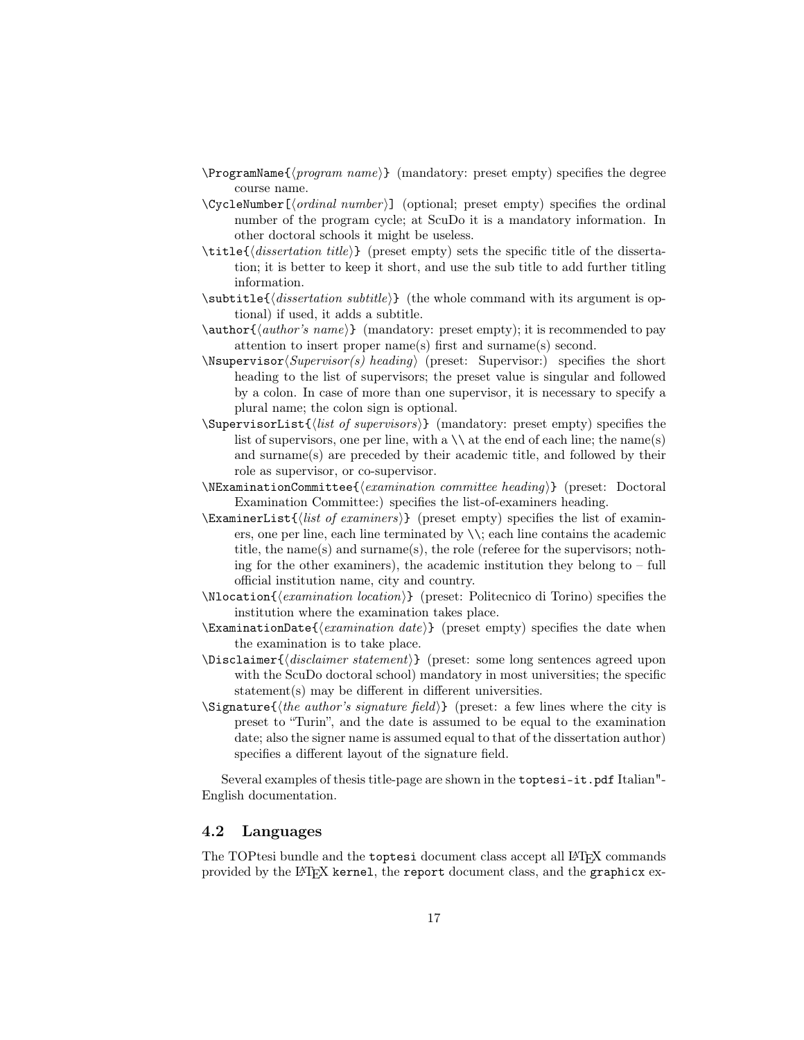- $\P$  programName $\{propram \ name\}$  (mandatory: preset empty) specifies the degree course name.
- $\C{c}$  \CycleNumber  $[\langle ordinal\ number \rangle]$  (optional; preset empty) specifies the ordinal number of the program cycle; at ScuDo it is a mandatory information. In other doctoral schools it might be useless.
- $\tilde{\text{dissection title}}$  (preset empty) sets the specific title of the dissertation; it is better to keep it short, and use the sub title to add further titling information.
- $\substack{\text{subtitle}}$  (dissertation subtitle) (the whole command with its argument is optional) if used, it adds a subtitle.
- $\auchor\{\alpha, name\}$  (mandatory: preset empty); it is recommended to pay attention to insert proper name(s) first and surname(s) second.
- $\N$ supervisor $\text{Supervisor}(s)$  heading) (preset: Supervisor:) specifies the short heading to the list of supervisors; the preset value is singular and followed by a colon. In case of more than one supervisor, it is necessary to specify a plural name; the colon sign is optional.
- $\SupervisorList\{list of supervisors\} \$  (mandatory: preset empty) specifies the list of supervisors, one per line, with a  $\setminus$  at the end of each line; the name(s) and surname(s) are preceded by their academic title, and followed by their role as supervisor, or co-supervisor.
- $\N$ ExaminationCommittee{ $\{examination\ commuttee\ heading\}$  (preset: Doctoral Examination Committee:) specifies the list-of-examiners heading.
- $\Examples\$  (preset empty) specifies the list of examiners, one per line, each line terminated by \\; each line contains the academic title, the name(s) and surname(s), the role (referee for the supervisors; nothing for the other examiners), the academic institution they belong to  $-$  full official institution name, city and country.
- $\N$ location $\{examination~location\}$  (preset: Politecnico di Torino) specifies the institution where the examination takes place.
- \ExaminationDate{ $\{examination\ date\}$ } (preset empty) specifies the date when the examination is to take place.
- $\Delta$ isclaimer  $\{disclaimer statement\}$  (preset: some long sentences agreed upon with the ScuDo doctoral school) mandatory in most universities; the specific statement(s) may be different in different universities.
- $\Sigma$  is signature  $\{the author's signature field\}$  (preset: a few lines where the city is preset to "Turin", and the date is assumed to be equal to the examination date; also the signer name is assumed equal to that of the dissertation author) specifies a different layout of the signature field.

Several examples of thesis title-page are shown in the toptesi-it.pdf Italian"- English documentation.

#### 4.2 Languages

The TOPtesi bundle and the toptesi document class accept all LAT<sub>EX</sub> commands provided by the LATEX kernel, the report document class, and the graphicx ex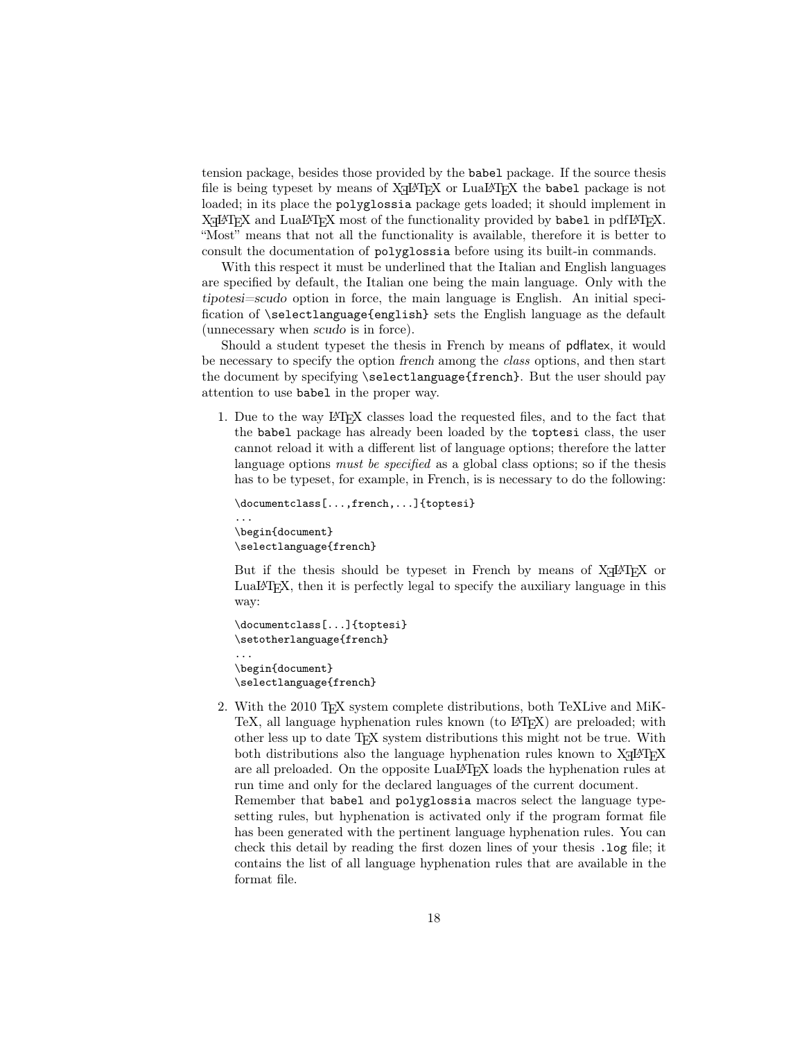tension package, besides those provided by the babel package. If the source thesis file is being typeset by means of  $X \rightarrow Y$  or  $LuaI \rightarrow T_E X$  the babel package is not loaded; in its place the polyglossia package gets loaded; it should implement in  $X$   $H$   $\Delta$   $H$   $\Delta$   $H$   $\Delta$   $H$   $\Delta$   $H$   $\Delta$   $H$   $\Delta$   $H$   $\Delta$   $H$   $\Delta$   $H$   $\Delta$   $H$   $\Delta$   $H$   $\Delta$   $H$   $\Delta$   $H$   $\Delta$   $H$   $\Delta$   $H$   $\Delta$   $H$   $\Delta$   $H$   $\Delta$   $H$   $\Delta$   $H$   $\Delta$   $H$   $\Delta$   $H$   $\Delta$   $H$   $\Delta$   $H$   $\Delta$   $H$   $\Delta$  "Most" means that not all the functionality is available, therefore it is better to consult the documentation of polyglossia before using its built-in commands.

With this respect it must be underlined that the Italian and English languages are specified by default, the Italian one being the main language. Only with the tipotesi=scudo option in force, the main language is English. An initial specification of \selectlanguage{english} sets the English language as the default (unnecessary when scudo is in force).

Should a student typeset the thesis in French by means of pdflatex, it would be necessary to specify the option french among the class options, and then start the document by specifying \selectlanguage{french}. But the user should pay attention to use babel in the proper way.

1. Due to the way LATEX classes load the requested files, and to the fact that the babel package has already been loaded by the toptesi class, the user cannot reload it with a different list of language options; therefore the latter language options *must be specified* as a global class options; so if the thesis has to be typeset, for example, in French, is is necessary to do the following:

```
\documentclass[...,french,...]{toptesi}
...
\begin{document}
\selectlanguage{french}
```
But if the thesis should be typeset in French by means of  $X \rightarrow E X$  or LuaLATEX, then it is perfectly legal to specify the auxiliary language in this way:

```
\documentclass[...]{toptesi}
\setotherlanguage{french}
...
\begin{document}
\selectlanguage{french}
```
2. With the 2010 TEX system complete distributions, both TeXLive and MiK-TeX, all language hyphenation rules known (to LAT<sub>EX</sub>) are preloaded; with other less up to date TEX system distributions this might not be true. With both distributions also the language hyphenation rules known to  $X \rightarrow E X$ are all preloaded. On the opposite LuaL<sup>AT</sup>EX loads the hyphenation rules at run time and only for the declared languages of the current document. Remember that babel and polyglossia macros select the language typesetting rules, but hyphenation is activated only if the program format file has been generated with the pertinent language hyphenation rules. You can check this detail by reading the first dozen lines of your thesis .log file; it contains the list of all language hyphenation rules that are available in the format file.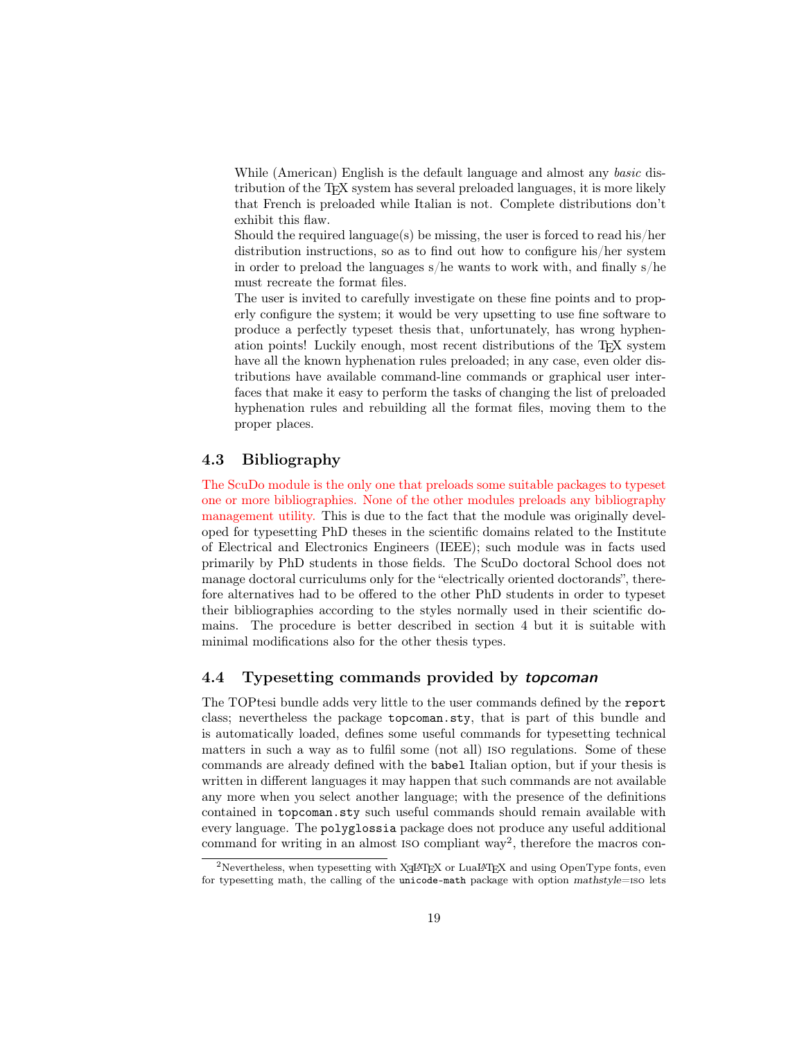While (American) English is the default language and almost any basic distribution of the TEX system has several preloaded languages, it is more likely that French is preloaded while Italian is not. Complete distributions don't exhibit this flaw.

Should the required language(s) be missing, the user is forced to read his/her distribution instructions, so as to find out how to configure his/her system in order to preload the languages s/he wants to work with, and finally s/he must recreate the format files.

The user is invited to carefully investigate on these fine points and to properly configure the system; it would be very upsetting to use fine software to produce a perfectly typeset thesis that, unfortunately, has wrong hyphenation points! Luckily enough, most recent distributions of the T<sub>E</sub>X system have all the known hyphenation rules preloaded; in any case, even older distributions have available command-line commands or graphical user interfaces that make it easy to perform the tasks of changing the list of preloaded hyphenation rules and rebuilding all the format files, moving them to the proper places.

#### 4.3 Bibliography

The ScuDo module is the only one that preloads some suitable packages to typeset one or more bibliographies. None of the other modules preloads any bibliography management utility. This is due to the fact that the module was originally developed for typesetting PhD theses in the scientific domains related to the Institute of Electrical and Electronics Engineers (IEEE); such module was in facts used primarily by PhD students in those fields. The ScuDo doctoral School does not manage doctoral curriculums only for the "electrically oriented doctorands", therefore alternatives had to be offered to the other PhD students in order to typeset their bibliographies according to the styles normally used in their scientific domains. The procedure is better described in section 4 but it is suitable with minimal modifications also for the other thesis types.

#### 4.4 Typesetting commands provided by topcoman

The TOPtesi bundle adds very little to the user commands defined by the report class; nevertheless the package topcoman.sty, that is part of this bundle and is automatically loaded, defines some useful commands for typesetting technical matters in such a way as to fulfil some (not all) iso regulations. Some of these commands are already defined with the babel Italian option, but if your thesis is written in different languages it may happen that such commands are not available any more when you select another language; with the presence of the definitions contained in topcoman.sty such useful commands should remain available with every language. The polyglossia package does not produce any useful additional command for writing in an almost ISO compliant way<sup>2</sup>, therefore the macros con-

 $^{2}$ Nevertheless, when typesetting with XqL<sup>A</sup>T<sub>E</sub>X or LuaL<sup>A</sup>T<sub>E</sub>X and using OpenType fonts, even for typesetting math, the calling of the unicode-math package with option mathstyle=iso lets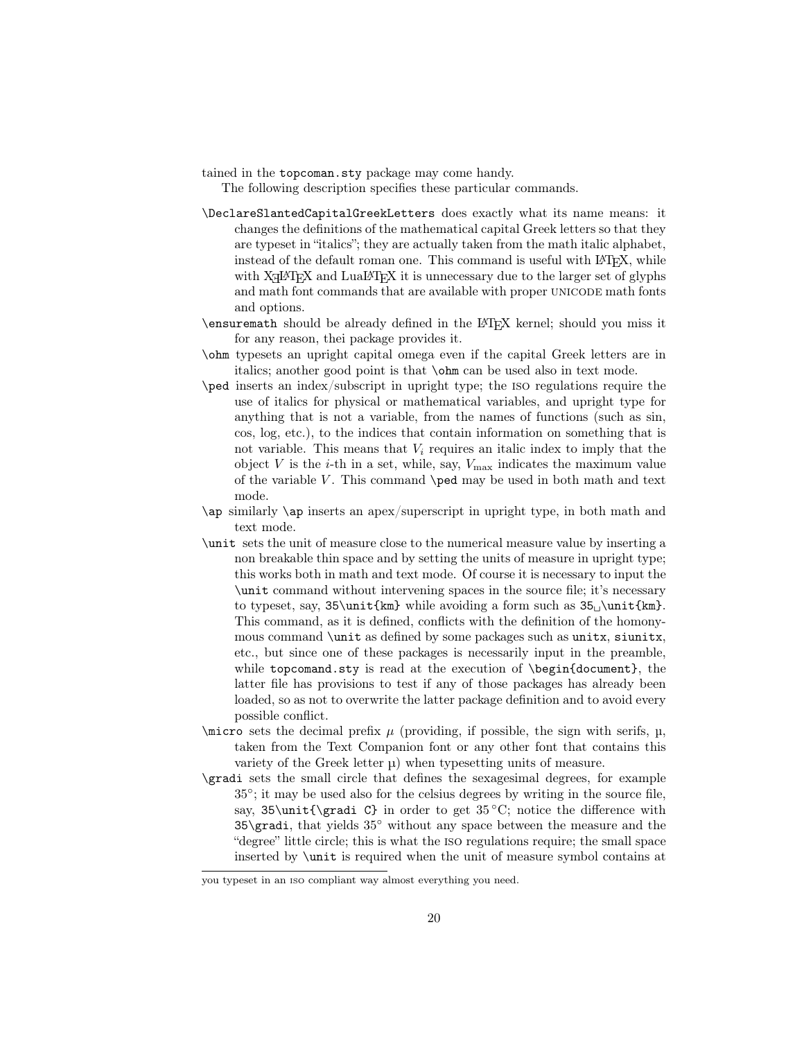tained in the topcoman.sty package may come handy.

The following description specifies these particular commands.

- \DeclareSlantedCapitalGreekLetters does exactly what its name means: it changes the definitions of the mathematical capital Greek letters so that they are typeset in "italics"; they are actually taken from the math italic alphabet, instead of the default roman one. This command is useful with LAT<sub>E</sub>X, while with  $X\text{d}H\text{d}X$  and  $\text{Lua}H\text{d}X$  it is unnecessary due to the larger set of glyphs and math font commands that are available with proper unicode math fonts and options.
- \ensuremath should be already defined in the LATEX kernel; should you miss it for any reason, thei package provides it.
- \ohm typesets an upright capital omega even if the capital Greek letters are in italics; another good point is that \ohm can be used also in text mode.
- \ped inserts an index/subscript in upright type; the iso regulations require the use of italics for physical or mathematical variables, and upright type for anything that is not a variable, from the names of functions (such as sin, cos, log, etc.), to the indices that contain information on something that is not variable. This means that  $V_i$  requires an italic index to imply that the object  $V$  is the *i*-th in a set, while, say,  $V_{\text{max}}$  indicates the maximum value of the variable  $V$ . This command  $\peq$  may be used in both math and text mode.
- \ap similarly \ap inserts an apex/superscript in upright type, in both math and text mode.
- \unit sets the unit of measure close to the numerical measure value by inserting a non breakable thin space and by setting the units of measure in upright type; this works both in math and text mode. Of course it is necessary to input the \unit command without intervening spaces in the source file; it's necessary to typeset, say,  $35\unit{km}$  while avoiding a form such as  $35\unit{km}$ . This command, as it is defined, conflicts with the definition of the homonymous command \unit as defined by some packages such as unitx, siunitx, etc., but since one of these packages is necessarily input in the preamble, while topcomand.sty is read at the execution of \begin{document}, the latter file has provisions to test if any of those packages has already been loaded, so as not to overwrite the latter package definition and to avoid every possible conflict.
- $\langle$  sets the decimal prefix  $\mu$  (providing, if possible, the sign with serifs,  $\mu$ , taken from the Text Companion font or any other font that contains this variety of the Greek letter  $\mu$ ) when typesetting units of measure.
- \gradi sets the small circle that defines the sexagesimal degrees, for example 35◦ ; it may be used also for the celsius degrees by writing in the source file, say, 35\unit{\gradi C} in order to get  $35^{\circ}$ C; notice the difference with 35\gradi, that yields 35◦ without any space between the measure and the "degree" little circle; this is what the iso regulations require; the small space inserted by \unit is required when the unit of measure symbol contains at

you typeset in an iso compliant way almost everything you need.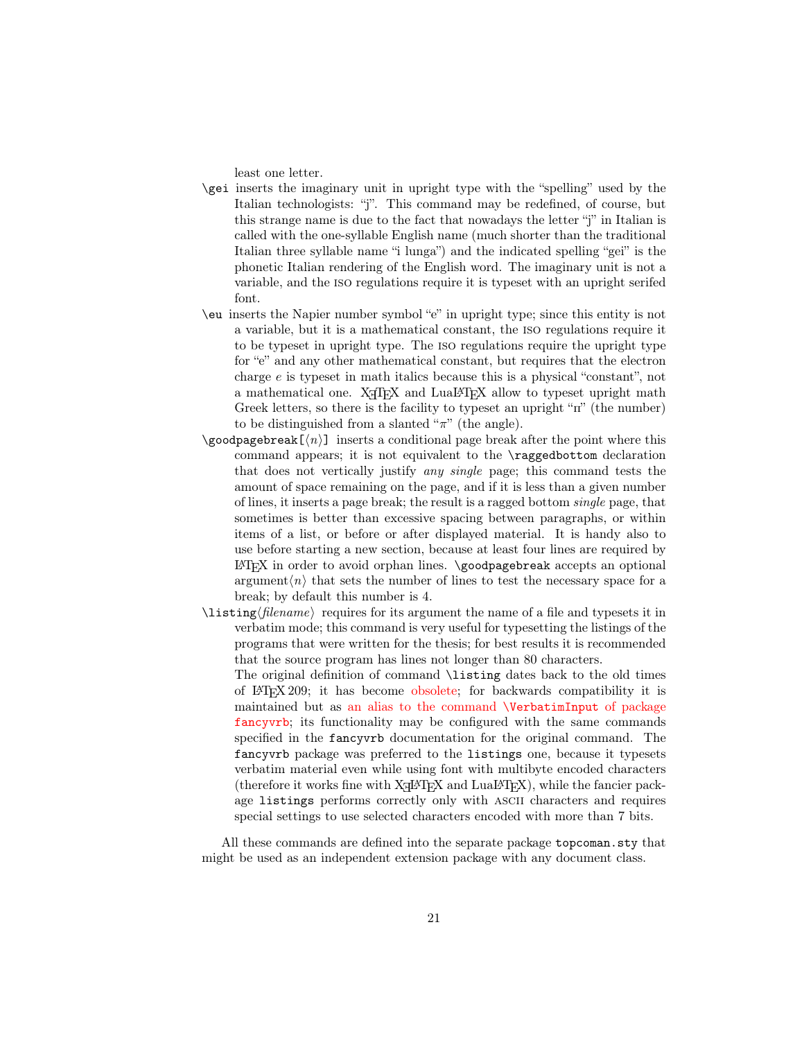least one letter.

- \gei inserts the imaginary unit in upright type with the "spelling" used by the Italian technologists: "j". This command may be redefined, of course, but this strange name is due to the fact that nowadays the letter "j" in Italian is called with the one-syllable English name (much shorter than the traditional Italian three syllable name "i lunga") and the indicated spelling "gei" is the phonetic Italian rendering of the English word. The imaginary unit is not a variable, and the iso regulations require it is typeset with an upright serifed font.
- \eu inserts the Napier number symbol "e" in upright type; since this entity is not a variable, but it is a mathematical constant, the iso regulations require it to be typeset in upright type. The iso regulations require the upright type for "e" and any other mathematical constant, but requires that the electron charge e is typeset in math italics because this is a physical "constant", not a mathematical one. X<sub>T</sub>T<sub>E</sub>X and LuaLT<sub>E</sub>X allow to typeset upright math Greek letters, so there is the facility to typeset an upright "π" (the number) to be distinguished from a slanted " $\pi$ " (the angle).
- \goodpagebreak[hni] inserts a conditional page break after the point where this command appears; it is not equivalent to the \raggedbottom declaration that does not vertically justify any single page; this command tests the amount of space remaining on the page, and if it is less than a given number of lines, it inserts a page break; the result is a ragged bottom single page, that sometimes is better than excessive spacing between paragraphs, or within items of a list, or before or after displayed material. It is handy also to use before starting a new section, because at least four lines are required by  $\Delta$ EX in order to avoid orphan lines.  $\qquad$ coodpagebreak accepts an optional argument $\langle n \rangle$  that sets the number of lines to test the necessary space for a break; by default this number is 4.
- $\langle$ listing $\langle$ *filename* $\rangle$  requires for its argument the name of a file and typesets it in verbatim mode; this command is very useful for typesetting the listings of the programs that were written for the thesis; for best results it is recommended that the source program has lines not longer than 80 characters.
	- The original definition of command \listing dates back to the old times of LATEX 209; it has become obsolete; for backwards compatibility it is maintained but as an alias to the command \VerbatimInput of package fancyvrb; its functionality may be configured with the same commands specified in the fancyvrb documentation for the original command. The fancyvrb package was preferred to the listings one, because it typesets verbatim material even while using font with multibyte encoded characters (therefore it works fine with  $X \rightarrow Y$  and  $LuaI \rightarrow T<sub>E</sub>X$ ), while the fancier package listings performs correctly only with ascii characters and requires special settings to use selected characters encoded with more than 7 bits.

All these commands are defined into the separate package topcoman.sty that might be used as an independent extension package with any document class.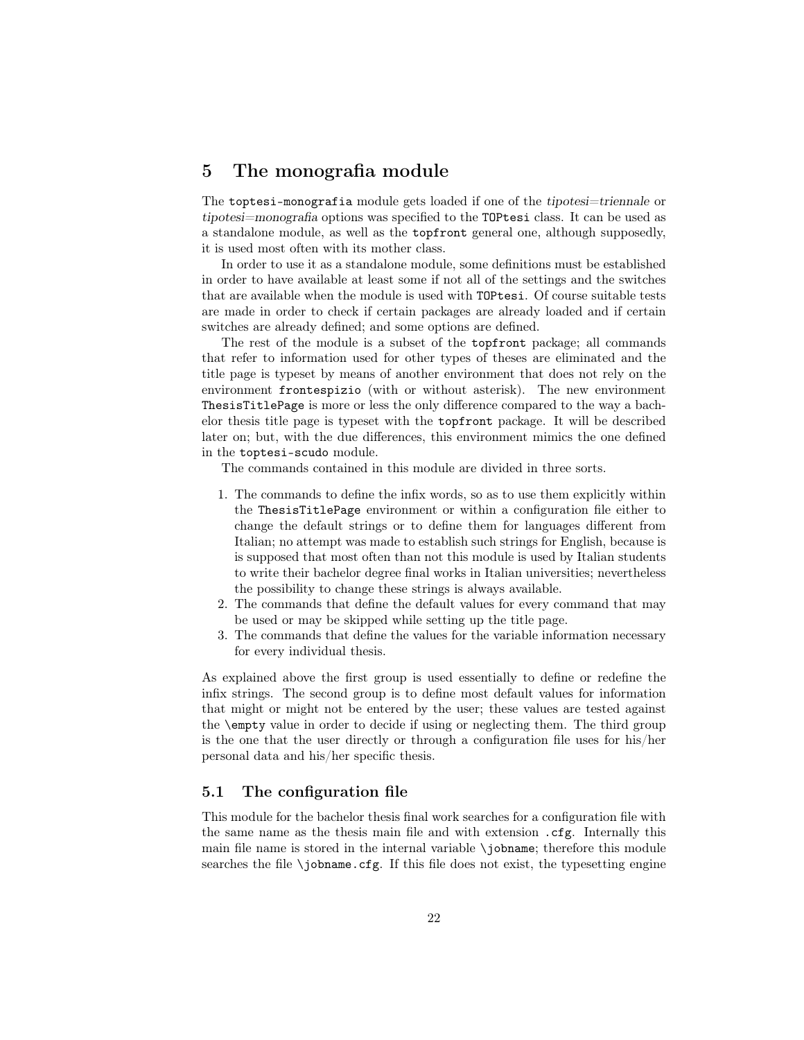### 5 The monografia module

The toptesi-monografia module gets loaded if one of the tipotesi=triennale or tipotesi=monografia options was specified to the TOPtesi class. It can be used as a standalone module, as well as the topfront general one, although supposedly, it is used most often with its mother class.

In order to use it as a standalone module, some definitions must be established in order to have available at least some if not all of the settings and the switches that are available when the module is used with TOPtesi. Of course suitable tests are made in order to check if certain packages are already loaded and if certain switches are already defined; and some options are defined.

The rest of the module is a subset of the topfront package; all commands that refer to information used for other types of theses are eliminated and the title page is typeset by means of another environment that does not rely on the environment frontespizio (with or without asterisk). The new environment ThesisTitlePage is more or less the only difference compared to the way a bachelor thesis title page is typeset with the topfront package. It will be described later on; but, with the due differences, this environment mimics the one defined in the toptesi-scudo module.

The commands contained in this module are divided in three sorts.

- 1. The commands to define the infix words, so as to use them explicitly within the ThesisTitlePage environment or within a configuration file either to change the default strings or to define them for languages different from Italian; no attempt was made to establish such strings for English, because is is supposed that most often than not this module is used by Italian students to write their bachelor degree final works in Italian universities; nevertheless the possibility to change these strings is always available.
- 2. The commands that define the default values for every command that may be used or may be skipped while setting up the title page.
- 3. The commands that define the values for the variable information necessary for every individual thesis.

As explained above the first group is used essentially to define or redefine the infix strings. The second group is to define most default values for information that might or might not be entered by the user; these values are tested against the \empty value in order to decide if using or neglecting them. The third group is the one that the user directly or through a configuration file uses for his/her personal data and his/her specific thesis.

#### 5.1 The configuration file

This module for the bachelor thesis final work searches for a configuration file with the same name as the thesis main file and with extension .cfg. Internally this main file name is stored in the internal variable \jobname; therefore this module searches the file \jobname.cfg. If this file does not exist, the typesetting engine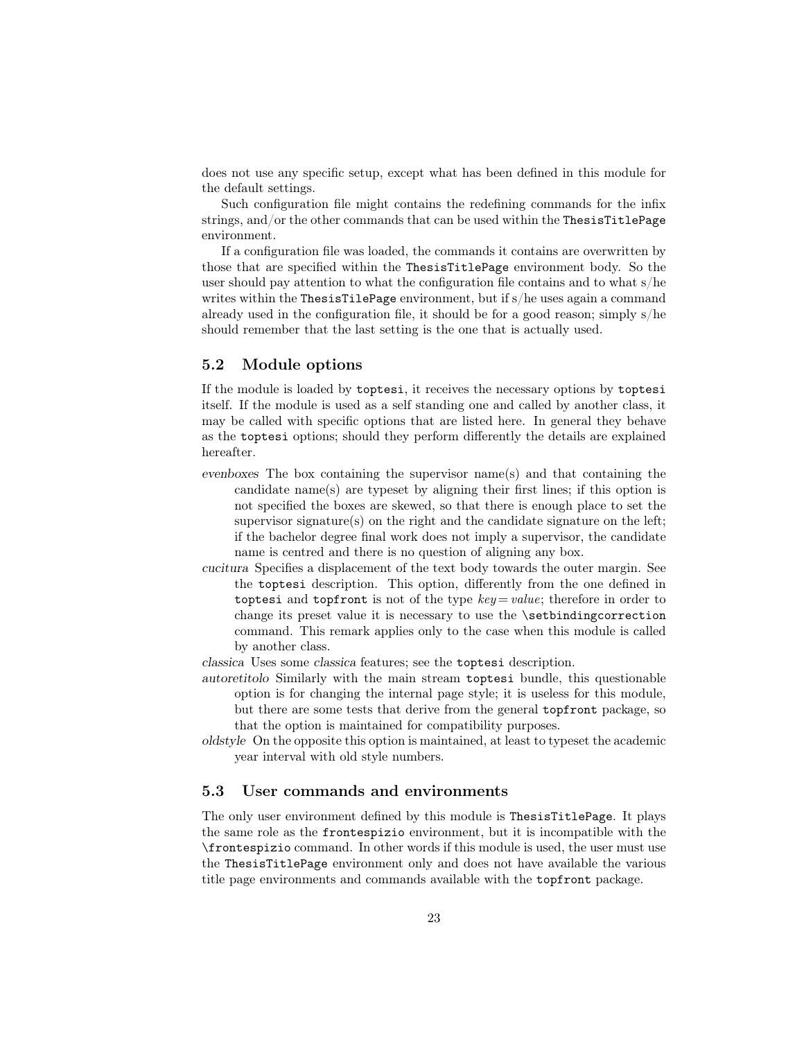does not use any specific setup, except what has been defined in this module for the default settings.

Such configuration file might contains the redefining commands for the infix strings, and/or the other commands that can be used within the ThesisTitlePage environment.

If a configuration file was loaded, the commands it contains are overwritten by those that are specified within the ThesisTitlePage environment body. So the user should pay attention to what the configuration file contains and to what s/he writes within the ThesisTilePage environment, but if s/he uses again a command already used in the configuration file, it should be for a good reason; simply  $s/he$ should remember that the last setting is the one that is actually used.

#### 5.2 Module options

If the module is loaded by toptesi, it receives the necessary options by toptesi itself. If the module is used as a self standing one and called by another class, it may be called with specific options that are listed here. In general they behave as the toptesi options; should they perform differently the details are explained hereafter.

- evenboxes The box containing the supervisor name(s) and that containing the candidate name(s) are typeset by aligning their first lines; if this option is not specified the boxes are skewed, so that there is enough place to set the supervisor signature(s) on the right and the candidate signature on the left; if the bachelor degree final work does not imply a supervisor, the candidate name is centred and there is no question of aligning any box.
- cucitura Specifies a displacement of the text body towards the outer margin. See the toptesi description. This option, differently from the one defined in toptesi and topfront is not of the type  $key = value$ ; therefore in order to change its preset value it is necessary to use the \setbindingcorrection command. This remark applies only to the case when this module is called by another class.
- classica Uses some classica features; see the toptesi description.
- autoretitolo Similarly with the main stream toptesi bundle, this questionable option is for changing the internal page style; it is useless for this module, but there are some tests that derive from the general topfront package, so that the option is maintained for compatibility purposes.
- oldstyle On the opposite this option is maintained, at least to typeset the academic year interval with old style numbers.

#### 5.3 User commands and environments

The only user environment defined by this module is ThesisTitlePage. It plays the same role as the frontespizio environment, but it is incompatible with the \frontespizio command. In other words if this module is used, the user must use the ThesisTitlePage environment only and does not have available the various title page environments and commands available with the topfront package.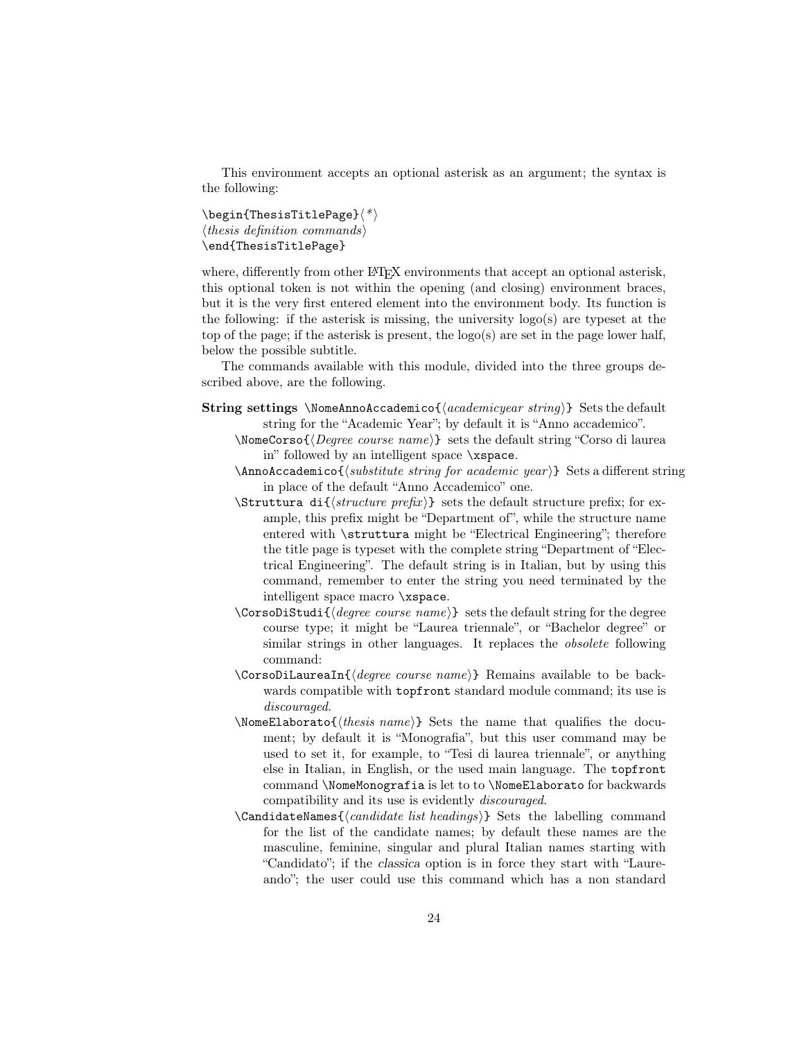This environment accepts an optional asterisk as an argument; the syntax is the following:

 $\begin{align} \begin{bmatrix} \text{The}\end{bmatrix}^* \end{align}$  $\langle$ *thesis definition commands* $\rangle$ \end{ThesisTitlePage}

where, differently from other LAT<sub>EX</sub> environments that accept an optional asterisk, this optional token is not within the opening (and closing) environment braces, but it is the very first entered element into the environment body. Its function is the following: if the asterisk is missing, the university  $log<sub>o</sub>(s)$  are typeset at the top of the page; if the asterisk is present, the  $logo(s)$  are set in the page lower half, below the possible subtitle.

The commands available with this module, divided into the three groups described above, are the following.

- **String settings** \NomeAnnoAccademico{\*academicyear string*}} Sets the default string for the "Academic Year"; by default it is "Anno accademico".
	- $\Omega$  \NomeCorso{ $\langle Degree \ course \ name \rangle$ } sets the default string "Corso di laurea in" followed by an intelligent space \xspace.
	- $\Lambda$ nnoAccademico{ $\langle$ substitute string for academic year $\rangle$ } Sets a different string in place of the default "Anno Accademico" one.
	- $\text{Strutura di}\{\text{structure prefix}\}\$  sets the default structure prefix; for example, this prefix might be "Department of", while the structure name entered with \struttura might be "Electrical Engineering"; therefore the title page is typeset with the complete string "Department of "Electrical Engineering". The default string is in Italian, but by using this command, remember to enter the string you need terminated by the intelligent space macro \xspace.
	- \CorsoDiStudi{ $\langle degree\ course\ name\rangle$ } sets the default string for the degree course type; it might be "Laurea triennale", or "Bachelor degree" or similar strings in other languages. It replaces the obsolete following command:
	- $\text{CorsoDilaureaIn}$ { $\text{degree course name}$ } Remains available to be backwards compatible with topfront standard module command; its use is discouraged.
	- \NomeElaborato{hthesis namei} Sets the name that qualifies the document; by default it is "Monografia", but this user command may be used to set it, for example, to "Tesi di laurea triennale", or anything else in Italian, in English, or the used main language. The topfront command \NomeMonografia is let to to \NomeElaborato for backwards compatibility and its use is evidently discouraged.
	- \CandidateNames $\{\langle candidate\ list\ headings\rangle\}$  Sets the labelling command for the list of the candidate names; by default these names are the masculine, feminine, singular and plural Italian names starting with "Candidato"; if the classica option is in force they start with "Laureando"; the user could use this command which has a non standard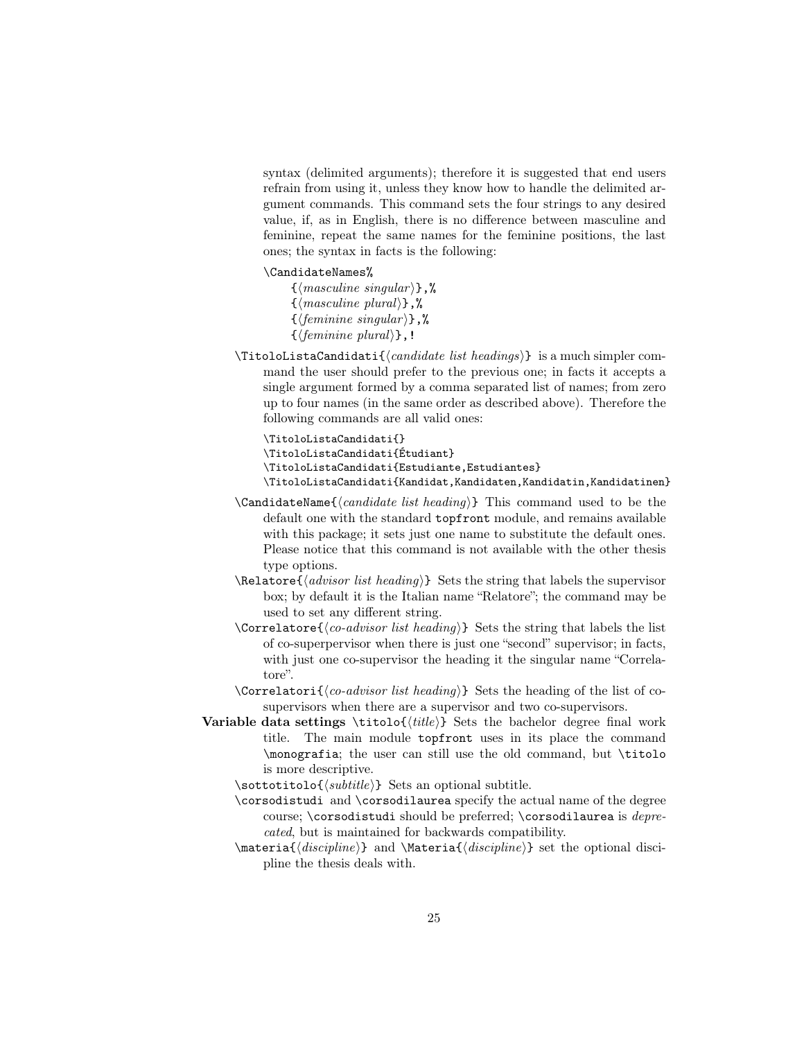syntax (delimited arguments); therefore it is suggested that end users refrain from using it, unless they know how to handle the delimited argument commands. This command sets the four strings to any desired value, if, as in English, there is no difference between masculine and feminine, repeat the same names for the feminine positions, the last ones; the syntax in facts is the following:

#### \CandidateNames%

 $\{\langle masculine\ singular\rangle\},\%$  $\{\langle masculine~plural \rangle\},\%$  $\{\langle \text{feminine singular} \rangle\},\%$  $\{\langle \text{feminine plural} \rangle\}$ ,!

 $\Theta$  is a much simpler command the user should prefer to the previous one; in facts it accepts a single argument formed by a comma separated list of names; from zero up to four names (in the same order as described above). Therefore the following commands are all valid ones:

\TitoloListaCandidati{} \TitoloListaCandidati{Étudiant} \TitoloListaCandidati{Estudiante,Estudiantes} \TitoloListaCandidati{Kandidat,Kandidaten,Kandidatin,Kandidatinen}

- $\text{CandidateName}\{\text{candidate list heading}\}\$  This command used to be the default one with the standard topfront module, and remains available with this package; it sets just one name to substitute the default ones. Please notice that this command is not available with the other thesis type options.
- $\Re\Lambda$  (advisor list heading) Sets the string that labels the supervisor box; by default it is the Italian name "Relatore"; the command may be used to set any different string.
- \Correlatore{ $\langle co\text{-}advisor\ list\ heading\rangle$ } Sets the string that labels the list of co-superpervisor when there is just one "second" supervisor; in facts, with just one co-supervisor the heading it the singular name "Correlatore".
- \Correlatori $\{\langle co\text{-}advisor\ \text{list}\ \text{heading}\rangle\}$  Sets the heading of the list of cosupervisors when there are a supervisor and two co-supervisors.
- Variable data settings \titolo{ $\{title\}$ } Sets the bachelor degree final work title. The main module topfront uses in its place the command \monografia; the user can still use the old command, but \titolo is more descriptive.
	- $\setminus$ sottotitolo{ $\langle \text{subtitle} \rangle$ } Sets an optional subtitle.
	- \corsodistudi and \corsodilaurea specify the actual name of the degree course; \corsodistudi should be preferred; \corsodilaurea is *depre*cated, but is maintained for backwards compatibility.
	- $\mathcal{dist}(\text{discpline})$  and  $\mathcal{dist}(\text{discpline})$  set the optional discipline the thesis deals with.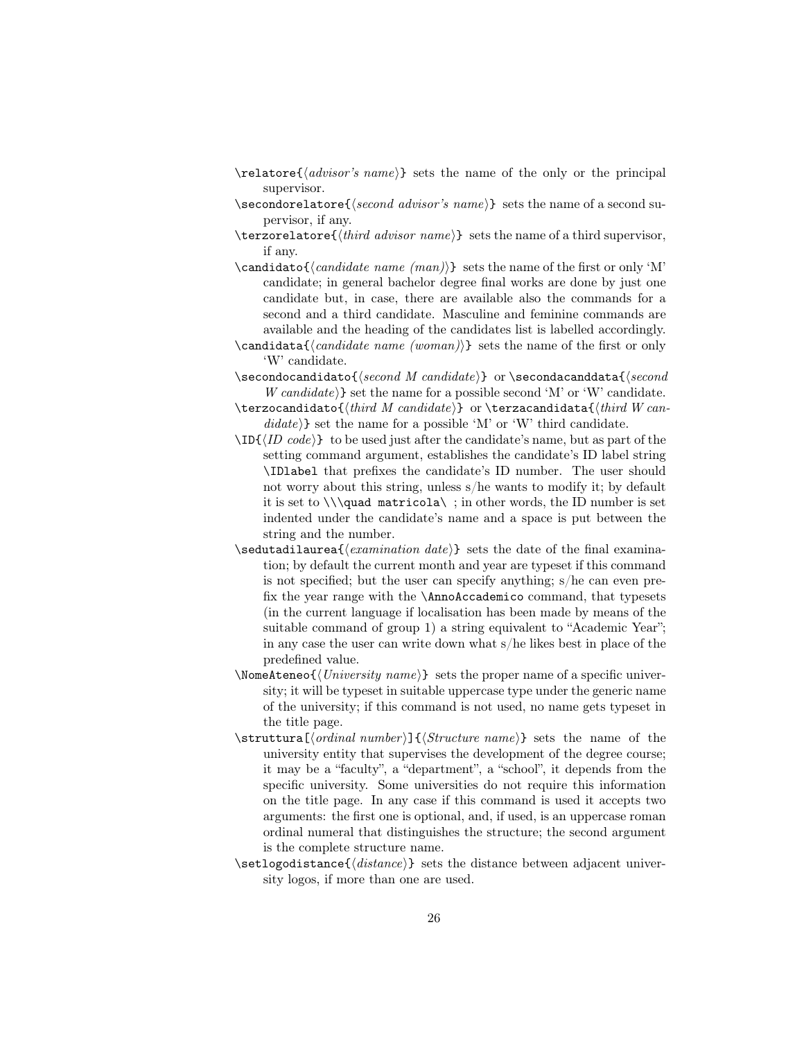- $\ref{advisor's name}$  sets the name of the only or the principal supervisor.
- $\setminus$ secondorelatore $\{\text{second advisor's name}\}$  sets the name of a second supervisor, if any.
- $\text{terzorelator}\{\text{third advisor name}\}$  sets the name of a third supervisor, if any.
- $\{\c{candidate name (man)}\}$  sets the name of the first or only 'M' candidate; in general bachelor degree final works are done by just one candidate but, in case, there are available also the commands for a second and a third candidate. Masculine and feminine commands are available and the heading of the candidates list is labelled accordingly.
- $\c{candidate name (woman)}$  sets the name of the first or only 'W' candidate.
- $\setminus$ secondocandidato $\{second\ M\ candidate\}$ or  $\setminus$ secondacanddata $\{second\$  $W \ncand *idade*$  set the name for a possible second 'M' or 'W' candidate.
- $\texttt{\{third\ }M\ }$  candidates  $\texttt{\{third\ }W\ }$  $\text{didate}$  set the name for a possible 'M' or 'W' third candidate.
- $\ID\{ID code\}$  to be used just after the candidate's name, but as part of the setting command argument, establishes the candidate's ID label string \IDlabel that prefixes the candidate's ID number. The user should not worry about this string, unless s/he wants to modify it; by default it is set to  $\lambda$  in other words, the ID number is set indented under the candidate's name and a space is put between the string and the number.
- $\setminus$ sedutadilaurea{ $\{examination\ date\}$  sets the date of the final examination; by default the current month and year are typeset if this command is not specified; but the user can specify anything; s/he can even prefix the year range with the \AnnoAccademico command, that typesets (in the current language if localisation has been made by means of the suitable command of group 1) a string equivalent to "Academic Year"; in any case the user can write down what s/he likes best in place of the predefined value.
- $\Omega_{\text{NoneAteneo}}$  /*University name*} sets the proper name of a specific university; it will be typeset in suitable uppercase type under the generic name of the university; if this command is not used, no name gets typeset in the title page.
- $\text{quad number}[{\text{current}]\{(\text{structure name})\}$  sets the name of the university entity that supervises the development of the degree course; it may be a "faculty", a "department", a "school", it depends from the specific university. Some universities do not require this information on the title page. In any case if this command is used it accepts two arguments: the first one is optional, and, if used, is an uppercase roman ordinal numeral that distinguishes the structure; the second argument is the complete structure name.
- \setlogodistance{hdistancei} sets the distance between adjacent university logos, if more than one are used.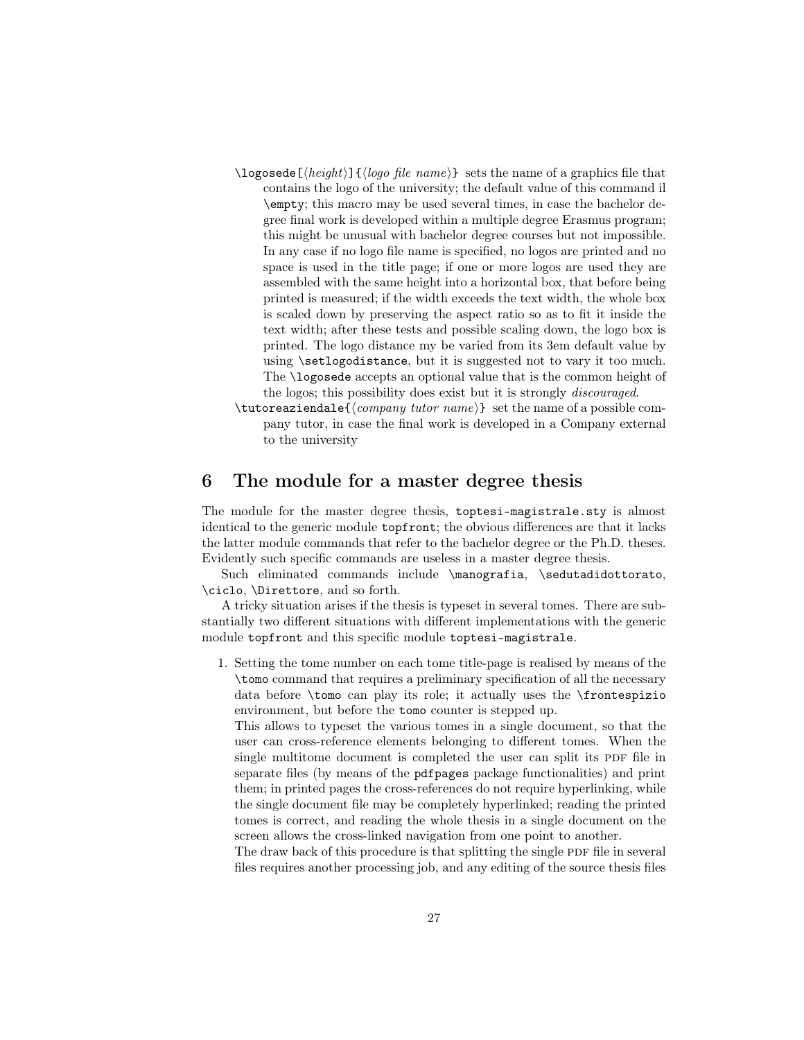- $\log$ osede[ $\langle height \rangle$ ] $\{ \langle log\ of \ linear\}\$  sets the name of a graphics file that contains the logo of the university; the default value of this command il \empty; this macro may be used several times, in case the bachelor degree final work is developed within a multiple degree Erasmus program; this might be unusual with bachelor degree courses but not impossible. In any case if no logo file name is specified, no logos are printed and no space is used in the title page; if one or more logos are used they are assembled with the same height into a horizontal box, that before being printed is measured; if the width exceeds the text width, the whole box is scaled down by preserving the aspect ratio so as to fit it inside the text width; after these tests and possible scaling down, the logo box is printed. The logo distance my be varied from its 3em default value by using \setlogodistance, but it is suggested not to vary it too much. The **\logosede** accepts an optional value that is the common height of the logos; this possibility does exist but it is strongly discouraged.
- $\text{tutoreaziendale} \langle \text{company } tutor \text{ name} \}$  set the name of a possible company tutor, in case the final work is developed in a Company external to the university

#### 6 The module for a master degree thesis

The module for the master degree thesis, toptesi-magistrale.sty is almost identical to the generic module topfront; the obvious differences are that it lacks the latter module commands that refer to the bachelor degree or the Ph.D. theses. Evidently such specific commands are useless in a master degree thesis.

Such eliminated commands include \manografia, \sedutadidottorato, \ciclo, \Direttore, and so forth.

A tricky situation arises if the thesis is typeset in several tomes. There are substantially two different situations with different implementations with the generic module topfront and this specific module toptesi-magistrale.

1. Setting the tome number on each tome title-page is realised by means of the \tomo command that requires a preliminary specification of all the necessary data before \tomo can play its role; it actually uses the \frontespizio environment, but before the tomo counter is stepped up.

This allows to typeset the various tomes in a single document, so that the user can cross-reference elements belonging to different tomes. When the single multitome document is completed the user can split its PDF file in separate files (by means of the pdfpages package functionalities) and print them; in printed pages the cross-references do not require hyperlinking, while the single document file may be completely hyperlinked; reading the printed tomes is correct, and reading the whole thesis in a single document on the screen allows the cross-linked navigation from one point to another.

The draw back of this procedure is that splitting the single PDF file in several files requires another processing job, and any editing of the source thesis files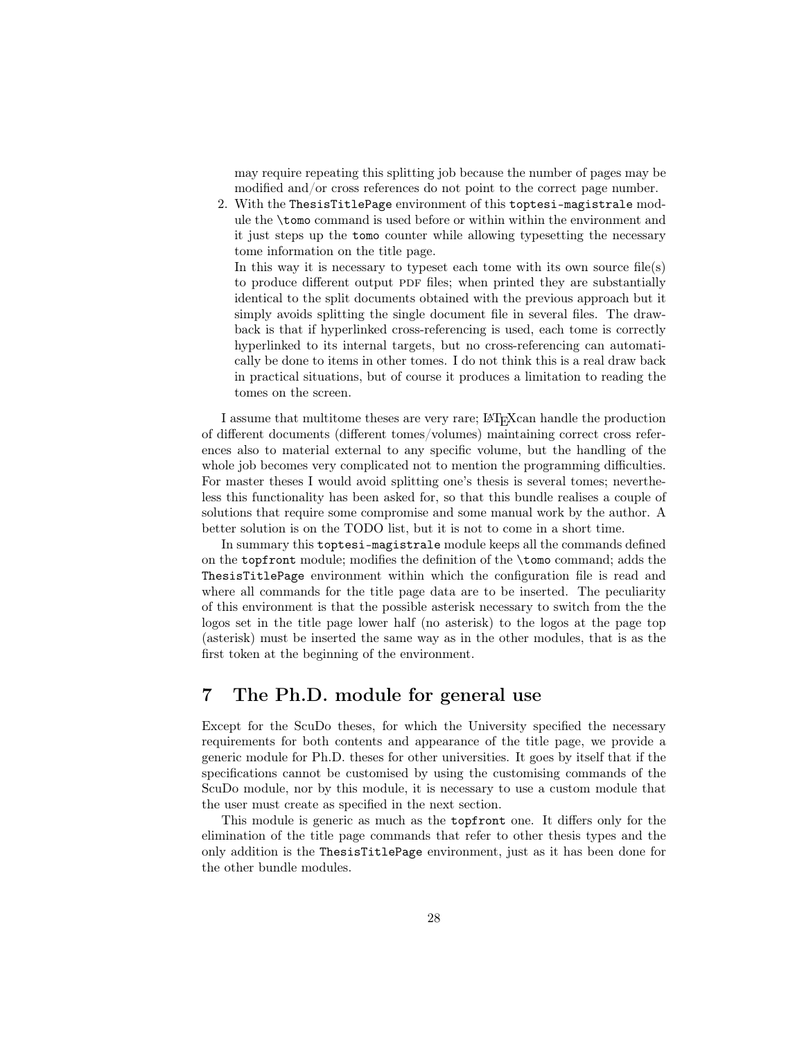may require repeating this splitting job because the number of pages may be modified and/or cross references do not point to the correct page number.

2. With the ThesisTitlePage environment of this toptesi-magistrale module the \tomo command is used before or within within the environment and it just steps up the tomo counter while allowing typesetting the necessary tome information on the title page.

In this way it is necessary to typeset each tome with its own source  $file(s)$ to produce different output PDF files; when printed they are substantially identical to the split documents obtained with the previous approach but it simply avoids splitting the single document file in several files. The drawback is that if hyperlinked cross-referencing is used, each tome is correctly hyperlinked to its internal targets, but no cross-referencing can automatically be done to items in other tomes. I do not think this is a real draw back in practical situations, but of course it produces a limitation to reading the tomes on the screen.

I assume that multitome theses are very rare; LATEXcan handle the production of different documents (different tomes/volumes) maintaining correct cross references also to material external to any specific volume, but the handling of the whole job becomes very complicated not to mention the programming difficulties. For master theses I would avoid splitting one's thesis is several tomes; nevertheless this functionality has been asked for, so that this bundle realises a couple of solutions that require some compromise and some manual work by the author. A better solution is on the TODO list, but it is not to come in a short time.

In summary this toptesi-magistrale module keeps all the commands defined on the topfront module; modifies the definition of the \tomo command; adds the ThesisTitlePage environment within which the configuration file is read and where all commands for the title page data are to be inserted. The peculiarity of this environment is that the possible asterisk necessary to switch from the the logos set in the title page lower half (no asterisk) to the logos at the page top (asterisk) must be inserted the same way as in the other modules, that is as the first token at the beginning of the environment.

# 7 The Ph.D. module for general use

Except for the ScuDo theses, for which the University specified the necessary requirements for both contents and appearance of the title page, we provide a generic module for Ph.D. theses for other universities. It goes by itself that if the specifications cannot be customised by using the customising commands of the ScuDo module, nor by this module, it is necessary to use a custom module that the user must create as specified in the next section.

This module is generic as much as the topfront one. It differs only for the elimination of the title page commands that refer to other thesis types and the only addition is the ThesisTitlePage environment, just as it has been done for the other bundle modules.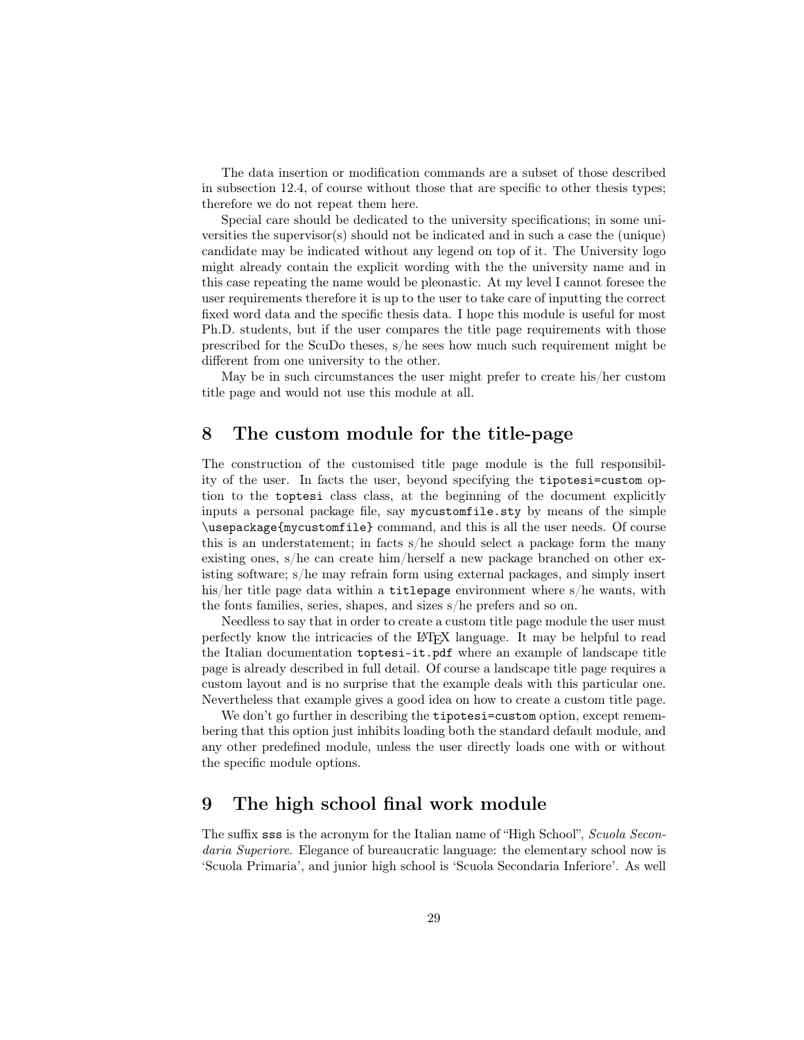The data insertion or modification commands are a subset of those described in subsection 12.4, of course without those that are specific to other thesis types; therefore we do not repeat them here.

Special care should be dedicated to the university specifications; in some universities the supervisor(s) should not be indicated and in such a case the (unique) candidate may be indicated without any legend on top of it. The University logo might already contain the explicit wording with the the university name and in this case repeating the name would be pleonastic. At my level I cannot foresee the user requirements therefore it is up to the user to take care of inputting the correct fixed word data and the specific thesis data. I hope this module is useful for most Ph.D. students, but if the user compares the title page requirements with those prescribed for the ScuDo theses, s/he sees how much such requirement might be different from one university to the other.

May be in such circumstances the user might prefer to create his/her custom title page and would not use this module at all.

### 8 The custom module for the title-page

The construction of the customised title page module is the full responsibility of the user. In facts the user, beyond specifying the tipotesi=custom option to the toptesi class class, at the beginning of the document explicitly inputs a personal package file, say mycustomfile.sty by means of the simple \usepackage{mycustomfile} command, and this is all the user needs. Of course this is an understatement; in facts s/he should select a package form the many existing ones, s/he can create him/herself a new package branched on other existing software; s/he may refrain form using external packages, and simply insert his/her title page data within a titlepage environment where s/he wants, with the fonts families, series, shapes, and sizes s/he prefers and so on.

Needless to say that in order to create a custom title page module the user must perfectly know the intricacies of the LATEX language. It may be helpful to read the Italian documentation toptesi-it.pdf where an example of landscape title page is already described in full detail. Of course a landscape title page requires a custom layout and is no surprise that the example deals with this particular one. Nevertheless that example gives a good idea on how to create a custom title page.

We don't go further in describing the **tipotesi=custom** option, except remembering that this option just inhibits loading both the standard default module, and any other predefined module, unless the user directly loads one with or without the specific module options.

# 9 The high school final work module

The suffix sss is the acronym for the Italian name of "High School", Scuola Secondaria Superiore. Elegance of bureaucratic language: the elementary school now is 'Scuola Primaria', and junior high school is 'Scuola Secondaria Inferiore'. As well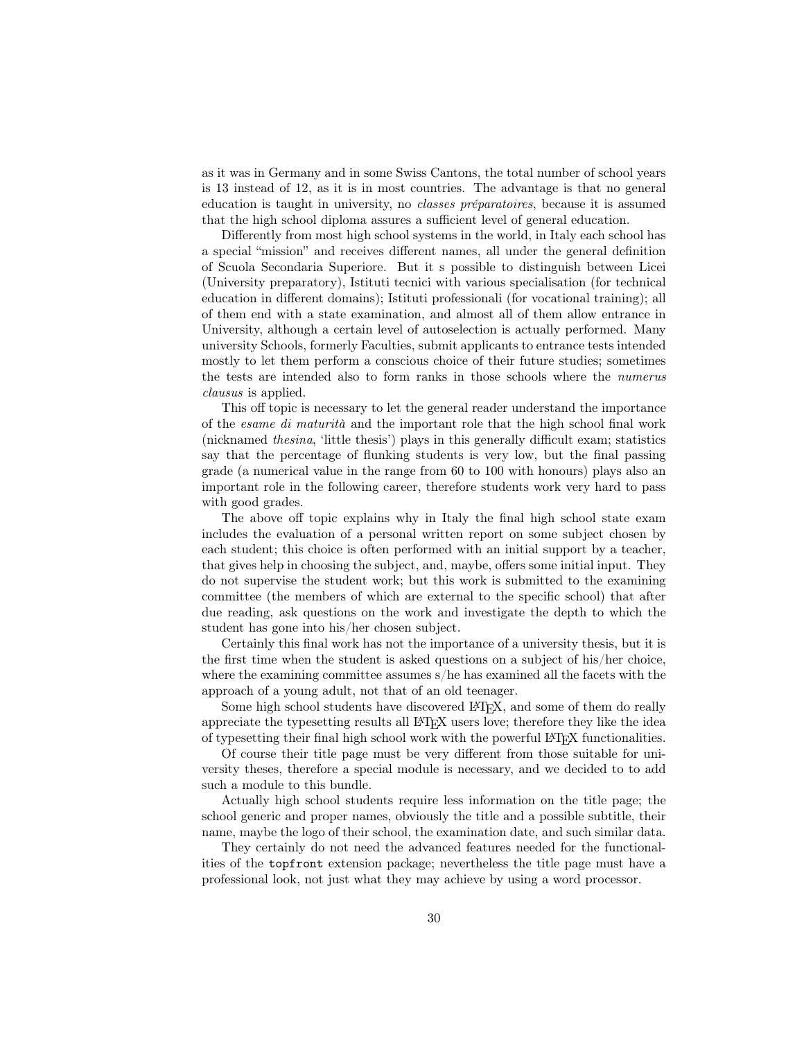as it was in Germany and in some Swiss Cantons, the total number of school years is 13 instead of 12, as it is in most countries. The advantage is that no general education is taught in university, no classes préparatoires, because it is assumed that the high school diploma assures a sufficient level of general education.

Differently from most high school systems in the world, in Italy each school has a special "mission" and receives different names, all under the general definition of Scuola Secondaria Superiore. But it s possible to distinguish between Licei (University preparatory), Istituti tecnici with various specialisation (for technical education in different domains); Istituti professionali (for vocational training); all of them end with a state examination, and almost all of them allow entrance in University, although a certain level of autoselection is actually performed. Many university Schools, formerly Faculties, submit applicants to entrance tests intended mostly to let them perform a conscious choice of their future studies; sometimes the tests are intended also to form ranks in those schools where the numerus clausus is applied.

This off topic is necessary to let the general reader understand the importance of the esame di maturità and the important role that the high school final work (nicknamed thesina, 'little thesis') plays in this generally difficult exam; statistics say that the percentage of flunking students is very low, but the final passing grade (a numerical value in the range from 60 to 100 with honours) plays also an important role in the following career, therefore students work very hard to pass with good grades.

The above off topic explains why in Italy the final high school state exam includes the evaluation of a personal written report on some subject chosen by each student; this choice is often performed with an initial support by a teacher, that gives help in choosing the subject, and, maybe, offers some initial input. They do not supervise the student work; but this work is submitted to the examining committee (the members of which are external to the specific school) that after due reading, ask questions on the work and investigate the depth to which the student has gone into his/her chosen subject.

Certainly this final work has not the importance of a university thesis, but it is the first time when the student is asked questions on a subject of his/her choice, where the examining committee assumes s/he has examined all the facets with the approach of a young adult, not that of an old teenager.

Some high school students have discovered LATEX, and some of them do really appreciate the typesetting results all LATEX users love; therefore they like the idea of typesetting their final high school work with the powerful LATEX functionalities.

Of course their title page must be very different from those suitable for university theses, therefore a special module is necessary, and we decided to to add such a module to this bundle.

Actually high school students require less information on the title page; the school generic and proper names, obviously the title and a possible subtitle, their name, maybe the logo of their school, the examination date, and such similar data.

They certainly do not need the advanced features needed for the functionalities of the topfront extension package; nevertheless the title page must have a professional look, not just what they may achieve by using a word processor.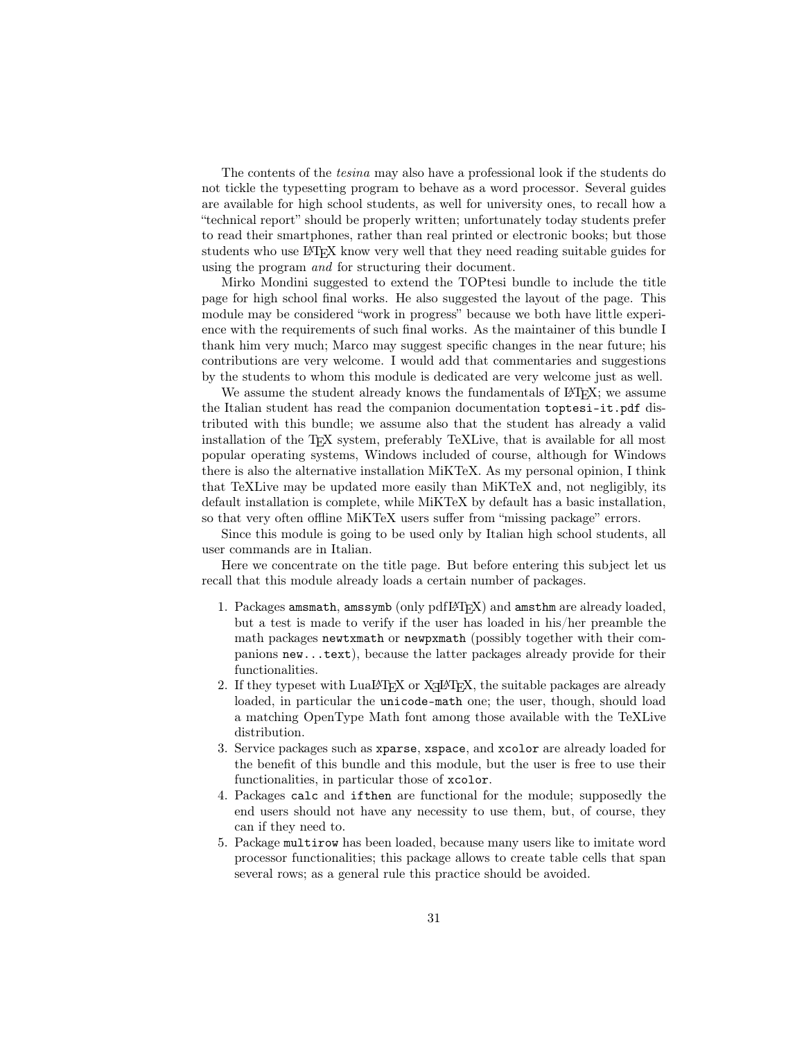The contents of the tesina may also have a professional look if the students do not tickle the typesetting program to behave as a word processor. Several guides are available for high school students, as well for university ones, to recall how a "technical report" should be properly written; unfortunately today students prefer to read their smartphones, rather than real printed or electronic books; but those students who use LATEX know very well that they need reading suitable guides for using the program and for structuring their document.

Mirko Mondini suggested to extend the TOPtesi bundle to include the title page for high school final works. He also suggested the layout of the page. This module may be considered "work in progress" because we both have little experience with the requirements of such final works. As the maintainer of this bundle I thank him very much; Marco may suggest specific changes in the near future; his contributions are very welcome. I would add that commentaries and suggestions by the students to whom this module is dedicated are very welcome just as well.

We assume the student already knows the fundamentals of LAT<sub>EX</sub>; we assume the Italian student has read the companion documentation toptesi-it.pdf distributed with this bundle; we assume also that the student has already a valid installation of the T<sub>E</sub>X system, preferably TeXLive, that is available for all most popular operating systems, Windows included of course, although for Windows there is also the alternative installation MiKTeX. As my personal opinion, I think that TeXLive may be updated more easily than MiKTeX and, not negligibly, its default installation is complete, while MiKTeX by default has a basic installation, so that very often offline MiKTeX users suffer from "missing package" errors.

Since this module is going to be used only by Italian high school students, all user commands are in Italian.

Here we concentrate on the title page. But before entering this subject let us recall that this module already loads a certain number of packages.

- 1. Packages amsmath, amssymb (only pdfLAT<sub>EX</sub>) and amsthm are already loaded, but a test is made to verify if the user has loaded in his/her preamble the math packages newtxmath or newpxmath (possibly together with their companions new...text), because the latter packages already provide for their functionalities.
- 2. If they typeset with  $\text{LuaI4TEX}$  or  $\text{XqI4TEX}$ , the suitable packages are already loaded, in particular the unicode-math one; the user, though, should load a matching OpenType Math font among those available with the TeXLive distribution.
- 3. Service packages such as xparse, xspace, and xcolor are already loaded for the benefit of this bundle and this module, but the user is free to use their functionalities, in particular those of xcolor.
- 4. Packages calc and ifthen are functional for the module; supposedly the end users should not have any necessity to use them, but, of course, they can if they need to.
- 5. Package multirow has been loaded, because many users like to imitate word processor functionalities; this package allows to create table cells that span several rows; as a general rule this practice should be avoided.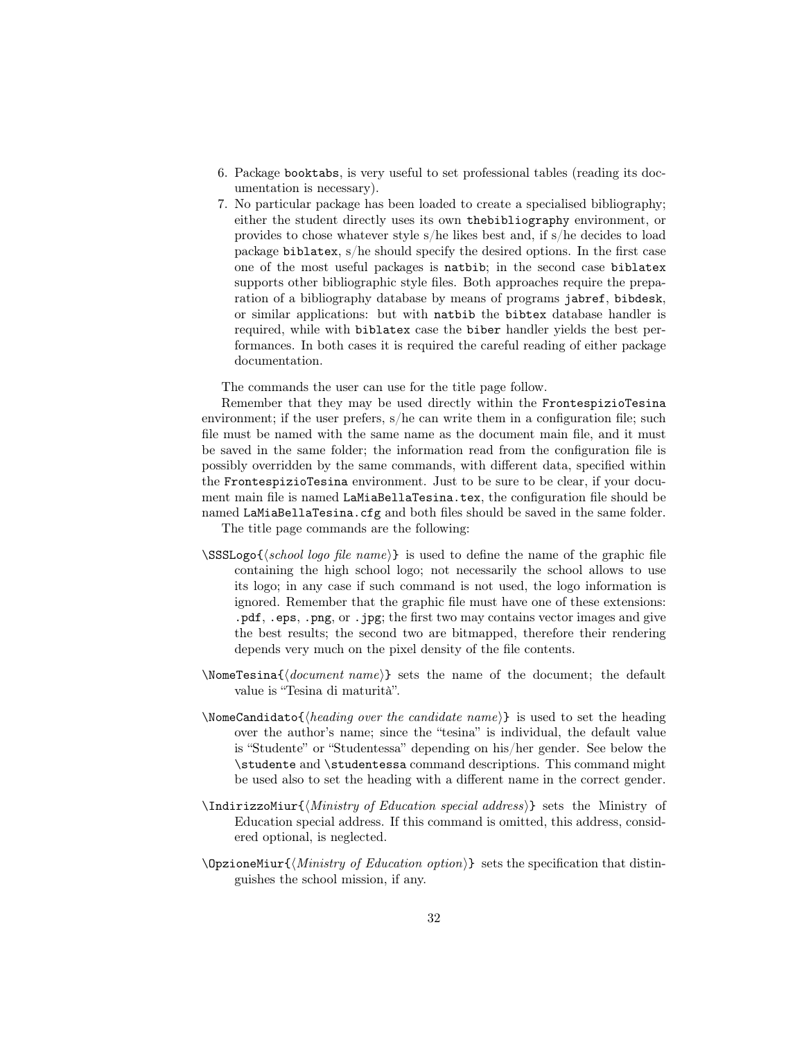- 6. Package booktabs, is very useful to set professional tables (reading its documentation is necessary).
- 7. No particular package has been loaded to create a specialised bibliography; either the student directly uses its own thebibliography environment, or provides to chose whatever style s/he likes best and, if s/he decides to load package biblatex, s/he should specify the desired options. In the first case one of the most useful packages is natbib; in the second case biblatex supports other bibliographic style files. Both approaches require the preparation of a bibliography database by means of programs jabref, bibdesk, or similar applications: but with natbib the bibtex database handler is required, while with biblatex case the biber handler yields the best performances. In both cases it is required the careful reading of either package documentation.

The commands the user can use for the title page follow.

Remember that they may be used directly within the FrontespizioTesina environment; if the user prefers, s/he can write them in a configuration file; such file must be named with the same name as the document main file, and it must be saved in the same folder; the information read from the configuration file is possibly overridden by the same commands, with different data, specified within the FrontespizioTesina environment. Just to be sure to be clear, if your document main file is named LaMiaBellaTesina.tex, the configuration file should be named LaMiaBellaTesina.cfg and both files should be saved in the same folder.

The title page commands are the following:

- $\SSSLog\{\delta\$  logo file name} is used to define the name of the graphic file containing the high school logo; not necessarily the school allows to use its logo; in any case if such command is not used, the logo information is ignored. Remember that the graphic file must have one of these extensions: .pdf, .eps, .png, or .jpg; the first two may contains vector images and give the best results; the second two are bitmapped, therefore their rendering depends very much on the pixel density of the file contents.
- $\Omega$  \NomeTesina{ $\{document \ name\}$ } sets the name of the document; the default value is "Tesina di maturità".
- \NomeCandidato{ $\{heading over the candidate name\}$  is used to set the heading over the author's name; since the "tesina" is individual, the default value is "Studente" or "Studentessa" depending on his/her gender. See below the \studente and \studentessa command descriptions. This command might be used also to set the heading with a different name in the correct gender.
- $\Lambda$ IndirizzoMiur{ $\M$ inistry of Education special address)} sets the Ministry of Education special address. If this command is omitted, this address, considered optional, is neglected.
- $\Omega$ )  $\Omega$  is the specification that distinguishes the school mission, if any.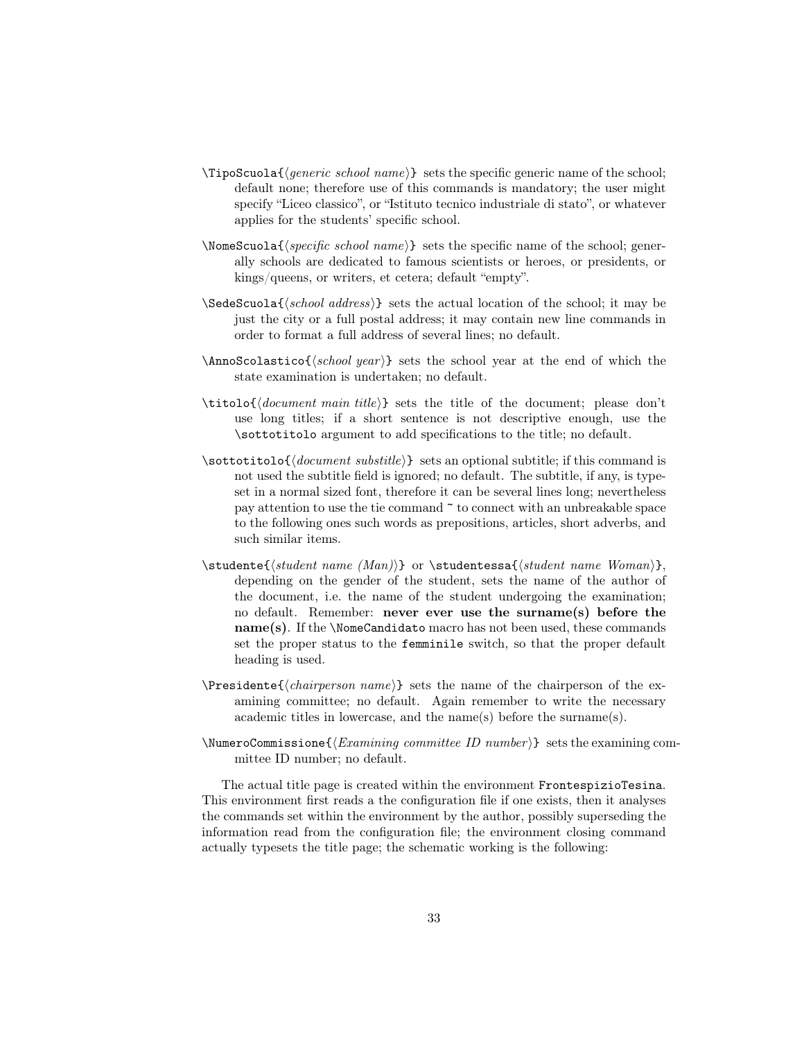- $\Theta$  and  $\{generic school name\}$  sets the specific generic name of the school; default none; therefore use of this commands is mandatory; the user might specify "Liceo classico", or "Istituto tecnico industriale di stato", or whatever applies for the students' specific school.
- $\Omega_{\text{some} \text{Scuola}} \$  sets the specific name of the school; generally schools are dedicated to famous scientists or heroes, or presidents, or kings/queens, or writers, et cetera; default "empty".
- $\S$ edeScuola{ $\{school address\}$  sets the actual location of the school; it may be just the city or a full postal address; it may contain new line commands in order to format a full address of several lines; no default.
- $\Lambda$  is a set of  $\{school \, year\}$  sets the school year at the end of which the state examination is undertaken; no default.
- $\tilde{\dot{\alpha}}$  (*document main title*)} sets the title of the document; please don't use long titles; if a short sentence is not descriptive enough, use the \sottotitolo argument to add specifications to the title; no default.
- $\setminus$ sottotitolo{ $\langle document \; substitute \rangle$ } sets an optional subtitle; if this command is not used the subtitle field is ignored; no default. The subtitle, if any, is typeset in a normal sized font, therefore it can be several lines long; nevertheless pay attention to use the tie command  $\tilde{\phantom{a}}$  to connect with an unbreakable space to the following ones such words as prepositions, articles, short adverbs, and such similar items.
- $\text{Student}(student name (Man))\}$  or  $studentessa{\text{student name } Woman)\},$ depending on the gender of the student, sets the name of the author of the document, i.e. the name of the student undergoing the examination; no default. Remember: never ever use the surname(s) before the name(s). If the \NomeCandidato macro has not been used, these commands set the proper status to the femminile switch, so that the proper default heading is used.
- $\text{Persidente}\langle \text{char} \rangle$  sets the name of the chairperson of the examining committee; no default. Again remember to write the necessary academic titles in lowercase, and the name(s) before the surname(s).
- $\N$ umeroCommissione $\{Examing\ commute\ ID\ number\}$  sets the examining committee ID number; no default.

The actual title page is created within the environment FrontespizioTesina. This environment first reads a the configuration file if one exists, then it analyses the commands set within the environment by the author, possibly superseding the information read from the configuration file; the environment closing command actually typesets the title page; the schematic working is the following: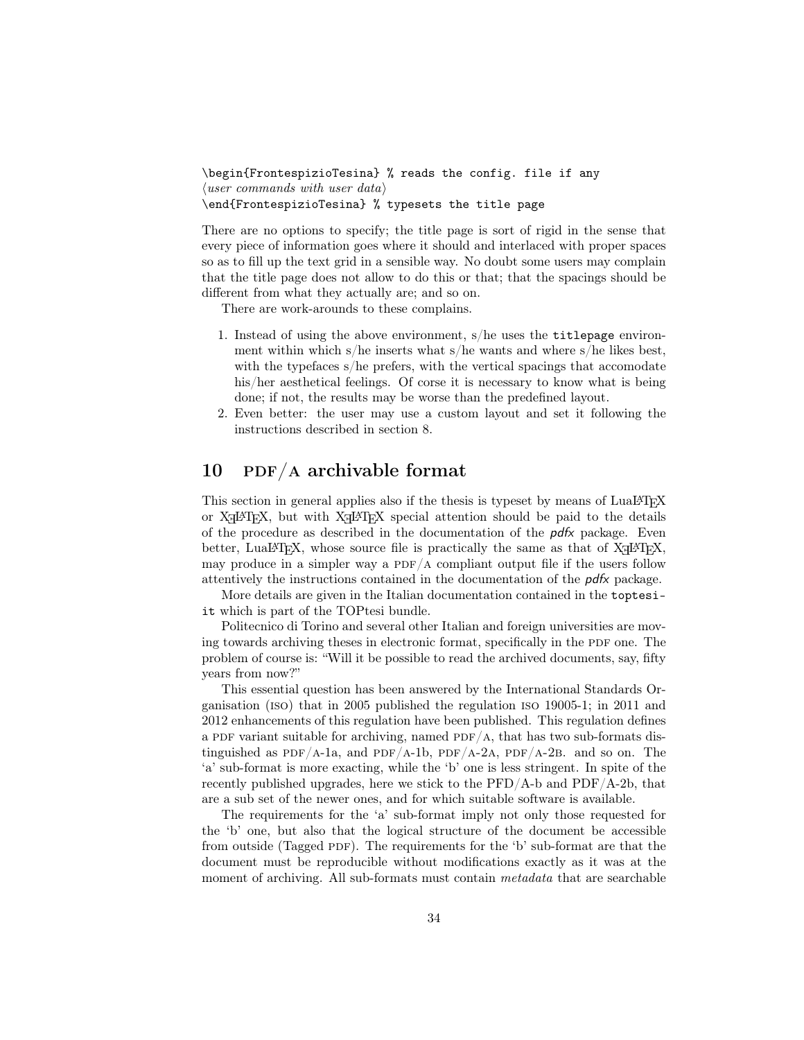```
\begin{FrontespizioTesina} % reads the config. file if any
\langleuser commands with user data\rangle\end{FrontespizioTesina} % typesets the title page
```
There are no options to specify; the title page is sort of rigid in the sense that every piece of information goes where it should and interlaced with proper spaces so as to fill up the text grid in a sensible way. No doubt some users may complain that the title page does not allow to do this or that; that the spacings should be different from what they actually are; and so on.

There are work-arounds to these complains.

- 1. Instead of using the above environment, s/he uses the titlepage environment within which s/he inserts what s/he wants and where  $s$ /he likes best, with the typefaces s/he prefers, with the vertical spacings that accomodate his/her aesthetical feelings. Of corse it is necessary to know what is being done; if not, the results may be worse than the predefined layout.
- 2. Even better: the user may use a custom layout and set it following the instructions described in section 8.

### $10$  PDF/A archivable format

This section in general applies also if the thesis is typeset by means of LuaL<sup>AT</sup>EX or X<sub>H</sub>AT<sub>E</sub>X, but with X<sub>H</sub>AT<sub>E</sub>X special attention should be paid to the details of the procedure as described in the documentation of the  $\rho d\kappa$  package. Even better, LuaL<sup>AT</sup>EX, whose source file is practically the same as that of  $X_{\mathcal{I}}$  L<sup>AT</sup>EX, may produce in a simpler way a  $PDF/A$  compliant output file if the users follow attentively the instructions contained in the documentation of the  $p\,d\hat{x}$  package.

More details are given in the Italian documentation contained in the toptesiit which is part of the TOPtesi bundle.

Politecnico di Torino and several other Italian and foreign universities are moving towards archiving theses in electronic format, specifically in the PDF one. The problem of course is: "Will it be possible to read the archived documents, say, fifty years from now?"

This essential question has been answered by the International Standards Organisation (iso) that in 2005 published the regulation iso 19005-1; in 2011 and 2012 enhancements of this regulation have been published. This regulation defines a PDF variant suitable for archiving, named  $PDF/A$ , that has two sub-formats distinguished as PDF/A-1a, and PDF/A-1b, PDF/A-2A, PDF/A-2B. and so on. The 'a' sub-format is more exacting, while the 'b' one is less stringent. In spite of the recently published upgrades, here we stick to the  $\rm PFD/A-b$  and  $\rm PDF/A-2b$ , that are a sub set of the newer ones, and for which suitable software is available.

The requirements for the 'a' sub-format imply not only those requested for the 'b' one, but also that the logical structure of the document be accessible from outside (Tagged PDF). The requirements for the  $b'$  sub-format are that the document must be reproducible without modifications exactly as it was at the moment of archiving. All sub-formats must contain *metadata* that are searchable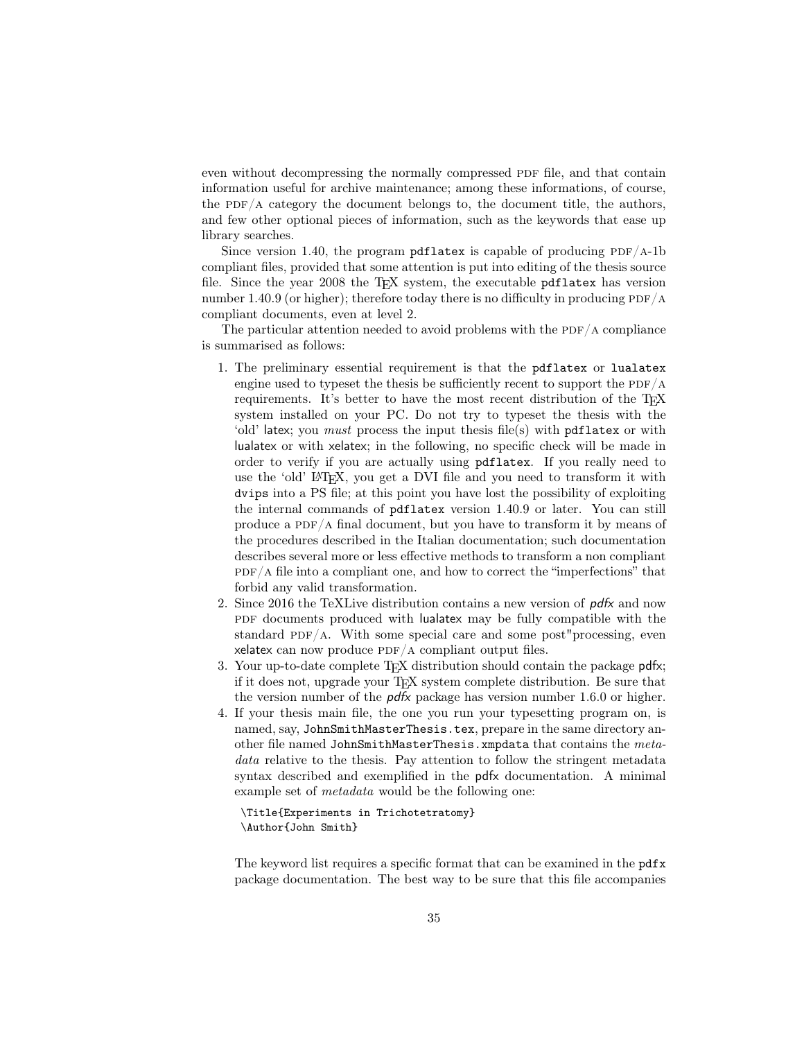even without decompressing the normally compressed PDF file, and that contain information useful for archive maintenance; among these informations, of course, the PDF/A category the document belongs to, the document title, the authors, and few other optional pieces of information, such as the keywords that ease up library searches.

Since version 1.40, the program pdflatex is capable of producing  $PDF/A-1b$ compliant files, provided that some attention is put into editing of the thesis source file. Since the year 2008 the TEX system, the executable pdflatex has version number 1.40.9 (or higher); therefore today there is no difficulty in producing  $PDF/A$ compliant documents, even at level 2.

The particular attention needed to avoid problems with the  $\text{PDF}/\text{A}$  compliance is summarised as follows:

- 1. The preliminary essential requirement is that the pdflatex or lualatex engine used to typeset the thesis be sufficiently recent to support the  $PDF/A$ requirements. It's better to have the most recent distribution of the T<sub>E</sub>X system installed on your PC. Do not try to typeset the thesis with the 'old' latex; you *must* process the input thesis file(s) with pdflatex or with lualatex or with xelatex; in the following, no specific check will be made in order to verify if you are actually using pdflatex. If you really need to use the 'old' LAT<sub>E</sub>X, you get a DVI file and you need to transform it with dvips into a PS file; at this point you have lost the possibility of exploiting the internal commands of pdflatex version 1.40.9 or later. You can still produce a  $PDF/A$  final document, but you have to transform it by means of the procedures described in the Italian documentation; such documentation describes several more or less effective methods to transform a non compliant  $PDF/A$  file into a compliant one, and how to correct the "imperfections" that forbid any valid transformation.
- 2. Since 2016 the TeXLive distribution contains a new version of  $\rho d\kappa$  and now PDF documents produced with lualatex may be fully compatible with the standard PDF/A. With some special care and some post"processing, even xelatex can now produce  $PDF/A$  compliant output files.
- 3. Your up-to-date complete T<sub>E</sub>X distribution should contain the package pdfx; if it does not, upgrade your TEX system complete distribution. Be sure that the version number of the  $pdx$  package has version number 1.6.0 or higher.
- 4. If your thesis main file, the one you run your typesetting program on, is named, say, JohnSmithMasterThesis.tex, prepare in the same directory another file named JohnSmithMasterThesis.xmpdata that contains the metadata relative to the thesis. Pay attention to follow the stringent metadata syntax described and exemplified in the pdfx documentation. A minimal example set of metadata would be the following one:

```
\Title{Experiments in Trichotetratomy}
\Author{John Smith}
```
The keyword list requires a specific format that can be examined in the pdfx package documentation. The best way to be sure that this file accompanies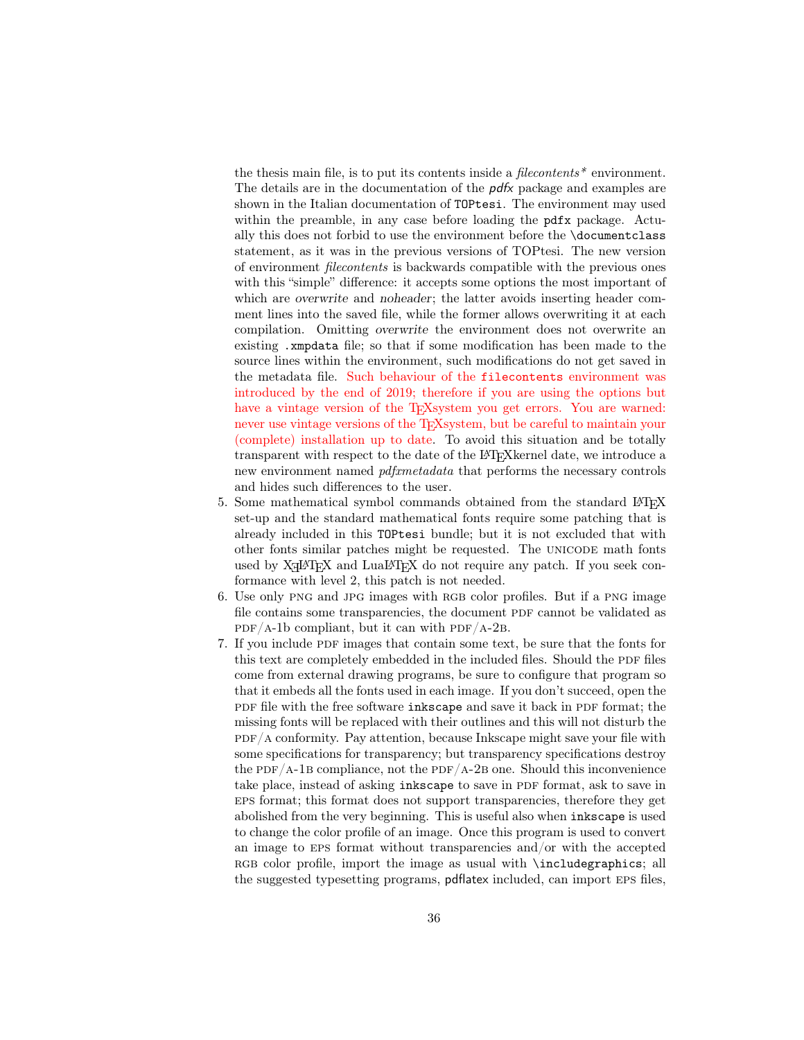the thesis main file, is to put its contents inside a *filecontents*<sup>\*</sup> environment. The details are in the documentation of the pdfx package and examples are shown in the Italian documentation of TOPtesi. The environment may used within the preamble, in any case before loading the pdfx package. Actually this does not forbid to use the environment before the \documentclass statement, as it was in the previous versions of TOPtesi. The new version of environment filecontents is backwards compatible with the previous ones with this "simple" difference: it accepts some options the most important of which are overwrite and noheader; the latter avoids inserting header comment lines into the saved file, while the former allows overwriting it at each compilation. Omitting overwrite the environment does not overwrite an existing .xmpdata file; so that if some modification has been made to the source lines within the environment, such modifications do not get saved in the metadata file. Such behaviour of the filecontents environment was introduced by the end of 2019; therefore if you are using the options but have a vintage version of the T<sub>E</sub>Xsystem you get errors. You are warned: never use vintage versions of the T<sub>E</sub>Xsystem, but be careful to maintain your (complete) installation up to date. To avoid this situation and be totally transparent with respect to the date of the LATEXkernel date, we introduce a new environment named pdfxmetadata that performs the necessary controls and hides such differences to the user.

- 5. Some mathematical symbol commands obtained from the standard LATEX set-up and the standard mathematical fonts require some patching that is already included in this TOPtesi bundle; but it is not excluded that with other fonts similar patches might be requested. The unicode math fonts used by  $X \rightarrow X$  and  $LuaI4T<sub>E</sub>X$  do not require any patch. If you seek conformance with level 2, this patch is not needed.
- 6. Use only PNG and JPG images with RGB color profiles. But if a PNG image file contains some transparencies, the document PDF cannot be validated as  $PDF/A-1b$  compliant, but it can with  $PDF/A-2B$ .
- 7. If you include PDF images that contain some text, be sure that the fonts for this text are completely embedded in the included files. Should the PDF files come from external drawing programs, be sure to configure that program so that it embeds all the fonts used in each image. If you don't succeed, open the pdf file with the free software inkscape and save it back in PDF format; the missing fonts will be replaced with their outlines and this will not disturb the  $PDF/A$  conformity. Pay attention, because Inkscape might save your file with some specifications for transparency; but transparency specifications destroy the PDF/A-1B compliance, not the PDF/A-2B one. Should this inconvenience take place, instead of asking inkscape to save in PDF format, ask to save in eps format; this format does not support transparencies, therefore they get abolished from the very beginning. This is useful also when inkscape is used to change the color profile of an image. Once this program is used to convert an image to EPS format without transparencies and/or with the accepted RGB color profile, import the image as usual with **\includegraphics**; all the suggested typesetting programs, pdflatex included, can import eps files,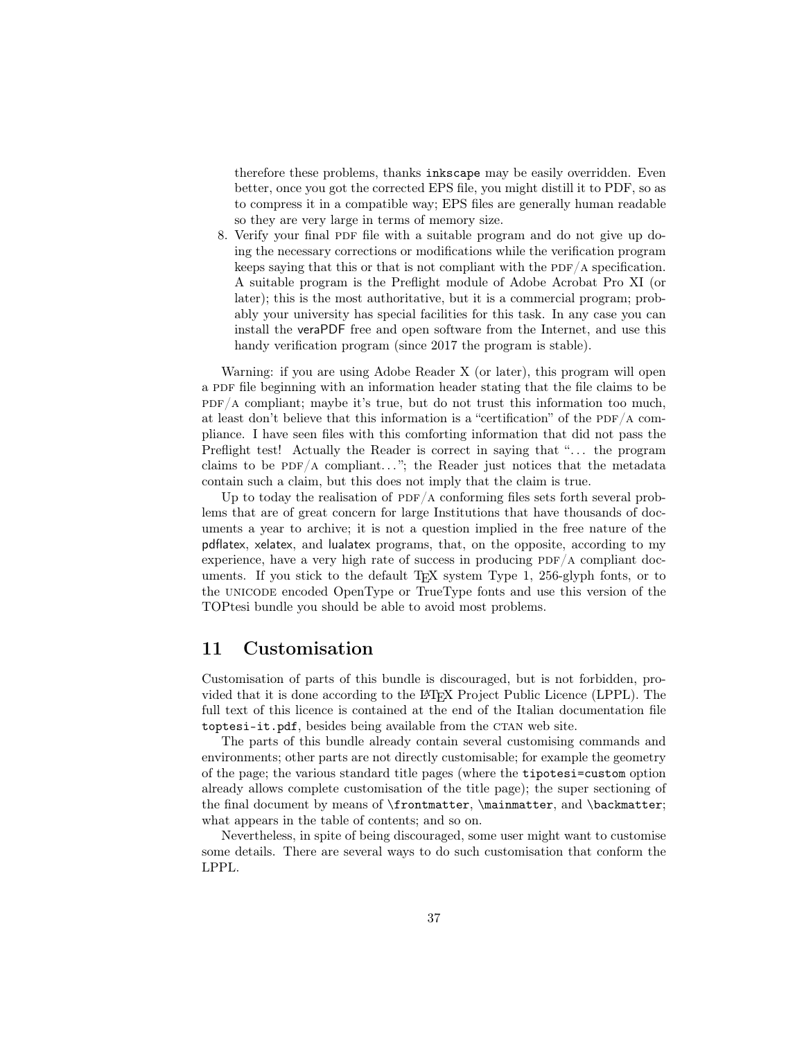therefore these problems, thanks inkscape may be easily overridden. Even better, once you got the corrected EPS file, you might distill it to PDF, so as to compress it in a compatible way; EPS files are generally human readable so they are very large in terms of memory size.

8. Verify your final PDF file with a suitable program and do not give up doing the necessary corrections or modifications while the verification program keeps saying that this or that is not compliant with the PDF/A specification. A suitable program is the Preflight module of Adobe Acrobat Pro XI (or later); this is the most authoritative, but it is a commercial program; probably your university has special facilities for this task. In any case you can install the veraPDF free and open software from the Internet, and use this handy verification program (since 2017 the program is stable).

Warning: if you are using Adobe Reader X (or later), this program will open a PDF file beginning with an information header stating that the file claims to be  $PDF/A$  compliant; maybe it's true, but do not trust this information too much, at least don't believe that this information is a "certification" of the PDF/A compliance. I have seen files with this comforting information that did not pass the Preflight test! Actually the Reader is correct in saying that "... the program claims to be  $PDF/A$  compliant..."; the Reader just notices that the metadata contain such a claim, but this does not imply that the claim is true.

Up to today the realisation of  $PDF/A$  conforming files sets forth several problems that are of great concern for large Institutions that have thousands of documents a year to archive; it is not a question implied in the free nature of the pdflatex, xelatex, and lualatex programs, that, on the opposite, according to my experience, have a very high rate of success in producing  $PDF/A$  compliant documents. If you stick to the default TEX system Type 1, 256-glyph fonts, or to the UNICODE encoded OpenType or TrueType fonts and use this version of the TOPtesi bundle you should be able to avoid most problems.

# 11 Customisation

Customisation of parts of this bundle is discouraged, but is not forbidden, provided that it is done according to the LATEX Project Public Licence (LPPL). The full text of this licence is contained at the end of the Italian documentation file toptesi-it.pdf, besides being available from the CTAN web site.

The parts of this bundle already contain several customising commands and environments; other parts are not directly customisable; for example the geometry of the page; the various standard title pages (where the tipotesi=custom option already allows complete customisation of the title page); the super sectioning of the final document by means of \frontmatter, \mainmatter, and \backmatter; what appears in the table of contents; and so on.

Nevertheless, in spite of being discouraged, some user might want to customise some details. There are several ways to do such customisation that conform the LPPL.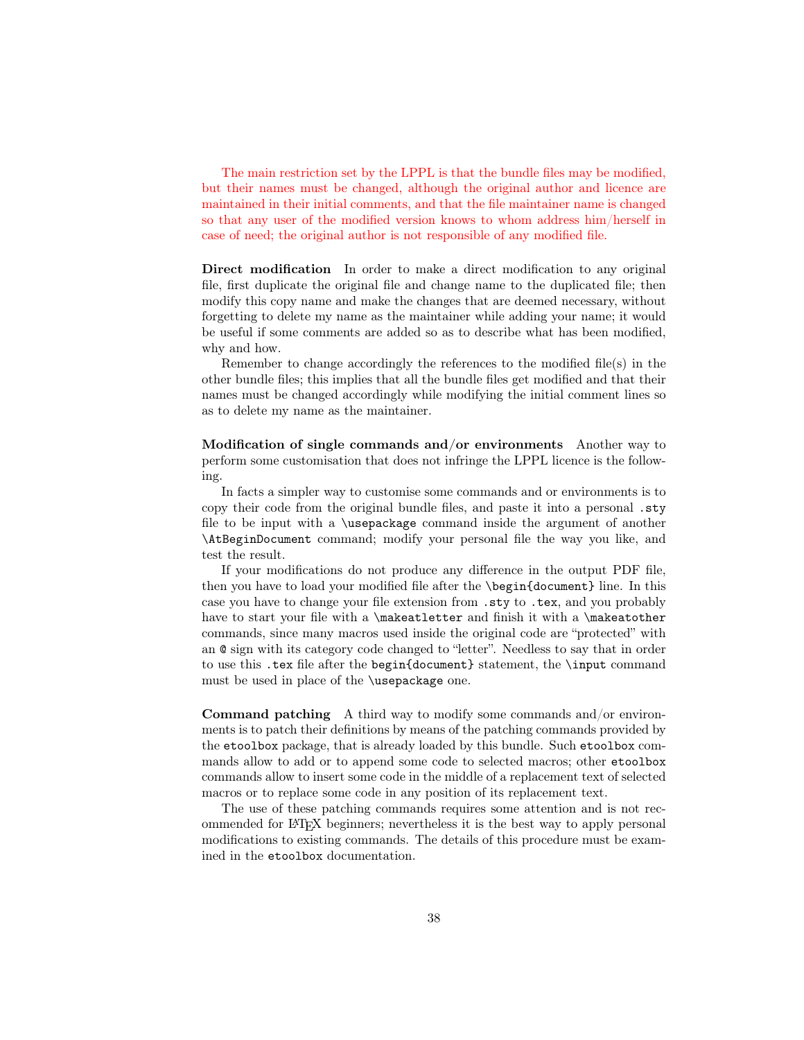The main restriction set by the LPPL is that the bundle files may be modified, but their names must be changed, although the original author and licence are maintained in their initial comments, and that the file maintainer name is changed so that any user of the modified version knows to whom address him/herself in case of need; the original author is not responsible of any modified file.

Direct modification In order to make a direct modification to any original file, first duplicate the original file and change name to the duplicated file; then modify this copy name and make the changes that are deemed necessary, without forgetting to delete my name as the maintainer while adding your name; it would be useful if some comments are added so as to describe what has been modified, why and how.

Remember to change accordingly the references to the modified file(s) in the other bundle files; this implies that all the bundle files get modified and that their names must be changed accordingly while modifying the initial comment lines so as to delete my name as the maintainer.

Modification of single commands and/or environments Another way to perform some customisation that does not infringe the LPPL licence is the following.

In facts a simpler way to customise some commands and or environments is to copy their code from the original bundle files, and paste it into a personal .sty file to be input with a \usepackage command inside the argument of another \AtBeginDocument command; modify your personal file the way you like, and test the result.

If your modifications do not produce any difference in the output PDF file, then you have to load your modified file after the \begin{document} line. In this case you have to change your file extension from .sty to .tex, and you probably have to start your file with a \makeatletter and finish it with a \makeatother commands, since many macros used inside the original code are "protected" with an @ sign with its category code changed to "letter". Needless to say that in order to use this .tex file after the begin{document} statement, the \input command must be used in place of the \usepackage one.

Command patching A third way to modify some commands and/or environments is to patch their definitions by means of the patching commands provided by the etoolbox package, that is already loaded by this bundle. Such etoolbox commands allow to add or to append some code to selected macros; other etoolbox commands allow to insert some code in the middle of a replacement text of selected macros or to replace some code in any position of its replacement text.

The use of these patching commands requires some attention and is not recommended for LATEX beginners; nevertheless it is the best way to apply personal modifications to existing commands. The details of this procedure must be examined in the etoolbox documentation.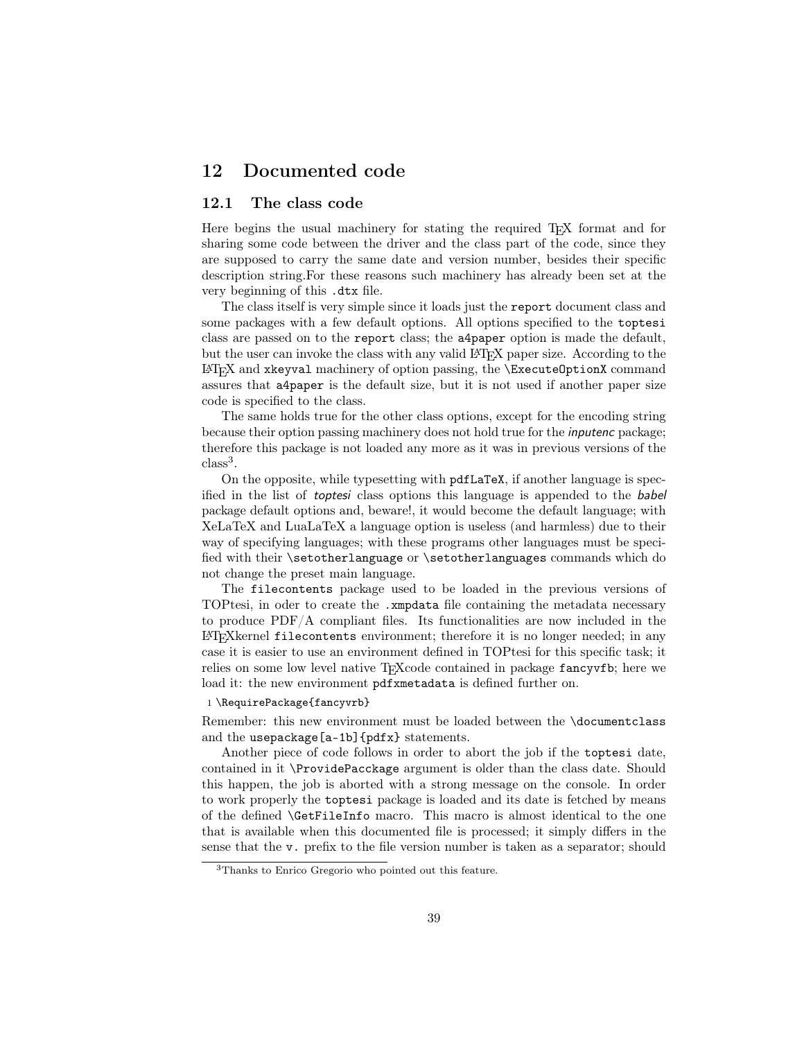# 12 Documented code

## 12.1 The class code

Here begins the usual machinery for stating the required T<sub>EX</sub> format and for sharing some code between the driver and the class part of the code, since they are supposed to carry the same date and version number, besides their specific description string.For these reasons such machinery has already been set at the very beginning of this .dtx file.

The class itself is very simple since it loads just the report document class and some packages with a few default options. All options specified to the toptesi class are passed on to the report class; the a4paper option is made the default, but the user can invoke the class with any valid LATEX paper size. According to the  $EFT$ K and xkeyval machinery of option passing, the  $\E$ xecuteOptionX command assures that a4paper is the default size, but it is not used if another paper size code is specified to the class.

The same holds true for the other class options, except for the encoding string because their option passing machinery does not hold true for the inputenc package; therefore this package is not loaded any more as it was in previous versions of the  $class<sup>3</sup>$ .

On the opposite, while typesetting with pdfLaTeX, if another language is specified in the list of toptesi class options this language is appended to the babel package default options and, beware!, it would become the default language; with XeLaTeX and LuaLaTeX a language option is useless (and harmless) due to their way of specifying languages; with these programs other languages must be specified with their \setotherlanguage or \setotherlanguages commands which do not change the preset main language.

The filecontents package used to be loaded in the previous versions of TOPtesi, in oder to create the .xmpdata file containing the metadata necessary to produce PDF/A compliant files. Its functionalities are now included in the LATEXkernel filecontents environment; therefore it is no longer needed; in any case it is easier to use an environment defined in TOPtesi for this specific task; it relies on some low level native TEXcode contained in package fancyvfb; here we load it: the new environment pdfxmetadata is defined further on.

#### 1 \RequirePackage{fancyvrb}

Remember: this new environment must be loaded between the \documentclass and the usepackage[a-1b]{pdfx} statements.

Another piece of code follows in order to abort the job if the toptesi date, contained in it \ProvidePacckage argument is older than the class date. Should this happen, the job is aborted with a strong message on the console. In order to work properly the toptesi package is loaded and its date is fetched by means of the defined \GetFileInfo macro. This macro is almost identical to the one that is available when this documented file is processed; it simply differs in the sense that the v. prefix to the file version number is taken as a separator; should

<sup>3</sup>Thanks to Enrico Gregorio who pointed out this feature.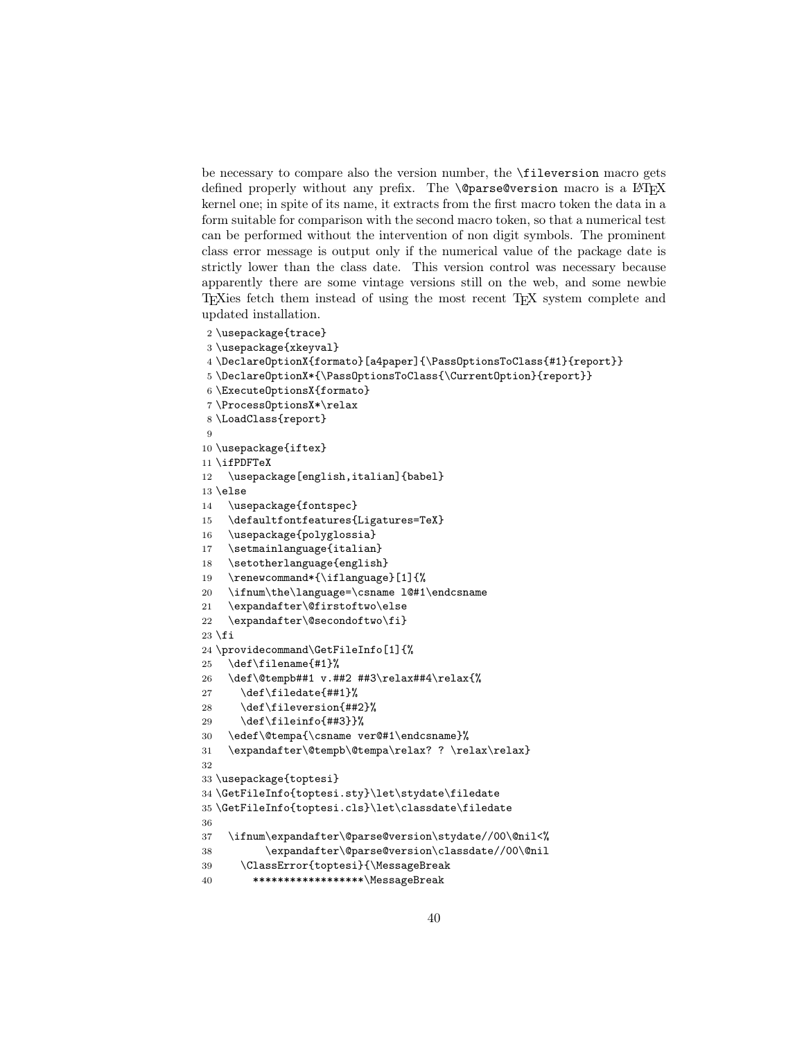be necessary to compare also the version number, the \fileversion macro gets defined properly without any prefix. The **\@parse@version** macro is a LAT<sub>EX</sub> kernel one; in spite of its name, it extracts from the first macro token the data in a form suitable for comparison with the second macro token, so that a numerical test can be performed without the intervention of non digit symbols. The prominent class error message is output only if the numerical value of the package date is strictly lower than the class date. This version control was necessary because apparently there are some vintage versions still on the web, and some newbie TEXies fetch them instead of using the most recent TEX system complete and updated installation.

```
2 \usepackage{trace}
3 \usepackage{xkeyval}
4 \DeclareOptionX{formato}[a4paper]{\PassOptionsToClass{#1}{report}}
5 \DeclareOptionX*{\PassOptionsToClass{\CurrentOption}{report}}
6 \ExecuteOptionsX{formato}
7 \ProcessOptionsX*\relax
8 \LoadClass{report}
 9
10 \usepackage{iftex}
11 \ifPDFTeX
12 \usepackage[english,italian]{babel}
13 \else
14 \usepackage{fontspec}
15 \defaultfontfeatures{Ligatures=TeX}
16 \usepackage{polyglossia}
17 \setmainlanguage{italian}
18 \setotherlanguage{english}
19 \renewcommand*{\iflanguage}[1]{%
20 \ifnum\the\language=\csname l@#1\endcsname
21 \expandafter\@firstoftwo\else
22 \expandafter\@secondoftwo\fi}
23 \fi
24 \providecommand\GetFileInfo[1]{%
25 \def\filename{#1}%
26 \def\@tempb##1 v.##2 ##3\relax##4\relax{%
27 \def\filedate{##1}%
28 \def\fileversion{##2}%
29 \def\fileinfo{##3}}%
30 \edef\@tempa{\csname ver@#1\endcsname}%
31 \expandafter\@tempb\@tempa\relax? ? \relax\relax}
32
33 \usepackage{toptesi}
34 \GetFileInfo{toptesi.sty}\let\stydate\filedate
35 \GetFileInfo{toptesi.cls}\let\classdate\filedate
36
37 \ifnum\expandafter\@parse@version\stydate//00\@nil<%
38 \expandafter\@parse@version\classdate//00\@nil
39 \ClassError{toptesi}{\MessageBreak
40 ******************\MessageBreak
```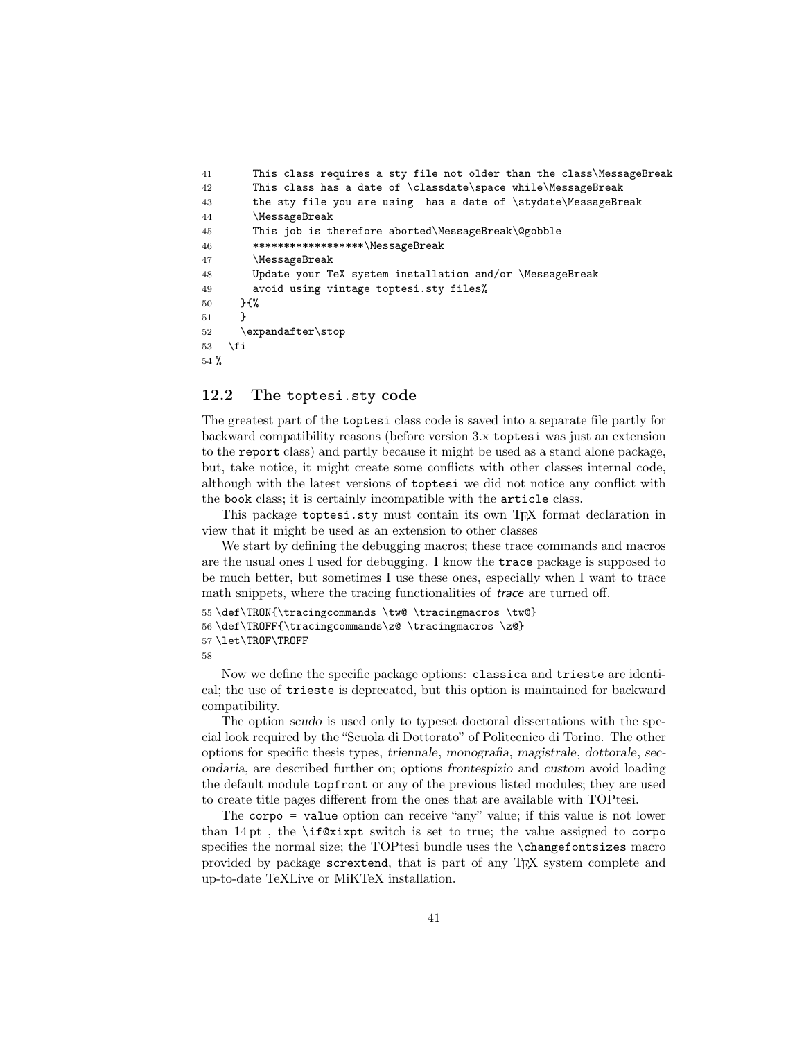```
41 This class requires a sty file not older than the class\MessageBreak
42 This class has a date of \classdate\space while\MessageBreak
43 the sty file you are using has a date of \stydate\MessageBreak
44 \MessageBreak
45 This job is therefore aborted\MessageBreak\@gobble
46 ******************\MessageBreak
47 \MessageBreak
48 Update your TeX system installation and/or \MessageBreak
49 avoid using vintage toptesi.sty files%
50 }{%
51 }
52 \expandafter\stop
53 \fi
54 %
```
## 12.2 The toptesi.sty code

The greatest part of the toptesi class code is saved into a separate file partly for backward compatibility reasons (before version 3.x toptesi was just an extension to the report class) and partly because it might be used as a stand alone package, but, take notice, it might create some conflicts with other classes internal code, although with the latest versions of toptesi we did not notice any conflict with the book class; it is certainly incompatible with the article class.

This package toptesi.sty must contain its own T<sub>EX</sub> format declaration in view that it might be used as an extension to other classes

We start by defining the debugging macros; these trace commands and macros are the usual ones I used for debugging. I know the trace package is supposed to be much better, but sometimes I use these ones, especially when I want to trace math snippets, where the tracing functionalities of *trace* are turned off.

```
55 \def\TRON{\tracingcommands \tw@ \tracingmacros \tw@}
56 \def\TROFF{\tracingcommands\z@ \tracingmacros \z@}
57 \let\TROF\TROFF
58
```
Now we define the specific package options: classica and trieste are identical; the use of trieste is deprecated, but this option is maintained for backward compatibility.

The option scudo is used only to typeset doctoral dissertations with the special look required by the "Scuola di Dottorato" of Politecnico di Torino. The other options for specific thesis types, triennale, monografia, magistrale, dottorale, secondaria, are described further on; options frontespizio and custom avoid loading the default module topfront or any of the previous listed modules; they are used to create title pages different from the ones that are available with TOPtesi.

The corpo = value option can receive "any" value; if this value is not lower than  $14$  pt, the  $\iota$  suitch is set to true; the value assigned to corpo specifies the normal size; the TOPtesi bundle uses the **\changefontsizes** macro provided by package scrextend, that is part of any TEX system complete and up-to-date TeXLive or MiKTeX installation.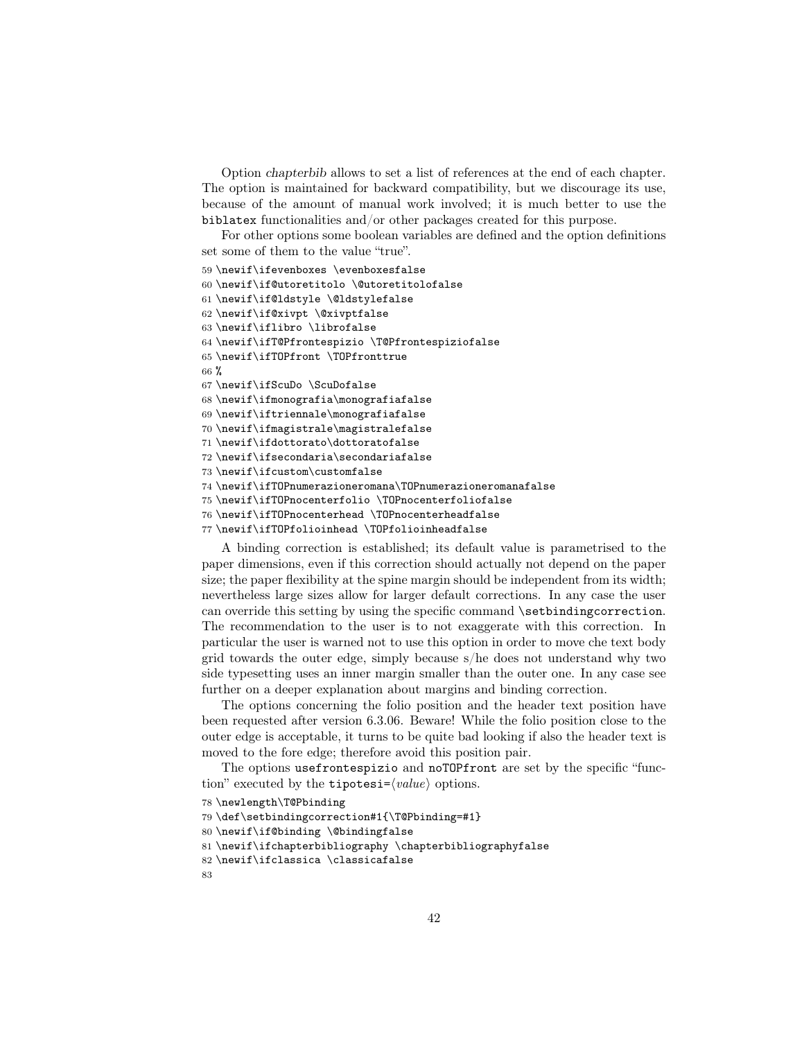Option chapterbib allows to set a list of references at the end of each chapter. The option is maintained for backward compatibility, but we discourage its use, because of the amount of manual work involved; it is much better to use the biblatex functionalities and/or other packages created for this purpose.

For other options some boolean variables are defined and the option definitions set some of them to the value "true".

```
59 \newif\ifevenboxes \evenboxesfalse
60 \newif\if@utoretitolo \@utoretitolofalse
61 \newif\if@ldstyle \@ldstylefalse
62 \newif\if@xivpt \@xivptfalse
63 \newif\iflibro \librofalse
64 \newif\ifT@Pfrontespizio \T@Pfrontespiziofalse
65 \newif\ifTOPfront \TOPfronttrue
66 %
67 \newif\ifScuDo \ScuDofalse
68 \newif\ifmonografia\monografiafalse
69 \newif\iftriennale\monografiafalse
70 \newif\ifmagistrale\magistralefalse
71 \newif\ifdottorato\dottoratofalse
72 \newif\ifsecondaria\secondariafalse
73 \newif\ifcustom\customfalse
74 \newif\ifTOPnumerazioneromana\TOPnumerazioneromanafalse
75 \newif\ifTOPnocenterfolio \TOPnocenterfoliofalse
76 \newif\ifTOPnocenterhead \TOPnocenterheadfalse
77 \newif\ifTOPfolioinhead \TOPfolioinheadfalse
```
A binding correction is established; its default value is parametrised to the paper dimensions, even if this correction should actually not depend on the paper size; the paper flexibility at the spine margin should be independent from its width; nevertheless large sizes allow for larger default corrections. In any case the user can override this setting by using the specific command \setbindingcorrection. The recommendation to the user is to not exaggerate with this correction. In particular the user is warned not to use this option in order to move che text body grid towards the outer edge, simply because s/he does not understand why two side typesetting uses an inner margin smaller than the outer one. In any case see further on a deeper explanation about margins and binding correction.

The options concerning the folio position and the header text position have been requested after version 6.3.06. Beware! While the folio position close to the outer edge is acceptable, it turns to be quite bad looking if also the header text is moved to the fore edge; therefore avoid this position pair.

The options usefrontespizio and noTOPfront are set by the specific "function" executed by the **tipotesi**= $\langle value \rangle$  options.

```
78 \newlength\T@Pbinding
```

```
79 \def\setbindingcorrection#1{\T@Pbinding=#1}
```

```
80 \newif\if@binding \@bindingfalse
```

```
81 \newif\ifchapterbibliography \chapterbibliographyfalse
```

```
82 \newif\ifclassica \classicafalse
```

```
83
```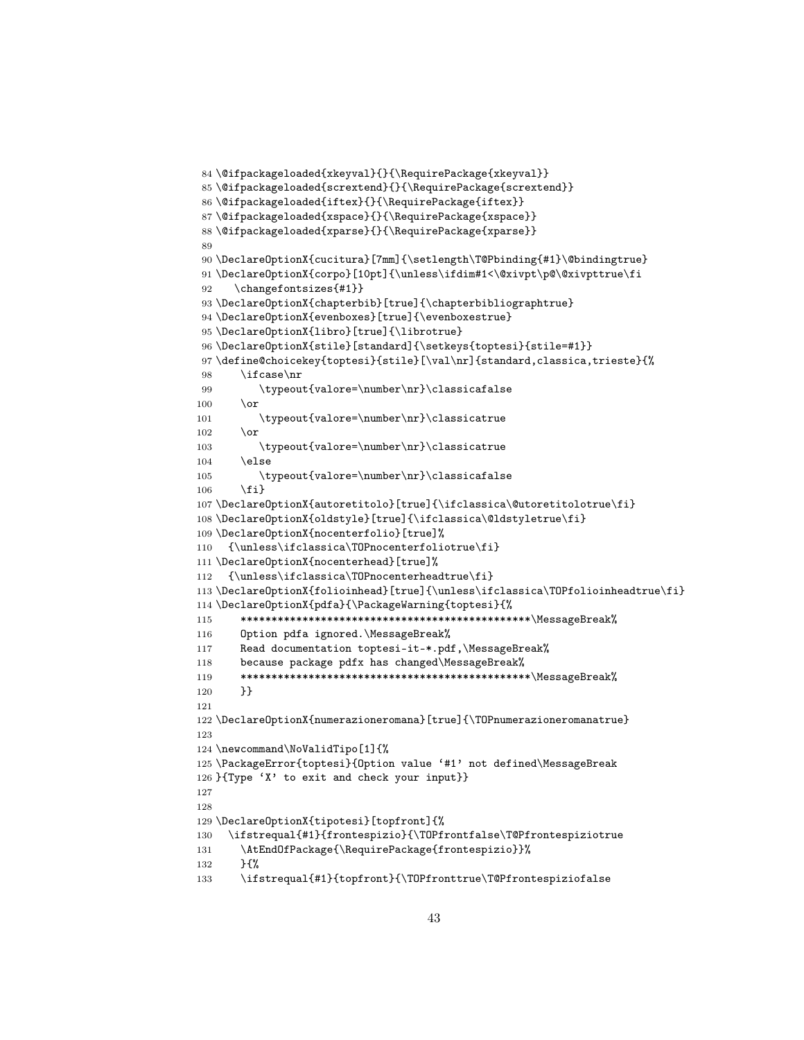```
84 \@ifpackageloaded{xkeyval}{}{\RequirePackage{xkeyval}}
85 \@ifpackageloaded{scrextend}{}{\RequirePackage{scrextend}}
86 \@ifpackageloaded{iftex}{}{\RequirePackage{iftex}}
87 \@ifpackageloaded{xspace}{}{\RequirePackage{xspace}}
88 \@ifpackageloaded{xparse}{}{\RequirePackage{xparse}}
89
90 \DeclareOptionX{cucitura}[7mm]{\setlength\T@Pbinding{#1}\@bindingtrue}
91 \DeclareOptionX{corpo}[10pt]{\unless\ifdim#1<\@xivpt\p@\@xivpttrue\fi
92 \changefontsizes{#1}}
93 \DeclareOptionX{chapterbib}[true]{\chapterbibliographtrue}
94 \DeclareOptionX{evenboxes}[true]{\evenboxestrue}
95 \DeclareOptionX{libro}[true]{\librotrue}
96 \DeclareOptionX{stile}[standard]{\setkeys{toptesi}{stile=#1}}
97 \define@choicekey{toptesi}{stile}[\val\nr]{standard,classica,trieste}{%
98 \ifcase\nr
99 \typeout{valore=\number\nr}\classicafalse
100 \overline{\arctan}101 \typeout{valore=\number\nr}\classicatrue
102 \qquad \text{or}103 \typeout{valore=\number\nr}\classicatrue
104 \else
105 \typeout{valore=\number\nr}\classicafalse
106 \quad \text{If } i107 \DeclareOptionX{autoretitolo}[true]{\ifclassica\@utoretitolotrue\fi}
108 \DeclareOptionX{oldstyle}[true]{\ifclassica\@ldstyletrue\fi}
109 \DeclareOptionX{nocenterfolio}[true]%
110 {\unless\ifclassica\TOPnocenterfoliotrue\fi}
111 \DeclareOptionX{nocenterhead}[true]%
112 {\unless\ifclassica\TOPnocenterheadtrue\fi}
113 \DeclareOptionX{folioinhead}[true]{\unless\ifclassica\TOPfolioinheadtrue\fi}
114 \DeclareOptionX{pdfa}{\PackageWarning{toptesi}{%
115 ***********************************************\MessageBreak%
116 Option pdfa ignored.\MessageBreak%
117 Read documentation toptesi-it-*.pdf,\MessageBreak%
118 because package pdfx has changed\MessageBreak%
119 ***********************************************\MessageBreak%
120 }}
121
122 \DeclareOptionX{numerazioneromana}[true]{\TOPnumerazioneromanatrue}
123
124 \newcommand\NoValidTipo[1]{%
125 \PackageError{toptesi}{Option value '#1' not defined\MessageBreak
126 }{Type 'X' to exit and check your input}}
127
128
129 \DeclareOptionX{tipotesi}[topfront]{%
130 \ifstrequal{#1}{frontespizio}{\TOPfrontfalse\T@Pfrontespiziotrue
131 \AtEndOfPackage{\RequirePackage{frontespizio}}%
132 }{%
133 \ifstrequal{#1}{topfront}{\TOPfronttrue\T@Pfrontespiziofalse
```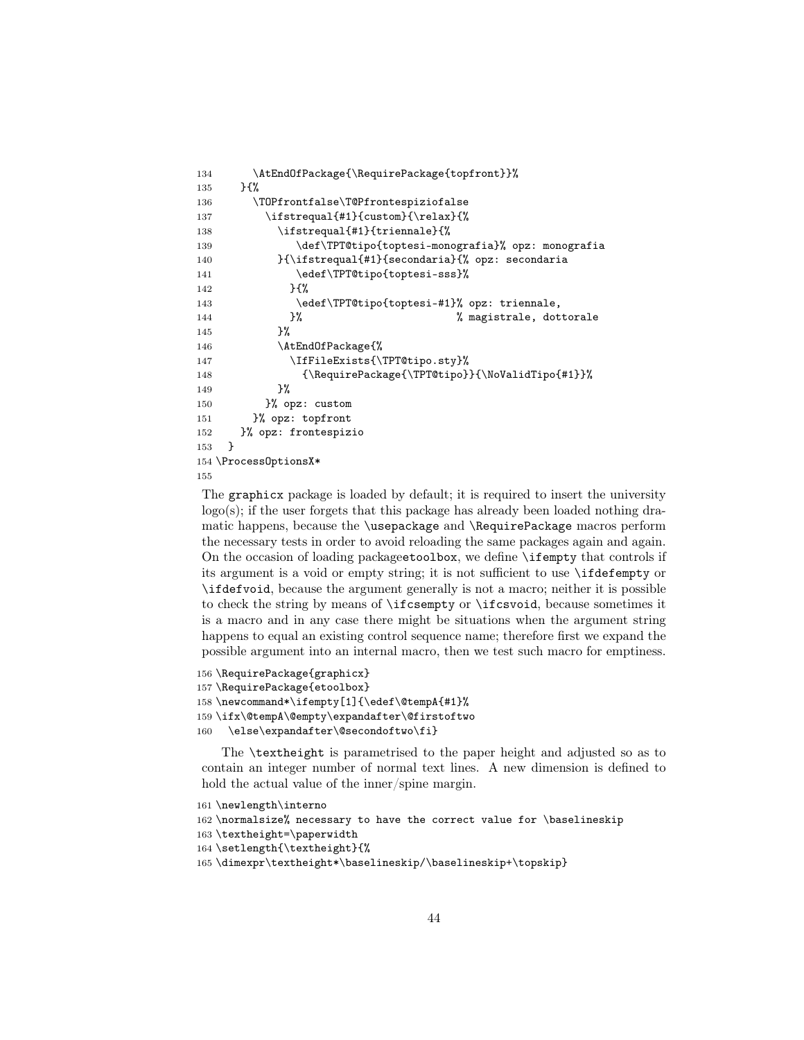```
134 \AtEndOfPackage{\RequirePackage{topfront}}%
135 }{%
136 \TOPfrontfalse\T@Pfrontespiziofalse
137 \ifstrequal{#1}{custom}{\relax}{%
138 \ifstrequal{#1}{triennale}{%
139 \def\TPT@tipo{toptesi-monografia}% opz: monografia
140 }{\ifstrequal{#1}{secondaria}{% opz: secondaria
141 \edef\TPT@tipo{toptesi-sss}%
142 }{%
143 \edef\TPT@tipo{toptesi-#1}% opz: triennale,
144 }% % magistrale, dottorale
145 } }146 \AtEndOfPackage{%
147 \IfFileExists{\TPT@tipo.sty}%
148 {\RequirePackage{\TPT@tipo}}{\NoValidTipo{#1}}%
149 }%
150 }% opz: custom
151 }% opz: topfront
152 }% opz: frontespizio
153 }
154 \ProcessOptionsX*
155
```
The graphicx package is loaded by default; it is required to insert the university  $logo(s)$ ; if the user forgets that this package has already been loaded nothing dramatic happens, because the \usepackage and \RequirePackage macros perform the necessary tests in order to avoid reloading the same packages again and again. On the occasion of loading packageetoolbox, we define \ifempty that controls if its argument is a void or empty string; it is not sufficient to use \ifdefempty or \ifdefvoid, because the argument generally is not a macro; neither it is possible to check the string by means of \ifcsempty or \ifcsvoid, because sometimes it is a macro and in any case there might be situations when the argument string happens to equal an existing control sequence name; therefore first we expand the possible argument into an internal macro, then we test such macro for emptiness.

```
156 \RequirePackage{graphicx}
157 \RequirePackage{etoolbox}
158 \newcommand*\ifempty[1]{\edef\@tempA{#1}%
159 \ifx\@tempA\@empty\expandafter\@firstoftwo
160 \else\expandafter\@secondoftwo\fi}
```
The \textheight is parametrised to the paper height and adjusted so as to contain an integer number of normal text lines. A new dimension is defined to hold the actual value of the inner/spine margin.

```
161 \newlength\interno
162 \normalsize% necessary to have the correct value for \baselineskip
163 \textheight=\paperwidth
164 \setlength{\textheight}{%
```

```
165 \dimexpr\textheight*\baselineskip/\baselineskip+\topskip}
```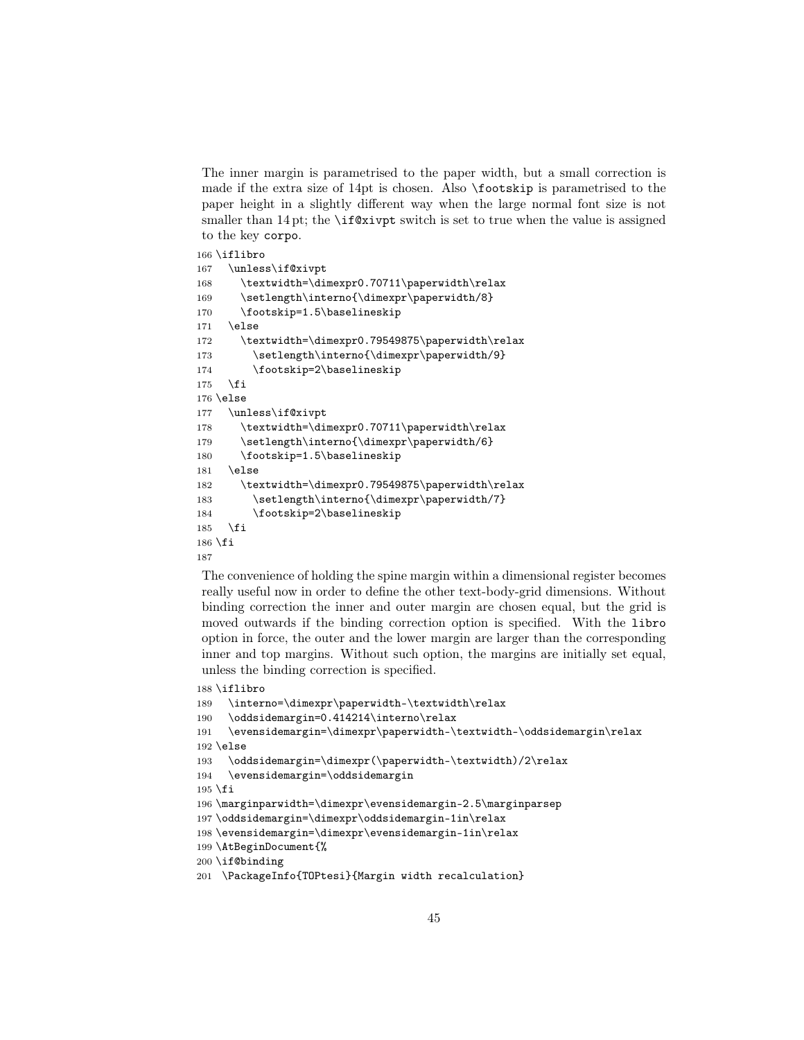The inner margin is parametrised to the paper width, but a small correction is made if the extra size of 14pt is chosen. Also \footskip is parametrised to the paper height in a slightly different way when the large normal font size is not smaller than 14 pt; the **\if@xivpt** switch is set to true when the value is assigned to the key corpo.

```
166 \iflibro
167 \unless\if@xivpt
168 \textwidth=\dimexpr0.70711\paperwidth\relax
169 \setlength\interno{\dimexpr\paperwidth/8}
170 \footskip=1.5\baselineskip
171 \else
172 \textwidth=\dimexpr0.79549875\paperwidth\relax
173 \setlength\interno{\dimexpr\paperwidth/9}
174 \footskip=2\baselineskip
175 \fi
176 \else
177 \unless\if@xivpt
178 \textwidth=\dimexpr0.70711\paperwidth\relax
179 \setlength\interno{\dimexpr\paperwidth/6}
180 \footskip=1.5\baselineskip
181 \else
182 \textwidth=\dimexpr0.79549875\paperwidth\relax
183 \setlength\interno{\dimexpr\paperwidth/7}
184 \footskip=2\baselineskip
185 \fi
186 \fi
187
```
The convenience of holding the spine margin within a dimensional register becomes really useful now in order to define the other text-body-grid dimensions. Without binding correction the inner and outer margin are chosen equal, but the grid is moved outwards if the binding correction option is specified. With the libro option in force, the outer and the lower margin are larger than the corresponding inner and top margins. Without such option, the margins are initially set equal, unless the binding correction is specified.

```
188 \iflibro
```

```
189 \interno=\dimexpr\paperwidth-\textwidth\relax
```

```
190 \oddsidemargin=0.414214\interno\relax
```

```
191 \evensidemargin=\dimexpr\paperwidth-\textwidth-\oddsidemargin\relax
```
 $192$  \else

```
193 \oddsidemargin=\dimexpr(\paperwidth-\textwidth)/2\relax
```

```
194 \evensidemargin=\oddsidemargin
```
 $195 \text{ t}$ 

```
196 \marginparwidth=\dimexpr\evensidemargin-2.5\marginparsep
```

```
197 \oddsidemargin=\dimexpr\oddsidemargin-1in\relax
```

```
198 \evensidemargin=\dimexpr\evensidemargin-1in\relax
```

```
199 \AtBeginDocument{%
```

```
200 \if@binding
```

```
201 \PackageInfo{TOPtesi}{Margin width recalculation}
```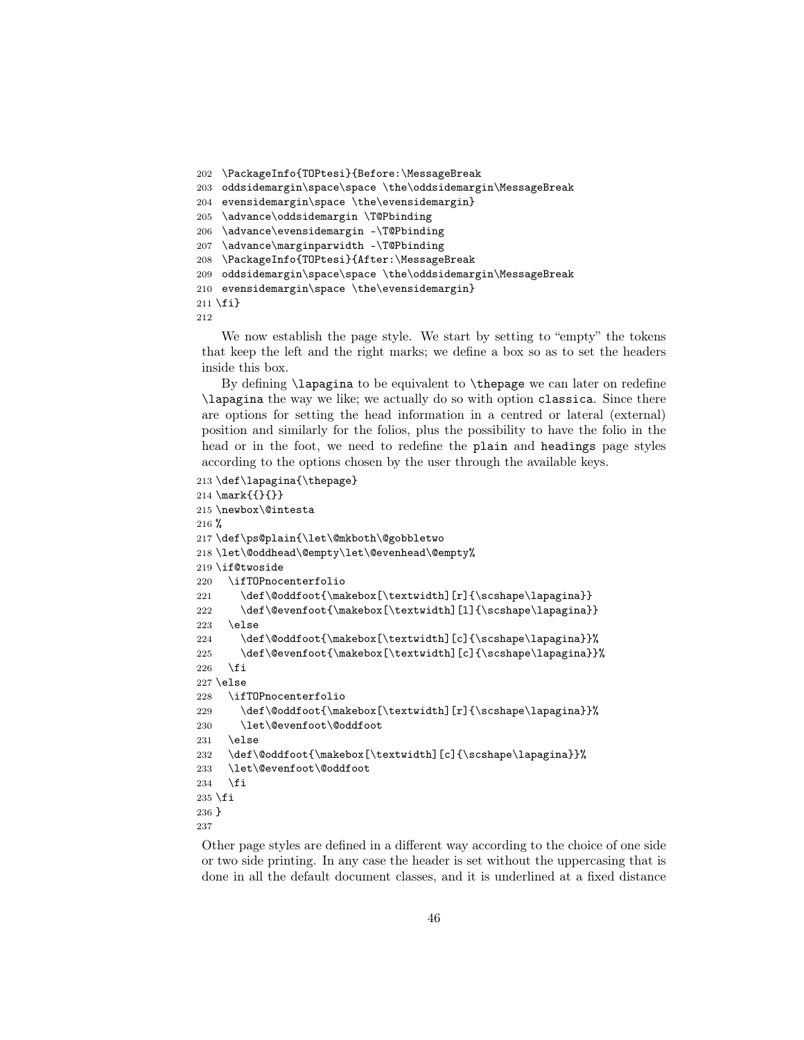```
202 \PackageInfo{TOPtesi}{Before:\MessageBreak
203 oddsidemargin\space\space \the\oddsidemargin\MessageBreak
204 evensidemargin\space \the\evensidemargin}
205 \advance\oddsidemargin \T@Pbinding
206 \advance\evensidemargin -\T@Pbinding
207 \advance\marginparwidth -\T@Pbinding
208 \PackageInfo{TOPtesi}{After:\MessageBreak
209 oddsidemargin\space\space \the\oddsidemargin\MessageBreak
210 evensidemargin\space \the\evensidemargin}
211 \fi}
212
```
We now establish the page style. We start by setting to "empty" the tokens that keep the left and the right marks; we define a box so as to set the headers inside this box.

By defining \lapagina to be equivalent to \thepage we can later on redefine \lapagina the way we like; we actually do so with option classica. Since there are options for setting the head information in a centred or lateral (external) position and similarly for the folios, plus the possibility to have the folio in the head or in the foot, we need to redefine the plain and headings page styles according to the options chosen by the user through the available keys.

```
213 \def\lapagina{\thepage}
214 \text{{?}}215 \newbox\@intesta
216 %
217 \def\ps@plain{\let\@mkboth\@gobbletwo
218 \let\@oddhead\@empty\let\@evenhead\@empty%
219 \if@twoside
220 \ifTOPnocenterfolio
221 \def\@oddfoot{\makebox[\textwidth][r]{\scshape\lapagina}}
222 \def\@evenfoot{\makebox[\textwidth][l]{\scshape\lapagina}}
223 \else
224 \def\@oddfoot{\makebox[\textwidth][c]{\scshape\lapagina}}%
225 \def\@evenfoot{\makebox[\textwidth][c]{\scshape\lapagina}}%
226 \fi
227 \else
228 \ifTOPnocenterfolio
229 \def\@oddfoot{\makebox[\textwidth][r]{\scshape\lapagina}}%
230 \let\@evenfoot\@oddfoot
231 \else
232 \def\@oddfoot{\makebox[\textwidth][c]{\scshape\lapagina}}%
233 \let\@evenfoot\@oddfoot
234 \fi
235 \fi
236 }
237
```
Other page styles are defined in a different way according to the choice of one side or two side printing. In any case the header is set without the uppercasing that is done in all the default document classes, and it is underlined at a fixed distance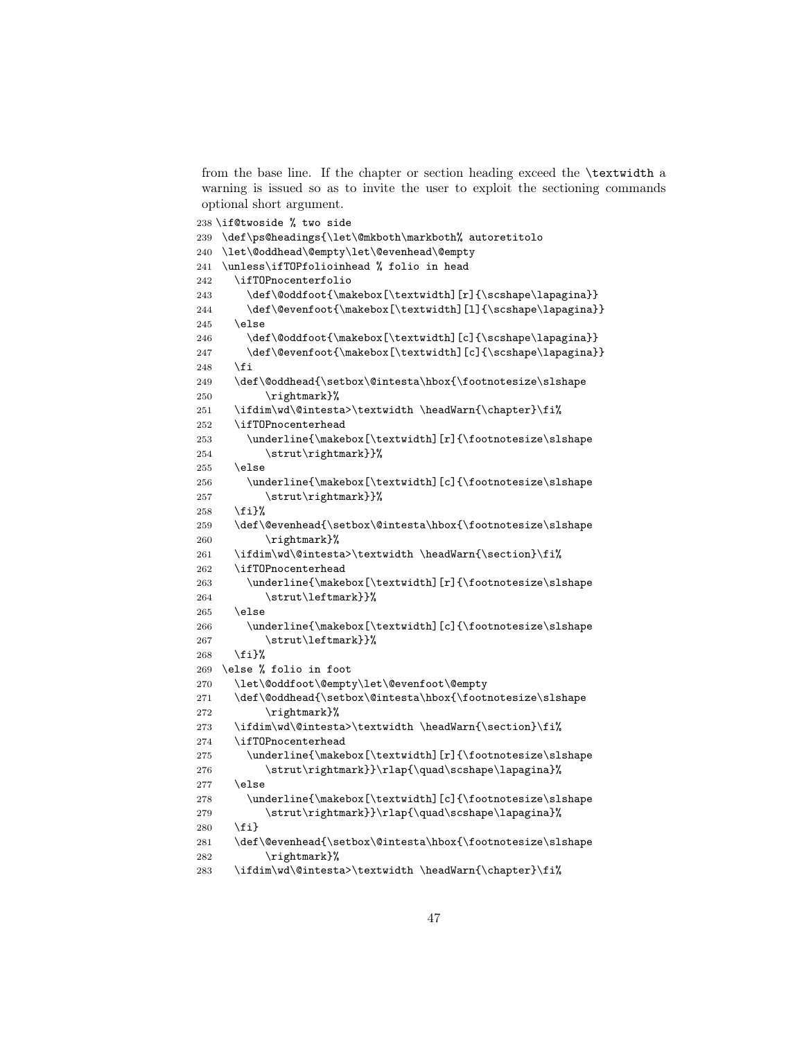from the base line. If the chapter or section heading exceed the \textwidth a warning is issued so as to invite the user to exploit the sectioning commands optional short argument.

```
238 \if@twoside % two side
239 \def\ps@headings{\let\@mkboth\markboth% autoretitolo
240 \let\@oddhead\@empty\let\@evenhead\@empty
241 \unless\ifTOPfolioinhead % folio in head
242 \ifTOPnocenterfolio
243 \def\@oddfoot{\makebox[\textwidth][r]{\scshape\lapagina}}
244 \def\@evenfoot{\makebox[\textwidth][l]{\scshape\lapagina}}
245 \else
246 \def\@oddfoot{\makebox[\textwidth][c]{\scshape\lapagina}}
247 \def\@evenfoot{\makebox[\textwidth][c]{\scshape\lapagina}}
248 \setminusfi
249 \def\@oddhead{\setbox\@intesta\hbox{\footnotesize\slshape
250 \rightmark}%
251 \ifdim\wd\@intesta>\textwidth \headWarn{\chapter}\fi%
252 \ifTOPnocenterhead
253 \underline{\makebox[\textwidth][r]{\footnotesize\slshape
254 \strut\rightmark}}%
255 \else
256 \underline{\makebox[\textwidth][c]{\footnotesize\slshape
257 \strut\rightmark}}%
258 \fi}%
259 \def\@evenhead{\setbox\@intesta\hbox{\footnotesize\slshape
260 \rightmark}%
261 \ifdim\wd\@intesta>\textwidth \headWarn{\section}\fi%
262 \ifTOPnocenterhead
263 \underline{\makebox[\textwidth][r]{\footnotesize\slshape
264 \strut\leftmark}}%
265 \else
266 \underline{\makebox[\textwidth][c]{\footnotesize\slshape
267 \strut\leftmark}}%
268 \fi}%
269 \else % folio in foot
270 \let\@oddfoot\@empty\let\@evenfoot\@empty
271 \def\@oddhead{\setbox\@intesta\hbox{\footnotesize\slshape
272 \rightmark}%
273 \ifdim\wd\@intesta>\textwidth \headWarn{\section}\fi%
274 \ifTOPnocenterhead
275 \underline{\makebox[\textwidth][r]{\footnotesize\slshape
276 \strut\rightmark}}\rlap{\quad\scshape\lapagina}%
277 \else
278 \underline{\makebox[\textwidth][c]{\footnotesize\slshape
279 \strut\rightmark}}\rlap{\quad\scshape\lapagina}%
280 \{f_i\}281 \def\@evenhead{\setbox\@intesta\hbox{\footnotesize\slshape
282 \rightmark}%
283 \ifdim\wd\@intesta>\textwidth \headWarn{\chapter}\fi%
```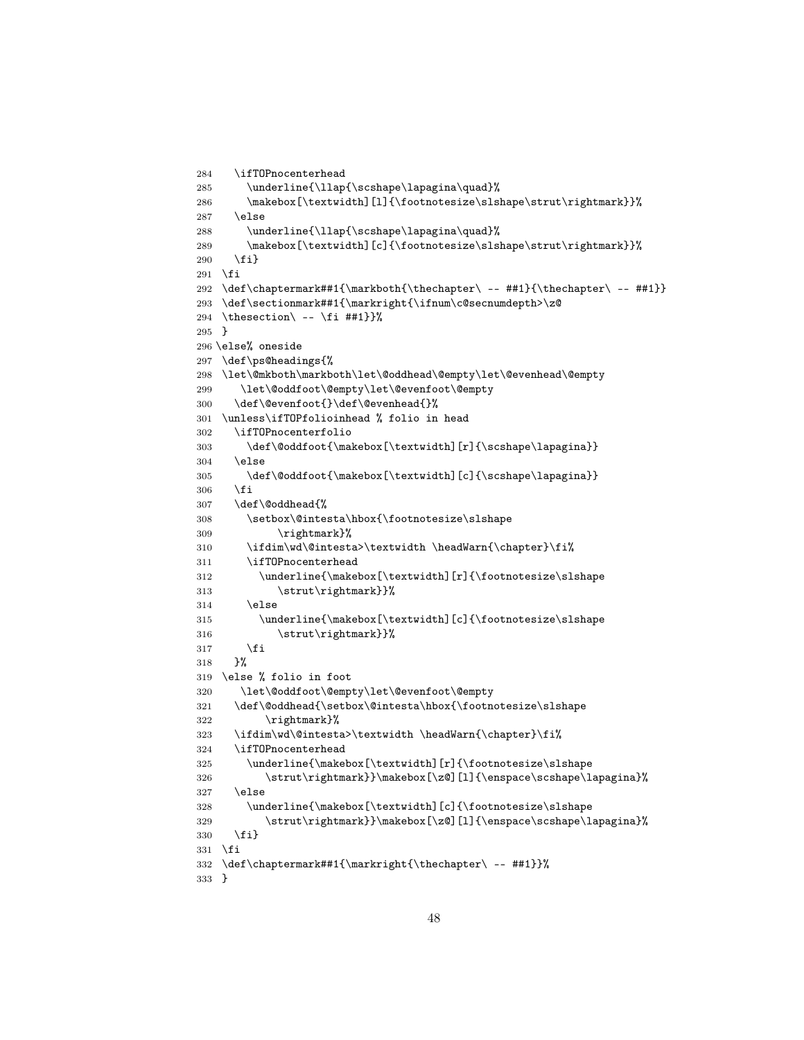```
284 \ifTOPnocenterhead
285 \underline{\llap{\scshape\lapagina\quad}%
286 \makebox[\textwidth][l]{\footnotesize\slshape\strut\rightmark}}%
287 \else
288 \underline{\llap{\scshape\lapagina\quad}%
289 \makebox[\textwidth][c]{\footnotesize\slshape\strut\rightmark}}%
290 \{f_i\}291 \overline{1}292 \def\chaptermark##1{\markboth{\thechapter\ -- ##1}{\thechapter\ -- ##1}}
293 \def\sectionmark##1{\markright{\ifnum\c@secnumdepth>\z@
294 \thesection\ -- \fi ##1}}%
295 }
296 \else% oneside
297 \def\ps@headings{%
298 \let\@mkboth\markboth\let\@oddhead\@empty\let\@evenhead\@empty
299 \let\@oddfoot\@empty\let\@evenfoot\@empty
300 \def\@evenfoot{}\def\@evenhead{}%
301 \unless\ifTOPfolioinhead % folio in head
302 \ifTOPnocenterfolio
303 \def\@oddfoot{\makebox[\textwidth][r]{\scshape\lapagina}}
304 \else
305 \def\@oddfoot{\makebox[\textwidth][c]{\scshape\lapagina}}
306 \fi
307 \def\@oddhead{%
308 \setbox\@intesta\hbox{\footnotesize\slshape
309 \rightmark}%
310 \ifdim\wd\@intesta>\textwidth \headWarn{\chapter}\fi%
311 \ifTOPnocenterhead
312 \underline{\{\makebox[\textwidth][r]}{\footnotesize\check{slshape}}313 \strut\rightmark}}%
314 \else
315 \underline{\makebox[\textwidth][c]{\footnotesize\slshape
316 \strut\rightmark}}%
317 \fi
318 }%
319 \else % folio in foot
320 \let\@oddfoot\@empty\let\@evenfoot\@empty
321 \def\@oddhead{\setbox\@intesta\hbox{\footnotesize\slshape
322 \rightmark}%
323 \ifdim\wd\@intesta>\textwidth \headWarn{\chapter}\fi%
324 \ifTOPnocenterhead
325 \underline{\makebox[\textwidth][r]{\footnotesize\slshape
326 \strut\rightmark}}\makebox[\z@][l]{\enspace\scshape\lapagina}%
327 \else
328 \underline{\makebox[\textwidth][c]{\footnotesize\slshape
329 \strut\rightmark}}\makebox[\z@][l]{\enspace\scshape\lapagina}%
330 \fi}
331 \fi
332 \def\chaptermark##1{\markright{\thechapter\ -- ##1}}%
333 }
```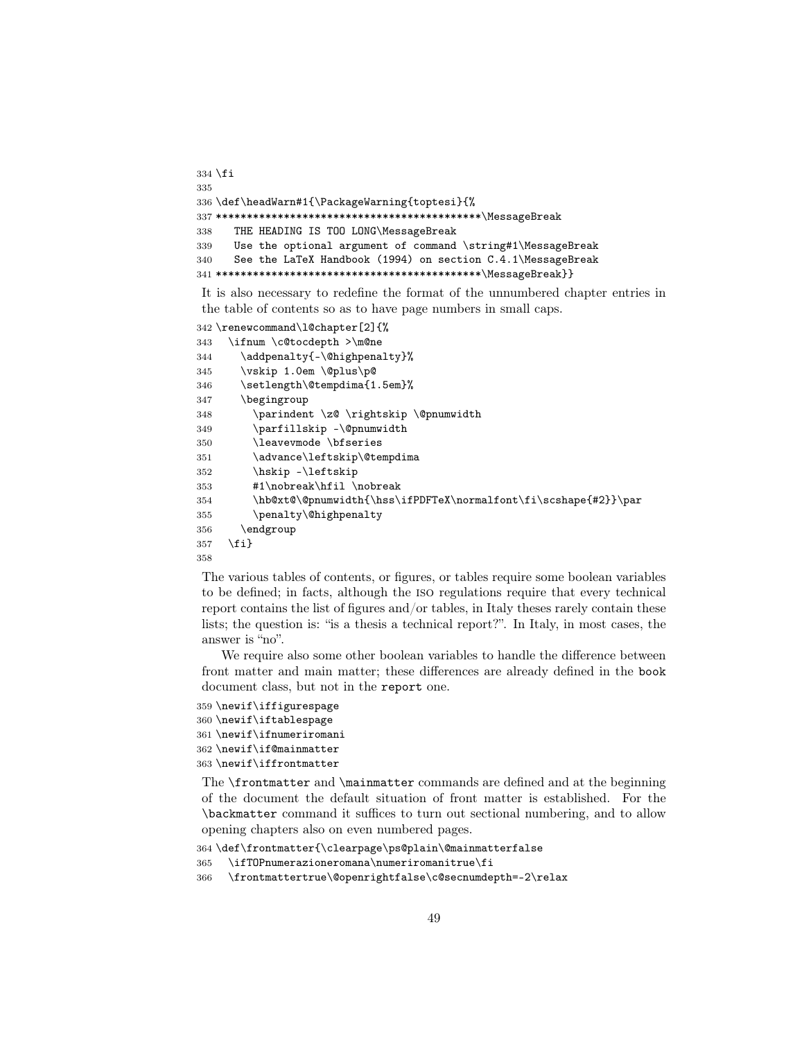```
334 \fi
335
336 \def\headWarn#1{\PackageWarning{toptesi}{%
337 *******************************************\MessageBreak
338 THE HEADING IS TOO LONG\MessageBreak
339 Use the optional argument of command \string#1\MessageBreak
340 See the LaTeX Handbook (1994) on section C.4.1\MessageBreak
341 *******************************************\MessageBreak}}
```
It is also necessary to redefine the format of the unnumbered chapter entries in the table of contents so as to have page numbers in small caps.

```
342 \renewcommand\l@chapter[2]{%
343 \ifnum \c@tocdepth >\m@ne
344 \addpenalty{-\@highpenalty}%
345 \vskip 1.0em \@plus\p@
346 \setlength\@tempdima{1.5em}%
347 \begingroup
348 \parindent \z@ \rightskip \@pnumwidth
349 \parfillskip -\@pnumwidth
350 \leavevmode \bfseries
351 \advance\leftskip\@tempdima
352 \hskip -\leftskip
353 #1\nobreak\hfil \nobreak
354 \hb@xt@\@pnumwidth{\hss\ifPDFTeX\normalfont\fi\scshape{#2}}\par
355 \penalty\@highpenalty
356 \endgroup
357 \fi}
358
```
The various tables of contents, or figures, or tables require some boolean variables to be defined; in facts, although the iso regulations require that every technical report contains the list of figures and/or tables, in Italy theses rarely contain these lists; the question is: "is a thesis a technical report?". In Italy, in most cases, the answer is "no".

We require also some other boolean variables to handle the difference between front matter and main matter; these differences are already defined in the book document class, but not in the report one.

```
359 \newif\iffigurespage
360 \newif\iftablespage
361 \newif\ifnumeriromani
362 \newif\if@mainmatter
363 \newif\iffrontmatter
```
The \frontmatter and \mainmatter commands are defined and at the beginning of the document the default situation of front matter is established. For the \backmatter command it suffices to turn out sectional numbering, and to allow opening chapters also on even numbered pages.

```
364 \def\frontmatter{\clearpage\ps@plain\@mainmatterfalse
```

```
365 \ifTOPnumerazioneromana\numeriromanitrue\fi
```

```
366 \frontmattertrue\@openrightfalse\c@secnumdepth=-2\relax
```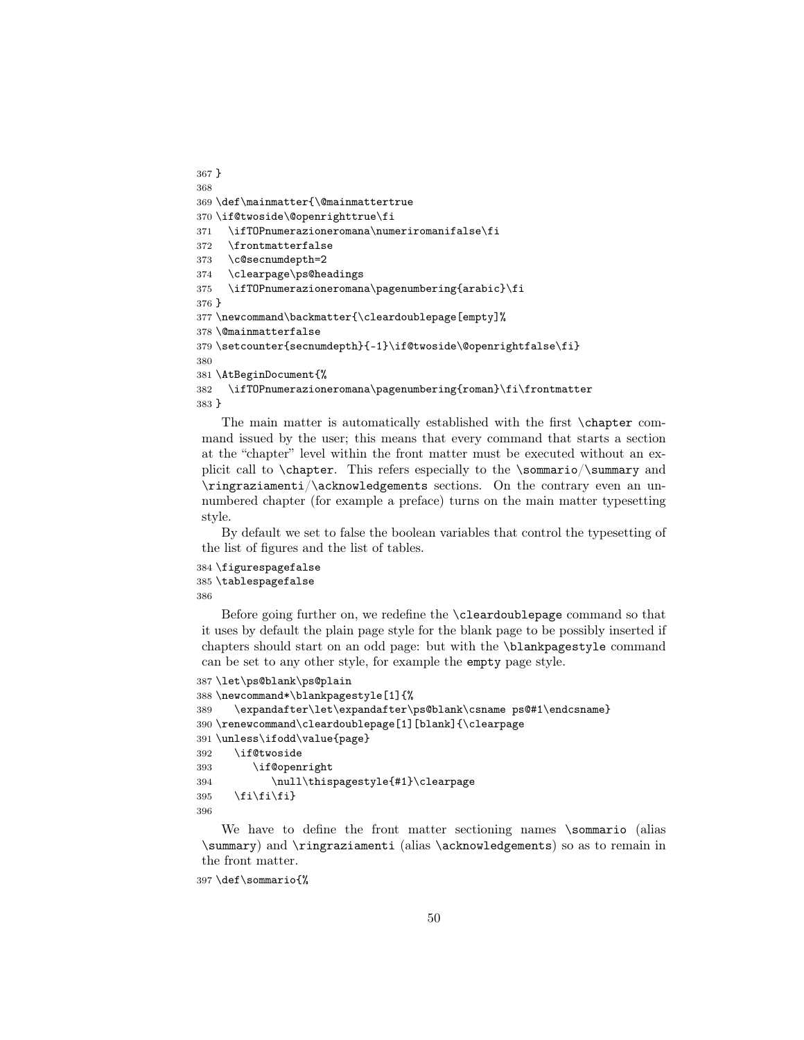```
367 }
368
369 \def\mainmatter{\@mainmattertrue
370 \if@twoside\@openrighttrue\fi
371 \ifTOPnumerazioneromana\numeriromanifalse\fi
372 \frontmatterfalse
373 \c@secnumdepth=2
374 \clearpage\ps@headings
375 \ifTOPnumerazioneromana\pagenumbering{arabic}\fi
376 }
377 \newcommand\backmatter{\cleardoublepage[empty]%
378 \@mainmatterfalse
379 \setcounter{secnumdepth}{-1}\if@twoside\@openrightfalse\fi}
380
381 \AtBeginDocument{%
382 \ifTOPnumerazioneromana\pagenumbering{roman}\fi\frontmatter
383 }
```
The main matter is automatically established with the first \chapter command issued by the user; this means that every command that starts a section at the "chapter" level within the front matter must be executed without an explicit call to \chapter. This refers especially to the \sommario/\summary and \ringraziamenti/\acknowledgements sections. On the contrary even an unnumbered chapter (for example a preface) turns on the main matter typesetting style.

By default we set to false the boolean variables that control the typesetting of the list of figures and the list of tables.

```
384 \figurespagefalse
385 \tablespagefalse
386
```
Before going further on, we redefine the \cleardoublepage command so that it uses by default the plain page style for the blank page to be possibly inserted if chapters should start on an odd page: but with the \blankpagestyle command can be set to any other style, for example the empty page style.

```
387 \let\ps@blank\ps@plain
388 \newcommand*\blankpagestyle[1]{%
389 \expandafter\let\expandafter\ps@blank\csname ps@#1\endcsname}
390 \renewcommand\cleardoublepage[1][blank]{\clearpage
391 \unless\ifodd\value{page}
392 \if@twoside
393 \if@openright
394 \null\thispagestyle{#1}\clearpage
395 \{fi\}396
```
We have to define the front matter sectioning names \sommario (alias \summary) and \ringraziamenti (alias \acknowledgements) so as to remain in the front matter.

\def\sommario{%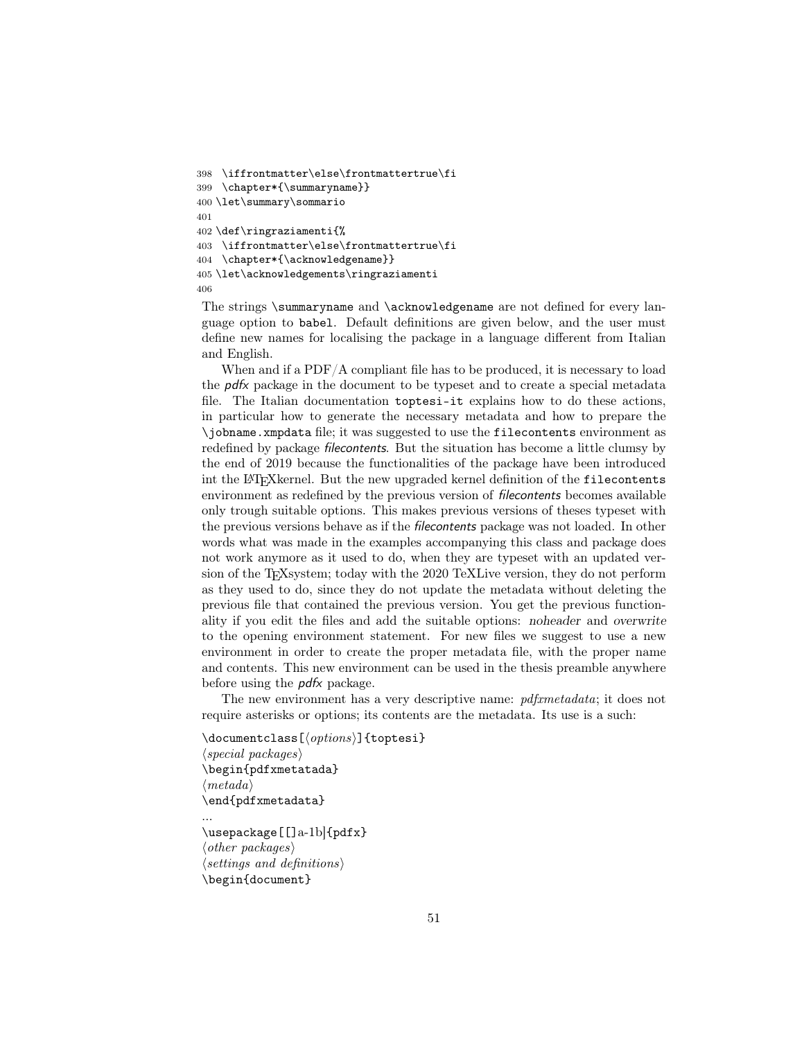```
398 \iffrontmatter\else\frontmattertrue\fi
399 \chapter*{\summaryname}}
400 \let\summary\sommario
401
402 \def\ringraziamenti{%
403 \iffrontmatter\else\frontmattertrue\fi
404 \chapter*{\acknowledgename}}
405 \let\acknowledgements\ringraziamenti
406
```
The strings \summaryname and \acknowledgename are not defined for every language option to babel. Default definitions are given below, and the user must define new names for localising the package in a language different from Italian and English.

When and if a PDF/A compliant file has to be produced, it is necessary to load the  $p\,d\mathbf{x}$  package in the document to be typeset and to create a special metadata file. The Italian documentation toptesi-it explains how to do these actions, in particular how to generate the necessary metadata and how to prepare the \jobname.xmpdata file; it was suggested to use the filecontents environment as redefined by package filecontents. But the situation has become a little clumsy by the end of 2019 because the functionalities of the package have been introduced int the LATEXkernel. But the new upgraded kernel definition of the filecontents environment as redefined by the previous version of filecontents becomes available only trough suitable options. This makes previous versions of theses typeset with the previous versions behave as if the filecontents package was not loaded. In other words what was made in the examples accompanying this class and package does not work anymore as it used to do, when they are typeset with an updated version of the TEXsystem; today with the 2020 TeXLive version, they do not perform as they used to do, since they do not update the metadata without deleting the previous file that contained the previous version. You get the previous functionality if you edit the files and add the suitable options: noheader and overwrite to the opening environment statement. For new files we suggest to use a new environment in order to create the proper metadata file, with the proper name and contents. This new environment can be used in the thesis preamble anywhere before using the pdfx package.

The new environment has a very descriptive name: *pdfxmetadata*; it does not require asterisks or options; its contents are the metadata. Its use is a such:

```
\documentclass[\langle options \rangle]{toptesi}
\langle special\ packages \rangle\begin{pdfxmetatada}
\langle \text{meta} \rangle\end{pdfxmetadata}
```
\usepackage[[]a-1b]{pdfx}  $\langle other\ packages\rangle$  $\langle$  settings and definitions) \begin{document}

...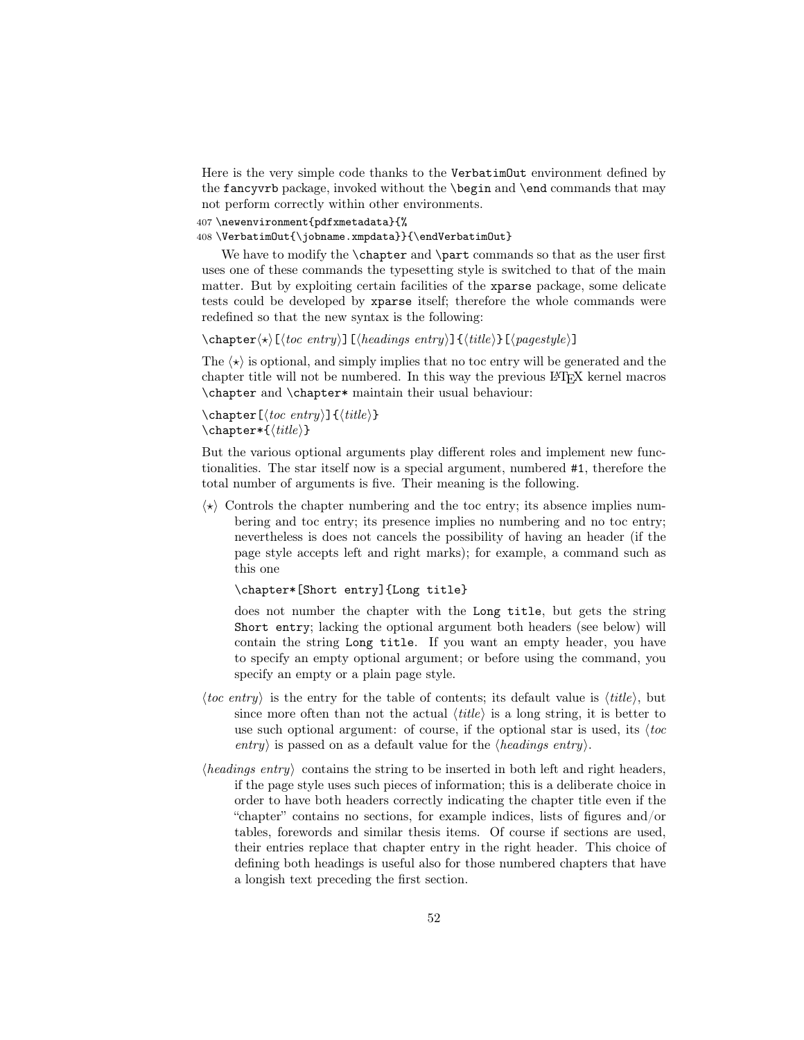Here is the very simple code thanks to the VerbatimOut environment defined by the fancyvrb package, invoked without the \begin and \end commands that may not perform correctly within other environments.

407 \newenvironment{pdfxmetadata}{%

408 \VerbatimOut{\jobname.xmpdata}}{\endVerbatimOut}

We have to modify the **\chapter** and **\part** commands so that as the user first uses one of these commands the typesetting style is switched to that of the main matter. But by exploiting certain facilities of the xparse package, some delicate tests could be developed by xparse itself; therefore the whole commands were redefined so that the new syntax is the following:

 $\begin{equation*} \label{c-approx} \begin{bmatrix} \kappa \end{bmatrix} \left[ \langle \text{loc entry} \rangle \right] \left[ \langle \text{headings entry} \rangle \right] \left[ \langle \text{trile} \rangle \right] \left[ \langle \text{pagestyle} \rangle \right] \end{equation*}$ 

The  $\langle \star \rangle$  is optional, and simply implies that no toc entry will be generated and the chapter title will not be numbered. In this way the previous LATEX kernel macros \chapter and \chapter\* maintain their usual behaviour:

```
\label{thm:rel} \chapter [\langletoc entry}]{\langletitle}}
\text{char*}\{\langle\mathit{title}\rangle\}
```
But the various optional arguments play different roles and implement new functionalities. The star itself now is a special argument, numbered #1, therefore the total number of arguments is five. Their meaning is the following.

 $\langle \star \rangle$  Controls the chapter numbering and the toc entry; its absence implies numbering and toc entry; its presence implies no numbering and no toc entry; nevertheless is does not cancels the possibility of having an header (if the page style accepts left and right marks); for example, a command such as this one

\chapter\*[Short entry]{Long title}

does not number the chapter with the Long title, but gets the string Short entry; lacking the optional argument both headers (see below) will contain the string Long title. If you want an empty header, you have to specify an empty optional argument; or before using the command, you specify an empty or a plain page style.

- *(toc entry)* is the entry for the table of contents; its default value is *(title)*, but since more often than not the actual  $\langle title \rangle$  is a long string, it is better to use such optional argument: of course, if the optional star is used, its  $\langle \text{toc} \rangle$ entry) is passed on as a default value for the  $\langle \text{headings entry} \rangle$ .
- $\langle \text{headings entry} \rangle$  contains the string to be inserted in both left and right headers, if the page style uses such pieces of information; this is a deliberate choice in order to have both headers correctly indicating the chapter title even if the "chapter" contains no sections, for example indices, lists of figures and/or tables, forewords and similar thesis items. Of course if sections are used, their entries replace that chapter entry in the right header. This choice of defining both headings is useful also for those numbered chapters that have a longish text preceding the first section.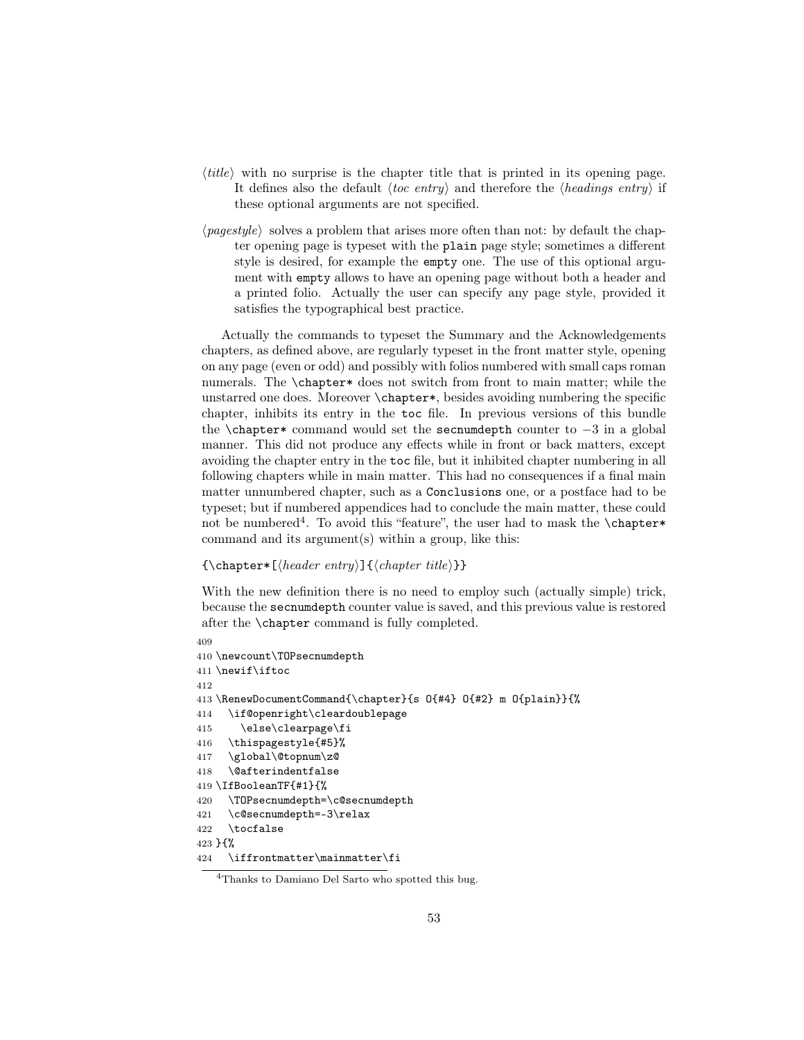- $\langle title \rangle$  with no surprise is the chapter title that is printed in its opening page. It defines also the default  $\langle \text{toc entry} \rangle$  and therefore the  $\langle \text{headings entry} \rangle$  if these optional arguments are not specified.
- $\langle$ *pagestyle* $\rangle$  solves a problem that arises more often than not: by default the chapter opening page is typeset with the plain page style; sometimes a different style is desired, for example the empty one. The use of this optional argument with empty allows to have an opening page without both a header and a printed folio. Actually the user can specify any page style, provided it satisfies the typographical best practice.

Actually the commands to typeset the Summary and the Acknowledgements chapters, as defined above, are regularly typeset in the front matter style, opening on any page (even or odd) and possibly with folios numbered with small caps roman numerals. The \chapter\* does not switch from front to main matter; while the unstarred one does. Moreover \chapter\*, besides avoiding numbering the specific chapter, inhibits its entry in the toc file. In previous versions of this bundle the \chapter\* command would set the secnumdepth counter to  $-3$  in a global manner. This did not produce any effects while in front or back matters, except avoiding the chapter entry in the toc file, but it inhibited chapter numbering in all following chapters while in main matter. This had no consequences if a final main matter unnumbered chapter, such as a Conclusions one, or a postface had to be typeset; but if numbered appendices had to conclude the main matter, these could not be numbered<sup>4</sup>. To avoid this "feature", the user had to mask the **\chapter**\* command and its  $argument(s)$  within a group, like this:

```
{\Lambda_{\text{theader entry}}}{\ch{chapter\ title}}
```
With the new definition there is no need to employ such (actually simple) trick, because the secnumdepth counter value is saved, and this previous value is restored after the \chapter command is fully completed.

```
409
410 \newcount\TOPsecnumdepth
411 \newif\iftoc
412
413 \RenewDocumentCommand{\chapter}{s O{#4} O{#2} m O{plain}}{%
414 \if@openright\cleardoublepage
415 \else\clearpage\fi
416 \thispagestyle{#5}%
417 \global\@topnum\z@
418 \@afterindentfalse
419 \IfBooleanTF{#1}{%
420 \TOPsecnumdepth=\c@secnumdepth
421 \c@secnumdepth=-3\relax
422 \tocfalse
423 }{%
424 \iffrontmatter\mainmatter\fi
```
<sup>4</sup>Thanks to Damiano Del Sarto who spotted this bug.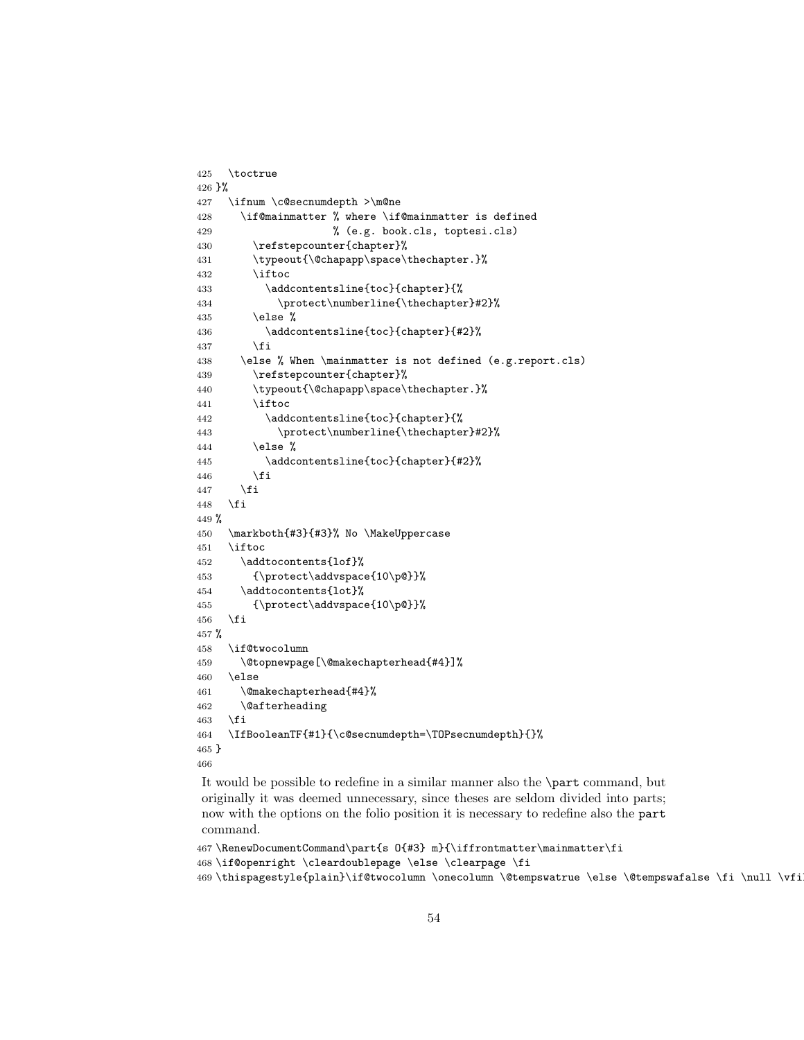```
425 \toctrue
426 }%
427 \ifnum \c@secnumdepth >\m@ne
428 \if@mainmatter % where \if@mainmatter is defined
429 % (e.g. book.cls, toptesi.cls)
430 \refstepcounter{chapter}%
431 \typeout{\@chapapp\space\thechapter.}%
432 \iftoc
433 \ddcontentsline{toc}{chapter}{%
434 \protect\numberline{\thechapter}#2}%
435 \text{else } \text{\%}436 \addcontentsline{toc}{chapter}{#2}%
437 \fi
438 \else % When \mainmatter is not defined (e.g.report.cls)
439 \refstepcounter{chapter}%
440 \typeout{\@chapapp\space\thechapter.}%
441 \iftoc
442 \ddcontentsline{toc}{chapter}{%
443 \protect\numberline{\thechapter}#2}%
444 \else %
445 \addcontentsline{toc}{chapter}{#2}%
446 \fi
447 \fi
448 \fi
449 %
450 \markboth{#3}{#3}% No \MakeUppercase
451 \iftoc
452 \addtocontents{lof}%
453 {\protect\addvspace{10\p@}}%
454 \addtocontents{lot}%
455 {\protect\addvspace{10\p@}}%
456 \overline{1}457 %
458 \if@twocolumn
459 \@topnewpage[\@makechapterhead{#4}]%
460 \else
461 \@makechapterhead{#4}%
462 \@afterheading
463 \fi
464 \IfBooleanTF{#1}{\c@secnumdepth=\TOPsecnumdepth}{}%
465 }
466
```
It would be possible to redefine in a similar manner also the \part command, but originally it was deemed unnecessary, since theses are seldom divided into parts; now with the options on the folio position it is necessary to redefine also the part command.

```
467 \RenewDocumentCommand\part{s O{#3} m}{\iffrontmatter\mainmatter\fi
468 \if@openright \cleardoublepage \else \clearpage \fi
469 \thispagestyle{plain}\if@twocolumn \onecolumn \@tempswatrue \else \@tempswafalse \fi \null \vfi
```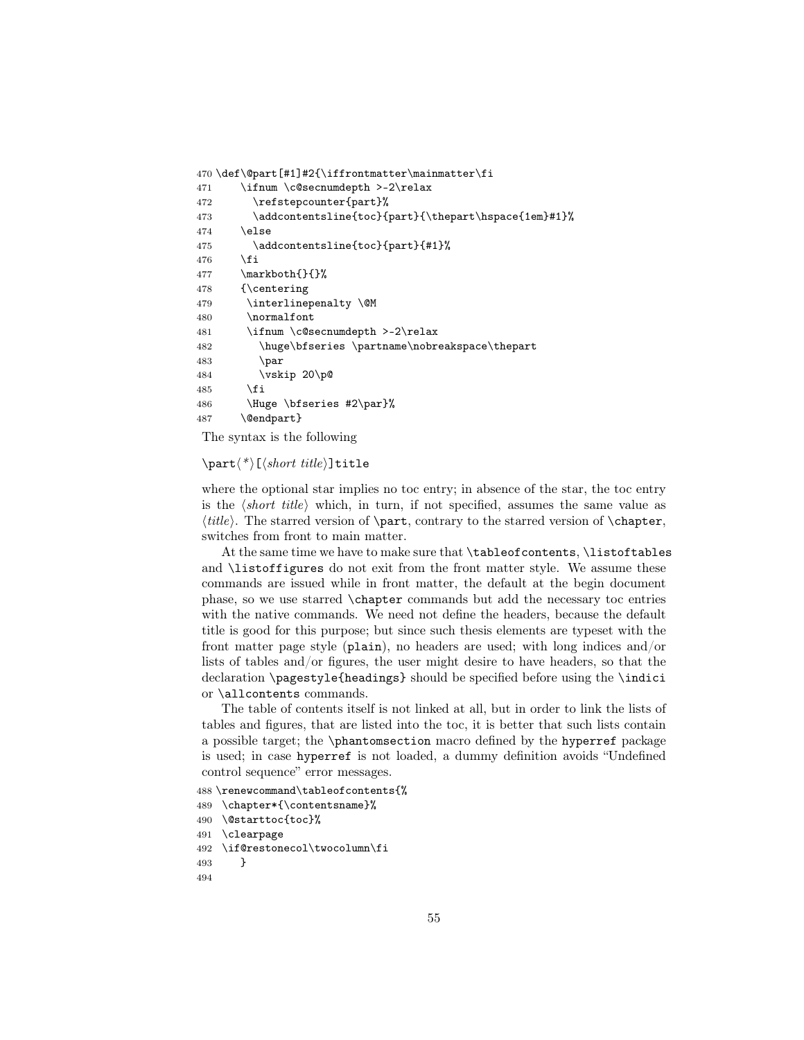```
470 \def\@part[#1]#2{\iffrontmatter\mainmatter\fi
471 \ifnum \c@secnumdepth >-2\relax
472 \refstepcounter{part}%
473 \addcontentsline{toc}{part}{\thepart\hspace{1em}#1}%
474 \else
475 \addcontentsline{toc}{part}{#1}%
476 \fi
477 \mathbb{}\mathbb{}{}
478 {\centering
479 \interlinepenalty \@M
480 \normalfont
481 \ifnum \c@secnumdepth >-2\relax
482 \huge\bfseries \partname\nobreakspace\thepart
483 \par
484 \vskip 20\p@
485 \fi
486 \Huge \bfseries #2\par}%
487 \@endpart}
```
The syntax is the following

 $\partial^*$   $\langle * \rangle$  [ $\langle short \ title \rangle$ ]title

where the optional star implies no toc entry; in absence of the star, the toc entry is the  $\langle short\ title \rangle$  which, in turn, if not specified, assumes the same value as  $\langle title \rangle$ . The starred version of  $\part$ , contrary to the starred version of  $\chapter$ , switches from front to main matter.

At the same time we have to make sure that \tableofcontents, \listoftables and \listoffigures do not exit from the front matter style. We assume these commands are issued while in front matter, the default at the begin document phase, so we use starred \chapter commands but add the necessary toc entries with the native commands. We need not define the headers, because the default title is good for this purpose; but since such thesis elements are typeset with the front matter page style (plain), no headers are used; with long indices and/or lists of tables and/or figures, the user might desire to have headers, so that the declaration \pagestyle{headings} should be specified before using the \indici or \allcontents commands.

The table of contents itself is not linked at all, but in order to link the lists of tables and figures, that are listed into the toc, it is better that such lists contain a possible target; the \phantomsection macro defined by the hyperref package is used; in case hyperref is not loaded, a dummy definition avoids "Undefined control sequence" error messages.

```
488 \renewcommand\tableofcontents{%
489 \chapter*{\contentsname}%
490 \@starttoc{toc}%
491 \clearpage
492 \if@restonecol\twocolumn\fi
493 }
494
```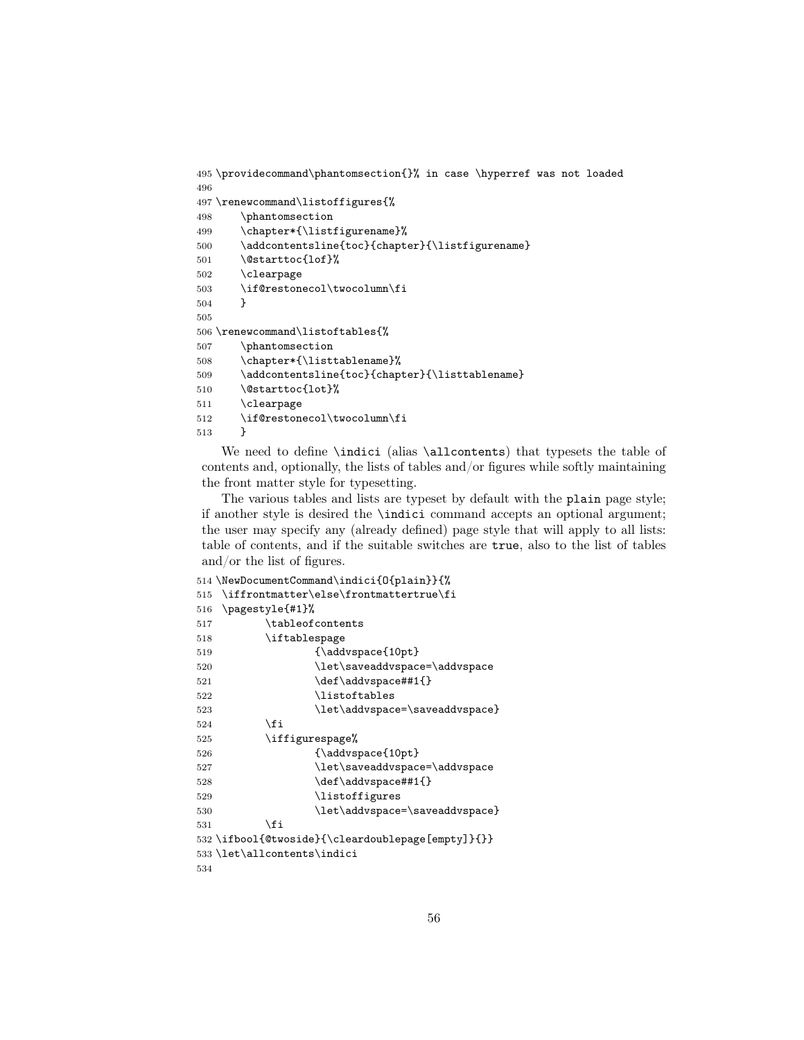```
495 \providecommand\phantomsection{}% in case \hyperref was not loaded
496
497 \renewcommand\listoffigures{%
498 \phantomsection
499 \chapter*{\listfigurename}%
500 \addcontentsline{toc}{chapter}{\listfigurename}
501 \@starttoc{lof}%
502 \clearpage
503 \if@restonecol\twocolumn\fi
504 }
505
506 \renewcommand\listoftables{%
507 \phantomsection
508 \chapter*{\listtablename}%
509 \addcontentsline{toc}{chapter}{\listtablename}
510 \@starttoc{lot}%
511 \clearpage
512 \if@restonecol\twocolumn\fi
513 }
```
We need to define \indici (alias \allcontents) that typesets the table of contents and, optionally, the lists of tables and/or figures while softly maintaining the front matter style for typesetting.

The various tables and lists are typeset by default with the plain page style; if another style is desired the \indici command accepts an optional argument; the user may specify any (already defined) page style that will apply to all lists: table of contents, and if the suitable switches are true, also to the list of tables and/or the list of figures.

```
514 \NewDocumentCommand\indici{O{plain}}{%
515 \iffrontmatter\else\frontmattertrue\fi
516 \pagestyle{#1}%
517 \tableofcontents
518 \iftablespage
519 {\addvspace{10pt}
520 \let\saveaddvspace=\addvspace
521 \def\addvspace##1{}
522 \listoftables
523 \let\addvspace=\saveaddvspace}
524 \fi
525 \iffigurespage%
526 {\addvspace{10pt}
527 \let\saveaddvspace=\addvspace
528 \def\addvspace##1{}
529 \listoffigures
530 \let\addvspace=\saveaddvspace}
531 \qquad \qquad \text{if}532 \ifbool{@twoside}{\cleardoublepage[empty]}{}}
533 \let\allcontents\indici
534
```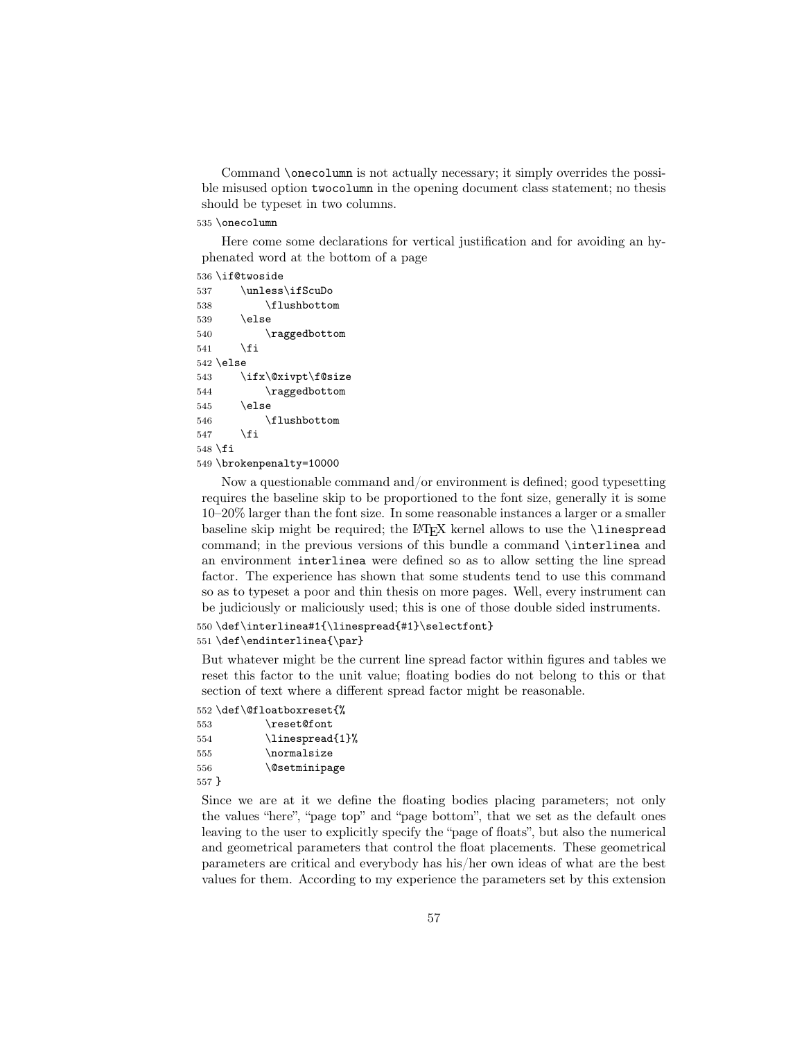Command \onecolumn is not actually necessary; it simply overrides the possible misused option twocolumn in the opening document class statement; no thesis should be typeset in two columns.

### 535 \onecolumn

Here come some declarations for vertical justification and for avoiding an hyphenated word at the bottom of a page

536 \if@twoside

```
537 \unless\ifScuDo
538 \flushbottom
539 \else
540 \raggedbottom
541 \fi
542 \else
543 \ifx\@xivpt\f@size
544 \raggedbottom
545 \else
546 \flushbottom
547 \fi
548 \fi
549 \brokenpenalty=10000
```
Now a questionable command and/or environment is defined; good typesetting requires the baseline skip to be proportioned to the font size, generally it is some 10–20% larger than the font size. In some reasonable instances a larger or a smaller baseline skip might be required; the LATEX kernel allows to use the \linespread command; in the previous versions of this bundle a command \interlinea and an environment interlinea were defined so as to allow setting the line spread factor. The experience has shown that some students tend to use this command so as to typeset a poor and thin thesis on more pages. Well, every instrument can be judiciously or maliciously used; this is one of those double sided instruments.

```
550 \def\interlinea#1{\linespread{#1}\selectfont}
551 \def\endinterlinea{\par}
```
But whatever might be the current line spread factor within figures and tables we reset this factor to the unit value; floating bodies do not belong to this or that section of text where a different spread factor might be reasonable.

552 \def\@floatboxreset{% 553 \reset@font

```
554 \linespread{1}%
555 \normalsize
556 \@setminipage
557 }
```
Since we are at it we define the floating bodies placing parameters; not only the values "here", "page top" and "page bottom", that we set as the default ones leaving to the user to explicitly specify the "page of floats", but also the numerical and geometrical parameters that control the float placements. These geometrical parameters are critical and everybody has his/her own ideas of what are the best values for them. According to my experience the parameters set by this extension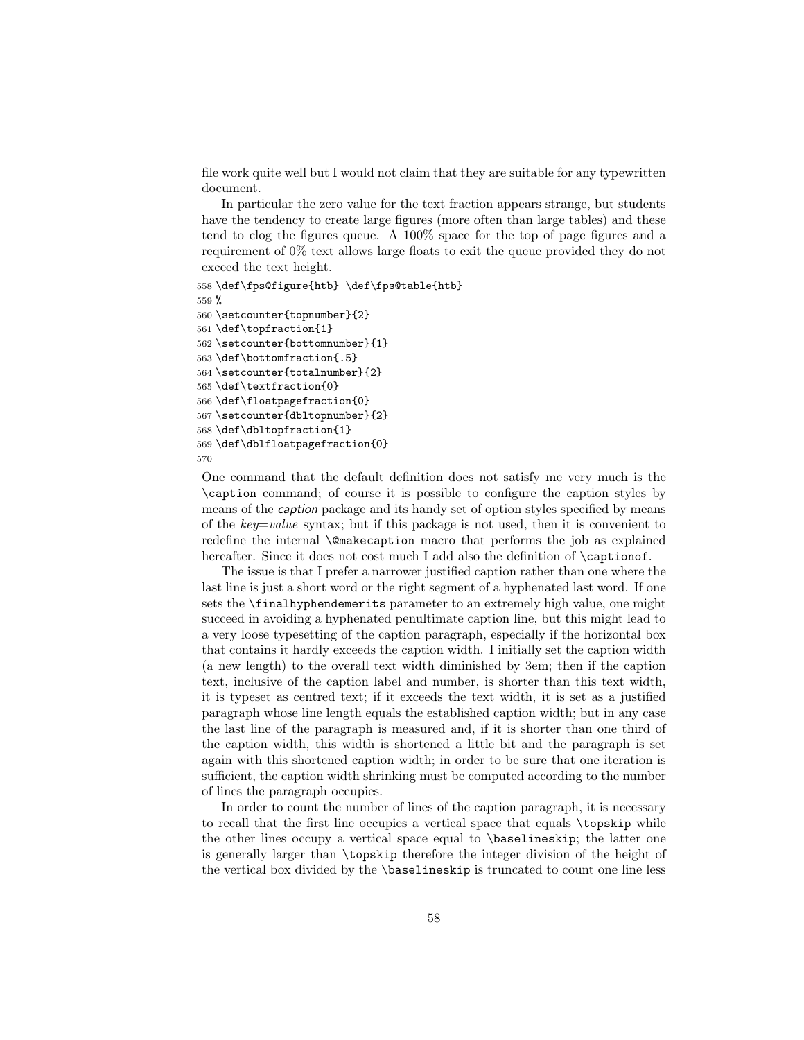file work quite well but I would not claim that they are suitable for any typewritten document.

In particular the zero value for the text fraction appears strange, but students have the tendency to create large figures (more often than large tables) and these tend to clog the figures queue. A 100% space for the top of page figures and a requirement of 0% text allows large floats to exit the queue provided they do not exceed the text height.

```
558 \def\fps@figure{htb} \def\fps@table{htb}
559 %
560 \setcounter{topnumber}{2}
561 \def\topfraction{1}
562 \setcounter{bottomnumber}{1}
563 \def\bottomfraction{.5}
564 \setcounter{totalnumber}{2}
565 \def\textfraction{0}
566 \def\floatpagefraction{0}
567 \setcounter{dbltopnumber}{2}
568 \def\dbltopfraction{1}
569 \def\dblfloatpagefraction{0}
570
```
One command that the default definition does not satisfy me very much is the \caption command; of course it is possible to configure the caption styles by means of the caption package and its handy set of option styles specified by means of the  $key = value$  syntax; but if this package is not used, then it is convenient to redefine the internal \@makecaption macro that performs the job as explained hereafter. Since it does not cost much I add also the definition of \captionof.

The issue is that I prefer a narrower justified caption rather than one where the last line is just a short word or the right segment of a hyphenated last word. If one sets the \finalhyphendemerits parameter to an extremely high value, one might succeed in avoiding a hyphenated penultimate caption line, but this might lead to a very loose typesetting of the caption paragraph, especially if the horizontal box that contains it hardly exceeds the caption width. I initially set the caption width (a new length) to the overall text width diminished by 3em; then if the caption text, inclusive of the caption label and number, is shorter than this text width, it is typeset as centred text; if it exceeds the text width, it is set as a justified paragraph whose line length equals the established caption width; but in any case the last line of the paragraph is measured and, if it is shorter than one third of the caption width, this width is shortened a little bit and the paragraph is set again with this shortened caption width; in order to be sure that one iteration is sufficient, the caption width shrinking must be computed according to the number of lines the paragraph occupies.

In order to count the number of lines of the caption paragraph, it is necessary to recall that the first line occupies a vertical space that equals \topskip while the other lines occupy a vertical space equal to \baselineskip; the latter one is generally larger than \topskip therefore the integer division of the height of the vertical box divided by the \baselineskip is truncated to count one line less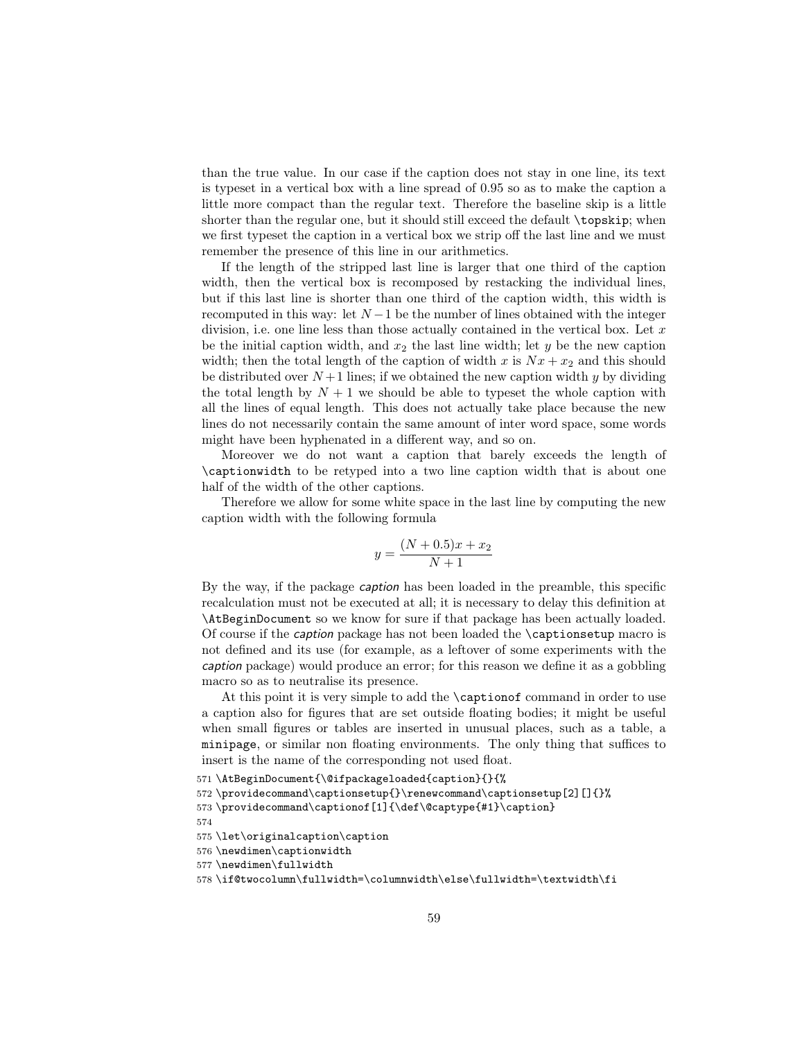than the true value. In our case if the caption does not stay in one line, its text is typeset in a vertical box with a line spread of 0.95 so as to make the caption a little more compact than the regular text. Therefore the baseline skip is a little shorter than the regular one, but it should still exceed the default \topskip; when we first typeset the caption in a vertical box we strip off the last line and we must remember the presence of this line in our arithmetics.

If the length of the stripped last line is larger that one third of the caption width, then the vertical box is recomposed by restacking the individual lines, but if this last line is shorter than one third of the caption width, this width is recomputed in this way: let  $N-1$  be the number of lines obtained with the integer division, i.e. one line less than those actually contained in the vertical box. Let  $x$ be the initial caption width, and  $x_2$  the last line width; let y be the new caption width; then the total length of the caption of width x is  $Nx + x_2$  and this should be distributed over  $N+1$  lines; if we obtained the new caption width y by dividing the total length by  $N + 1$  we should be able to typeset the whole caption with all the lines of equal length. This does not actually take place because the new lines do not necessarily contain the same amount of inter word space, some words might have been hyphenated in a different way, and so on.

Moreover we do not want a caption that barely exceeds the length of \captionwidth to be retyped into a two line caption width that is about one half of the width of the other captions.

Therefore we allow for some white space in the last line by computing the new caption width with the following formula

$$
y = \frac{(N+0.5)x + x_2}{N+1}
$$

By the way, if the package caption has been loaded in the preamble, this specific recalculation must not be executed at all; it is necessary to delay this definition at \AtBeginDocument so we know for sure if that package has been actually loaded. Of course if the caption package has not been loaded the \captionsetup macro is not defined and its use (for example, as a leftover of some experiments with the caption package) would produce an error; for this reason we define it as a gobbling macro so as to neutralise its presence.

At this point it is very simple to add the \captionof command in order to use a caption also for figures that are set outside floating bodies; it might be useful when small figures or tables are inserted in unusual places, such as a table, a minipage, or similar non floating environments. The only thing that suffices to insert is the name of the corresponding not used float.

574

<sup>571</sup> \AtBeginDocument{\@ifpackageloaded{caption}{}{%

<sup>572</sup> \providecommand\captionsetup{}\renewcommand\captionsetup[2][]{}%

<sup>573</sup> \providecommand\captionof[1]{\def\@captype{#1}\caption}

<sup>575</sup> \let\originalcaption\caption

<sup>576</sup> \newdimen\captionwidth

<sup>577</sup> \newdimen\fullwidth

<sup>578</sup> \if@twocolumn\fullwidth=\columnwidth\else\fullwidth=\textwidth\fi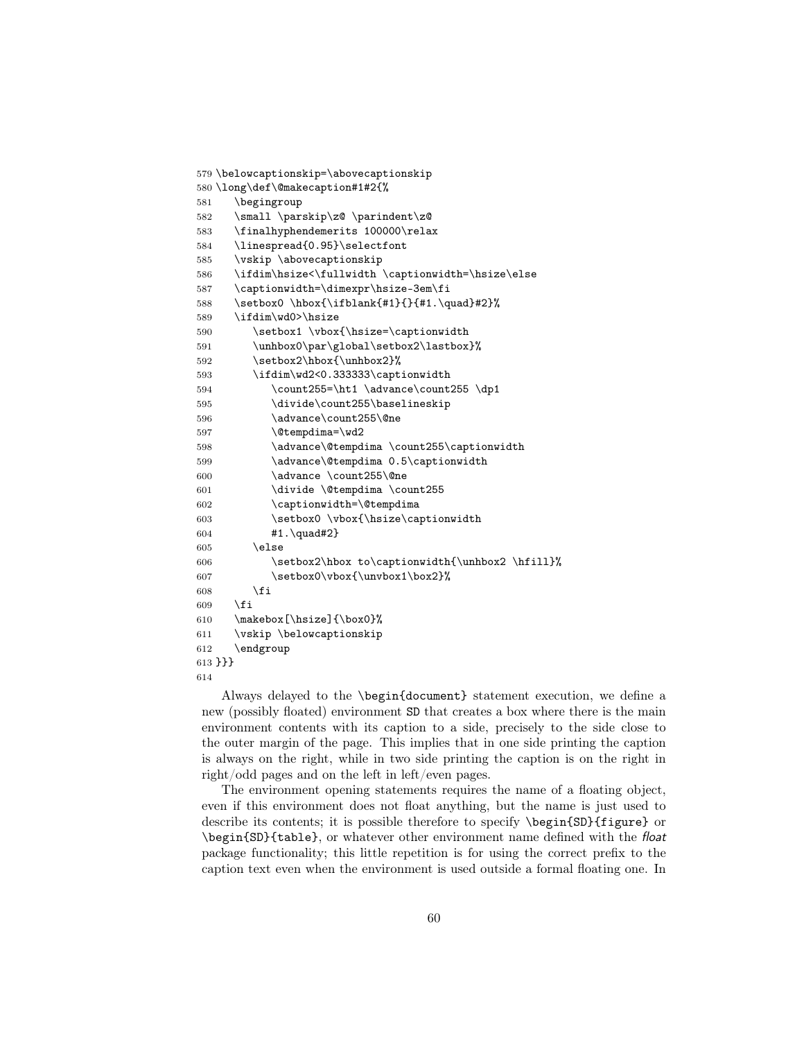```
579 \belowcaptionskip=\abovecaptionskip
580 \long\def\@makecaption#1#2{%
581 \begingroup
582 \small \parskip\z@ \parindent\z@
583 \finalhyphendemerits 100000\relax
584 \linespread{0.95}\selectfont
585 \vskip \abovecaptionskip
586 \ifdim\hsize<\fullwidth \captionwidth=\hsize\else
587 \captionwidth=\dimexpr\hsize-3em\fi
588 \setbox0 \hbox{\ifblank{#1}{}{#1.\quad}#2}%
589 \ifdim\wd0>\hsize
590 \setbox1 \vbox{\hsize=\captionwidth
591 \unhbox0\par\global\setbox2\lastbox}%
592 \setbox2\hbox{\unhbox2}%
593 \ifdim\wd2<0.333333\captionwidth
594 \count255=\ht1 \advance\count255 \dp1
595 \divide\count255\baselineskip
596 \advance\count255\@ne
597 \@tempdima=\wd2
598 \advance\@tempdima \count255\captionwidth
599 \advance\@tempdima 0.5\captionwidth
600 \advance \count255\@ne
601 \divide \@tempdima \count255
602 \captionwidth=\@tempdima
603 \setbox0 \vbox{\hsize\captionwidth
604 #1.\quad#2}
605 \else
606 \setbox2\hbox to\captionwidth{\unhbox2 \hfill}%
607 \setbox0\vbox{\unvbox1\box2}%
608 \setminusfi
609 \setminusfi
610 \makebox[\hsize]{\box0}%
611 \vskip \belowcaptionskip
612 \endgroup
613 }}}
614
```
Always delayed to the \begin{document} statement execution, we define a new (possibly floated) environment SD that creates a box where there is the main environment contents with its caption to a side, precisely to the side close to the outer margin of the page. This implies that in one side printing the caption is always on the right, while in two side printing the caption is on the right in right/odd pages and on the left in left/even pages.

The environment opening statements requires the name of a floating object, even if this environment does not float anything, but the name is just used to describe its contents; it is possible therefore to specify \begin{SD}{figure} or \begin{SD}{table}, or whatever other environment name defined with the float package functionality; this little repetition is for using the correct prefix to the caption text even when the environment is used outside a formal floating one. In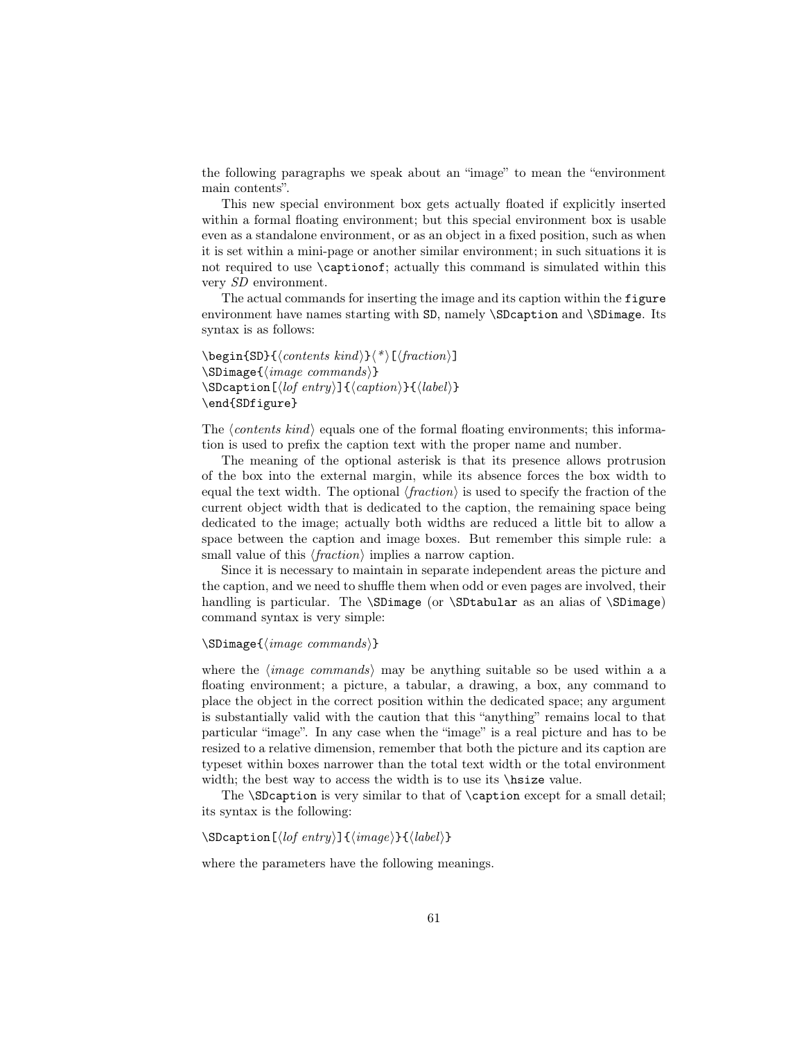the following paragraphs we speak about an "image" to mean the "environment main contents".

This new special environment box gets actually floated if explicitly inserted within a formal floating environment; but this special environment box is usable even as a standalone environment, or as an object in a fixed position, such as when it is set within a mini-page or another similar environment; in such situations it is not required to use \captionof; actually this command is simulated within this very SD environment.

The actual commands for inserting the image and its caption within the figure environment have names starting with SD, namely \SDcaption and \SDimage. Its syntax is as follows:

 $\begin{align} \begin{bmatrix} \delta \end{bmatrix} < \text{constant} \end{align}$  $\S$ Dimage{ $\langle image\ commands \rangle$ }  $\SDeaption[\langle\text{left}{} \rangle]{\{\langle\text{caption}\}\{\langle\text{label}\rangle\}}$ \end{SDfigure}

The  $\langle contents kind \rangle$  equals one of the formal floating environments; this information is used to prefix the caption text with the proper name and number.

The meaning of the optional asterisk is that its presence allows protrusion of the box into the external margin, while its absence forces the box width to equal the text width. The optional  $\langle fraction \rangle$  is used to specify the fraction of the current object width that is dedicated to the caption, the remaining space being dedicated to the image; actually both widths are reduced a little bit to allow a space between the caption and image boxes. But remember this simple rule: a small value of this  $\langle fraction \rangle$  implies a narrow caption.

Since it is necessary to maintain in separate independent areas the picture and the caption, and we need to shuffle them when odd or even pages are involved, their handling is particular. The \SDimage (or \SDtabular as an alias of \SDimage) command syntax is very simple:

```
\SDimage{\langle image\ commands \rangle}
```
where the  $\langle image\ commands \rangle$  may be anything suitable so be used within a a floating environment; a picture, a tabular, a drawing, a box, any command to place the object in the correct position within the dedicated space; any argument is substantially valid with the caution that this "anything" remains local to that particular "image". In any case when the "image" is a real picture and has to be resized to a relative dimension, remember that both the picture and its caption are typeset within boxes narrower than the total text width or the total environment width; the best way to access the width is to use its \histse value.

The **\SDcaption** is very similar to that of **\caption** except for a small detail; its syntax is the following:

```
\SDeaption[\langle lof entry \rangle]{\langle image \rangle}{\langle label \rangle}
```
where the parameters have the following meanings.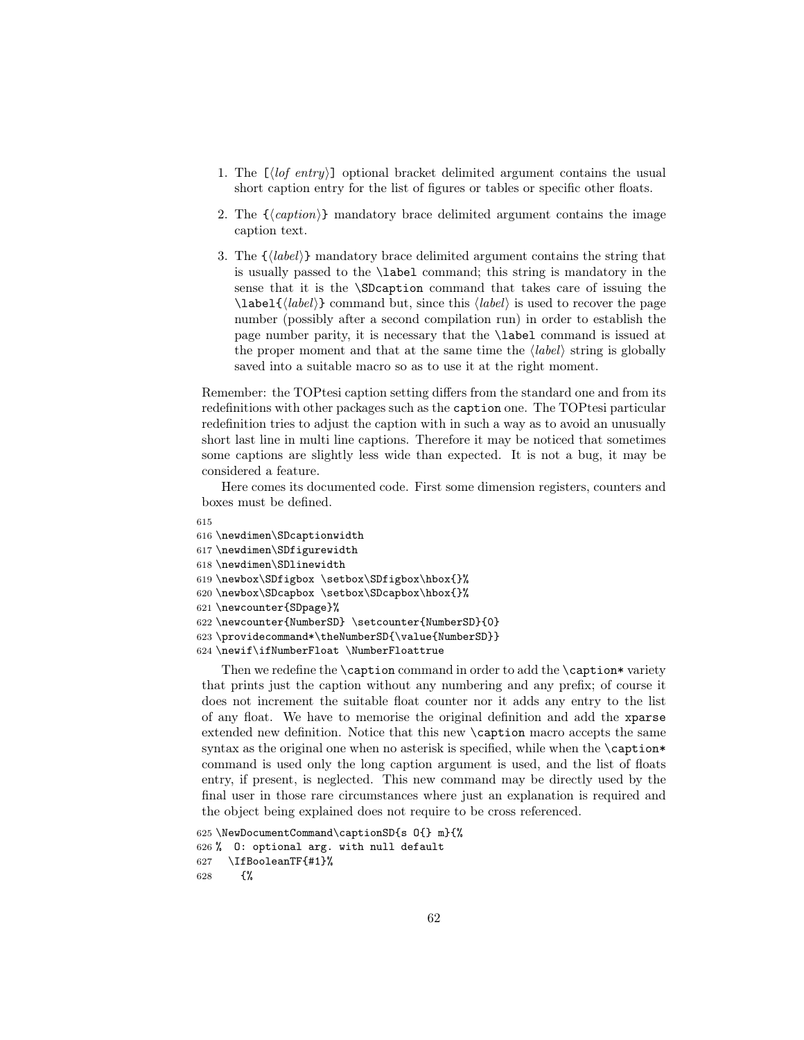- 1. The  $\left[\langle\log\:entry\rangle\right]$  optional bracket delimited argument contains the usual short caption entry for the list of figures or tables or specific other floats.
- 2. The  $\{\langle caption\rangle\}$  mandatory brace delimited argument contains the image caption text.
- 3. The  $\{\langle label \rangle\}$  mandatory brace delimited argument contains the string that is usually passed to the \label command; this string is mandatory in the sense that it is the \SDcaption command that takes care of issuing the  $\langle$ label $\{\langle label \rangle\}$  command but, since this  $\langle label \rangle$  is used to recover the page number (possibly after a second compilation run) in order to establish the page number parity, it is necessary that the \label command is issued at the proper moment and that at the same time the  $\langle label \rangle$  string is globally saved into a suitable macro so as to use it at the right moment.

Remember: the TOPtesi caption setting differs from the standard one and from its redefinitions with other packages such as the caption one. The TOPtesi particular redefinition tries to adjust the caption with in such a way as to avoid an unusually short last line in multi line captions. Therefore it may be noticed that sometimes some captions are slightly less wide than expected. It is not a bug, it may be considered a feature.

Here comes its documented code. First some dimension registers, counters and boxes must be defined.

```
615
616 \newdimen\SDcaptionwidth
617 \newdimen\SDfigurewidth
618 \newdimen\SDlinewidth
619 \newbox\SDfigbox \setbox\SDfigbox\hbox{}%
620 \newbox\SDcapbox \setbox\SDcapbox\hbox{}%
621 \newcounter{SDpage}%
622 \newcounter{NumberSD} \setcounter{NumberSD}{0}
623 \providecommand*\theNumberSD{\value{NumberSD}}
624 \newif\ifNumberFloat \NumberFloattrue
```
Then we redefine the \caption command in order to add the \caption\* variety that prints just the caption without any numbering and any prefix; of course it does not increment the suitable float counter nor it adds any entry to the list of any float. We have to memorise the original definition and add the xparse extended new definition. Notice that this new \caption macro accepts the same syntax as the original one when no asterisk is specified, while when the  $\emptyset$ command is used only the long caption argument is used, and the list of floats entry, if present, is neglected. This new command may be directly used by the final user in those rare circumstances where just an explanation is required and the object being explained does not require to be cross referenced.

```
625 \NewDocumentCommand\captionSD{s O{} m}{%
626 % O: optional arg. with null default
627 \IfBooleanTF{#1}%
628 \{ \%
```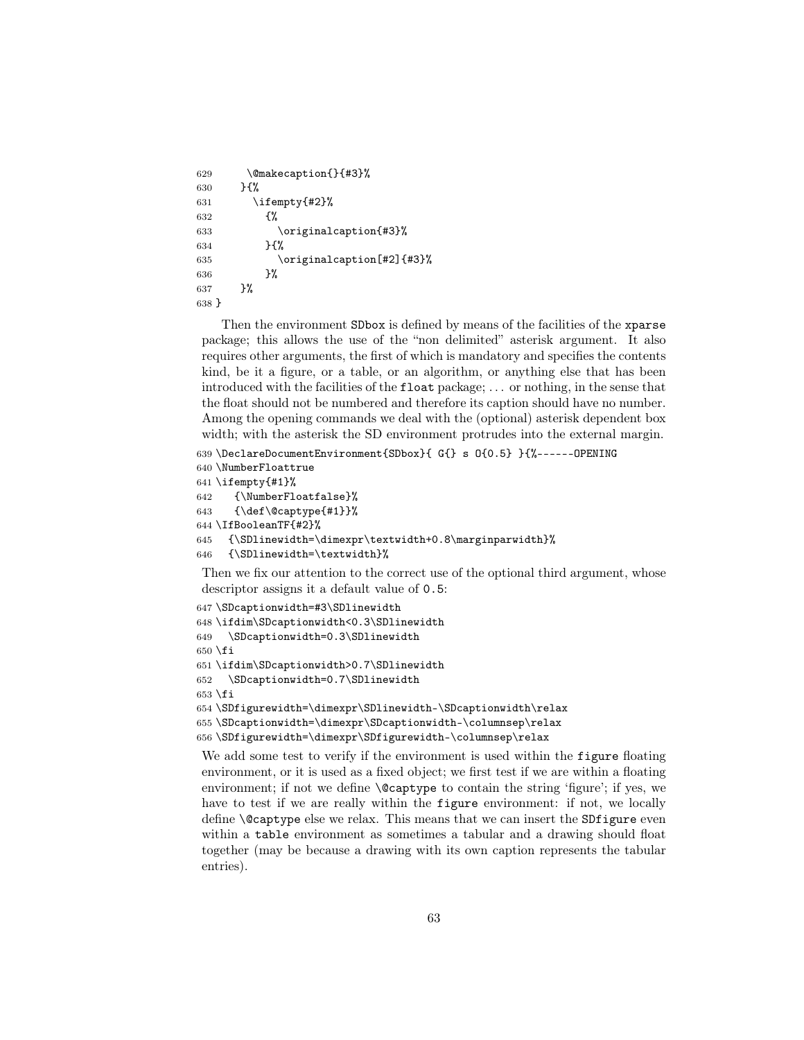```
629 \@makecaption{}{#3}%
630 }{%
631 \ifempty{#2}%
632 \{%633 \originalcaption{#3}%
634 }{%
635 \originalcaption[#2]{#3}%
636 }%
637 }%
638 }
```
Then the environment SDbox is defined by means of the facilities of the xparse package; this allows the use of the "non delimited" asterisk argument. It also requires other arguments, the first of which is mandatory and specifies the contents kind, be it a figure, or a table, or an algorithm, or anything else that has been introduced with the facilities of the float package; . . . or nothing, in the sense that the float should not be numbered and therefore its caption should have no number. Among the opening commands we deal with the (optional) asterisk dependent box width; with the asterisk the SD environment protrudes into the external margin.

```
639 \DeclareDocumentEnvironment{SDbox}{ G{} s O{0.5} }{%------OPENING
640 \NumberFloattrue
641 \setminus \text{impty}{#1}%
642 {\NumberFloatfalse}%
643 {\def\@captype{#1}}%
644 \IfBooleanTF{#2}%
645 {\SDlinewidth=\dimexpr\textwidth+0.8\marginparwidth}%
646 {\SDlinewidth=\textwidth}%
 Then we fix our attention to the correct use of the optional third argument, whose
 descriptor assigns it a default value of 0.5:
```

```
647 \SDcaptionwidth=#3\SDlinewidth
648 \ifdim\SDcaptionwidth<0.3\SDlinewidth
649 \SDcaptionwidth=0.3\SDlinewidth
650 \fi
651 \ifdim\SDcaptionwidth>0.7\SDlinewidth
652 \SDcaptionwidth=0.7\SDlinewidth
653 \fi
654 \SDfigurewidth=\dimexpr\SDlinewidth-\SDcaptionwidth\relax
655 \SDcaptionwidth=\dimexpr\SDcaptionwidth-\columnsep\relax
656 \SDfigurewidth=\dimexpr\SDfigurewidth-\columnsep\relax
```
We add some test to verify if the environment is used within the **figure** floating environment, or it is used as a fixed object; we first test if we are within a floating environment; if not we define \@captype to contain the string 'figure'; if yes, we have to test if we are really within the **figure** environment: if not, we locally define \@captype else we relax. This means that we can insert the SDfigure even within a table environment as sometimes a tabular and a drawing should float together (may be because a drawing with its own caption represents the tabular entries).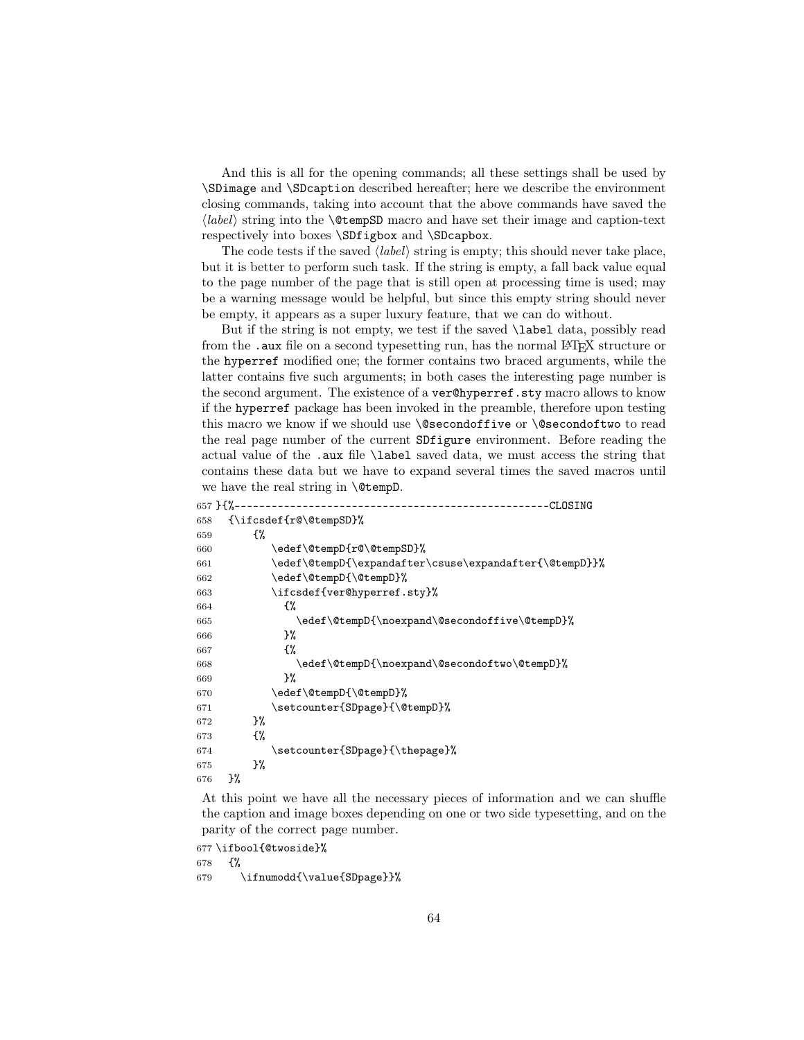And this is all for the opening commands; all these settings shall be used by \SDimage and \SDcaption described hereafter; here we describe the environment closing commands, taking into account that the above commands have saved the  $\langle label \rangle$  string into the **\@tempSD** macro and have set their image and caption-text respectively into boxes \SDfigbox and \SDcapbox.

The code tests if the saved  $\langle label \rangle$  string is empty; this should never take place, but it is better to perform such task. If the string is empty, a fall back value equal to the page number of the page that is still open at processing time is used; may be a warning message would be helpful, but since this empty string should never be empty, it appears as a super luxury feature, that we can do without.

But if the string is not empty, we test if the saved \label data, possibly read from the .aux file on a second typesetting run, has the normal LAT<sub>EX</sub> structure or the hyperref modified one; the former contains two braced arguments, while the latter contains five such arguments; in both cases the interesting page number is the second argument. The existence of a ver<sup>@hyperref.sty macro allows to know</sup> if the hyperref package has been invoked in the preamble, therefore upon testing this macro we know if we should use \@secondoffive or \@secondoftwo to read the real page number of the current SDfigure environment. Before reading the actual value of the .aux file \label saved data, we must access the string that contains these data but we have to expand several times the saved macros until we have the real string in **\@tempD**.

| $657$ } {% - - - |    |    | --------------------------------<br>CLOSING            |
|------------------|----|----|--------------------------------------------------------|
| 658              |    |    | $\{\iota\;f\;csdef\;f@\;fempSD\}\$                     |
| 659              |    | £% |                                                        |
| 660              |    |    | \edef\@tempD{r@\@tempSD}%                              |
| 661              |    |    | \edef\@tempD{\expandafter\csuse\expandafter{\@tempD}}% |
| 662              |    |    | \edef\@tempD{\@tempD}%                                 |
| 663              |    |    | \ifcsdef{ver@hyperref.sty}%                            |
| 664              |    |    | £%                                                     |
| 665              |    |    | \edef\@tempD{\noexpand\@secondoffive\@tempD}%          |
| 666              |    |    | }‰                                                     |
| 667              |    |    | £%                                                     |
| 668              |    |    | \edef\@tempD{\noexpand\@secondoftwo\@tempD}%           |
| 669              |    |    | ጉ%                                                     |
| 670              |    |    | \edef\@tempD{\@tempD}%                                 |
| 671              |    |    | \setcounter{SDpage}{\@tempD}%                          |
| 672              |    | }‰ |                                                        |
| 673              |    | £% |                                                        |
| 674              |    |    | \setcounter{SDpage}{\thepage}%                         |
| 675              |    | }‰ |                                                        |
| 676              | }‰ |    |                                                        |
|                  |    |    |                                                        |

At this point we have all the necessary pieces of information and we can shuffle the caption and image boxes depending on one or two side typesetting, and on the parity of the correct page number.

677 \ifbool{@twoside}%

678 {%

679 \ifnumodd{\value{SDpage}}%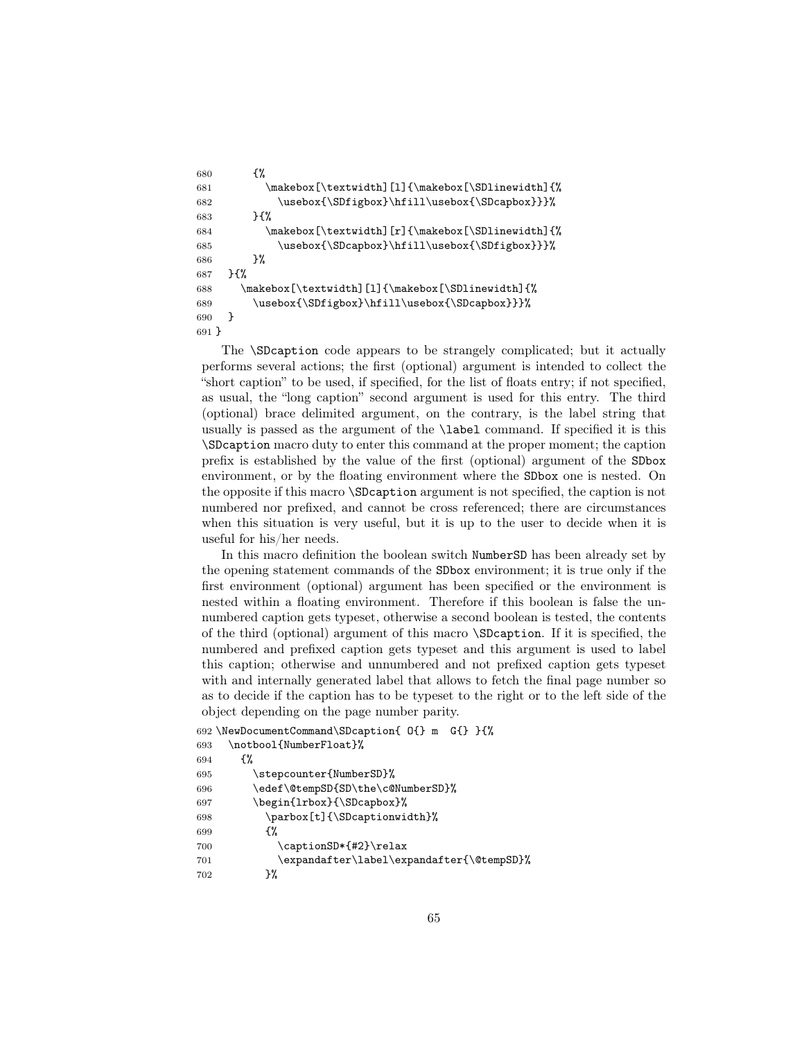```
680 {%
681 \makebox[\textwidth][l]{\makebox[\SDlinewidth]{%
682 \usebox{\SDfigbox}\hfill\usebox{\SDcapbox}}}%
683 }{%
684 \makebox[\textwidth][r]{\makebox[\SDlinewidth]{%
685 \usebox{\SDcapbox}\hfill\usebox{\SDfigbox}}}%
686 }%
687 }{%
688 \makebox[\textwidth][l]{\makebox[\SDlinewidth]{%
689 \usebox{\SDfigbox}\hfill\usebox{\SDcapbox}}}%
690 }
691 }
```
The \SDcaption code appears to be strangely complicated; but it actually performs several actions; the first (optional) argument is intended to collect the "short caption" to be used, if specified, for the list of floats entry; if not specified, as usual, the "long caption" second argument is used for this entry. The third (optional) brace delimited argument, on the contrary, is the label string that usually is passed as the argument of the \label command. If specified it is this \SDcaption macro duty to enter this command at the proper moment; the caption prefix is established by the value of the first (optional) argument of the SDbox environment, or by the floating environment where the SDbox one is nested. On the opposite if this macro \SDcaption argument is not specified, the caption is not numbered nor prefixed, and cannot be cross referenced; there are circumstances when this situation is very useful, but it is up to the user to decide when it is useful for his/her needs.

In this macro definition the boolean switch NumberSD has been already set by the opening statement commands of the SDbox environment; it is true only if the first environment (optional) argument has been specified or the environment is nested within a floating environment. Therefore if this boolean is false the unnumbered caption gets typeset, otherwise a second boolean is tested, the contents of the third (optional) argument of this macro \SDcaption. If it is specified, the numbered and prefixed caption gets typeset and this argument is used to label this caption; otherwise and unnumbered and not prefixed caption gets typeset with and internally generated label that allows to fetch the final page number so as to decide if the caption has to be typeset to the right or to the left side of the object depending on the page number parity.

```
692 \NewDocumentCommand\SDcaption{ O{} m G{} }{%
693 \notbool{NumberFloat}%
694 {%
695 \stepcounter{NumberSD}%
696 \edef\@tempSD{SD\the\c@NumberSD}%
697 \begin{lrbox}{\SDcapbox}%
698 \parbox[t]{\SDcaptionwidth}%
699 {%
700 \captionSD*{#2}\relax
701 \expandafter\label\expandafter{\@tempSD}%
702 }%
```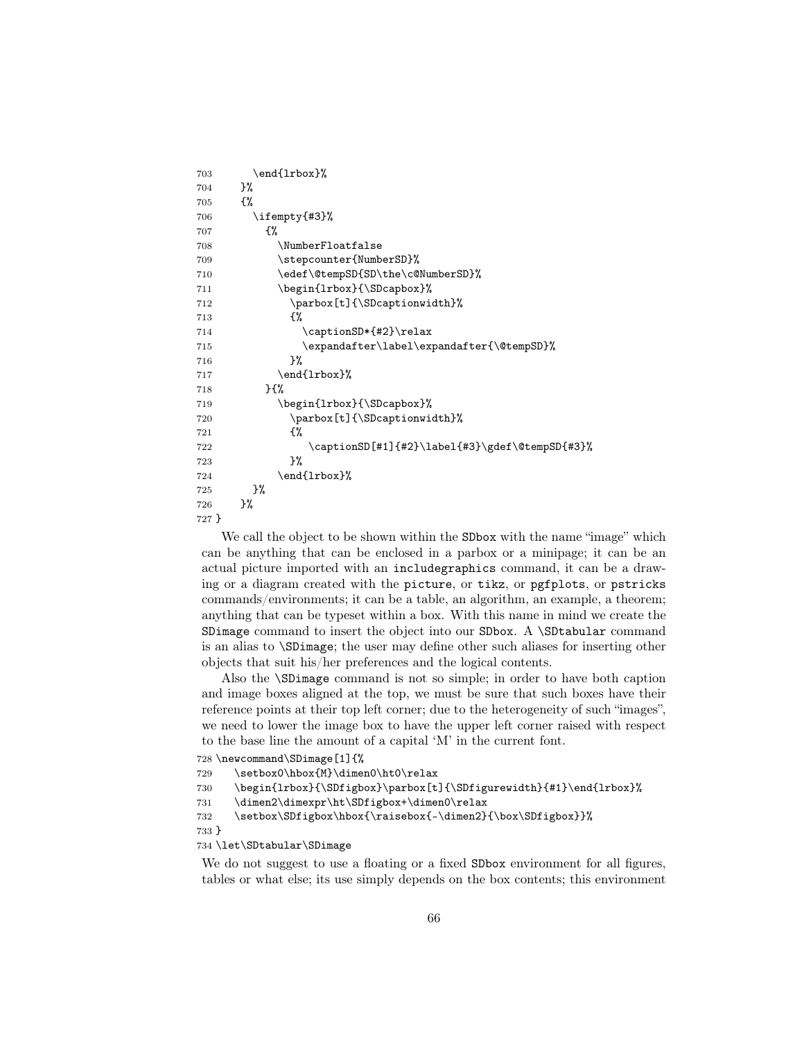```
703 \end{lrbox}%
704 }%
705 {%
706 \ifempty{#3}%
707 {%
708 \NumberFloatfalse
709 \stepcounter{NumberSD}%
710 \edef\@tempSD{SD\the\c@NumberSD}%
711 \begin{lrbox}{\SDcapbox}%
712 \parbox[t]{\SDcaptionwidth}%
713 {%
714 \captionSD*{#2}\relax
715 \expandafter\label\expandafter{\@tempSD}%
716 }%
717 \end{lrbox}%
718 }{%
719 \begin{lrbox}{\SDcapbox}%
720 \parbox[t]{\SDcaptionwidth}%
721 \{ \%722 \captionSD[#1]{#2}\label{#3}\gdef\@tempSD{#3}%
723 }%
724 \end{lrbox}%
725 }%
726 }%
727 }
```
We call the object to be shown within the SDbox with the name "image" which can be anything that can be enclosed in a parbox or a minipage; it can be an actual picture imported with an includegraphics command, it can be a drawing or a diagram created with the picture, or tikz, or pgfplots, or pstricks commands/environments; it can be a table, an algorithm, an example, a theorem; anything that can be typeset within a box. With this name in mind we create the SDimage command to insert the object into our SDbox. A \SDtabular command is an alias to \SDimage; the user may define other such aliases for inserting other objects that suit his/her preferences and the logical contents.

Also the \SDimage command is not so simple; in order to have both caption and image boxes aligned at the top, we must be sure that such boxes have their reference points at their top left corner; due to the heterogeneity of such "images", we need to lower the image box to have the upper left corner raised with respect to the base line the amount of a capital 'M' in the current font.

```
728 \newcommand\SDimage[1]{%
```

```
729 \setbox0\hbox{M}\dimen0\ht0\relax
```

```
730 \begin{lrbox}{\SDfigbox}\parbox[t]{\SDfigurewidth}{#1}\end{lrbox}%
```

```
731 \dimen2\dimexpr\ht\SDfigbox+\dimen0\relax
```

```
732 \setbox\SDfigbox\hbox{\raisebox{-\dimen2}{\box\SDfigbox}}%
```

```
733 }
```
## 734 \let\SDtabular\SDimage

We do not suggest to use a floating or a fixed **SDbox** environment for all figures, tables or what else; its use simply depends on the box contents; this environment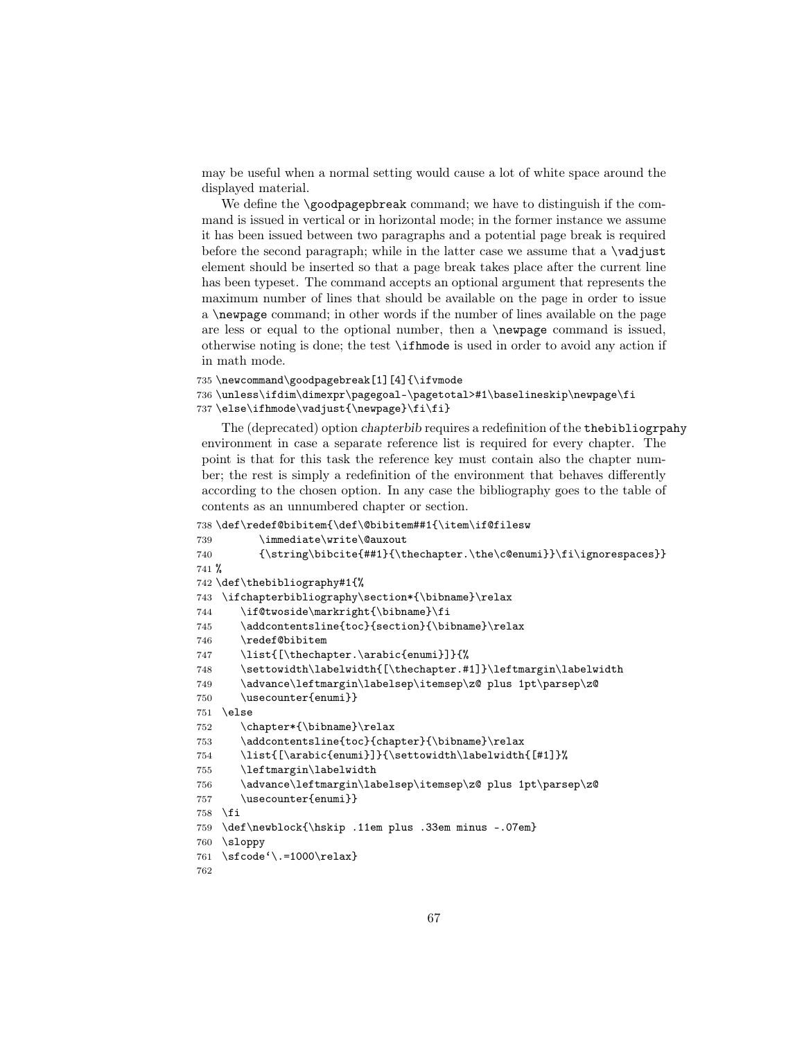may be useful when a normal setting would cause a lot of white space around the displayed material.

We define the  $\qquad$  codpagepbreak command; we have to distinguish if the command is issued in vertical or in horizontal mode; in the former instance we assume it has been issued between two paragraphs and a potential page break is required before the second paragraph; while in the latter case we assume that a  $\varepsilon$   $\Delta$ element should be inserted so that a page break takes place after the current line has been typeset. The command accepts an optional argument that represents the maximum number of lines that should be available on the page in order to issue a \newpage command; in other words if the number of lines available on the page are less or equal to the optional number, then a \newpage command is issued, otherwise noting is done; the test \ifhmode is used in order to avoid any action if in math mode.

```
735 \newcommand\goodpagebreak[1][4]{\ifvmode
736 \unless\ifdim\dimexpr\pagegoal-\pagetotal>#1\baselineskip\newpage\fi
737\else\ifhmode\vadjust{\newpage}\fi\fi}
```
The (deprecated) option chapterbib requires a redefinition of the thebibliogrpahy environment in case a separate reference list is required for every chapter. The point is that for this task the reference key must contain also the chapter number; the rest is simply a redefinition of the environment that behaves differently according to the chosen option. In any case the bibliography goes to the table of contents as an unnumbered chapter or section.

```
738 \def\redef@bibitem{\def\@bibitem##1{\item\if@filesw
```

```
739 \immediate\write\@auxout
740 {\string\bibcite{##1}{\thechapter.\the\c@enumi}}\fi\ignorespaces}}
741 %
742 \def\thebibliography#1{%
743 \ifchapterbibliography\section*{\bibname}\relax
744 \if@twoside\markright{\bibname}\fi
745 \addcontentsline{toc}{section}{\bibname}\relax
746 \redef@bibitem
747 \list{[\thechapter.\arabic{enumi}]}{%
748 \settowidth\labelwidth{[\thechapter.#1]}\leftmargin\labelwidth
749 \advance\leftmargin\labelsep\itemsep\z@ plus 1pt\parsep\z@
750 \usecounter{enumi}}
751 \else
752 \chapter*{\bibname}\relax
753 \ddcontentsline{toc}{chapter}{\bibname}\relax
754 \list{[\arabic{enumi}]}{\settowidth\labelwidth{[#1]}%
755 \leftmargin\labelwidth
756 \advance\leftmargin\labelsep\itemsep\z@ plus 1pt\parsep\z@
757 \usecounter{enumi}}
758 \fi
759 \def\newblock{\hskip .11em plus .33em minus -.07em}
760 \sloppy
761 \sfcode'\.=1000\relax}
762
```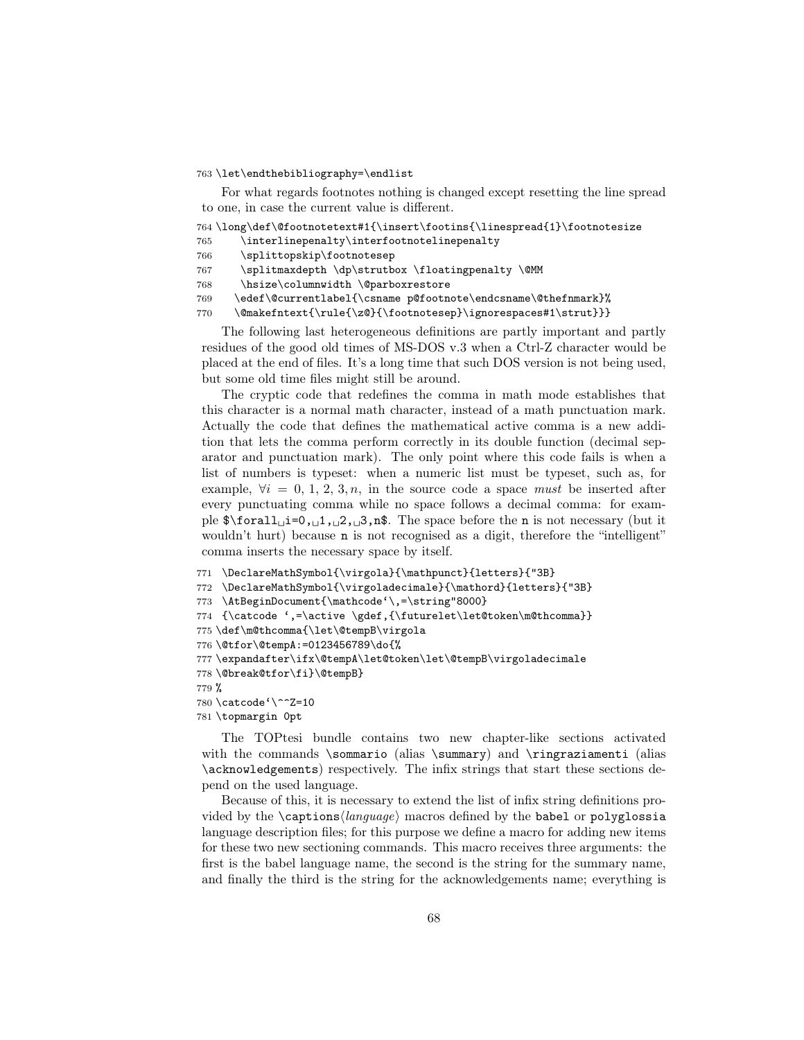#### 763 \let\endthebibliography=\endlist

For what regards footnotes nothing is changed except resetting the line spread to one, in case the current value is different.

```
764 \long\def\@footnotetext#1{\insert\footins{\linespread{1}\footnotesize
765 \interlinepenalty\interfootnotelinepenalty
766 \splittopskip\footnotesep
767 \splitmaxdepth \dp\strutbox \floatingpenalty \@MM
768 \hsize\columnwidth \@parboxrestore
769 \edef\@currentlabel{\csname p@footnote\endcsname\@thefnmark}%
770 \@makefntext{\rule{\z@}{\footnotesep}\ignorespaces#1\strut}}}
```
The following last heterogeneous definitions are partly important and partly residues of the good old times of MS-DOS v.3 when a Ctrl-Z character would be placed at the end of files. It's a long time that such DOS version is not being used, but some old time files might still be around.

The cryptic code that redefines the comma in math mode establishes that this character is a normal math character, instead of a math punctuation mark. Actually the code that defines the mathematical active comma is a new addition that lets the comma perform correctly in its double function (decimal separator and punctuation mark). The only point where this code fails is when a list of numbers is typeset: when a numeric list must be typeset, such as, for example,  $\forall i = 0, 1, 2, 3, n$ , in the source code a space must be inserted after every punctuating comma while no space follows a decimal comma: for example \$\forall␣i=0,␣1,␣2,␣3,n\$. The space before the n is not necessary (but it wouldn't hurt) because **n** is not recognised as a digit, therefore the "intelligent" comma inserts the necessary space by itself.

```
771 \DeclareMathSymbol{\virgola}{\mathpunct}{letters}{"3B}
772 \DeclareMathSymbol{\virgoladecimale}{\mathord}{letters}{"3B}
773 \AtBeginDocument{\mathcode'\,=\string"8000}
774 {\catcode ',=\active \gdef,{\futurelet\let@token\m@thcomma}}
775 \def\m@thcomma{\let\@tempB\virgola
776 \@tfor\@tempA:=0123456789\do{%
777 \expandafter\ifx\@tempA\let@token\let\@tempB\virgoladecimale
778 \@break@tfor\fi}\@tempB}
779 %
780 \catcode'\^^Z=10
781 \topmargin 0pt
```
The TOPtesi bundle contains two new chapter-like sections activated with the commands \sommario (alias \summary) and \ringraziamenti (alias \acknowledgements) respectively. The infix strings that start these sections depend on the used language.

Because of this, it is necessary to extend the list of infix string definitions provided by the  $\cap \langle \langle \rangle \rangle$  macros defined by the babel or polyglossia language description files; for this purpose we define a macro for adding new items for these two new sectioning commands. This macro receives three arguments: the first is the babel language name, the second is the string for the summary name, and finally the third is the string for the acknowledgements name; everything is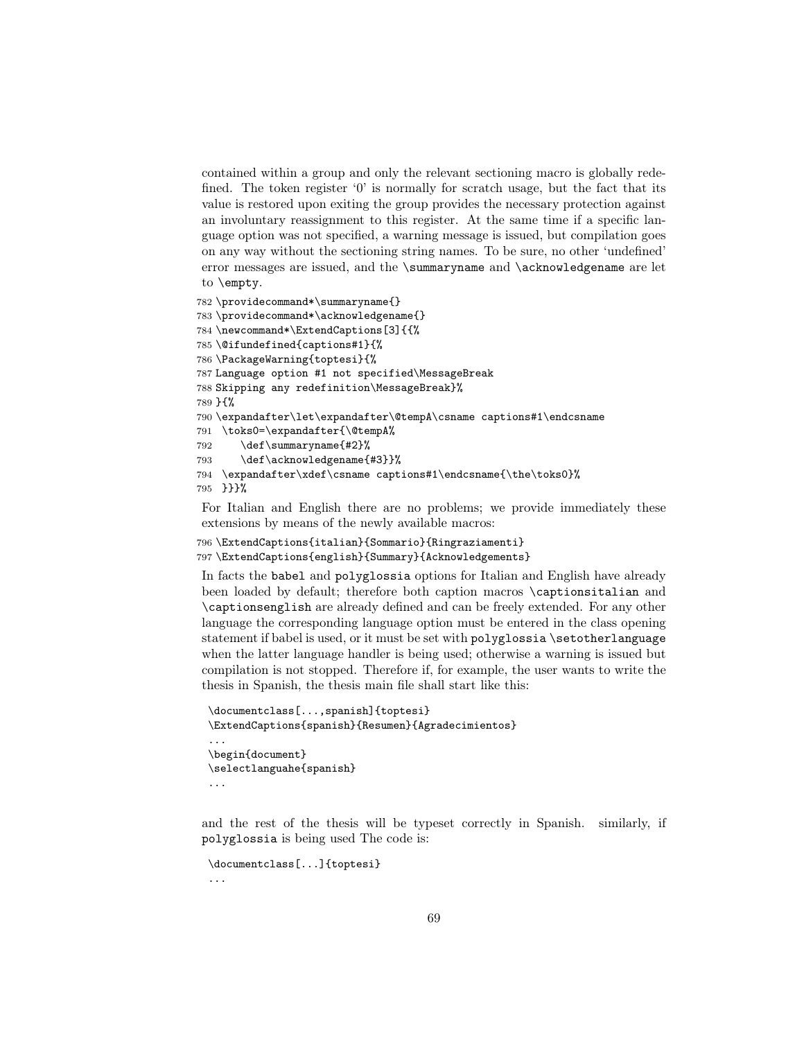contained within a group and only the relevant sectioning macro is globally redefined. The token register '0' is normally for scratch usage, but the fact that its value is restored upon exiting the group provides the necessary protection against an involuntary reassignment to this register. At the same time if a specific language option was not specified, a warning message is issued, but compilation goes on any way without the sectioning string names. To be sure, no other 'undefined' error messages are issued, and the \summaryname and \acknowledgename are let to \empty.

```
782 \providecommand*\summaryname{}
783 \providecommand*\acknowledgename{}
784 \newcommand*\ExtendCaptions[3]{{%
785 \@ifundefined{captions#1}{%
786 \PackageWarning{toptesi}{%
787 Language option #1 not specified\MessageBreak
788 Skipping any redefinition\MessageBreak}%
789 }{%
790 \expandafter\let\expandafter\@tempA\csname captions#1\endcsname
791 \toks0=\expandafter{\@tempA%
792 \def\summaryname{#2}%
793 \def\acknowledgename{#3}}%
794 \expandafter\xdef\csname captions#1\endcsname{\the\toks0}%
795 }}}%
```
For Italian and English there are no problems; we provide immediately these extensions by means of the newly available macros:

```
796 \ExtendCaptions{italian}{Sommario}{Ringraziamenti}
797 \ExtendCaptions{english}{Summary}{Acknowledgements}
```
In facts the babel and polyglossia options for Italian and English have already been loaded by default; therefore both caption macros \captionsitalian and \captionsenglish are already defined and can be freely extended. For any other language the corresponding language option must be entered in the class opening statement if babel is used, or it must be set with polyglossia \setotherlanguage when the latter language handler is being used; otherwise a warning is issued but compilation is not stopped. Therefore if, for example, the user wants to write the thesis in Spanish, the thesis main file shall start like this:

```
\documentclass[...,spanish]{toptesi}
\ExtendCaptions{spanish}{Resumen}{Agradecimientos}
...
\begin{document}
\selectlanguahe{spanish}
...
```
and the rest of the thesis will be typeset correctly in Spanish. similarly, if polyglossia is being used The code is:

```
\documentclass[...]{toptesi}
```
...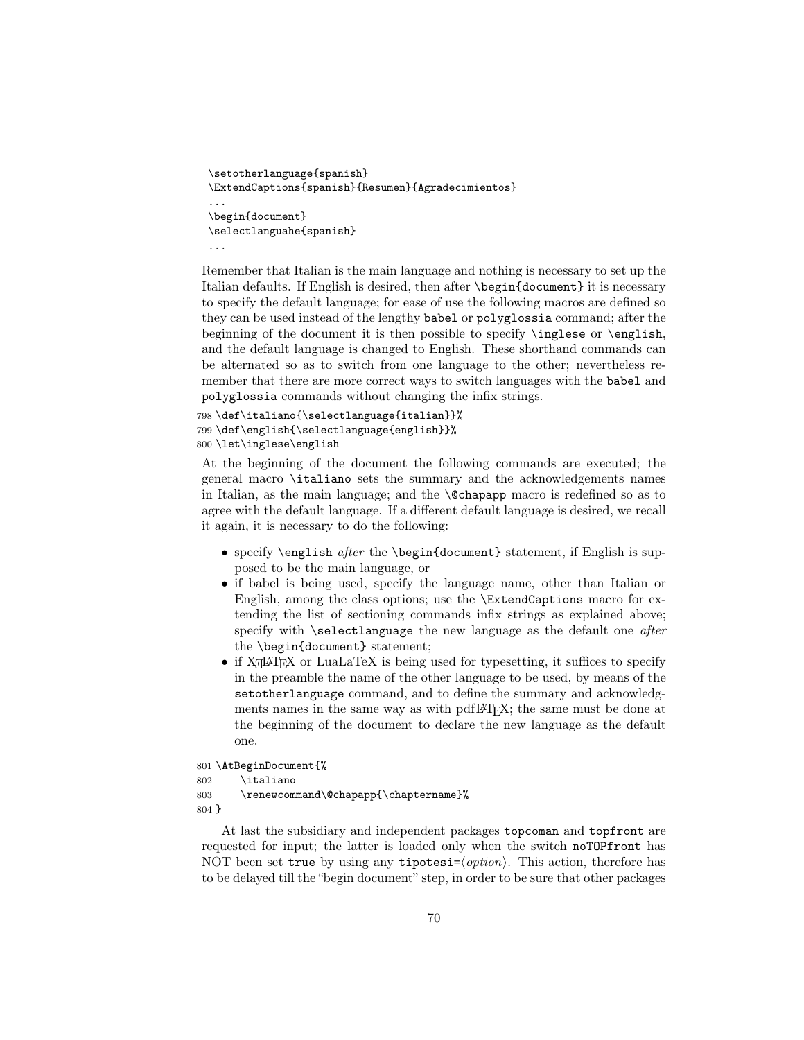```
\setotherlanguage{spanish}
\ExtendCaptions{spanish}{Resumen}{Agradecimientos}
...
\begin{document}
\selectlanguahe{spanish}
...
```
Remember that Italian is the main language and nothing is necessary to set up the Italian defaults. If English is desired, then after \begin{document} it is necessary to specify the default language; for ease of use the following macros are defined so they can be used instead of the lengthy babel or polyglossia command; after the beginning of the document it is then possible to specify \inglese or \english, and the default language is changed to English. These shorthand commands can be alternated so as to switch from one language to the other; nevertheless remember that there are more correct ways to switch languages with the babel and polyglossia commands without changing the infix strings.

```
798 \def\italiano{\selectlanguage{italian}}%
799 \def\english{\selectlanguage{english}}%
800 \let\inglese\english
```
At the beginning of the document the following commands are executed; the general macro \italiano sets the summary and the acknowledgements names in Italian, as the main language; and the \@chapapp macro is redefined so as to agree with the default language. If a different default language is desired, we recall it again, it is necessary to do the following:

- specify \english after the \begin{document} statement, if English is supposed to be the main language, or
- if babel is being used, specify the language name, other than Italian or English, among the class options; use the \ExtendCaptions macro for extending the list of sectioning commands infix strings as explained above; specify with \selectlanguage the new language as the default one *after* the \begin{document} statement;
- if  $X \rightarrow Y$  or LuaLaTeX is being used for type<br>setting, it suffices to specify in the preamble the name of the other language to be used, by means of the setotherlanguage command, and to define the summary and acknowledgments names in the same way as with pdfLATFX; the same must be done at the beginning of the document to declare the new language as the default one.

801 \AtBeginDocument{%

```
802 \italiano
803 \renewcommand\@chapapp{\chaptername}%
804 }
```
At last the subsidiary and independent packages topcoman and topfront are requested for input; the latter is loaded only when the switch noTOPfront has NOT been set true by using any tipotesi= $\langle option \rangle$ . This action, therefore has to be delayed till the "begin document" step, in order to be sure that other packages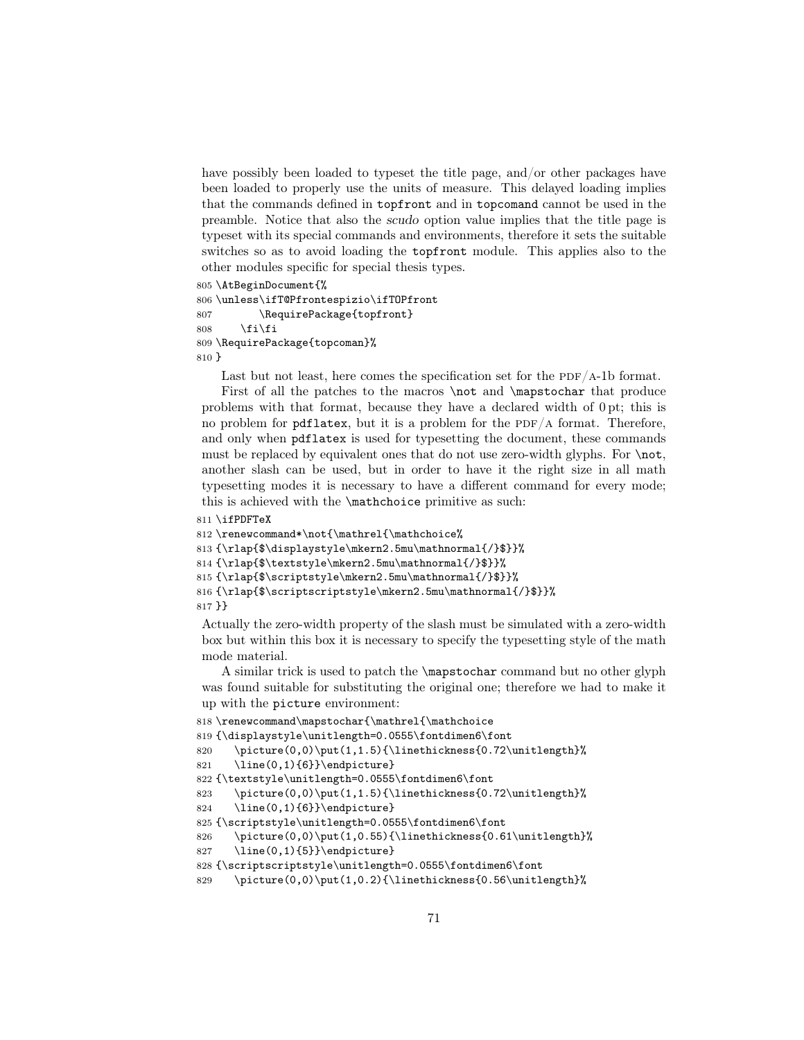have possibly been loaded to typeset the title page, and/or other packages have been loaded to properly use the units of measure. This delayed loading implies that the commands defined in topfront and in topcomand cannot be used in the preamble. Notice that also the scudo option value implies that the title page is typeset with its special commands and environments, therefore it sets the suitable switches so as to avoid loading the topfront module. This applies also to the other modules specific for special thesis types.

```
805 \AtBeginDocument{%
806 \unless\ifT@Pfrontespizio\ifTOPfront
807 \RequirePackage{topfront}
808 \if{if}809 \RequirePackage{topcoman}%
810 }
```
Last but not least, here comes the specification set for the  $PDF/A-1b$  format.

First of all the patches to the macros **\not** and **\mapstochar** that produce problems with that format, because they have a declared width of 0 pt; this is no problem for  $pdflatex$ , but it is a problem for the  $PDF/A$  format. Therefore, and only when pdflatex is used for typesetting the document, these commands must be replaced by equivalent ones that do not use zero-width glyphs. For  $\not\to\ldots$ another slash can be used, but in order to have it the right size in all math typesetting modes it is necessary to have a different command for every mode; this is achieved with the \mathchoice primitive as such:

```
811 \ifPDFTeX
```

```
812 \renewcommand*\not{\mathrel{\mathchoice%
813 {\rlap{$\displaystyle\mkern2.5mu\mathnormal{/}$}}%
814 {\rlap{$\textstyle\mkern2.5mu\mathnormal{/}$}}%
815 {\rlap{$\scriptstyle\mkern2.5mu\mathnormal{/}$}}%
816 {\rlap{$\scriptscriptstyle\mkern2.5mu\mathnormal{/}$}}%
817 }}
```
Actually the zero-width property of the slash must be simulated with a zero-width box but within this box it is necessary to specify the typesetting style of the math mode material.

A similar trick is used to patch the \mapstochar command but no other glyph was found suitable for substituting the original one; therefore we had to make it up with the picture environment:

```
818 \renewcommand\mapstochar{\mathrel{\mathchoice
819 {\displaystyle\unitlength=0.0555\fontdimen6\font
820 \picture(0,0)\put(1,1.5){\linethickness{0.72\unitlength}%
821 \line(0,1){6}}\endpicture}
822 {\textstyle\unitlength=0.0555\fontdimen6\font
823 \picture(0,0)\put(1,1.5){\linethickness{0.72\unitlength}%
824 \line(0,1){6}}\endpicture}
825 {\scriptstyle\unitlength=0.0555\fontdimen6\font
826 \ \pt{picture(0,0)\put(1,0.55)}{\line{the}times{0.61\unitlength}\%}827 \line(0,1){5}}\endpicture}
828 {\scriptscriptstyle\unitlength=0.0555\fontdimen6\font
829 \picture(0,0)\put(1,0.2){\linethickness{0.56\unitlength}%
```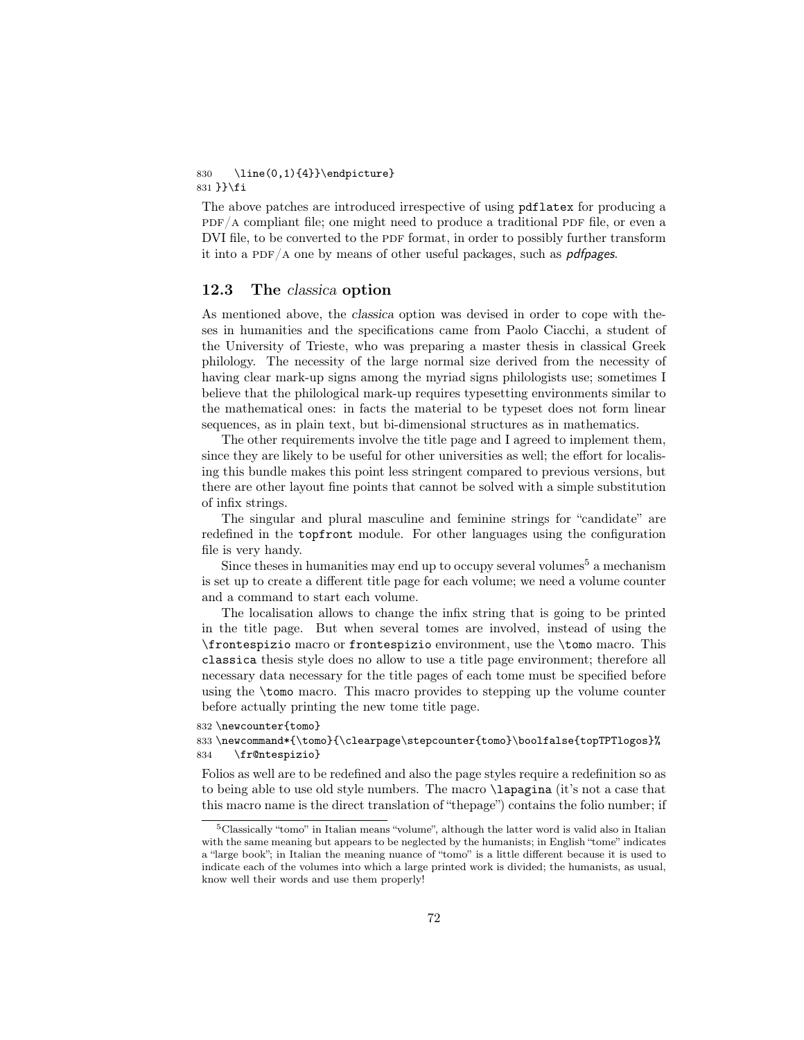#### 830 \line(0,1){4}}\endpicture} 831 }}\fi

The above patches are introduced irrespective of using pdflatex for producing a  $PDF/A$  compliant file; one might need to produce a traditional PDF file, or even a DVI file, to be converted to the PDF format, in order to possibly further transform it into a PDF/A one by means of other useful packages, such as *pdfpages*.

### 12.3 The classica option

As mentioned above, the classica option was devised in order to cope with theses in humanities and the specifications came from Paolo Ciacchi, a student of the University of Trieste, who was preparing a master thesis in classical Greek philology. The necessity of the large normal size derived from the necessity of having clear mark-up signs among the myriad signs philologists use; sometimes I believe that the philological mark-up requires typesetting environments similar to the mathematical ones: in facts the material to be typeset does not form linear sequences, as in plain text, but bi-dimensional structures as in mathematics.

The other requirements involve the title page and I agreed to implement them, since they are likely to be useful for other universities as well; the effort for localising this bundle makes this point less stringent compared to previous versions, but there are other layout fine points that cannot be solved with a simple substitution of infix strings.

The singular and plural masculine and feminine strings for "candidate" are redefined in the topfront module. For other languages using the configuration file is very handy.

Since theses in humanities may end up to occupy several volumes<sup>5</sup> a mechanism is set up to create a different title page for each volume; we need a volume counter and a command to start each volume.

The localisation allows to change the infix string that is going to be printed in the title page. But when several tomes are involved, instead of using the \frontespizio macro or frontespizio environment, use the \tomo macro. This classica thesis style does no allow to use a title page environment; therefore all necessary data necessary for the title pages of each tome must be specified before using the \tomo macro. This macro provides to stepping up the volume counter before actually printing the new tome title page.

832 \newcounter{tomo}

833 \newcommand\*{\tomo}{\clearpage\stepcounter{tomo}\boolfalse{topTPTlogos}% 834 \fr@ntespizio}

Folios as well are to be redefined and also the page styles require a redefinition so as to being able to use old style numbers. The macro \lapagina (it's not a case that this macro name is the direct translation of "thepage") contains the folio number; if

<sup>5</sup>Classically "tomo" in Italian means "volume", although the latter word is valid also in Italian with the same meaning but appears to be neglected by the humanists; in English "tome" indicates a "large book"; in Italian the meaning nuance of "tomo" is a little different because it is used to indicate each of the volumes into which a large printed work is divided; the humanists, as usual, know well their words and use them properly!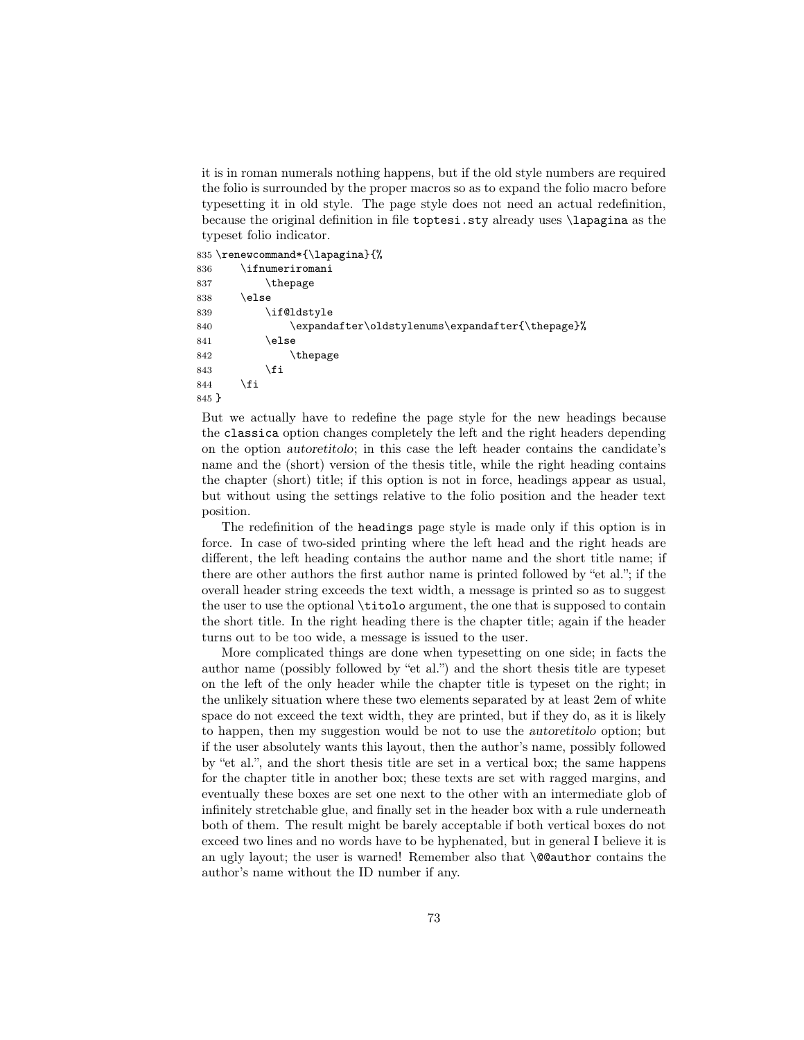it is in roman numerals nothing happens, but if the old style numbers are required the folio is surrounded by the proper macros so as to expand the folio macro before typesetting it in old style. The page style does not need an actual redefinition, because the original definition in file toptesi.sty already uses \lapagina as the typeset folio indicator.

835 \renewcommand\*{\lapagina}{%

| 836   | $\verb \ifnumeriromani $                         |
|-------|--------------------------------------------------|
| 837   | \thepage                                         |
| 838   | \else                                            |
| 839   | \if@ldstyle                                      |
| 840   | \expandafter\oldstylenums\expandafter{\thepage}% |
| 841   | \else                                            |
| 842   | \thepage                                         |
| 843   | \fi                                              |
| 844   | \fi                                              |
| 845 P |                                                  |

But we actually have to redefine the page style for the new headings because the classica option changes completely the left and the right headers depending on the option autoretitolo; in this case the left header contains the candidate's name and the (short) version of the thesis title, while the right heading contains the chapter (short) title; if this option is not in force, headings appear as usual, but without using the settings relative to the folio position and the header text position.

The redefinition of the headings page style is made only if this option is in force. In case of two-sided printing where the left head and the right heads are different, the left heading contains the author name and the short title name; if there are other authors the first author name is printed followed by "et al."; if the overall header string exceeds the text width, a message is printed so as to suggest the user to use the optional \titolo argument, the one that is supposed to contain the short title. In the right heading there is the chapter title; again if the header turns out to be too wide, a message is issued to the user.

More complicated things are done when typesetting on one side; in facts the author name (possibly followed by "et al.") and the short thesis title are typeset on the left of the only header while the chapter title is typeset on the right; in the unlikely situation where these two elements separated by at least 2em of white space do not exceed the text width, they are printed, but if they do, as it is likely to happen, then my suggestion would be not to use the autoretitolo option; but if the user absolutely wants this layout, then the author's name, possibly followed by "et al.", and the short thesis title are set in a vertical box; the same happens for the chapter title in another box; these texts are set with ragged margins, and eventually these boxes are set one next to the other with an intermediate glob of infinitely stretchable glue, and finally set in the header box with a rule underneath both of them. The result might be barely acceptable if both vertical boxes do not exceed two lines and no words have to be hyphenated, but in general I believe it is an ugly layout; the user is warned! Remember also that \@@author contains the author's name without the ID number if any.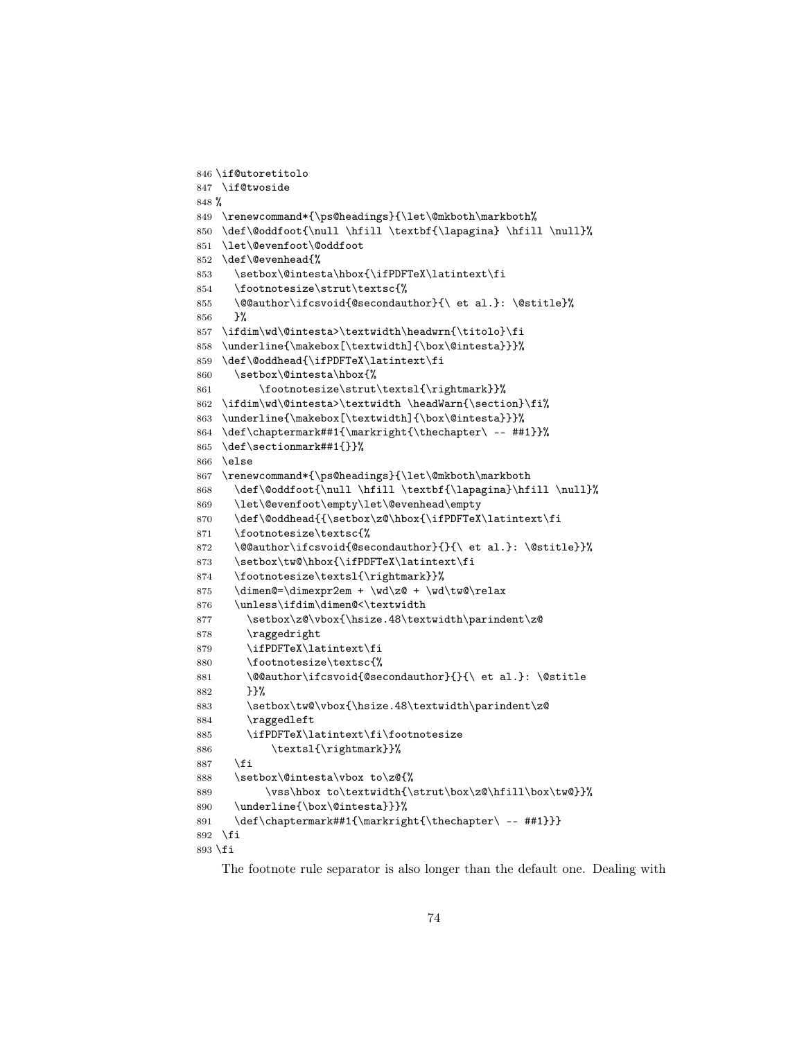```
846 \if@utoretitolo
847 \if@twoside
848 %
849 \renewcommand*{\ps@headings}{\let\@mkboth\markboth%
850 \def\@oddfoot{\null \hfill \textbf{\lapagina} \hfill \null}%
851 \let\@evenfoot\@oddfoot
852 \def\@evenhead{%
853 \setbox\@intesta\hbox{\ifPDFTeX\latintext\fi
854 \footnotesize\strut\textsc{%
855 \@@author\ifcsvoid{@secondauthor}{\ et al.}: \@stitle}%
856 }%
857 \ifdim\wd\@intesta>\textwidth\headwrn{\titolo}\fi
858 \underline{\makebox[\textwidth]{\box\@intesta}}}%
859 \def\@oddhead{\ifPDFTeX\latintext\fi
860 \setbox\@intesta\hbox{%
861 \footnotesize\strut\textsl{\rightmark}}%
862 \ifdim\wd\@intesta>\textwidth \headWarn{\section}\fi%
863 \underline{\makebox[\textwidth]{\box\@intesta}}}%
864 \def\chaptermark##1{\markright{\thechapter\ -- ##1}}%
865 \def\sectionmark##1{}}%
866 \else
867 \renewcommand*{\ps@headings}{\let\@mkboth\markboth
868 \def\@oddfoot{\null \hfill \textbf{\lapagina}\hfill \null}%
869 \let\@evenfoot\empty\let\@evenhead\empty
870 \def\@oddhead{{\setbox\z@\hbox{\ifPDFTeX\latintext\fi
871 \footnotesize\textsc{%
872 \@@author\ifcsvoid{@secondauthor}{}{\ et al.}: \@stitle}}%
873 \setbox\tw@\hbox{\ifPDFTeX\latintext\fi
874 \footnotesize\textsl{\rightmark}}%
875 \dimen@=\dimexpr2em + \wd\z@ + \wd\tw@\relax
876 \unless\ifdim\dimen@<\textwidth
877 \setbox\z@\vbox{\hsize.48\textwidth\parindent\z@
878 \raggedright
879 \ifPDFTeX\latintext\fi
880 \footnotesize\textsc{%
881 \@@author\ifcsvoid{@secondauthor}{}{\ et al.}: \@stitle
882 }}%
883 \setbox\tw@\vbox{\hsize.48\textwidth\parindent\z@
884 \raggedleft
885 \ifPDFTeX\latintext\fi\footnotesize
886 \textsl{\rightmark}}%
887 \fi
888 \setbox\@intesta\vbox to\z@{%
889 \qquad \texttt{obx to\textbf{\strut}box\z0\hfil1\boxtimes\texttt{}}890 \underline{\box\@intesta}}}%
891 \def\chaptermark##1{\markright{\thechapter\ -- ##1}}}
892 \fi
893 \fi
```
The footnote rule separator is also longer than the default one. Dealing with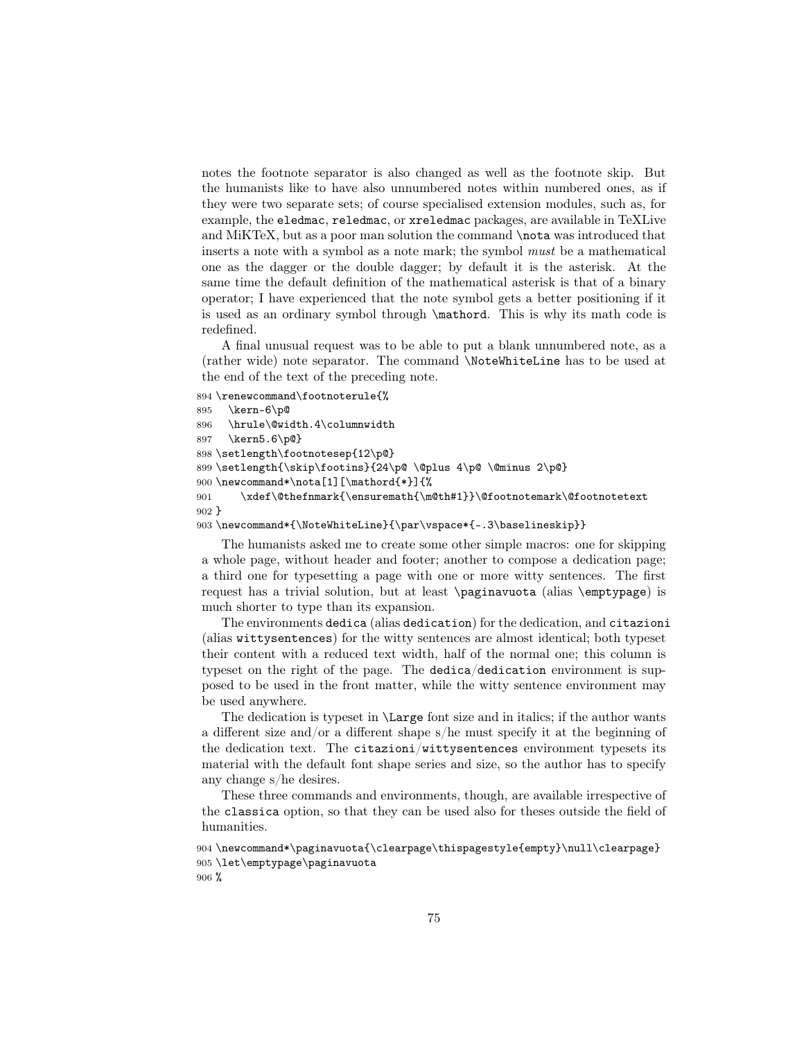notes the footnote separator is also changed as well as the footnote skip. But the humanists like to have also unnumbered notes within numbered ones, as if they were two separate sets; of course specialised extension modules, such as, for example, the eledmac, reledmac, or xreledmac packages, are available in TeXLive and MiKTeX, but as a poor man solution the command **\nota** was introduced that inserts a note with a symbol as a note mark; the symbol must be a mathematical one as the dagger or the double dagger; by default it is the asterisk. At the same time the default definition of the mathematical asterisk is that of a binary operator; I have experienced that the note symbol gets a better positioning if it is used as an ordinary symbol through \mathord. This is why its math code is redefined.

A final unusual request was to be able to put a blank unnumbered note, as a (rather wide) note separator. The command \NoteWhiteLine has to be used at the end of the text of the preceding note.

```
894 \renewcommand\footnoterule{%
895 \kern-6\p@
896 \hrule\@width.4\columnwidth
897 \kern5.6\p@}
898 \setlength\footnotesep{12\p@}
899 \setlength{\skip\footins}{24\p@ \@plus 4\p@ \@minus 2\p@}
900 \newcommand*\nota[1][\mathord{*}]{%
901 \xdef\@thefnmark{\ensuremath{\m@th#1}}\@footnotemark\@footnotetext
902 }
```

```
903 \newcommand*{\NoteWhiteLine}{\par\vspace*{-.3\baselineskip}}
```
The humanists asked me to create some other simple macros: one for skipping a whole page, without header and footer; another to compose a dedication page; a third one for typesetting a page with one or more witty sentences. The first request has a trivial solution, but at least \paginavuota (alias \emptypage) is much shorter to type than its expansion.

The environments dedica (alias dedication) for the dedication, and citazioni (alias wittysentences) for the witty sentences are almost identical; both typeset their content with a reduced text width, half of the normal one; this column is typeset on the right of the page. The dedica/dedication environment is supposed to be used in the front matter, while the witty sentence environment may be used anywhere.

The dedication is typeset in \Large font size and in italics; if the author wants a different size and/or a different shape s/he must specify it at the beginning of the dedication text. The citazioni/wittysentences environment typesets its material with the default font shape series and size, so the author has to specify any change s/he desires.

These three commands and environments, though, are available irrespective of the classica option, so that they can be used also for theses outside the field of humanities.

```
904 \newcommand*\paginavuota{\clearpage\thispagestyle{empty}\null\clearpage}
905 \let\emptypage\paginavuota
906 %
```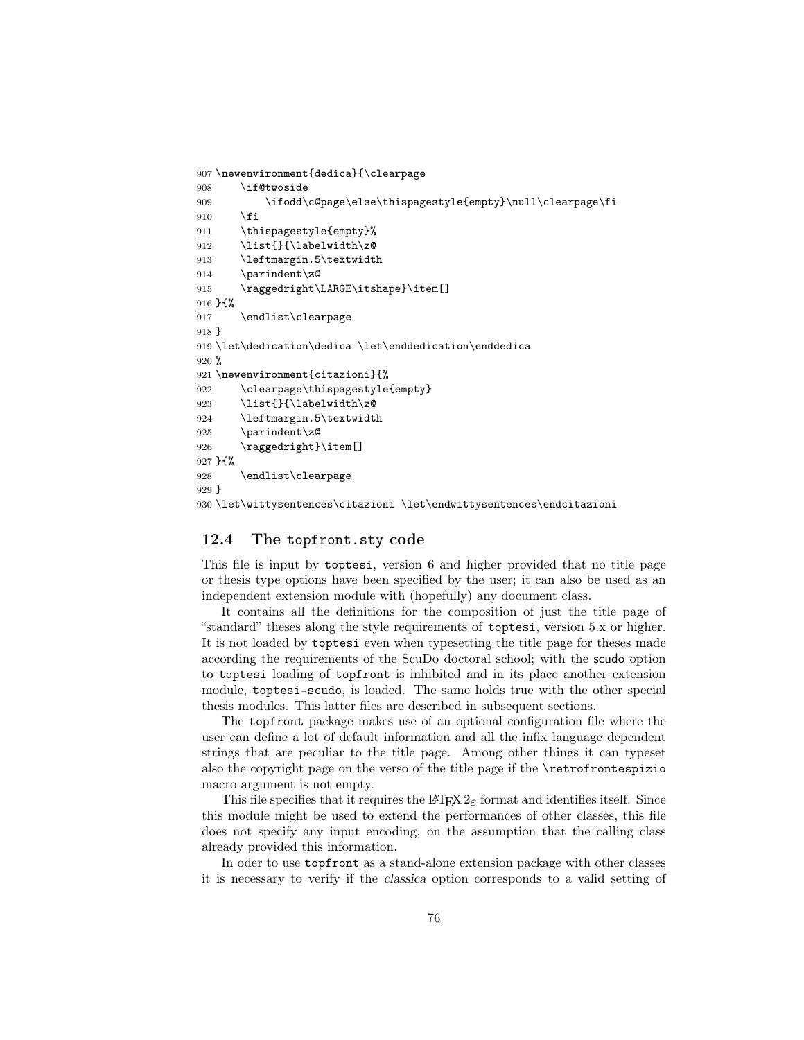```
907 \newenvironment{dedica}{\clearpage
908 \if@twoside
909 \ifodd\c@page\else\thispagestyle{empty}\null\clearpage\fi
910 \overline{f}911 \thispagestyle{empty}%
912 \list{}{\labelwidth\z@
913 \leftmargin.5\textwidth
914 \parindent\z@
915 \raggedright\LARGE\itshape}\item[]
916 }{%
917 \endlist\clearpage
918 }
919 \let\dedication\dedica \let\enddedication\enddedica
920 %
921 \newenvironment{citazioni}{%
922 \clearpage\thispagestyle{empty}
923 \list{}{\labelwidth\z@
924 \leftmargin.5\textwidth
925 \parindent\z@
926 \raggedright}\item[]
927 }{%
928 \endlist\clearpage
929 }
930 \let\wittysentences\citazioni \let\endwittysentences\endcitazioni
```
# 12.4 The topfront.sty code

This file is input by toptesi, version 6 and higher provided that no title page or thesis type options have been specified by the user; it can also be used as an independent extension module with (hopefully) any document class.

It contains all the definitions for the composition of just the title page of "standard" theses along the style requirements of toptesi, version 5.x or higher. It is not loaded by toptesi even when typesetting the title page for theses made according the requirements of the ScuDo doctoral school; with the scudo option to toptesi loading of topfront is inhibited and in its place another extension module, toptesi-scudo, is loaded. The same holds true with the other special thesis modules. This latter files are described in subsequent sections.

The topfront package makes use of an optional configuration file where the user can define a lot of default information and all the infix language dependent strings that are peculiar to the title page. Among other things it can typeset also the copyright page on the verso of the title page if the \retrofrontespizio macro argument is not empty.

This file specifies that it requires the LAT<sub>EX</sub>  $2<sub>\epsilon</sub>$  format and identifies itself. Since this module might be used to extend the performances of other classes, this file does not specify any input encoding, on the assumption that the calling class already provided this information.

In oder to use topfront as a stand-alone extension package with other classes it is necessary to verify if the classica option corresponds to a valid setting of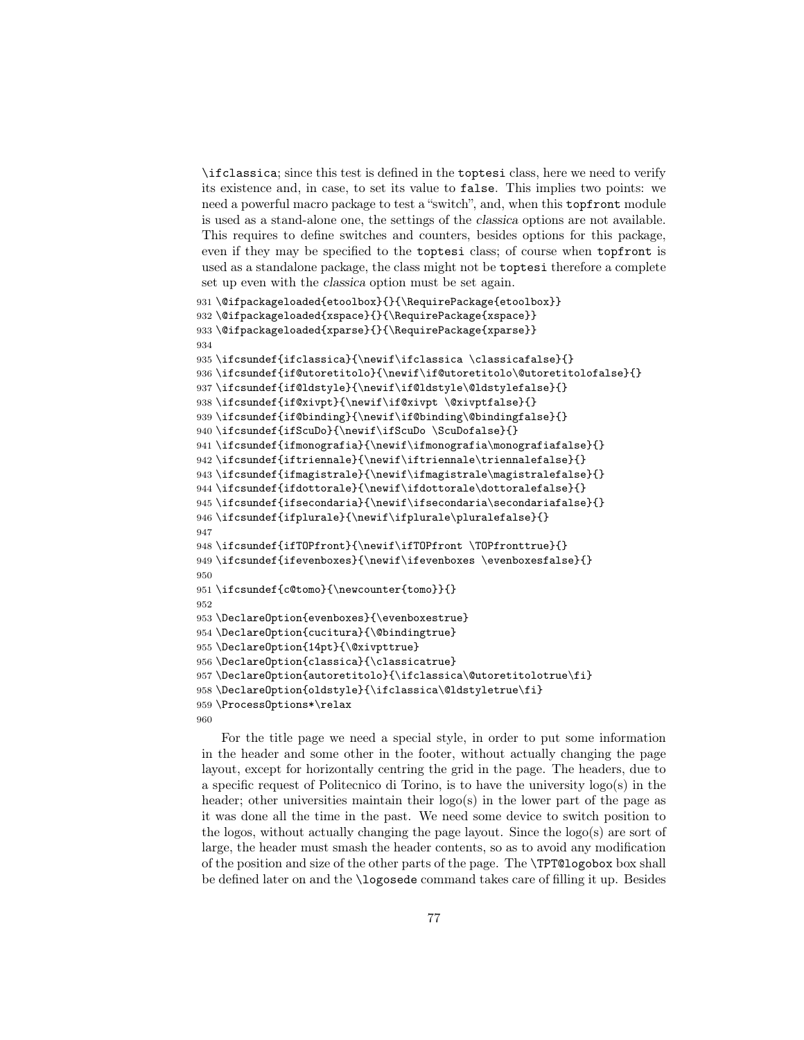\ifclassica; since this test is defined in the toptesi class, here we need to verify its existence and, in case, to set its value to false. This implies two points: we need a powerful macro package to test a "switch", and, when this topfront module is used as a stand-alone one, the settings of the classica options are not available. This requires to define switches and counters, besides options for this package, even if they may be specified to the toptesi class; of course when topfront is used as a standalone package, the class might not be toptesi therefore a complete set up even with the classica option must be set again.

```
931 \@ifpackageloaded{etoolbox}{}{\RequirePackage{etoolbox}}
932 \@ifpackageloaded{xspace}{}{\RequirePackage{xspace}}
933 \@ifpackageloaded{xparse}{}{\RequirePackage{xparse}}
934
935 \ifcsundef{ifclassica}{\newif\ifclassica \classicafalse}{}
936 \ifcsundef{if@utoretitolo}{\newif\if@utoretitolo\@utoretitolofalse}{}
937 \ifcsundef{if@ldstyle}{\newif\if@ldstyle\@ldstylefalse}{}
938 \ifcsundef{if@xivpt}{\newif\if@xivpt \@xivptfalse}{}
939 \ifcsundef{if@binding}{\newif\if@binding\@bindingfalse}{}
940 \ifcsundef{ifScuDo}{\newif\ifScuDo \ScuDofalse}{}
941 \ifcsundef{ifmonografia}{\newif\ifmonografia\monografiafalse}{}
942 \ifcsundef{iftriennale}{\newif\iftriennale\triennalefalse}{}
943 \ifcsundef{ifmagistrale}{\newif\ifmagistrale\magistralefalse}{}
944 \ifcsundef{ifdottorale}{\newif\ifdottorale\dottoralefalse}{}
945 \ifcsundef{ifsecondaria}{\newif\ifsecondaria\secondariafalse}{}
946 \ifcsundef{ifplurale}{\newif\ifplurale\pluralefalse}{}
947
948 \ifcsundef{ifTOPfront}{\newif\ifTOPfront \TOPfronttrue}{}
949 \ifcsundef{ifevenboxes}{\newif\ifevenboxes \evenboxesfalse}{}
950
951 \ifcsundef{c@tomo}{\newcounter{tomo}}{}
952
953\DeclareOption{evenboxes}{\evenboxestrue}
954 \DeclareOption{cucitura}{\@bindingtrue}
955 \DeclareOption{14pt}{\@xivpttrue}
956 \DeclareOption{classica}{\classicatrue}
957 \DeclareOption{autoretitolo}{\ifclassica\@utoretitolotrue\fi}
958 \DeclareOption{oldstyle}{\ifclassica\@ldstyletrue\fi}
959 \ProcessOptions*\relax
960
```
For the title page we need a special style, in order to put some information in the header and some other in the footer, without actually changing the page layout, except for horizontally centring the grid in the page. The headers, due to a specific request of Politecnico di Torino, is to have the university logo(s) in the header; other universities maintain their logo(s) in the lower part of the page as it was done all the time in the past. We need some device to switch position to the logos, without actually changing the page layout. Since the logo(s) are sort of large, the header must smash the header contents, so as to avoid any modification of the position and size of the other parts of the page. The \TPT@logobox box shall be defined later on and the \logosede command takes care of filling it up. Besides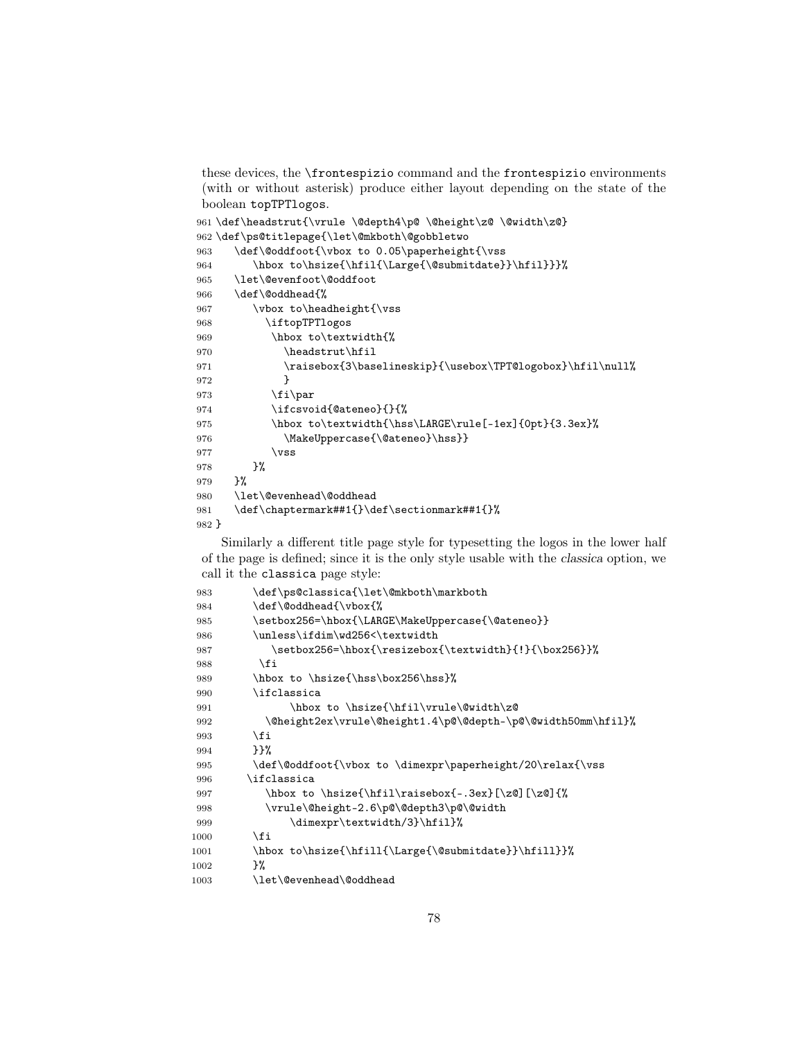these devices, the \frontespizio command and the frontespizio environments (with or without asterisk) produce either layout depending on the state of the boolean topTPTlogos.

```
961\def\headstrut{\vrule \@depth4\p@ \@height\z@ \@width\z@}
962 \def\ps@titlepage{\let\@mkboth\@gobbletwo
963 \def\@oddfoot{\vbox to 0.05\paperheight{\vss
964 \hbox to\hsize{\hfil{\Large{\@submitdate}}\hfil}}}%
965 \let\@evenfoot\@oddfoot
966 \def\@oddhead{%
967 \vbox to\headheight{\vss
968 \iftopTPTlogos
969 \hbox to\textwidth{%
970 \headstrut\hfil
971 \raisebox{3\baselineskip}{\usebox\TPT@logobox}\hfil\null%
972 }
973 \ifmmode{\bmod}5\else{thm35B.pdf\fi974 \ifcsvoid{@ateneo}{}{%
975 \hbox to\textwidth{\hss\LARGE\rule[-1ex]{0pt}{3.3ex}%
976 \MakeUppercase{\@ateneo}\hss}}
977 \forallss
978 }%
979 }%
980 \let\@evenhead\@oddhead
981 \def\chaptermark##1{}\def\sectionmark##1{}%
982 }
```
Similarly a different title page style for typesetting the logos in the lower half of the page is defined; since it is the only style usable with the classica option, we call it the classica page style:

```
983 \def\ps@classica{\let\@mkboth\markboth
984 \def\@oddhead{\vbox{%
985 \setbox256=\hbox{\LARGE\MakeUppercase{\@ateneo}}
986 \unless\ifdim\wd256<\textwidth
987 \setbox256=\hbox{\resizebox{\textwidth}{!}{\box256}}%
988 \fi
989 \hbox to \hsize{\hss\box256\hss}%
990 \ifclassica
991 \hbox to \hsize{\hfil\vrule\@width\z@
992 \@height2ex\vrule\@height1.4\p@\@depth-\p@\@width50mm\hfil}%
993 \fi
994 }}%
995 \def\@oddfoot{\vbox to \dimexpr\paperheight/20\relax{\vss
996 \ifclassica
997 \hbox to \hsize{\hfil\raisebox{-.3ex}[\z@][\z@]{%
998 \vrule\@height-2.6\p@\@depth3\p@\@width
999 \dimexpr\textwidth/3}\hfil}%
1000 \quad \text{tri}1001 \hbox to\hsize{\hfill{\Large{\@submitdate}}\hfill}}%
1002 }%
1003 \let\@evenhead\@oddhead
```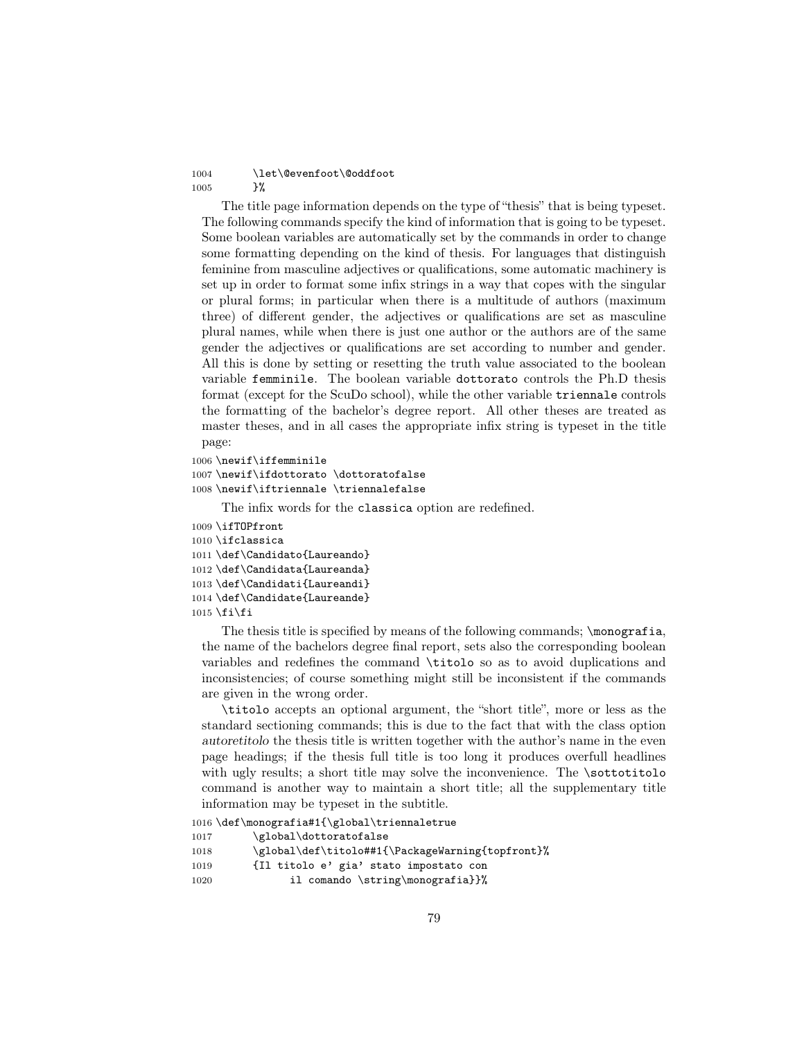## 1004 \let\@evenfoot\@oddfoot 1005 }%

The title page information depends on the type of "thesis" that is being typeset. The following commands specify the kind of information that is going to be typeset. Some boolean variables are automatically set by the commands in order to change some formatting depending on the kind of thesis. For languages that distinguish feminine from masculine adjectives or qualifications, some automatic machinery is set up in order to format some infix strings in a way that copes with the singular or plural forms; in particular when there is a multitude of authors (maximum three) of different gender, the adjectives or qualifications are set as masculine plural names, while when there is just one author or the authors are of the same gender the adjectives or qualifications are set according to number and gender. All this is done by setting or resetting the truth value associated to the boolean variable femminile. The boolean variable dottorato controls the Ph.D thesis format (except for the ScuDo school), while the other variable triennale controls the formatting of the bachelor's degree report. All other theses are treated as master theses, and in all cases the appropriate infix string is typeset in the title page:

```
1006 \newif\iffemminile
1007 \newif\ifdottorato \dottoratofalse
1008 \newif\iftriennale \triennalefalse
```
The infix words for the classica option are redefined.

```
1009 \ifTOPfront
1010 \ifclassica
1011 \def\Candidato{Laureando}
1012 \def\Candidata{Laureanda}
1013 \def\Candidati{Laureandi}
1014 \def\Candidate{Laureande}
1015 \text{fi}
```
The thesis title is specified by means of the following commands;  $\mod$  for  $\mod$ the name of the bachelors degree final report, sets also the corresponding boolean variables and redefines the command \titolo so as to avoid duplications and inconsistencies; of course something might still be inconsistent if the commands are given in the wrong order.

\titolo accepts an optional argument, the "short title", more or less as the standard sectioning commands; this is due to the fact that with the class option autoretitolo the thesis title is written together with the author's name in the even page headings; if the thesis full title is too long it produces overfull headlines with ugly results; a short title may solve the inconvenience. The \sottotitolo command is another way to maintain a short title; all the supplementary title information may be typeset in the subtitle.

```
1016 \def\monografia#1{\global\triennaletrue
1017 \global\dottoratofalse
1018 \global\def\titolo##1{\PackageWarning{topfront}%
1019 {Il titolo e' gia' stato impostato con
1020 il comando \string\monografia}}%
```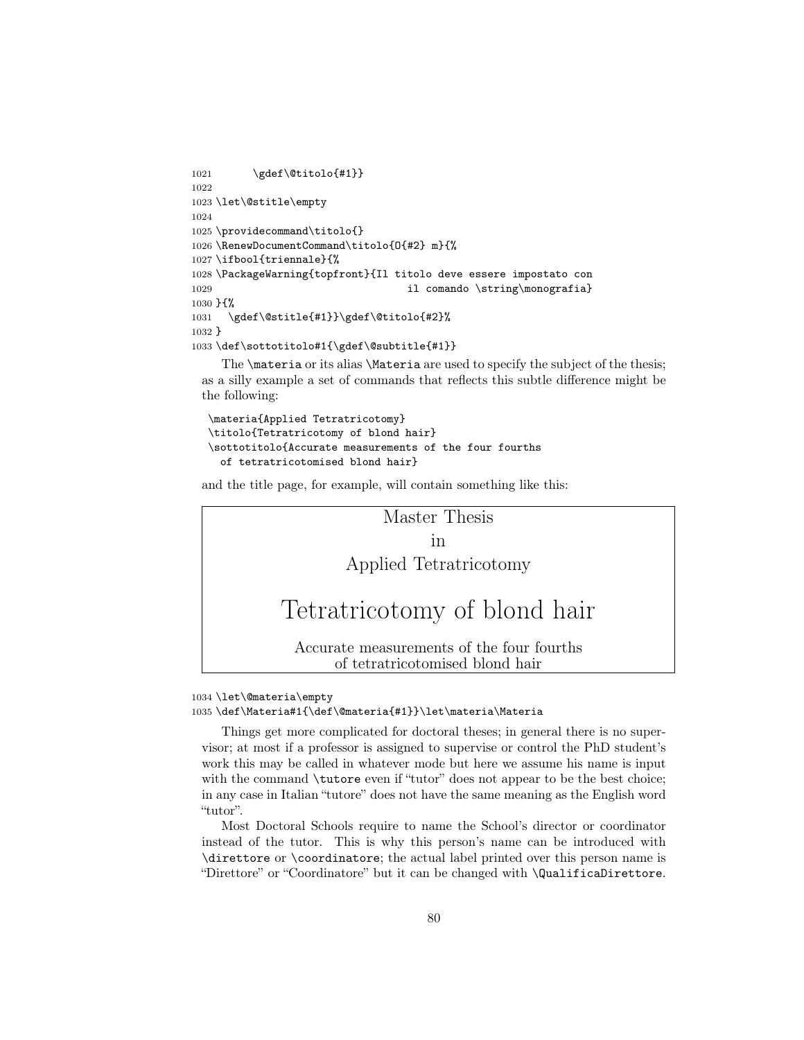```
1021 \gdef\@titolo{#1}}
1022
1023 \let\@stitle\empty
1024
1025 \providecommand\titolo{}
1026 \RenewDocumentCommand\titolo{O{#2} m}{%
1027 \ifbool{triennale}{%
1028 \PackageWarning{topfront}{Il titolo deve essere impostato con
1029 il comando \string\monografia}
1030 }{%
1031 \gdef\@stitle{#1}}\gdef\@titolo{#2}%
1032 }
1033 \def\sottotitolo#1{\gdef\@subtitle{#1}}
```
The **\materia** or its alias **\Materia** are used to specify the subject of the thesis; as a silly example a set of commands that reflects this subtle difference might be the following:

```
\materia{Applied Tetratricotomy}
\titolo{Tetratricotomy of blond hair}
\sottotitolo{Accurate measurements of the four fourths
  of tetratricotomised blond hair}
```
and the title page, for example, will contain something like this:



#### 1034 \let\@materia\empty 1035 \def\Materia#1{\def\@materia{#1}}\let\materia\Materia

Things get more complicated for doctoral theses; in general there is no supervisor; at most if a professor is assigned to supervise or control the PhD student's work this may be called in whatever mode but here we assume his name is input with the command **\tutore** even if "tutor" does not appear to be the best choice; in any case in Italian "tutore" does not have the same meaning as the English word "tutor".

Most Doctoral Schools require to name the School's director or coordinator instead of the tutor. This is why this person's name can be introduced with \direttore or \coordinatore; the actual label printed over this person name is "Direttore" or "Coordinatore" but it can be changed with \QualificaDirettore.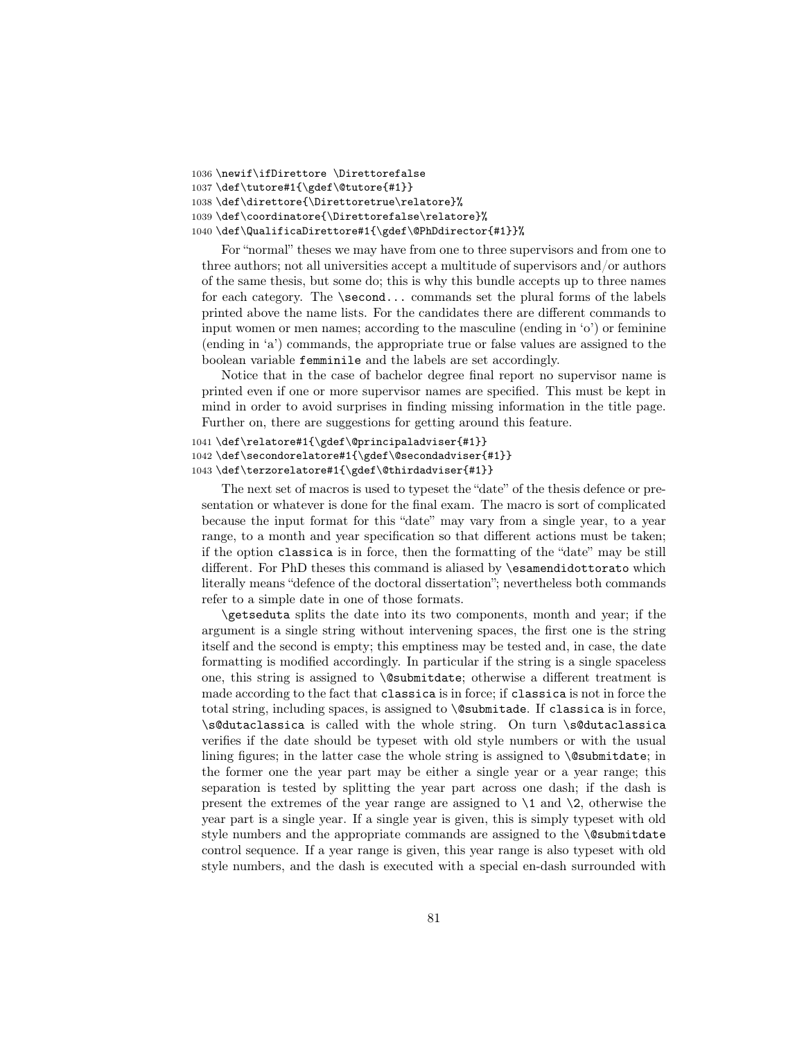```
1036 \newif\ifDirettore \Direttorefalse
1037 \def\tutore#1{\gdef\@tutore{#1}}
1038 \def\direttore{\Direttoretrue\relatore}%
1039 \def\coordinatore{\Direttorefalse\relatore}%
1040 \def\QualificaDirettore#1{\gdef\@PhDdirector{#1}}%
```
For "normal" theses we may have from one to three supervisors and from one to three authors; not all universities accept a multitude of supervisors and/or authors of the same thesis, but some do; this is why this bundle accepts up to three names for each category. The \second... commands set the plural forms of the labels printed above the name lists. For the candidates there are different commands to input women or men names; according to the masculine (ending in 'o') or feminine (ending in 'a') commands, the appropriate true or false values are assigned to the boolean variable femminile and the labels are set accordingly.

Notice that in the case of bachelor degree final report no supervisor name is printed even if one or more supervisor names are specified. This must be kept in mind in order to avoid surprises in finding missing information in the title page. Further on, there are suggestions for getting around this feature.

```
1041 \def\relatore#1{\gdef\@principaladviser{#1}}
1042 \def\secondorelatore#1{\gdef\@secondadviser{#1}}
1043 \def\terzorelatore#1{\gdef\@thirdadviser{#1}}
```
The next set of macros is used to typeset the "date" of the thesis defence or presentation or whatever is done for the final exam. The macro is sort of complicated because the input format for this "date" may vary from a single year, to a year range, to a month and year specification so that different actions must be taken; if the option classica is in force, then the formatting of the "date" may be still different. For PhD theses this command is aliased by **\esamendidottorato** which literally means "defence of the doctoral dissertation"; nevertheless both commands refer to a simple date in one of those formats.

\getseduta splits the date into its two components, month and year; if the argument is a single string without intervening spaces, the first one is the string itself and the second is empty; this emptiness may be tested and, in case, the date formatting is modified accordingly. In particular if the string is a single spaceless one, this string is assigned to \@submitdate; otherwise a different treatment is made according to the fact that classica is in force; if classica is not in force the total string, including spaces, is assigned to \@submitade. If classica is in force, \s@dutaclassica is called with the whole string. On turn \s@dutaclassica verifies if the date should be typeset with old style numbers or with the usual lining figures; in the latter case the whole string is assigned to \@submitdate; in the former one the year part may be either a single year or a year range; this separation is tested by splitting the year part across one dash; if the dash is present the extremes of the year range are assigned to  $\lambda$ 1 and  $\lambda$ 2, otherwise the year part is a single year. If a single year is given, this is simply typeset with old style numbers and the appropriate commands are assigned to the **\@submitdate** control sequence. If a year range is given, this year range is also typeset with old style numbers, and the dash is executed with a special en-dash surrounded with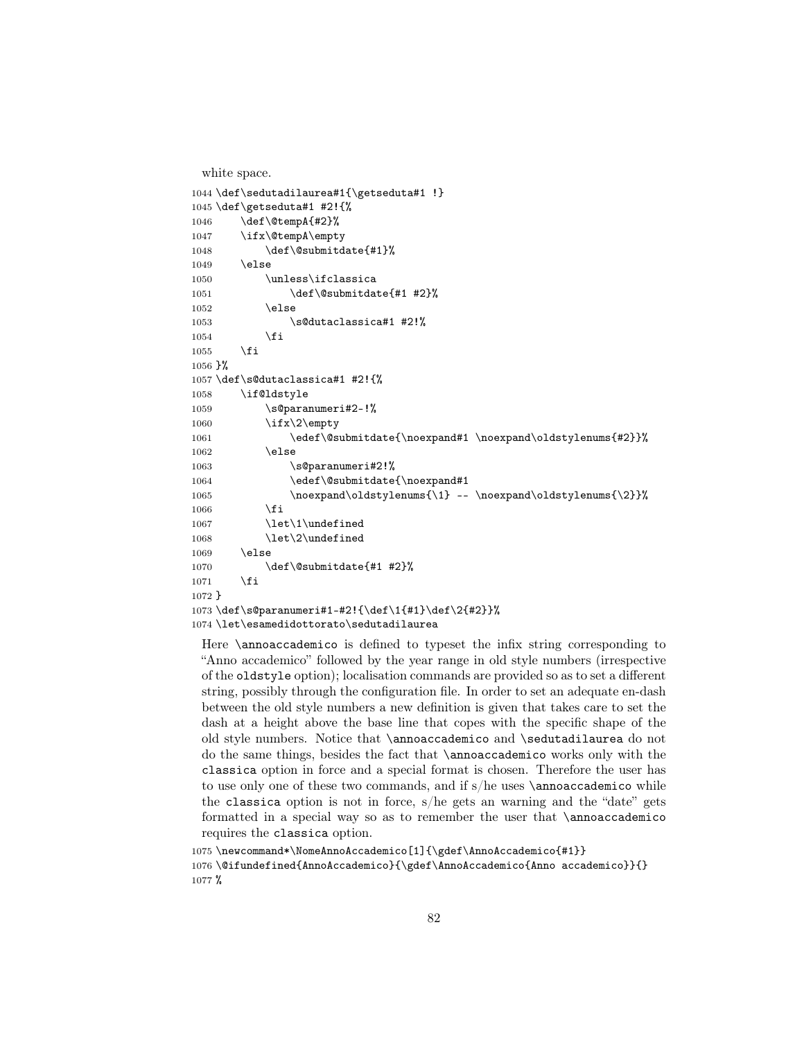```
white space.
1044 \def\sedutadilaurea#1{\getseduta#1 !}
1045 \def\getseduta#1 #2!{%
1046 \def\@tempA{#2}%
1047 \ifx\@tempA\empty
1048 \def\@submitdate{#1}%
1049 \lambdaelse
1050 \unless\ifclassica
1051 \def\@submitdate{#1 #2}%
1052 \else
1053 \s@dutaclassica#1 #2!%
1054 \fi
1055 \fi
1056 }%
1057 \def\s@dutaclassica#1 #2!{%
1058 \if@ldstyle
1059 \s@paranumeri#2-!%
1060 \ifx\2\rangleempty
1061 \edef\@submitdate{\noexpand#1 \noexpand\oldstylenums{#2}}%
1062 \else
1063 \s@paranumeri#2!%
1064 \edef\@submitdate{\noexpand#1
1065 \noexpand\oldstylenums{\1} -- \noexpand\oldstylenums{\2}}%
1066 \fi
1067 \let\1\undefined
1068 \let\2\undefined
1069 \else
1070 \def\@submitdate{#1 #2}%
1071 \fi
1072 }
1073 \def\s@paranumeri#1-#2!{\def\1{#1}\def\2{#2}}%
1074 \let\esamedidottorato\sedutadilaurea
```
Here \annoaccademico is defined to typeset the infix string corresponding to "Anno accademico" followed by the year range in old style numbers (irrespective of the oldstyle option); localisation commands are provided so as to set a different string, possibly through the configuration file. In order to set an adequate en-dash between the old style numbers a new definition is given that takes care to set the dash at a height above the base line that copes with the specific shape of the old style numbers. Notice that \annoaccademico and \sedutadilaurea do not do the same things, besides the fact that \annoaccademico works only with the classica option in force and a special format is chosen. Therefore the user has to use only one of these two commands, and if s/he uses \annoaccademico while the classica option is not in force, s/he gets an warning and the "date" gets formatted in a special way so as to remember the user that \annoaccademico requires the classica option.

```
1075 \newcommand*\NomeAnnoAccademico[1]{\gdef\AnnoAccademico{#1}}
1076 \@ifundefined{AnnoAccademico}{\gdef\AnnoAccademico{Anno accademico}}{}
1077 %
```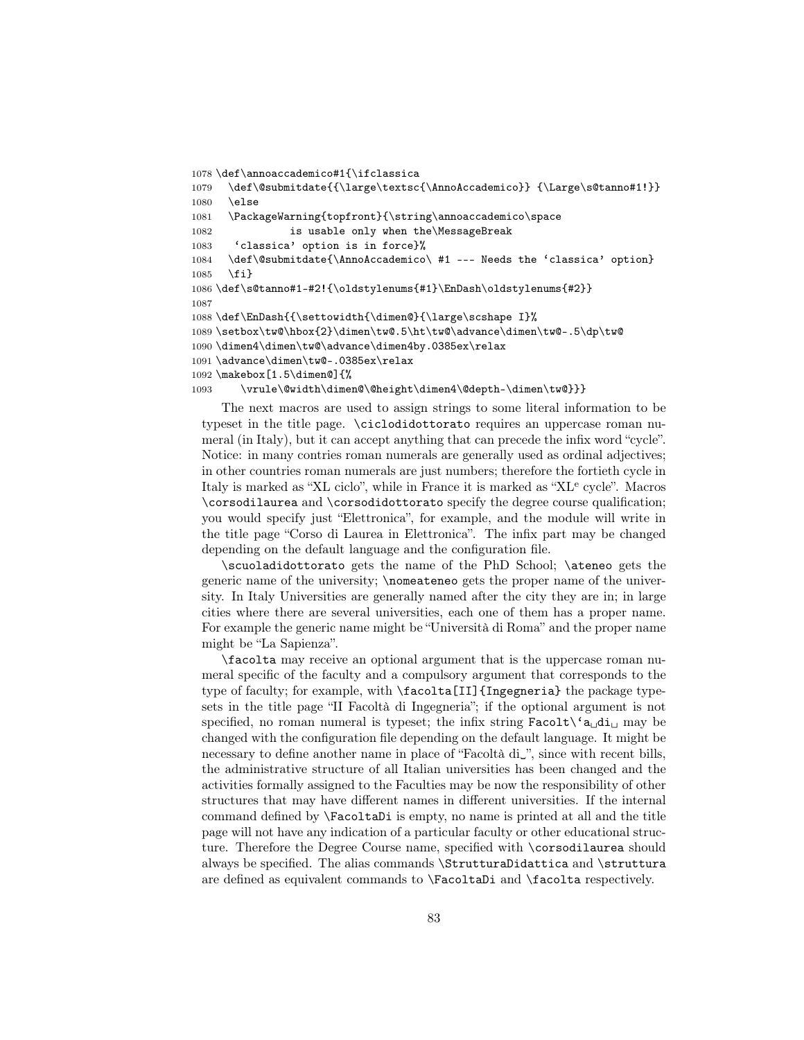```
1078 \def\annoaccademico#1{\ifclassica
1079 \def\@submitdate{{\large\textsc{\AnnoAccademico}} {\Large\s@tanno#1!}}
1080 \else
1081 \PackageWarning{topfront}{\string\annoaccademico\space
1082 is usable only when the\MessageBreak
1083 'classica' option is in force}%
1084 \def\@submitdate{\AnnoAccademico\ #1 --- Needs the 'classica' option}
1085 \fi}
1086 \def\s@tanno#1-#2!{\oldstylenums{#1}\EnDash\oldstylenums{#2}}
1087
1088 \def\EnDash{{\settowidth{\dimen@}{\large\scshape I}%
1089 \setbox\tw@\hbox{2}\dimen\tw@.5\ht\tw@\advance\dimen\tw@-.5\dp\tw@
1090 \dimen4\dimen\tw@\advance\dimen4by.0385ex\relax
1091 \advance\dimen\tw@-.0385ex\relax
1092 \makebox[1.5\dimen@]{%
1093 \vrule\@width\dimen@\@height\dimen4\@depth-\dimen\tw@}}}
```
The next macros are used to assign strings to some literal information to be typeset in the title page. \ciclodidottorato requires an uppercase roman numeral (in Italy), but it can accept anything that can precede the infix word "cycle". Notice: in many contries roman numerals are generally used as ordinal adjectives; in other countries roman numerals are just numbers; therefore the fortieth cycle in Italy is marked as "XL ciclo", while in France it is marked as "XL<sup>e</sup> cycle". Macros \corsodilaurea and \corsodidottorato specify the degree course qualification; you would specify just "Elettronica", for example, and the module will write in the title page "Corso di Laurea in Elettronica". The infix part may be changed depending on the default language and the configuration file.

\scuoladidottorato gets the name of the PhD School; \ateneo gets the generic name of the university; \nomeateneo gets the proper name of the university. In Italy Universities are generally named after the city they are in; in large cities where there are several universities, each one of them has a proper name. For example the generic name might be "Università di Roma" and the proper name might be "La Sapienza".

\facolta may receive an optional argument that is the uppercase roman numeral specific of the faculty and a compulsory argument that corresponds to the type of faculty; for example, with \facolta[II]{Ingegneria} the package typesets in the title page "II Facoltà di Ingegneria"; if the optional argument is not specified, no roman numeral is typeset; the infix string  $\text{Facolt}\xspace(\mathbf{a}_\text{d} \mathbf{d}_\text{L}$  may be changed with the configuration file depending on the default language. It might be necessary to define another name in place of "Facoltà di␣", since with recent bills, the administrative structure of all Italian universities has been changed and the activities formally assigned to the Faculties may be now the responsibility of other structures that may have different names in different universities. If the internal command defined by \FacoltaDi is empty, no name is printed at all and the title page will not have any indication of a particular faculty or other educational structure. Therefore the Degree Course name, specified with \corsodilaurea should always be specified. The alias commands \StrutturaDidattica and \struttura are defined as equivalent commands to \FacoltaDi and \facolta respectively.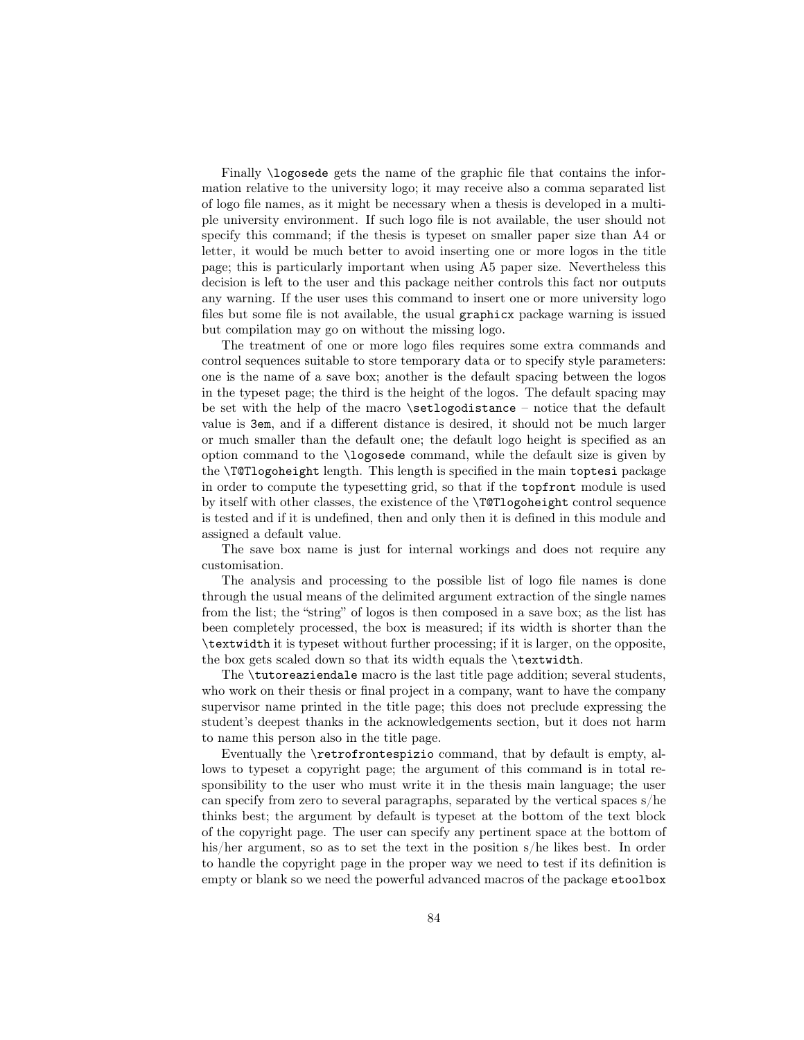Finally \logosede gets the name of the graphic file that contains the information relative to the university logo; it may receive also a comma separated list of logo file names, as it might be necessary when a thesis is developed in a multiple university environment. If such logo file is not available, the user should not specify this command; if the thesis is typeset on smaller paper size than A4 or letter, it would be much better to avoid inserting one or more logos in the title page; this is particularly important when using A5 paper size. Nevertheless this decision is left to the user and this package neither controls this fact nor outputs any warning. If the user uses this command to insert one or more university logo files but some file is not available, the usual graphicx package warning is issued but compilation may go on without the missing logo.

The treatment of one or more logo files requires some extra commands and control sequences suitable to store temporary data or to specify style parameters: one is the name of a save box; another is the default spacing between the logos in the typeset page; the third is the height of the logos. The default spacing may be set with the help of the macro \setlogodistance – notice that the default value is 3em, and if a different distance is desired, it should not be much larger or much smaller than the default one; the default logo height is specified as an option command to the \logosede command, while the default size is given by the \T@Tlogoheight length. This length is specified in the main toptesi package in order to compute the typesetting grid, so that if the topfront module is used by itself with other classes, the existence of the \T@Tlogoheight control sequence is tested and if it is undefined, then and only then it is defined in this module and assigned a default value.

The save box name is just for internal workings and does not require any customisation.

The analysis and processing to the possible list of logo file names is done through the usual means of the delimited argument extraction of the single names from the list; the "string" of logos is then composed in a save box; as the list has been completely processed, the box is measured; if its width is shorter than the \textwidth it is typeset without further processing; if it is larger, on the opposite, the box gets scaled down so that its width equals the \textwidth.

The \tutoreaziendale macro is the last title page addition; several students, who work on their thesis or final project in a company, want to have the company supervisor name printed in the title page; this does not preclude expressing the student's deepest thanks in the acknowledgements section, but it does not harm to name this person also in the title page.

Eventually the \retrofrontespizio command, that by default is empty, allows to typeset a copyright page; the argument of this command is in total responsibility to the user who must write it in the thesis main language; the user can specify from zero to several paragraphs, separated by the vertical spaces s/he thinks best; the argument by default is typeset at the bottom of the text block of the copyright page. The user can specify any pertinent space at the bottom of his/her argument, so as to set the text in the position s/he likes best. In order to handle the copyright page in the proper way we need to test if its definition is empty or blank so we need the powerful advanced macros of the package etoolbox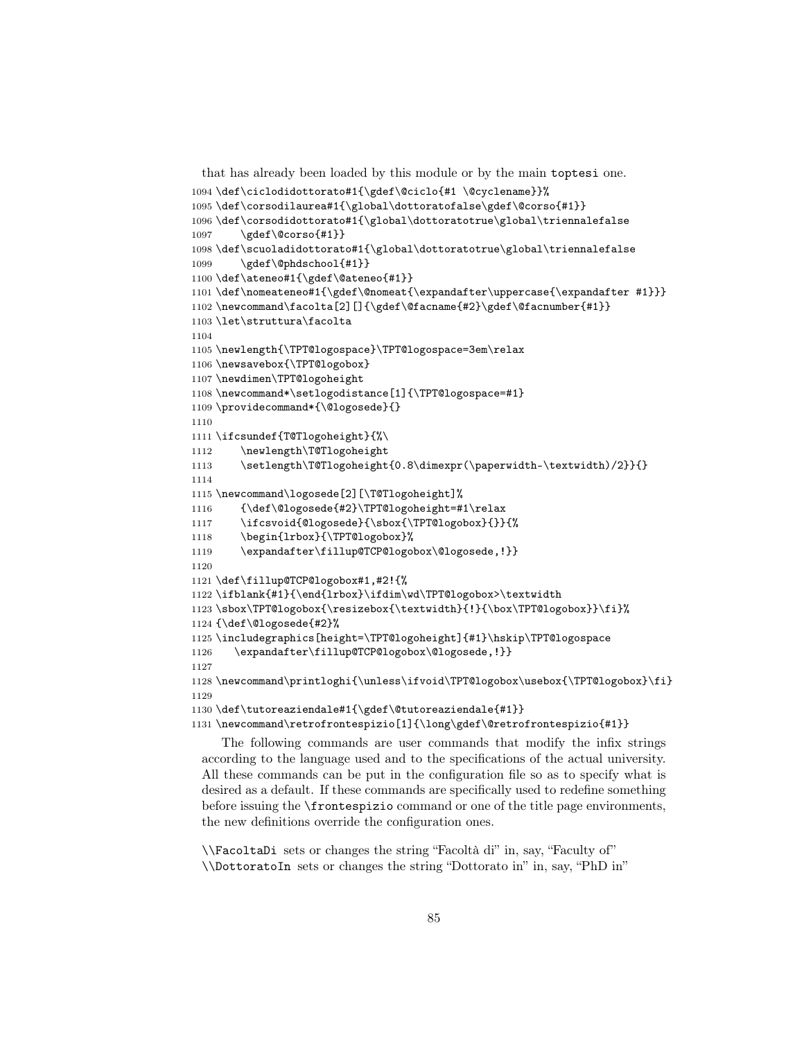```
that has already been loaded by this module or by the main toptesi one.
1094 \def\ciclodidottorato#1{\gdef\@ciclo{#1 \@cyclename}}%
1095 \def\corsodilaurea#1{\global\dottoratofalse\gdef\@corso{#1}}
1096 \def\corsodidottorato#1{\global\dottoratotrue\global\triennalefalse
1097 \gdef\@corso{#1}}
1098 \def\scuoladidottorato#1{\global\dottoratotrue\global\triennalefalse
1099 \gdef\@phdschool{#1}}
1100 \def\ateneo#1{\gdef\@ateneo{#1}}
1101 \def\nomeateneo#1{\gdef\@nomeat{\expandafter\uppercase{\expandafter #1}}}
1102 \newcommand\facolta[2][]{\gdef\@facname{#2}\gdef\@facnumber{#1}}
1103 \let\struttura\facolta
1104
1105 \newlength{\TPT@logospace}\TPT@logospace=3em\relax
1106 \newsavebox{\TPT@logobox}
1107 \newdimen\TPT@logoheight
1108 \newcommand*\setlogodistance[1]{\TPT@logospace=#1}
1109 \providecommand*{\@logosede}{}
1110
1111 \ifcsundef{T@Tlogoheight}{%\
1112 \newlength\T@Tlogoheight
1113 \setlength\T@Tlogoheight{0.8\dimexpr(\paperwidth-\textwidth)/2}}{}
1114
1115 \newcommand\logosede[2][\T@Tlogoheight]%
1116 {\def\@logosede{#2}\TPT@logoheight=#1\relax
1117 \ifcsvoid{@logosede}{\sbox{\TPT@logobox}{}}{%
1118 \begin{lrbox}{\TPT@logobox}%
1119 \expandafter\fillup@TCP@logobox\@logosede,!}}
1120
1121 \def\fillup@TCP@logobox#1,#2!{%
1122 \ifblank{#1}{\end{lrbox}\ifdim\wd\TPT@logobox>\textwidth
1123 \sbox\TPT@logobox{\resizebox{\textwidth}{!}{\box\TPT@logobox}}\fi}%
1124 {\def\@logosede{#2}%
1125 \includegraphics[height=\TPT@logoheight]{#1}\hskip\TPT@logospace
1126 \expandafter\fillup@TCP@logobox\@logosede,!}}
1127
1128 \newcommand\printloghi{\unless\ifvoid\TPT@logobox\usebox{\TPT@logobox}\fi}
1129
1130 \def\tutoreaziendale#1{\gdef\@tutoreaziendale{#1}}
1131 \newcommand\retrofrontespizio[1]{\long\gdef\@retrofrontespizio{#1}}
```
The following commands are user commands that modify the infix strings according to the language used and to the specifications of the actual university. All these commands can be put in the configuration file so as to specify what is desired as a default. If these commands are specifically used to redefine something before issuing the \frontespizio command or one of the title page environments, the new definitions override the configuration ones.

\\FacoltaDi sets or changes the string "Facoltà di" in, say, "Faculty of" \\DottoratoIn sets or changes the string "Dottorato in" in, say, "PhD in"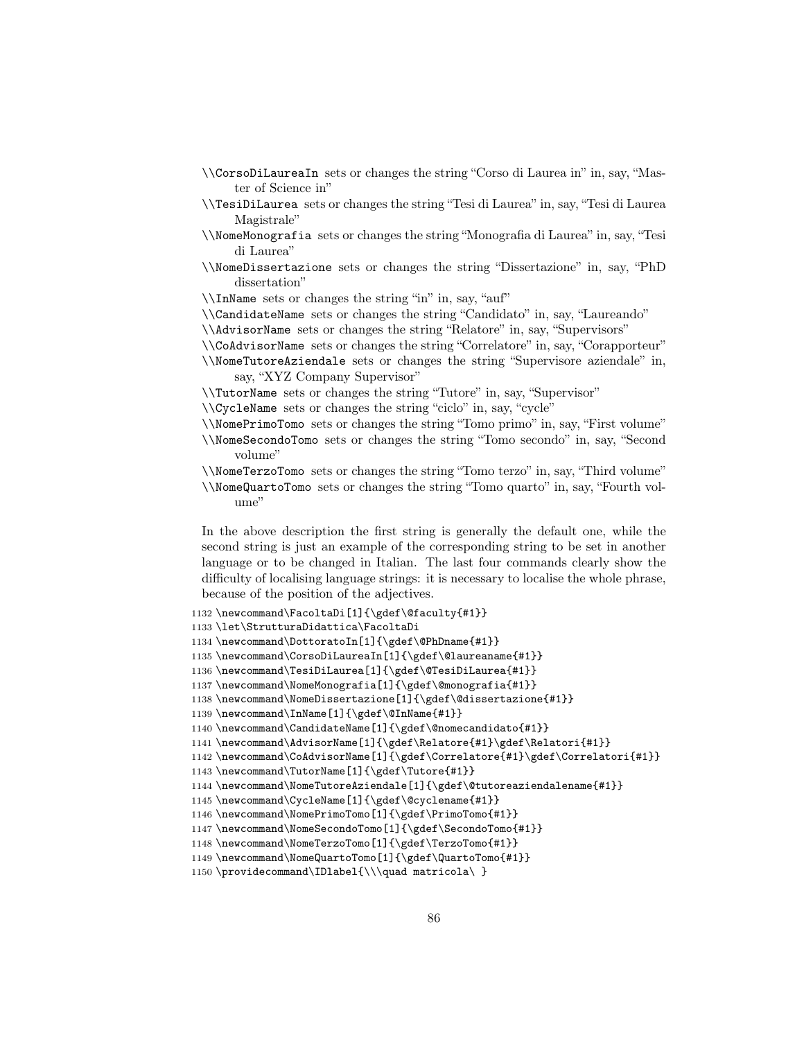- \\CorsoDiLaureaIn sets or changes the string "Corso di Laurea in" in, say, "Master of Science in"
- \\TesiDiLaurea sets or changes the string "Tesi di Laurea" in, say, "Tesi di Laurea Magistrale"
- \\NomeMonografia sets or changes the string "Monografia di Laurea" in, say, "Tesi di Laurea"
- \\NomeDissertazione sets or changes the string "Dissertazione" in, say, "PhD dissertation"
- \\InName sets or changes the string "in" in, say, "auf"
- \\CandidateName sets or changes the string "Candidato" in, say, "Laureando"
- \\AdvisorName sets or changes the string "Relatore" in, say, "Supervisors"
- \\CoAdvisorName sets or changes the string "Correlatore" in, say, "Corapporteur"
- \\NomeTutoreAziendale sets or changes the string "Supervisore aziendale" in, say, "XYZ Company Supervisor"
- \\TutorName sets or changes the string "Tutore" in, say, "Supervisor"
- \\CycleName sets or changes the string "ciclo" in, say, "cycle"
- \\NomePrimoTomo sets or changes the string "Tomo primo" in, say, "First volume" \\NomeSecondoTomo sets or changes the string "Tomo secondo" in, say, "Second volume"

\\NomeTerzoTomo sets or changes the string "Tomo terzo" in, say, "Third volume" \\NomeQuartoTomo sets or changes the string "Tomo quarto" in, say, "Fourth volume"

In the above description the first string is generally the default one, while the second string is just an example of the corresponding string to be set in another language or to be changed in Italian. The last four commands clearly show the difficulty of localising language strings: it is necessary to localise the whole phrase, because of the position of the adjectives.

```
1132 \newcommand\FacoltaDi[1]{\gdef\@faculty{#1}}
```

```
1133 \let\StrutturaDidattica\FacoltaDi
```

```
1134 \newcommand\DottoratoIn[1]{\gdef\@PhDname{#1}}
```

```
1135 \newcommand\CorsoDiLaureaIn[1]{\gdef\@laureaname{#1}}
```

```
1136 \newcommand\TesiDiLaurea[1]{\gdef\@TesiDiLaurea{#1}}
```

```
1137 \newcommand\NomeMonografia[1]{\gdef\@monografia{#1}}
```

```
1138 \newcommand\NomeDissertazione[1]{\gdef\@dissertazione{#1}}
```

```
1139 \newcommand\InName[1]{\gdef\@InName{#1}}
```
1140 \newcommand\CandidateName[1]{\gdef\@nomecandidato{#1}}

```
1141 \newcommand\AdvisorName[1]{\gdef\Relatore{#1}\gdef\Relatori{#1}}
```

```
<code>1142</code> \newcommand\CoAdvisorName[1]{\gdef\Correlatore{#1}\gdef\Correlatori{#1}}
```

```
1143 \newcommand\TutorName[1]{\gdef\Tutore{#1}}
```
1144 \newcommand\NomeTutoreAziendale[1]{\gdef\@tutoreaziendalename{#1}}

```
1145 \newcommand\CycleName[1]{\gdef\@cyclename{#1}}
```

```
1146 \newcommand\NomePrimoTomo[1]{\gdef\PrimoTomo{#1}}
```

```
1147 \newcommand\NomeSecondoTomo[1]{\gdef\SecondoTomo{#1}}
```

```
1148 \newcommand\NomeTerzoTomo[1]{\gdef\TerzoTomo{#1}}
```

```
1149 \newcommand\NomeQuartoTomo[1]{\gdef\QuartoTomo{#1}}
```

```
1150 \providecommand\IDlabel{\\\quad matricola\ }
```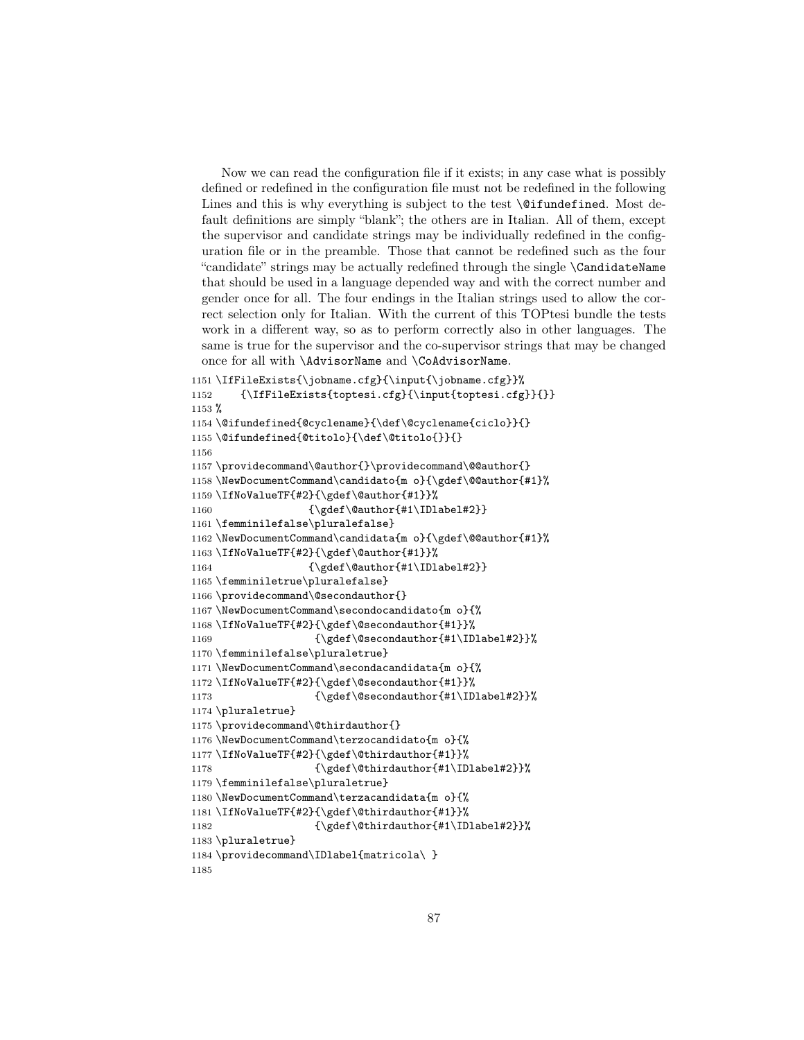Now we can read the configuration file if it exists; in any case what is possibly defined or redefined in the configuration file must not be redefined in the following Lines and this is why everything is subject to the test  $\Diamond$  ifundefined. Most default definitions are simply "blank"; the others are in Italian. All of them, except the supervisor and candidate strings may be individually redefined in the configuration file or in the preamble. Those that cannot be redefined such as the four "candidate" strings may be actually redefined through the single \CandidateName that should be used in a language depended way and with the correct number and gender once for all. The four endings in the Italian strings used to allow the correct selection only for Italian. With the current of this TOPtesi bundle the tests work in a different way, so as to perform correctly also in other languages. The same is true for the supervisor and the co-supervisor strings that may be changed once for all with \AdvisorName and \CoAdvisorName.

```
1151 \IfFileExists{\jobname.cfg}{\input{\jobname.cfg}}%
1152 {\IfFileExists{toptesi.cfg}{\input{toptesi.cfg}}{}}
1153 %
1154 \@ifundefined{@cyclename}{\def\@cyclename{ciclo}}{}
1155 \@ifundefined{@titolo}{\def\@titolo{}}{}
1156
1157 \providecommand\@author{}\providecommand\@@author{}
1158 \NewDocumentCommand\candidato{m o}{\gdef\@@author{#1}%
1159 \IfNoValueTF{#2}{\gdef\@author{#1}}%
1160 {\qquad\qquad {\gdef\@author{#1\IDlabel#2}}
1161 \femminilefalse\pluralefalse}
1162 \NewDocumentCommand\candidata{m o}{\gdef\@@author{#1}%
1163 \IfNoValueTF{#2}{\gdef\@author{#1}}%
1164 {\qquad \qquad {\qquad \qquad {\qquad \qquad {\qquad \qquad {\qquad \qquad {\qquad \qquad {\qquad \qquad {\qquad \qquad {\qquad \qquad {\qquad \qquad {\qquad \qquad {\qquad \qquad {\qquad \qquad {\qquad \qquad {\qquad \qquad {\qquad \qquad {\qquad \qquad {\qquad \qquad {\qquad \qquad {\qquad \qquad {\qquad \qquad {\qquad \qquad {\qquad \qquad {\qquad \qquad {\qquad \qquad {\qquad \qquad {\qquad \qquad {\qquad \qquad {\qquad \qquad {\qquad \qquad {\qquad \qquad {\qquad \qquad {\qquad \qquad {\qquad \qquad {\qquad \qquad {\qquad \qquad1165 \femminiletrue\pluralefalse}
1166 \providecommand\@secondauthor{}
1167 \NewDocumentCommand\secondocandidato{m o}{%
1168 \IfNoValueTF{#2}{\gdef\@secondauthor{#1}}%
1169 {\qquad \qquad} \{\hspace{1pt} \1170 \femminilefalse\pluraletrue}
1171 \NewDocumentCommand\secondacandidata{m o}{%
1172 \IfNoValueTF{#2}{\gdef\@secondauthor{#1}}%
1173 {\qquad \qquad {\qquad \qquad {\qquad \qquad {\qquad \qquad {\qquad \qquad {\qquad \qquad {\qquad \qquad {\qquad \qquad {\qquad \qquad {\qquad \qquad {\qquad \qquad {\qquad \qquad {\qquad \qquad {\qquad \qquad {\qquad \qquad {\qquad \qquad {\qquad \qquad {\qquad \qquad {\qquad \qquad {\qquad \qquad {\qquad \qquad {\qquad \qquad {\qquad \qquad {\qquad \qquad {\qquad \qquad {\qquad \qquad {\qquad \qquad {\qquad \qquad {\qquad \qquad {\qquad \qquad {\qquad \qquad {\qquad \qquad {\qquad \qquad {\qquad \qquad {\qquad \qquad {\qquad \qquad1174 \pluraletrue}
1175 \providecommand\@thirdauthor{}
1176 \NewDocumentCommand\terzocandidato{m o}{%
1177 \IfNoValueTF{#2}{\gdef\@thirdauthor{#1}}%
1178 {\gdef\@thirdauthor{#1\IDlabel#2}}%
1179 \femminilefalse\pluraletrue}
1180 \NewDocumentCommand\terzacandidata{m o}{%
1181 \IfNoValueTF{#2}{\gdef\@thirdauthor{#1}}%
1182 {\gdef\@thirdauthor{#1\IDlabel#2}}%
1183 \pluraletrue}
1184 \providecommand\IDlabel{matricola\ }
1185
```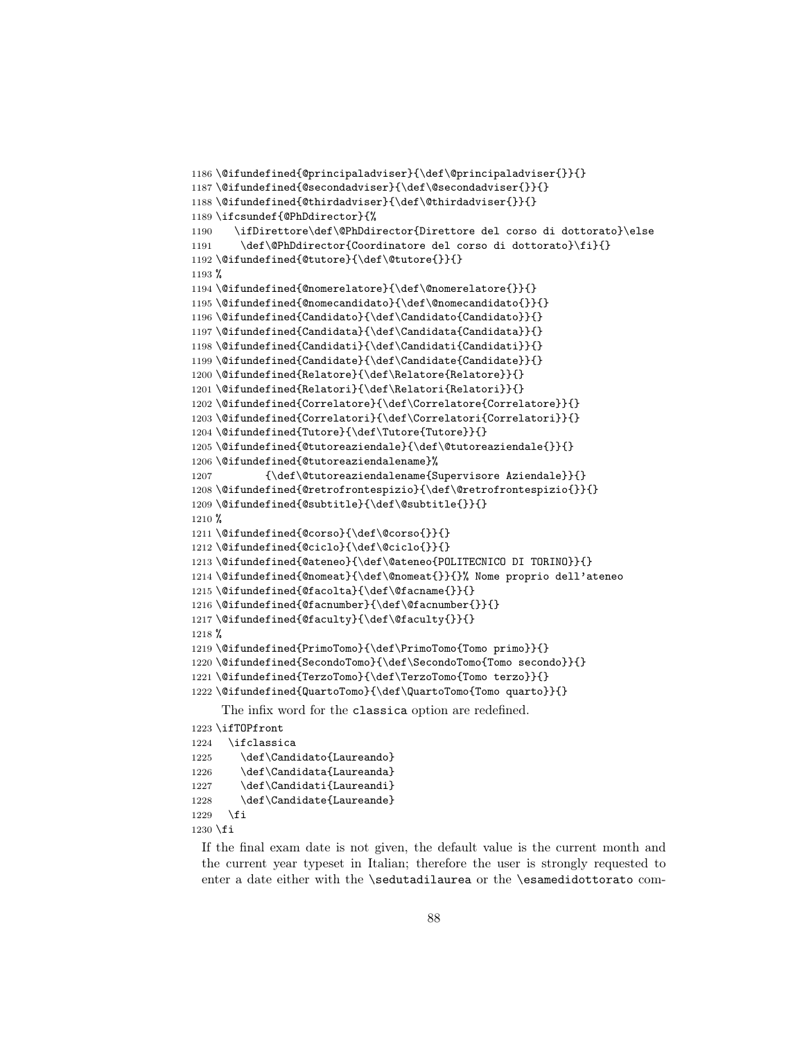```
1186 \@ifundefined{@principaladviser}{\def\@principaladviser{}}{}
1187 \@ifundefined{@secondadviser}{\def\@secondadviser{}}{}
1188 \@ifundefined{@thirdadviser}{\def\@thirdadviser{}}{}
1189 \ifcsundef{@PhDdirector}{%
1190 \ifDirettore\def\@PhDdirector{Direttore del corso di dottorato}\else
1191 \def\@PhDdirector{Coordinatore del corso di dottorato}\fi}{}
1192 \@ifundefined{@tutore}{\def\@tutore{}}{}
1193 %
1194 \@ifundefined{@nomerelatore}{\def\@nomerelatore{}}{}
1195 \@ifundefined{@nomecandidato}{\def\@nomecandidato{}}{}
1196 \@ifundefined{Candidato}{\def\Candidato{Candidato}}{}
1197 \@ifundefined{Candidata}{\def\Candidata{Candidata}}{}
1198 \@ifundefined{Candidati}{\def\Candidati{Candidati}}{}
1199 \@ifundefined{Candidate}{\def\Candidate{Candidate}}{}
1200 \@ifundefined{Relatore}{\def\Relatore{Relatore}}{}
1201\@ifundefined{Relatori}{\def\Relatori{Relatori}}{}
1202 \@ifundefined{Correlatore}{\def\Correlatore{Correlatore}}{}
1203 \@ifundefined{Correlatori}{\def\Correlatori{Correlatori}}{}
1204 \@ifundefined{Tutore}{\def\Tutore{Tutore}}{}
1205 \@ifundefined{@tutoreaziendale}{\def\@tutoreaziendale{}}{}
1206 \@ifundefined{@tutoreaziendalename}%
1207 {\def\@tutoreaziendalename{Supervisore Aziendale}}{}
1208 \@ifundefined{@retrofrontespizio}{\def\@retrofrontespizio{}}{}
1209 \@ifundefined{@subtitle}{\def\@subtitle{}}{}
1210 %
1211 \@ifundefined{@corso}{\def\@corso{}}{}
1212 \@ifundefined{@ciclo}{\def\@ciclo{}}{}
1213 \@ifundefined{@ateneo}{\def\@ateneo{POLITECNICO DI TORINO}}{}
1214 \@ifundefined{@nomeat}{\def\@nomeat{}}{}% Nome proprio dell'ateneo
1215 \@ifundefined{@facolta}{\def\@facname{}}{}
1216 \@ifundefined{@facnumber}{\def\@facnumber{}}{}
1217\@ifundefined{@faculty}{\def\@faculty{}}{}
1218 %
1219 \@ifundefined{PrimoTomo}{\def\PrimoTomo{Tomo primo}}{}
1220 \@ifundefined{SecondoTomo}{\def\SecondoTomo{Tomo secondo}}{}
1221 \@ifundefined{TerzoTomo}{\def\TerzoTomo{Tomo terzo}}{}
1222 \@ifundefined{QuartoTomo}{\def\QuartoTomo{Tomo quarto}}{}
     The infix word for the classica option are redefined.
1223 \ifTOPfront
1224 \ifclassica
1225 \def\Candidato{Laureando}
1226 \def\Candidata{Laureanda}
1227 \def\Candidati{Laureandi}
1228 \def\Candidate{Laureande}
```
If the final exam date is not given, the default value is the current month and the current year typeset in Italian; therefore the user is strongly requested to enter a date either with the \sedutadilaurea or the \esamedidottorato com-

 \fi \fi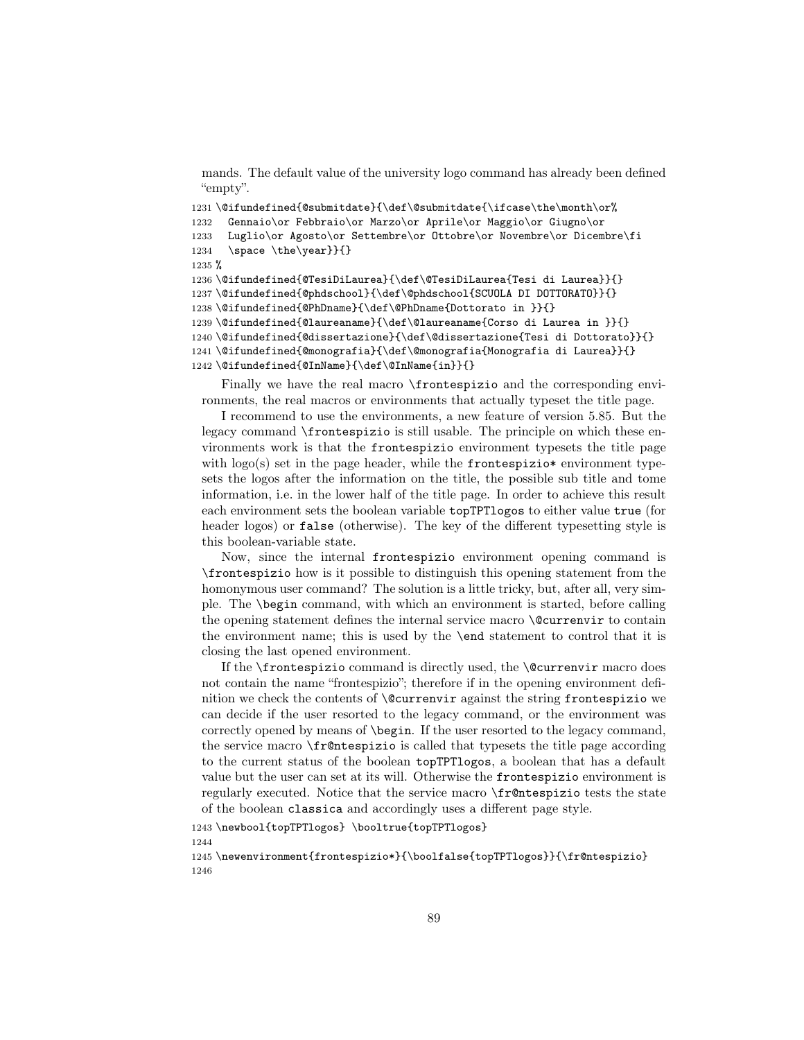mands. The default value of the university logo command has already been defined "empty".

```
1231\@ifundefined{@submitdate}{\def\@submitdate{\ifcase\the\month\or%
1232 Gennaio\or Febbraio\or Marzo\or Aprile\or Maggio\or Giugno\or
1233 Luglio\or Agosto\or Settembre\or Ottobre\or Novembre\or Dicembre\fi
1234 \space \the\year}}{}
1235 %
1236 \@ifundefined{@TesiDiLaurea}{\def\@TesiDiLaurea{Tesi di Laurea}}{}
1237 \@ifundefined{@phdschool}{\def\@phdschool{SCUOLA DI DOTTORATO}}{}
1238 \@ifundefined{@PhDname}{\def\@PhDname{Dottorato in }}{}
1239 \@ifundefined{@laureaname}{\def\@laureaname{Corso di Laurea in }}{}
1240 \@ifundefined{@dissertazione}{\def\@dissertazione{Tesi di Dottorato}}{}
1241 \@ifundefined{@monografia}{\def\@monografia{Monografia di Laurea}}{}
1242 \@ifundefined{@InName}{\def\@InName{in}}{}
```
Finally we have the real macro \frontespizio and the corresponding environments, the real macros or environments that actually typeset the title page.

I recommend to use the environments, a new feature of version 5.85. But the legacy command \frontespizio is still usable. The principle on which these environments work is that the frontespizio environment typesets the title page with  $\log o(s)$  set in the page header, while the frontespizio\* environment typesets the logos after the information on the title, the possible sub title and tome information, i.e. in the lower half of the title page. In order to achieve this result each environment sets the boolean variable topTPTlogos to either value true (for header logos) or false (otherwise). The key of the different typesetting style is this boolean-variable state.

Now, since the internal frontespizio environment opening command is \frontespizio how is it possible to distinguish this opening statement from the homonymous user command? The solution is a little tricky, but, after all, very simple. The \begin command, with which an environment is started, before calling the opening statement defines the internal service macro \@currenvir to contain the environment name; this is used by the \end statement to control that it is closing the last opened environment.

If the \frontespizio command is directly used, the \@currenvir macro does not contain the name "frontespizio"; therefore if in the opening environment definition we check the contents of \@currenvir against the string frontespizio we can decide if the user resorted to the legacy command, or the environment was correctly opened by means of \begin. If the user resorted to the legacy command, the service macro \fr@ntespizio is called that typesets the title page according to the current status of the boolean topTPTlogos, a boolean that has a default value but the user can set at its will. Otherwise the frontespizio environment is regularly executed. Notice that the service macro \fr@ntespizio tests the state of the boolean classica and accordingly uses a different page style.

1243 \newbool{topTPTlogos} \booltrue{topTPTlogos}

1244

1245 \newenvironment{frontespizio\*}{\boolfalse{topTPTlogos}}{\fr@ntespizio} 1246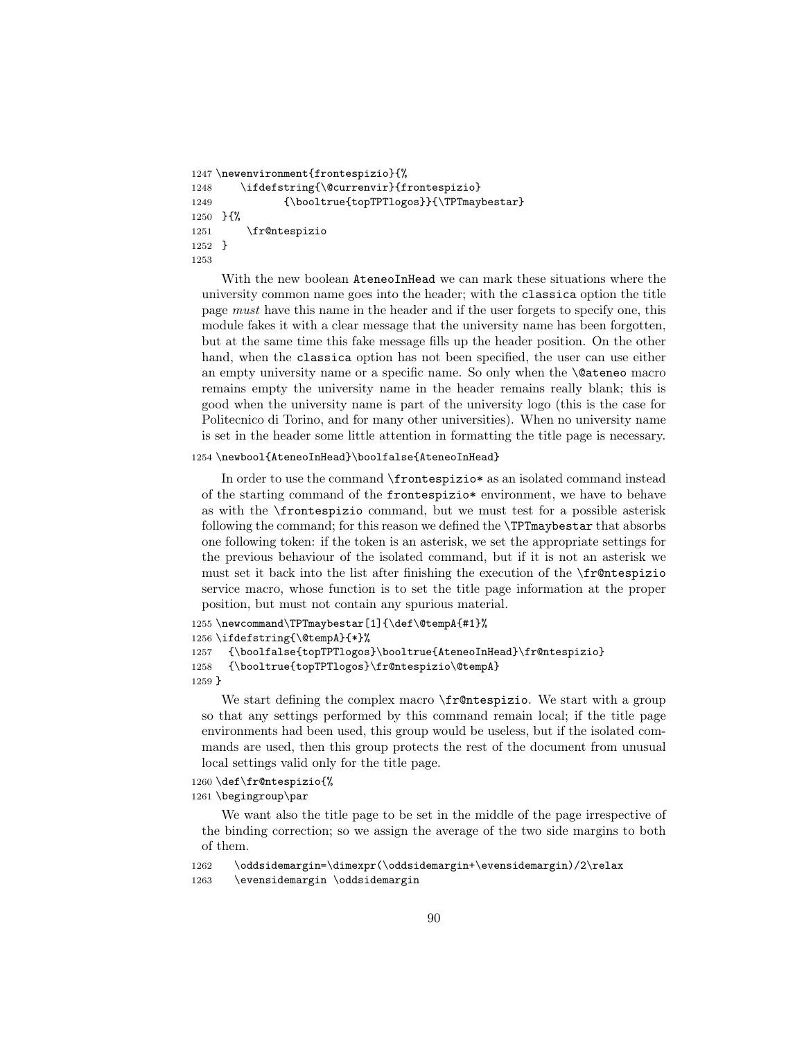```
1247 \newenvironment{frontespizio}{%
1248 \ifdefstring{\@currenvir}{frontespizio}
1249 {\booltrue{topTPTlogos}}{\TPTmaybestar}
1250 }{%
1251 \fr@ntespizio
1252 }
1253
```
With the new boolean **AteneoInHead** we can mark these situations where the university common name goes into the header; with the classica option the title page must have this name in the header and if the user forgets to specify one, this module fakes it with a clear message that the university name has been forgotten, but at the same time this fake message fills up the header position. On the other hand, when the classica option has not been specified, the user can use either an empty university name or a specific name. So only when the \@ateneo macro remains empty the university name in the header remains really blank; this is good when the university name is part of the university logo (this is the case for Politecnico di Torino, and for many other universities). When no university name is set in the header some little attention in formatting the title page is necessary.

#### 1254 \newbool{AteneoInHead}\boolfalse{AteneoInHead}

In order to use the command \frontespizio\* as an isolated command instead of the starting command of the frontespizio\* environment, we have to behave as with the \frontespizio command, but we must test for a possible asterisk following the command; for this reason we defined the \TPTmaybestar that absorbs one following token: if the token is an asterisk, we set the appropriate settings for the previous behaviour of the isolated command, but if it is not an asterisk we must set it back into the list after finishing the execution of the \fr@ntespizio service macro, whose function is to set the title page information at the proper position, but must not contain any spurious material.

```
1255 \newcommand\TPTmaybestar[1]{\def\@tempA{#1}%
1256 \ifdefstring{\@tempA}{*}%
1257 {\boolfalse{topTPTlogos}\booltrue{AteneoInHead}\fr@ntespizio}
1258 {\booltrue{topTPTlogos}\fr@ntespizio\@tempA}
1259 }
```
We start defining the complex macro **\fr@ntespizio**. We start with a group so that any settings performed by this command remain local; if the title page environments had been used, this group would be useless, but if the isolated commands are used, then this group protects the rest of the document from unusual local settings valid only for the title page.

1260 \def\fr@ntespizio{%

1261 \begingroup\par

We want also the title page to be set in the middle of the page irrespective of the binding correction; so we assign the average of the two side margins to both of them.

```
1262 \oddsidemargin=\dimexpr(\oddsidemargin+\evensidemargin)/2\relax
```

```
1263 \evensidemargin \oddsidemargin
```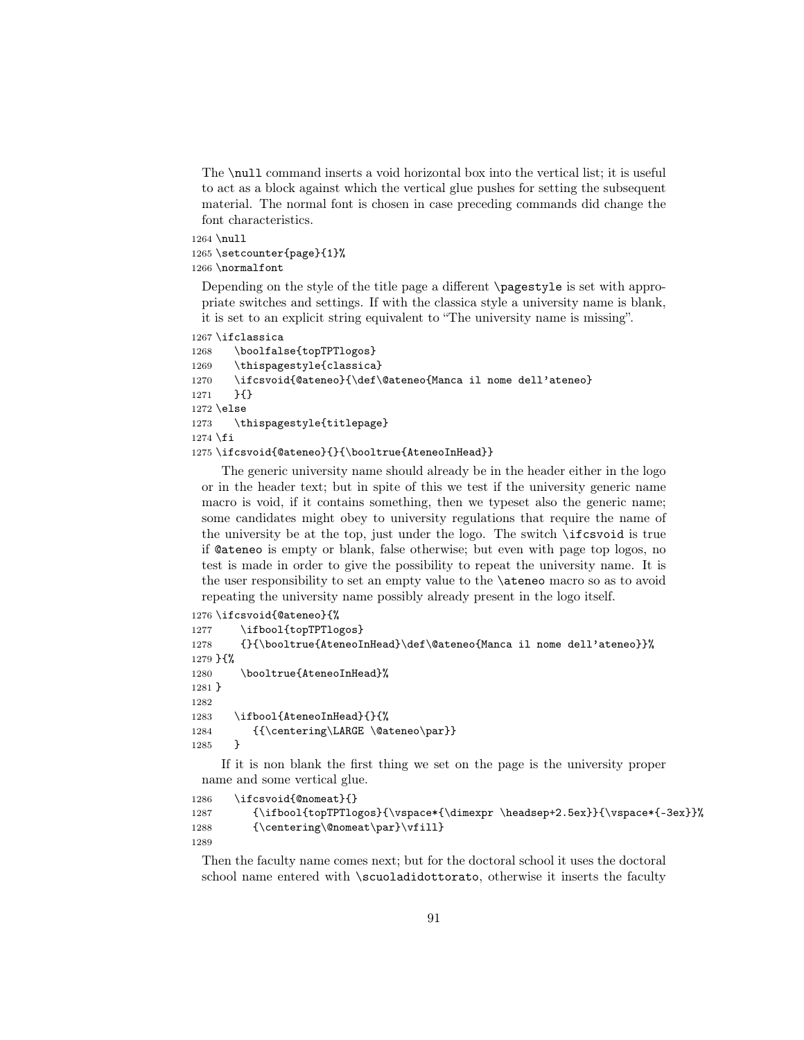The \null command inserts a void horizontal box into the vertical list; it is useful to act as a block against which the vertical glue pushes for setting the subsequent material. The normal font is chosen in case preceding commands did change the font characteristics.

```
1264 \null
1265 \setcounter{page}{1}%
1266 \normalfont
```
Depending on the style of the title page a different \pagestyle is set with appropriate switches and settings. If with the classica style a university name is blank, it is set to an explicit string equivalent to "The university name is missing".

```
1267 \ifclassica
```

```
1268 \boolfalse{topTPTlogos}
1269 \thispagestyle{classica}
1270 \ifcsvoid{@ateneo}{\def\@ateneo{Manca il nome dell'ateneo}
1271 }{}
1272 \else
1273 \thispagestyle{titlepage}
1274 \fi
1275 \ifcsvoid{@ateneo}{}{\booltrue{AteneoInHead}}
```
The generic university name should already be in the header either in the logo or in the header text; but in spite of this we test if the university generic name macro is void, if it contains something, then we typeset also the generic name; some candidates might obey to university regulations that require the name of the university be at the top, just under the logo. The switch \ifcsvoid is true if @ateneo is empty or blank, false otherwise; but even with page top logos, no test is made in order to give the possibility to repeat the university name. It is the user responsibility to set an empty value to the \ateneo macro so as to avoid repeating the university name possibly already present in the logo itself.

```
1276 \ifcsvoid{@ateneo}{%
1277 \ifbool{topTPTlogos}
1278 {}{\booltrue{AteneoInHead}\def\@ateneo{Manca il nome dell'ateneo}}%
1279 }{%
1280 \booltrue{AteneoInHead}%
1281 }
1282
1283 \ifbool{AteneoInHead}{}{%
1284 {\centering\LARGE \@ateneo\par}}
1285 }
```
If it is non blank the first thing we set on the page is the university proper name and some vertical glue.

```
1286 \ifcsvoid{@nomeat}{}
1287 {\ifbool{topTPTlogos}{\vspace*{\dimexpr \headsep+2.5ex}}{\vspace*{-3ex}}%
1288 {\centering\@nomeat\par}\vfill}
1289
```
Then the faculty name comes next; but for the doctoral school it uses the doctoral school name entered with \scuoladidottorato, otherwise it inserts the faculty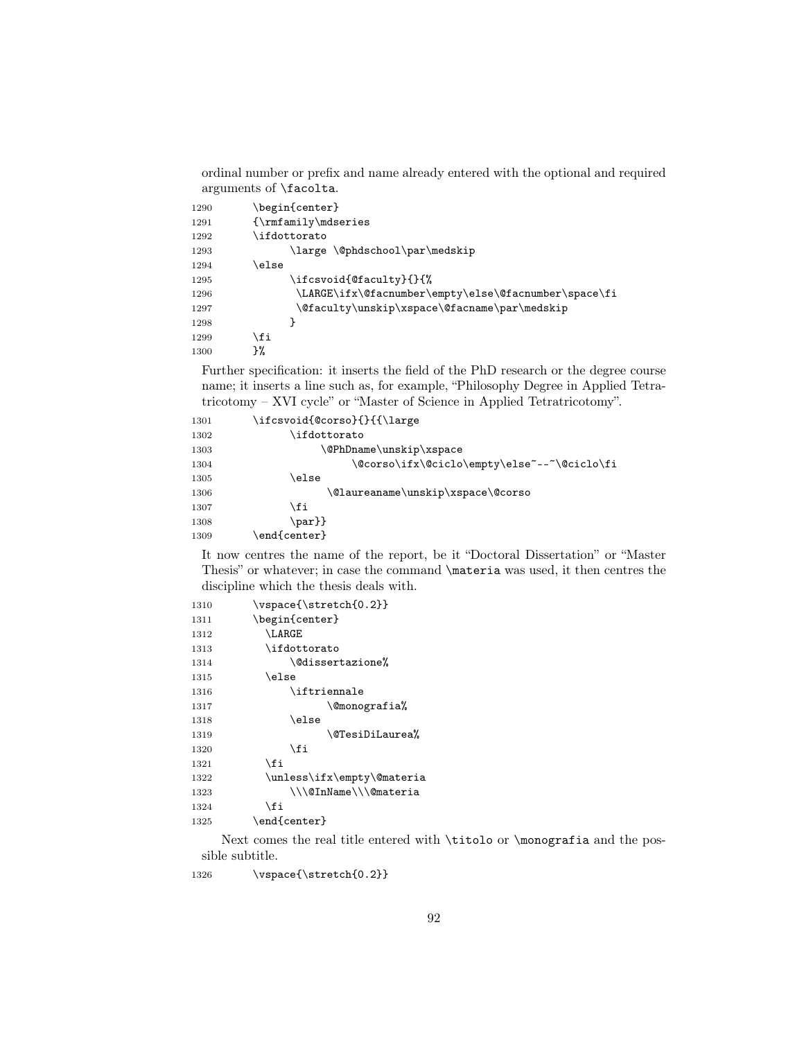ordinal number or prefix and name already entered with the optional and required arguments of \facolta.

| 1290 | \begin{center}                                       |
|------|------------------------------------------------------|
| 1291 | $\{\rm amly\md{series\}$                             |
| 1292 | \ifdottorato                                         |
| 1293 | \large \@phdschool\par\medskip                       |
| 1294 | \else                                                |
| 1295 | \ifcsvoid{@faculty}{}{%                              |
| 1296 | \LARGE\ifx\@facnumber\empty\else\@facnumber\space\fi |
| 1297 | \@faculty\unskip\xspace\@facname\par\medskip         |
| 1298 |                                                      |
| 1299 | \fi                                                  |
| 1300 | }‰                                                   |

Further specification: it inserts the field of the PhD research or the degree course name; it inserts a line such as, for example, "Philosophy Degree in Applied Tetratricotomy – XVI cycle" or "Master of Science in Applied Tetratricotomy".

| 1301 | \ifcsvoid{@corso}{}{{\large                 |
|------|---------------------------------------------|
| 1302 | \ifdottorato                                |
| 1303 | \@PhDname\unskip\xspace                     |
| 1304 | \@corso\ifx\@ciclo\empty\else~--~\@ciclo\fi |
| 1305 | \else                                       |
| 1306 | \@laureaname\unskip\xspace\@corso           |
| 1307 | \fi                                         |
| 1308 | $\bar{\}$                                   |
| 1309 | $\end{scriptstyle}$                         |

It now centres the name of the report, be it "Doctoral Dissertation" or "Master Thesis" or whatever; in case the command \materia was used, it then centres the discipline which the thesis deals with.

| 1310 | \vspace{\stretch{0.2}}     |
|------|----------------------------|
| 1311 | \begin{center}             |
| 1312 | \LARGE                     |
| 1313 | \ifdottorato               |
| 1314 | \@dissertazione%           |
| 1315 | \else                      |
| 1316 | $\iota$ iftriennale        |
| 1317 | \@monografia%              |
| 1318 | \else                      |
| 1319 | \@TesiDiLaurea%            |
| 1320 | \fi                        |
| 1321 | \fi                        |
| 1322 | \unless\ifx\empty\@materia |
| 1323 | \\\@InName\\\@materia      |
| 1324 | \fi                        |
| 1325 | \end{center}               |
|      |                            |

Next comes the real title entered with \titolo or \monografia and the possible subtitle.

1326 \vspace{\stretch{0.2}}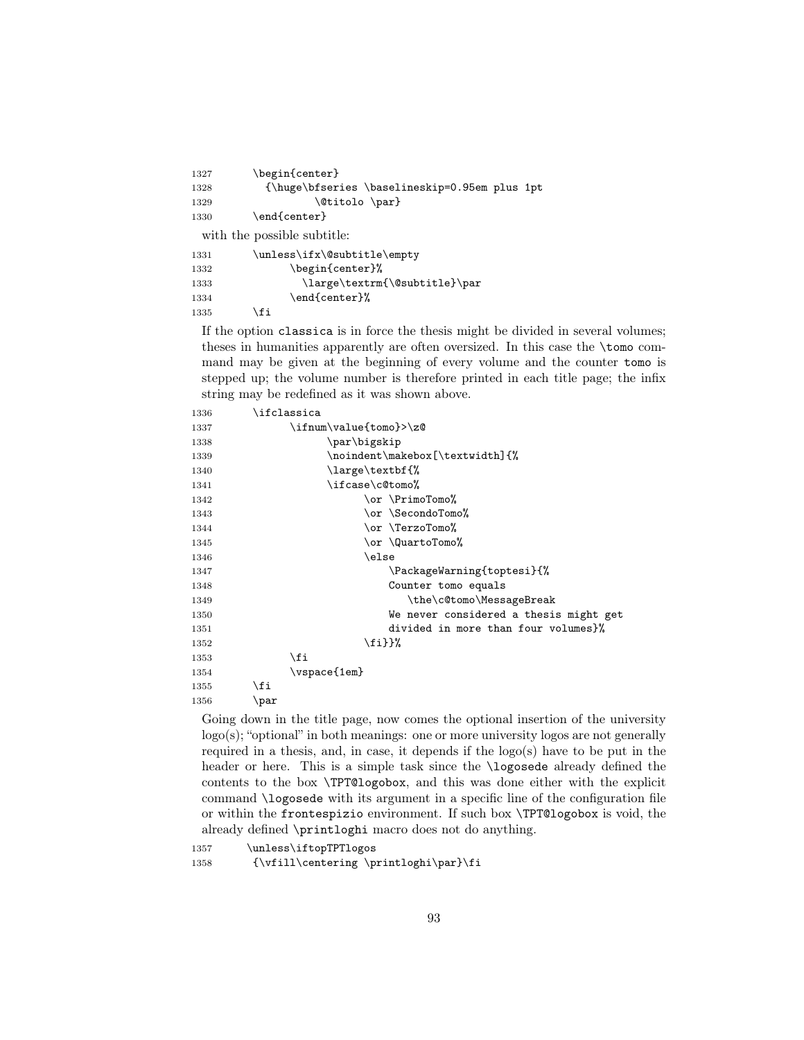| \begin{center}                                |  |
|-----------------------------------------------|--|
| {\huge\bfseries \baselineskip=0.95em plus 1pt |  |
| \@titolo \par}                                |  |
| \end{center}                                  |  |
| with the possible subtitle:                   |  |
| \unless\ifx\@subtitle\empty                   |  |
| \begin{center}%                               |  |
| \large\textrm{\@subtitle}\par                 |  |
| \end{center}%                                 |  |
| ∖fi                                           |  |
|                                               |  |

If the option classica is in force the thesis might be divided in several volumes; theses in humanities apparently are often oversized. In this case the \tomo command may be given at the beginning of every volume and the counter tomo is stepped up; the volume number is therefore printed in each title page; the infix string may be redefined as it was shown above.

| 1336 | \ifclassica                            |
|------|----------------------------------------|
| 1337 | \ifnum\value{tomo}>\z@                 |
| 1338 | \par\bigskip                           |
| 1339 | \noindent\makebox[\textwidth]{%        |
| 1340 | \large\textbf{%                        |
| 1341 | \ifcase\c@tomo%                        |
| 1342 | \or \PrimoTomo%                        |
| 1343 | \or \SecondoTomo%                      |
| 1344 | \or \TerzoTomo%                        |
| 1345 | \or \QuartoTomo%                       |
| 1346 | \else                                  |
| 1347 | \PackageWarning{toptesi}{%             |
| 1348 | Counter tomo equals                    |
| 1349 | \the\c@tomo\MessageBreak               |
| 1350 | We never considered a thesis might get |
| 1351 | divided in more than four volumes}%    |
| 1352 | \fi}}%                                 |
| 1353 | \fi                                    |
| 1354 | $\verb \vspace{1em} $                  |
| 1355 | \fi                                    |
| 1356 | \par                                   |

Going down in the title page, now comes the optional insertion of the university logo(s); "optional" in both meanings: one or more university logos are not generally required in a thesis, and, in case, it depends if the logo(s) have to be put in the header or here. This is a simple task since the **\logosede** already defined the contents to the box \TPT@logobox, and this was done either with the explicit command \logosede with its argument in a specific line of the configuration file or within the frontespizio environment. If such box \TPT@logobox is void, the already defined \printloghi macro does not do anything.

 \unless\iftopTPTlogos {\vfill\centering \printloghi\par}\fi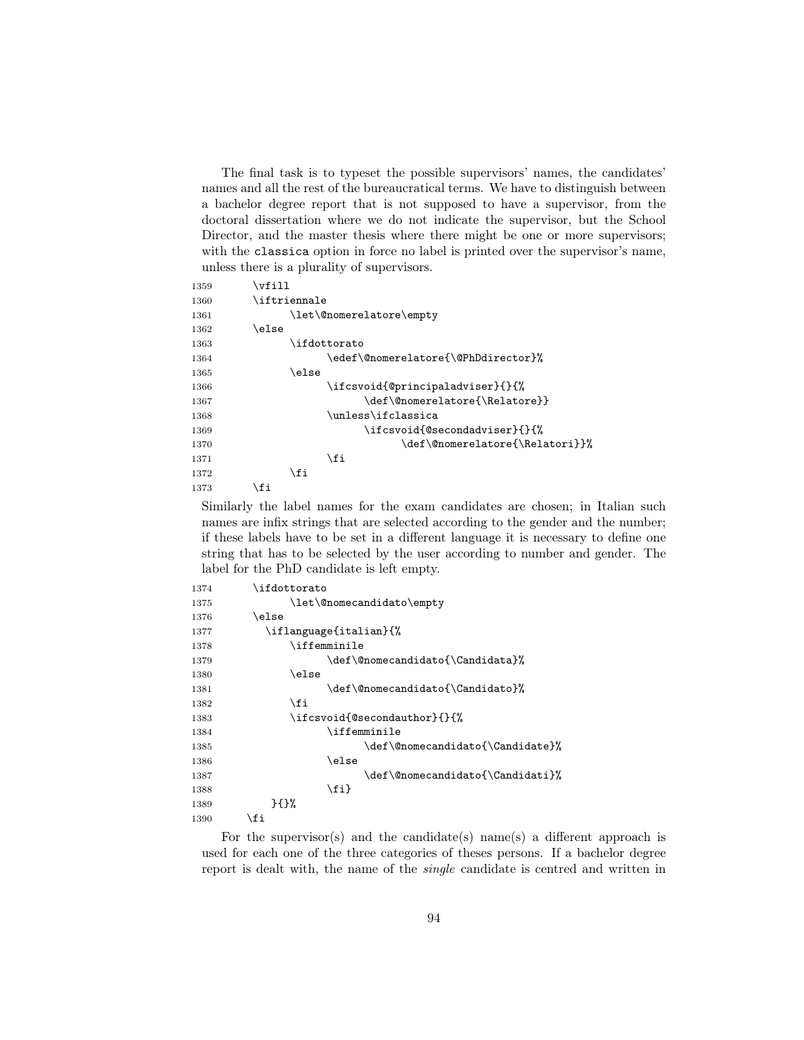The final task is to typeset the possible supervisors' names, the candidates' names and all the rest of the bureaucratical terms. We have to distinguish between a bachelor degree report that is not supposed to have a supervisor, from the doctoral dissertation where we do not indicate the supervisor, but the School Director, and the master thesis where there might be one or more supervisors; with the classica option in force no label is printed over the supervisor's name, unless there is a plurality of supervisors.

| 1359 | \vfill                              |
|------|-------------------------------------|
| 1360 | $\backslash$ iftriennale            |
| 1361 | \let\@nomerelatore\empty            |
| 1362 | \else                               |
| 1363 | \ifdottorato                        |
| 1364 | \edef\@nomerelatore{\@PhDdirector}% |
| 1365 | \else                               |
| 1366 | \ifcsvoid{@principaladviser}{}{%    |
| 1367 | \def\@nomerelatore{\Relatore}}      |
| 1368 | \unless\ifclassica                  |
| 1369 | \ifcsvoid{@secondadviser}{}{%       |
| 1370 | \def\@nomerelatore{\Relatori}}%     |
| 1371 | \fi                                 |
| 1372 | \fi                                 |
| 1373 | ∖fi                                 |

Similarly the label names for the exam candidates are chosen; in Italian such names are infix strings that are selected according to the gender and the number; if these labels have to be set in a different language it is necessary to define one string that has to be selected by the user according to number and gender. The label for the PhD candidate is left empty.

| 1374 | \ifdottorato                     |
|------|----------------------------------|
| 1375 | \let\@nomecandidato\empty        |
| 1376 | \else                            |
| 1377 | \iflanguage{italian}{%           |
| 1378 | \iffemminile                     |
| 1379 | \def\@nomecandidato{\Candidata}% |
| 1380 | \else                            |
| 1381 | \def\@nomecandidato{\Candidato}% |
| 1382 | \fi                              |
| 1383 | \ifcsvoid{@secondauthor}{}{%     |
| 1384 | <b>\iffemminile</b>              |
| 1385 | \def\@nomecandidato{\Candidate}% |
| 1386 | \else                            |
| 1387 | \def\@nomecandidato{\Candidati}% |
| 1388 | \fi}                             |
| 1389 | H                                |
| 1390 | \fi                              |
|      |                                  |

For the supervisor(s) and the candidate(s) name(s) a different approach is used for each one of the three categories of theses persons. If a bachelor degree report is dealt with, the name of the single candidate is centred and written in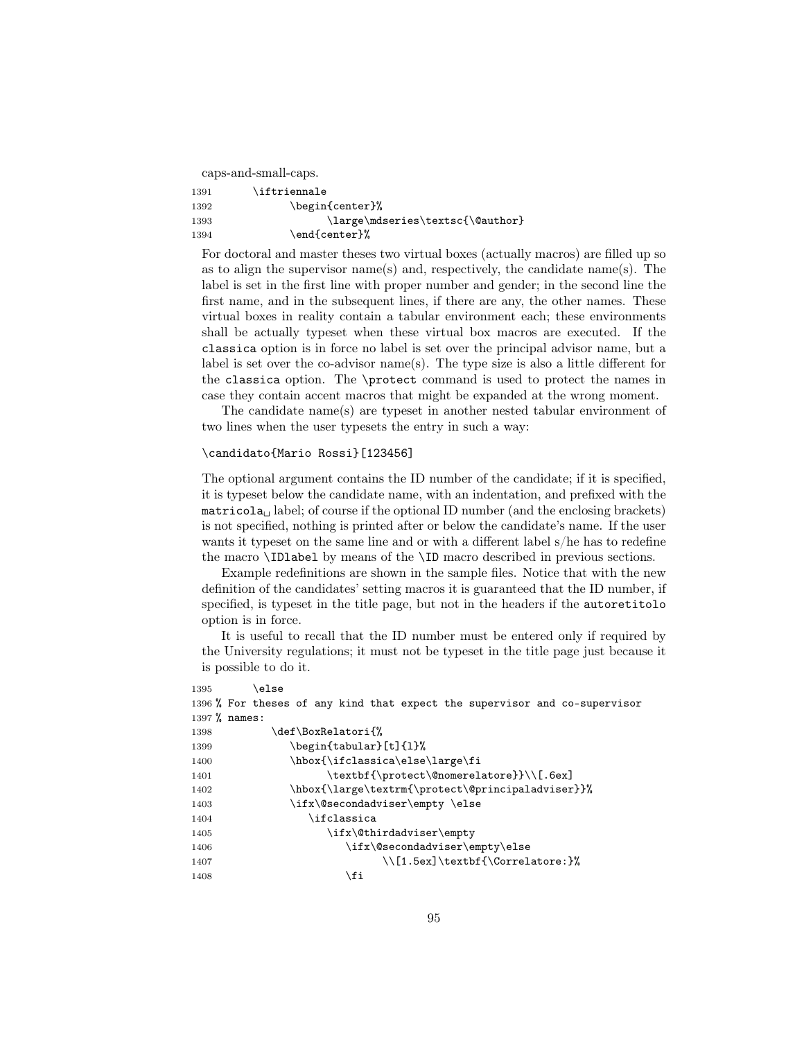caps-and-small-caps.

| 1391 | \iftriennale                     |
|------|----------------------------------|
| 1392 | \begin{center}%                  |
| 1393 | \large\mdseries\textsc{\@author} |
| 1394 | \end{center}%                    |

For doctoral and master theses two virtual boxes (actually macros) are filled up so as to align the supervisor name(s) and, respectively, the candidate name(s). The label is set in the first line with proper number and gender; in the second line the first name, and in the subsequent lines, if there are any, the other names. These virtual boxes in reality contain a tabular environment each; these environments shall be actually typeset when these virtual box macros are executed. If the classica option is in force no label is set over the principal advisor name, but a label is set over the co-advisor name(s). The type size is also a little different for the classica option. The \protect command is used to protect the names in case they contain accent macros that might be expanded at the wrong moment.

The candidate name(s) are typeset in another nested tabular environment of two lines when the user typesets the entry in such a way:

## \candidato{Mario Rossi}[123456]

The optional argument contains the ID number of the candidate; if it is specified, it is typeset below the candidate name, with an indentation, and prefixed with the  $\text{matricola}_{\text{u}}$  label; of course if the optional ID number (and the enclosing brackets) is not specified, nothing is printed after or below the candidate's name. If the user wants it typeset on the same line and or with a different label s/he has to redefine the macro \IDlabel by means of the \ID macro described in previous sections.

Example redefinitions are shown in the sample files. Notice that with the new definition of the candidates' setting macros it is guaranteed that the ID number, if specified, is typeset in the title page, but not in the headers if the autoretitolo option is in force.

It is useful to recall that the ID number must be entered only if required by the University regulations; it must not be typeset in the title page just because it is possible to do it.

| 1395            | else\                                                                      |
|-----------------|----------------------------------------------------------------------------|
|                 | 1396 % For theses of any kind that expect the supervisor and co-supervisor |
| $1397$ % names: |                                                                            |
| 1398            | \def\BoxRelatori{%                                                         |
| 1399            | \begin{tabular}[t]{1}%                                                     |
| 1400            | \hbox{\ifclassica\else\large\fi                                            |
| 1401            | \textbf{\protect\@nomerelatore}}\\[.6ex]                                   |
| 1402            | \hbox{\large\textrm{\protect\@principaladviser}}%                          |
| 1403            | \ifx\@secondadviser\empty \else                                            |
| 1404            | \ifclassica                                                                |
| 1405            | \ifx\@thirdadviser\empty                                                   |
| 1406            | \ifx\@secondadviser\empty\else                                             |
| 1407            | \\[1.5ex]\textbf{\Correlatore:}%                                           |
| 1408            | \fi                                                                        |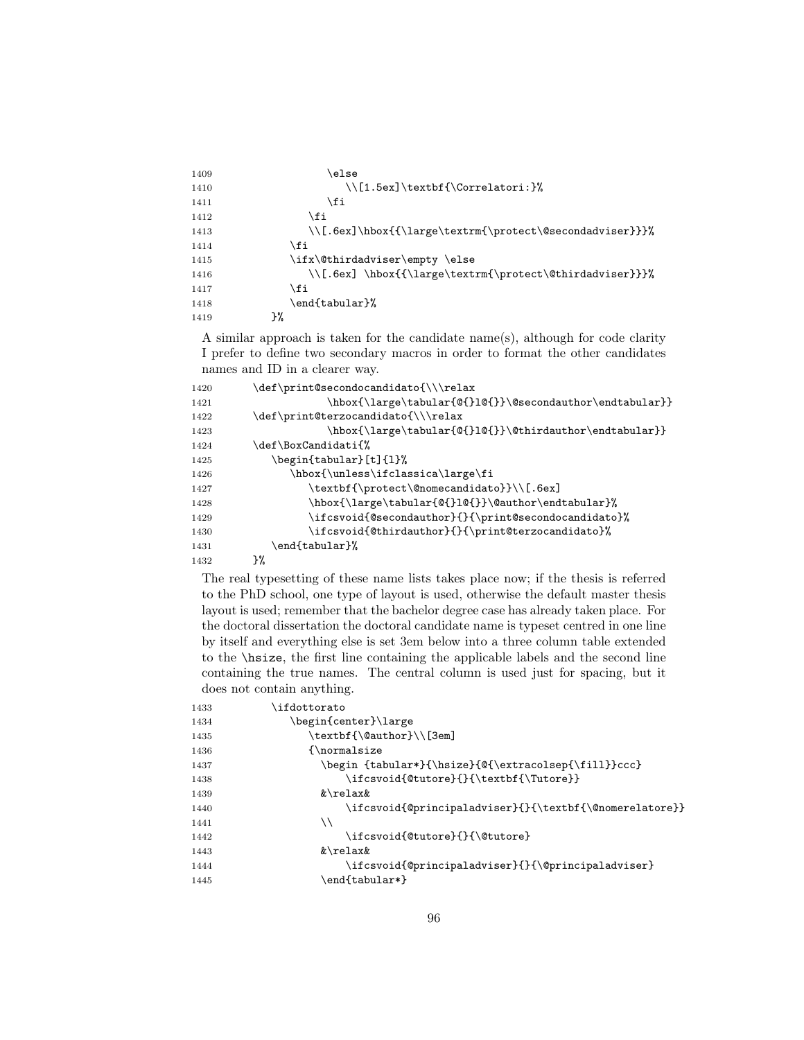| 1409 | else\                                                    |
|------|----------------------------------------------------------|
| 1410 | $\setminus$ [1.5ex]\textbf{\Correlatori:}%               |
| 1411 | \fi                                                      |
| 1412 | \fi                                                      |
| 1413 | \\[.6ex]\hbox{{\large\textrm{\protect\@secondadviser}}}% |
| 1414 | \fi                                                      |
| 1415 | \ifx\@thirdadviser\empty \else                           |
| 1416 | \\[.6ex] \hbox{{\large\textrm{\protect\@thirdadviser}}}% |
| 1417 | \fi                                                      |
| 1418 | \end{tabular}%                                           |
| 1419 | }‰                                                       |

A similar approach is taken for the candidate name(s), although for code clarity I prefer to define two secondary macros in order to format the other candidates names and ID in a clearer way.

| 1420 | \def\print@secondocandidato{\\\relax                             |
|------|------------------------------------------------------------------|
| 1421 | \hbox{\large\tabular{@{}1@{}}\@secondauthor\endtabular}}         |
| 1422 | \def\print@terzocandidato{\\\relax                               |
| 1423 | \hbox{\large\tabular{@{}1@{}}\@thirdauthor\endtabular}}          |
| 1424 | \def\BoxCandidati{%                                              |
| 1425 | \begin{tabular}[t]{1}%                                           |
| 1426 | \hbox{\unless\ifclassica\large\fi                                |
| 1427 | \textbf{\protect\@nomecandidato}}\\[.6ex]                        |
| 1428 | \hbox{\large\tabular{@{}1@{}}\@author\endtabular}%               |
| 1429 | $\it \ifccosoid$ (@secondauthor} {} { \print@secondocandidato} % |
| 1430 | \ifcsvoid{@thirdauthor}{}{\print@terzocandidato}%                |
| 1431 | \end{tabular}%                                                   |
| 1432 | ን%                                                               |
|      |                                                                  |

The real typesetting of these name lists takes place now; if the thesis is referred to the PhD school, one type of layout is used, otherwise the default master thesis layout is used; remember that the bachelor degree case has already taken place. For the doctoral dissertation the doctoral candidate name is typeset centred in one line by itself and everything else is set 3em below into a three column table extended to the \hsize, the first line containing the applicable labels and the second line containing the true names. The central column is used just for spacing, but it does not contain anything.

| 1433 | ifdottorato                                             |
|------|---------------------------------------------------------|
| 1434 | \begin{center}\large                                    |
| 1435 | \textbf{\@author}\\[3em]                                |
| 1436 | {\normalsize}                                           |
| 1437 | \begin {tabular*}{\hsize}{@{\extracolsep{\fill}}ccc}    |
| 1438 | \ifcsvoid{@tutore}{}{\textbf{\Tutore}}                  |
| 1439 | &\relax&                                                |
| 1440 | \ifcsvoid{@principaladviser}{}{\textbf{\@nomerelatore}} |
| 1441 | ハ                                                       |
| 1442 | \ifcsvoid{@tutore}{}{\@tutore}                          |
| 1443 | $\&\$ relax $\&$                                        |
| 1444 | \ifcsvoid{@principaladviser}{}{\@principaladviser}      |
| 1445 | end{tabular*}\                                          |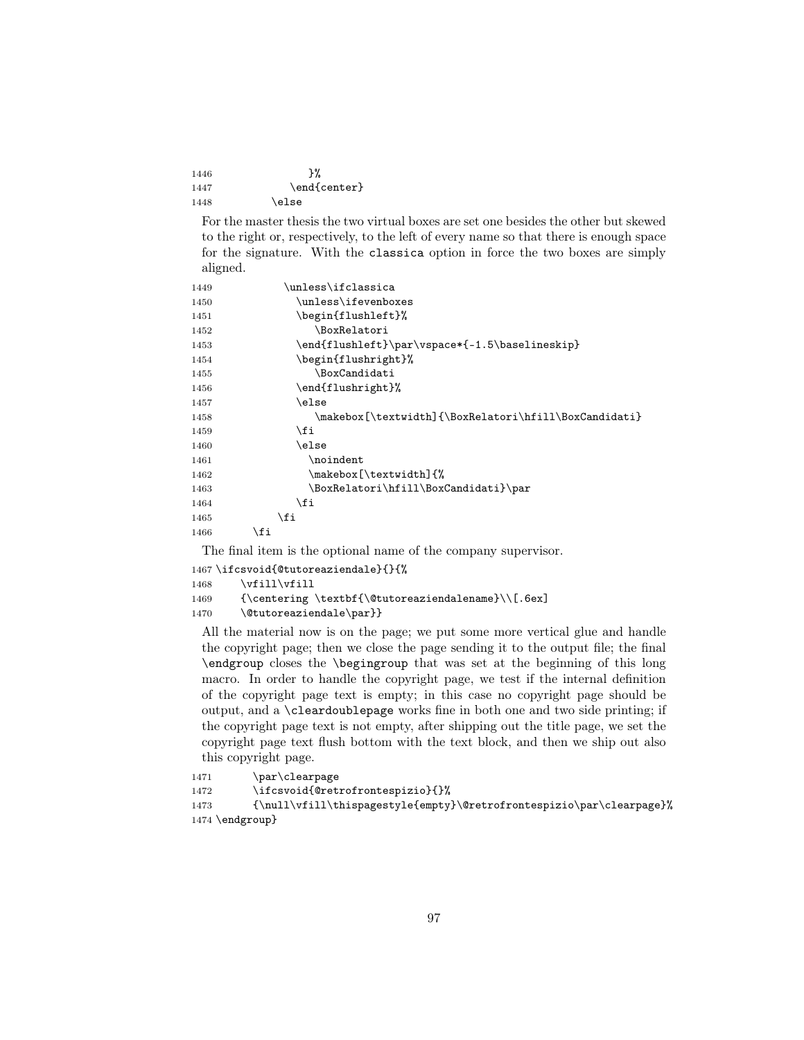| 1446 | ጉ%           |
|------|--------------|
| 1447 | \end{center} |
| 1448 | \else        |

For the master thesis the two virtual boxes are set one besides the other but skewed to the right or, respectively, to the left of every name so that there is enough space for the signature. With the classica option in force the two boxes are simply aligned.

| 1449 | \unless\ifclassica                                    |
|------|-------------------------------------------------------|
| 1450 | \unless\ifevenboxes                                   |
| 1451 | \begin{flushleft}%                                    |
| 1452 | \BoxRelatori                                          |
| 1453 | \end{flushleft}\par\vspace*{-1.5\baselineskip}        |
| 1454 | \begin{flushright}%                                   |
| 1455 | \BoxCandidati                                         |
| 1456 | \end{flushright}%                                     |
| 1457 | \else                                                 |
| 1458 | \makebox[\textwidth]{\BoxRelatori\hfill\BoxCandidati} |
| 1459 | \fi                                                   |
| 1460 | \else                                                 |
| 1461 | \noindent                                             |
| 1462 | \makebox[\textwidth]{%                                |
| 1463 | \BoxRelatori\hfill\BoxCandidati}\par                  |
| 1464 | \fi                                                   |
| 1465 | \fi                                                   |
| 1466 | \fi                                                   |

The final item is the optional name of the company supervisor.

1467 \ifcsvoid{@tutoreaziendale}{}{% 1468 \vfill\vfill 1469 {\centering \textbf{\@tutoreaziendalename}\\[.6ex] 1470 \@tutoreaziendale\par}}

All the material now is on the page; we put some more vertical glue and handle the copyright page; then we close the page sending it to the output file; the final \endgroup closes the \begingroup that was set at the beginning of this long macro. In order to handle the copyright page, we test if the internal definition of the copyright page text is empty; in this case no copyright page should be output, and a \cleardoublepage works fine in both one and two side printing; if the copyright page text is not empty, after shipping out the title page, we set the copyright page text flush bottom with the text block, and then we ship out also this copyright page.

```
1471 \par\clearpage
1472 \ifcsvoid{@retrofrontespizio}{}%
1473 {\null\vfill\thispagestyle{empty}\@retrofrontespizio\par\clearpage}%
1474 \endgroup}
```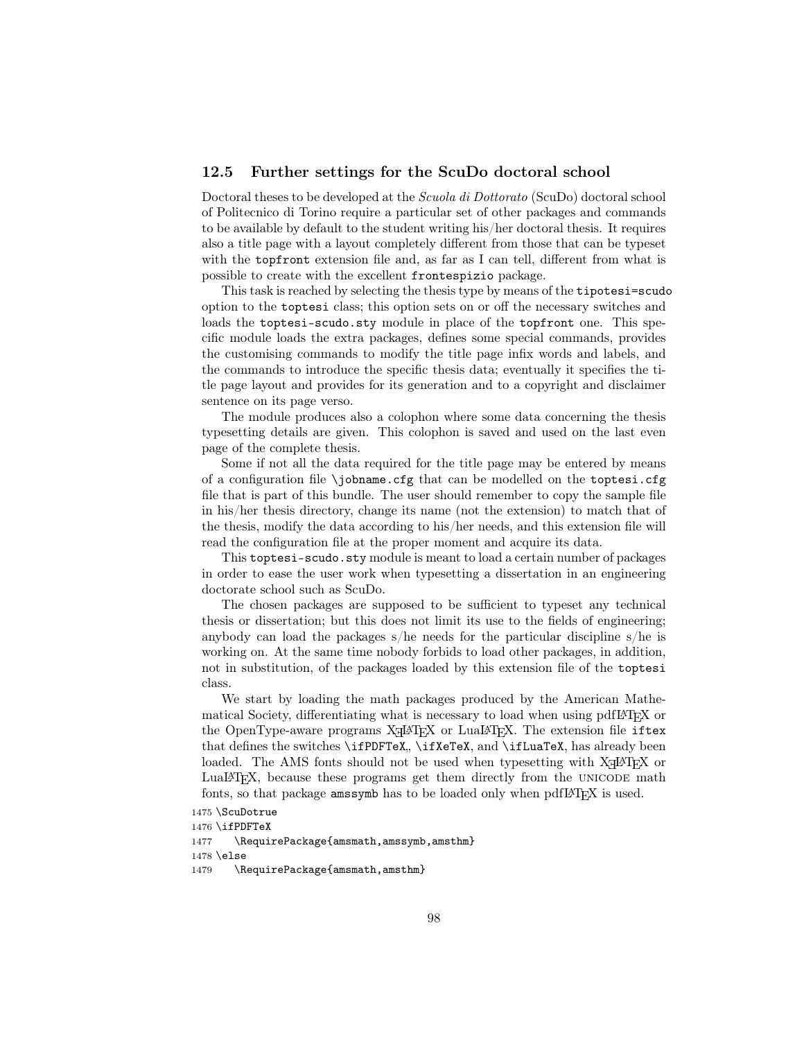# 12.5 Further settings for the ScuDo doctoral school

Doctoral theses to be developed at the Scuola di Dottorato (ScuDo) doctoral school of Politecnico di Torino require a particular set of other packages and commands to be available by default to the student writing his/her doctoral thesis. It requires also a title page with a layout completely different from those that can be typeset with the topfront extension file and, as far as I can tell, different from what is possible to create with the excellent frontespizio package.

This task is reached by selecting the thesis type by means of the tipotesi=scudo option to the toptesi class; this option sets on or off the necessary switches and loads the toptesi-scudo.sty module in place of the topfront one. This specific module loads the extra packages, defines some special commands, provides the customising commands to modify the title page infix words and labels, and the commands to introduce the specific thesis data; eventually it specifies the title page layout and provides for its generation and to a copyright and disclaimer sentence on its page verso.

The module produces also a colophon where some data concerning the thesis typesetting details are given. This colophon is saved and used on the last even page of the complete thesis.

Some if not all the data required for the title page may be entered by means of a configuration file \jobname.cfg that can be modelled on the toptesi.cfg file that is part of this bundle. The user should remember to copy the sample file in his/her thesis directory, change its name (not the extension) to match that of the thesis, modify the data according to his/her needs, and this extension file will read the configuration file at the proper moment and acquire its data.

This toptesi-scudo.sty module is meant to load a certain number of packages in order to ease the user work when typesetting a dissertation in an engineering doctorate school such as ScuDo.

The chosen packages are supposed to be sufficient to typeset any technical thesis or dissertation; but this does not limit its use to the fields of engineering; anybody can load the packages s/he needs for the particular discipline s/he is working on. At the same time nobody forbids to load other packages, in addition, not in substitution, of the packages loaded by this extension file of the toptesi class.

We start by loading the math packages produced by the American Mathematical Society, differentiating what is necessary to load when using pdfLATEX or the OpenType-aware programs  $X \oplus Y \oplus Y$  or Lual4T<sub>E</sub>X. The extension file  ${\tt iftex}$ that defines the switches \ifPDFTeX, \ifXeTeX, and \ifLuaTeX, has already been loaded. The AMS fonts should not be used when type<br>setting with  $\text{XgI4T}\text{FX}$  or LuaLATEX, because these programs get them directly from the unicode math fonts, so that package amssymb has to be loaded only when pdfL<sup>AT</sup>F<sub>X</sub> is used.

```
1475 \ScuDotrue
```

```
1476 \ifPDFTeX
1477 \RequirePackage{amsmath,amssymb,amsthm}
1478 \else
1479 \RequirePackage{amsmath,amsthm}
```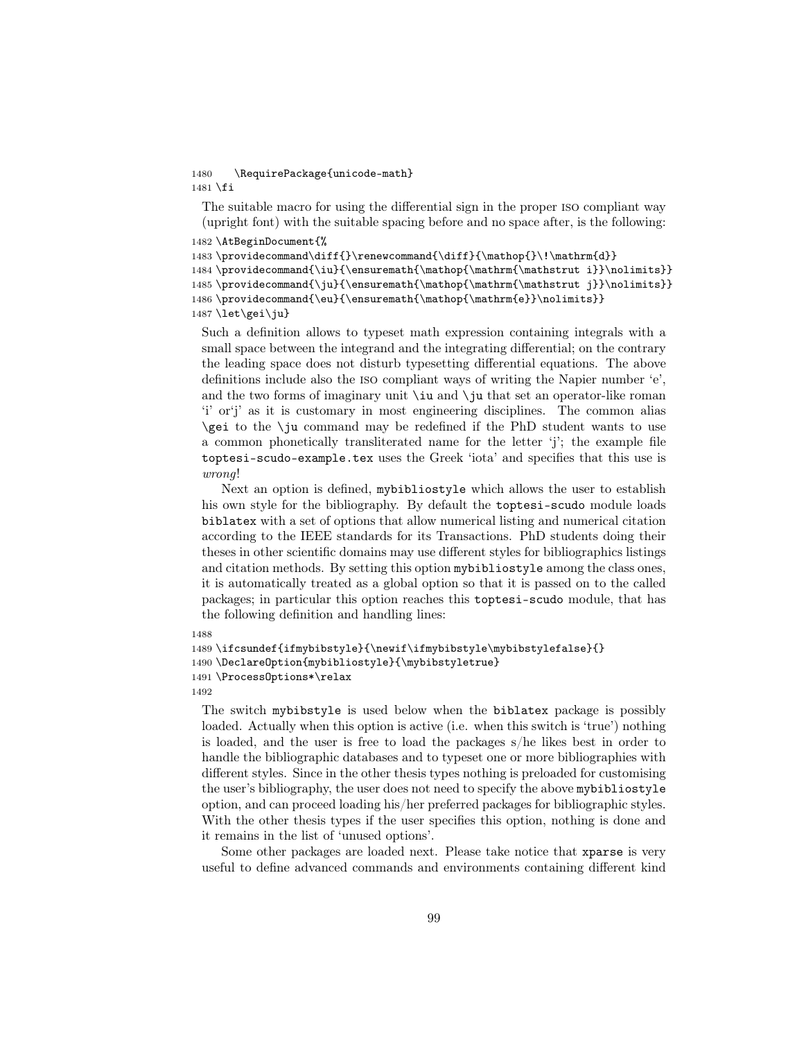### 1480 \RequirePackage{unicode-math} 1481 \fi

The suitable macro for using the differential sign in the proper iso compliant way (upright font) with the suitable spacing before and no space after, is the following:

```
1482 \AtBeginDocument{%
```

```
1483\providecommand\diff{}\renewcommand{\diff}{\mathop{}\!\mathrm{d}}
```

```
1484 \providecommand{\iu}{\ensuremath{\mathop{\mathrm{\mathstrut i}}\nolimits}}
1485 \providecommand{\ju}{\ensuremath{\mathop{\mathrm{\mathstrut j}}\nolimits}}
1486\providecommand{\eu}{\ensuremath{\mathop{\mathrm{e}}\nolimits}}
```
1487 \let\gei\ju}

Such a definition allows to typeset math expression containing integrals with a small space between the integrand and the integrating differential; on the contrary the leading space does not disturb typesetting differential equations. The above definitions include also the iso compliant ways of writing the Napier number 'e', and the two forms of imaginary unit \iu and \ju that set an operator-like roman 'i' or'j' as it is customary in most engineering disciplines. The common alias \gei to the \ju command may be redefined if the PhD student wants to use a common phonetically transliterated name for the letter 'j'; the example file toptesi-scudo-example.tex uses the Greek 'iota' and specifies that this use is wrong!

Next an option is defined, mybibliostyle which allows the user to establish his own style for the bibliography. By default the toptesi-scudo module loads biblatex with a set of options that allow numerical listing and numerical citation according to the IEEE standards for its Transactions. PhD students doing their theses in other scientific domains may use different styles for bibliographics listings and citation methods. By setting this option mybibliostyle among the class ones, it is automatically treated as a global option so that it is passed on to the called packages; in particular this option reaches this toptesi-scudo module, that has the following definition and handling lines:

### 1488

```
1489 \ifcsundef{ifmybibstyle}{\newif\ifmybibstyle\mybibstylefalse}{}
1490 \DeclareOption{mybibliostyle}{\mybibstyletrue}
1491 \ProcessOptions*\relax
1492
```
The switch mybibstyle is used below when the biblatex package is possibly loaded. Actually when this option is active (i.e. when this switch is 'true') nothing is loaded, and the user is free to load the packages s/he likes best in order to handle the bibliographic databases and to typeset one or more bibliographies with different styles. Since in the other thesis types nothing is preloaded for customising the user's bibliography, the user does not need to specify the above mybibliostyle option, and can proceed loading his/her preferred packages for bibliographic styles. With the other thesis types if the user specifies this option, nothing is done and it remains in the list of 'unused options'.

Some other packages are loaded next. Please take notice that xparse is very useful to define advanced commands and environments containing different kind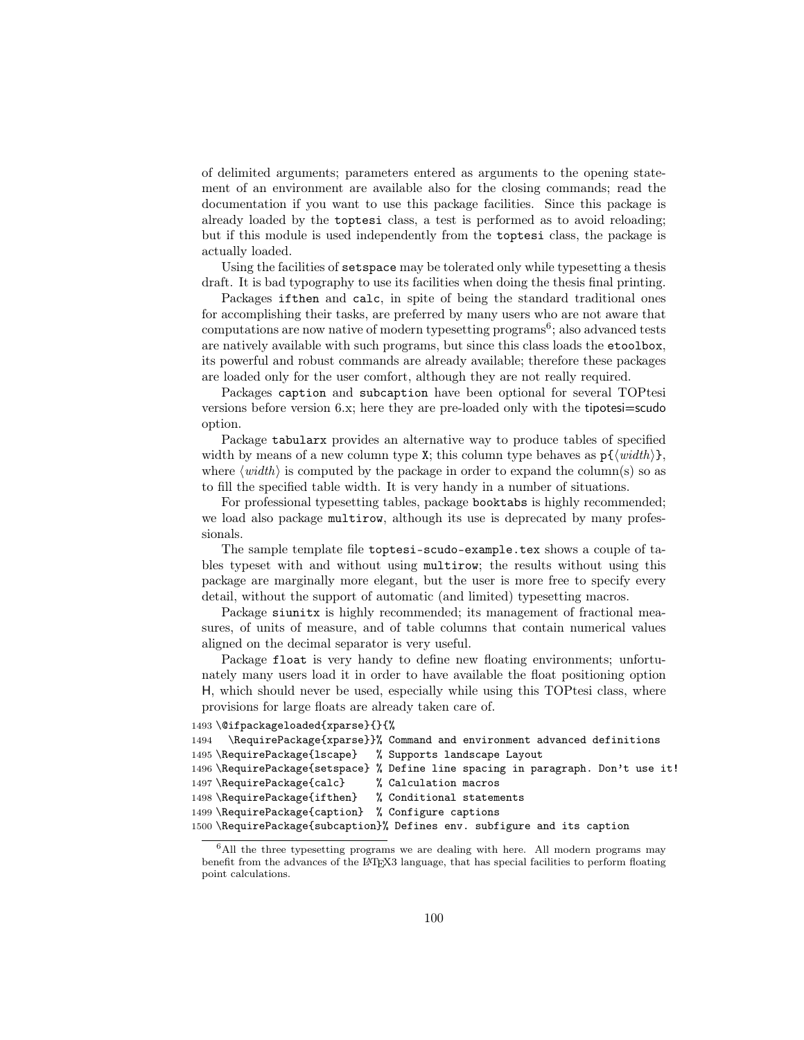of delimited arguments; parameters entered as arguments to the opening statement of an environment are available also for the closing commands; read the documentation if you want to use this package facilities. Since this package is already loaded by the toptesi class, a test is performed as to avoid reloading; but if this module is used independently from the toptesi class, the package is actually loaded.

Using the facilities of setspace may be tolerated only while typesetting a thesis draft. It is bad typography to use its facilities when doing the thesis final printing.

Packages ifthen and calc, in spite of being the standard traditional ones for accomplishing their tasks, are preferred by many users who are not aware that  $computations$  are now native of modern typesetting programs<sup>6</sup>; also advanced tests are natively available with such programs, but since this class loads the etoolbox, its powerful and robust commands are already available; therefore these packages are loaded only for the user comfort, although they are not really required.

Packages caption and subcaption have been optional for several TOPtesi versions before version 6.x; here they are pre-loaded only with the tipotesi=scudo option.

Package tabularx provides an alternative way to produce tables of specified width by means of a new column type X; this column type behaves as  $p\{\langle width \rangle\},\$ where  $\langle width \rangle$  is computed by the package in order to expand the column(s) so as to fill the specified table width. It is very handy in a number of situations.

For professional typesetting tables, package booktabs is highly recommended; we load also package multirow, although its use is deprecated by many professionals.

The sample template file toptesi-scudo-example.tex shows a couple of tables typeset with and without using multirow; the results without using this package are marginally more elegant, but the user is more free to specify every detail, without the support of automatic (and limited) typesetting macros.

Package siunitx is highly recommended; its management of fractional measures, of units of measure, and of table columns that contain numerical values aligned on the decimal separator is very useful.

Package float is very handy to define new floating environments; unfortunately many users load it in order to have available the float positioning option H, which should never be used, especially while using this TOPtesi class, where provisions for large floats are already taken care of.

```
1493 \@ifpackageloaded{xparse}{}{%
```

```
1494 \RequirePackage{xparse}}% Command and environment advanced definitions
1495 \RequirePackage{lscape} % Supports landscape Layout
1496 \RequirePackage{setspace} % Define line spacing in paragraph. Don't use it!
1497 \RequirePackage{calc} % Calculation macros
1498 \RequirePackage{ifthen} % Conditional statements
1499 \RequirePackage{caption} % Configure captions
1500 \RequirePackage{subcaption}% Defines env. subfigure and its caption
```
<sup>6</sup>All the three typesetting programs we are dealing with here. All modern programs may benefit from the advances of the LAT<sub>E</sub>X3 language, that has special facilities to perform floating point calculations.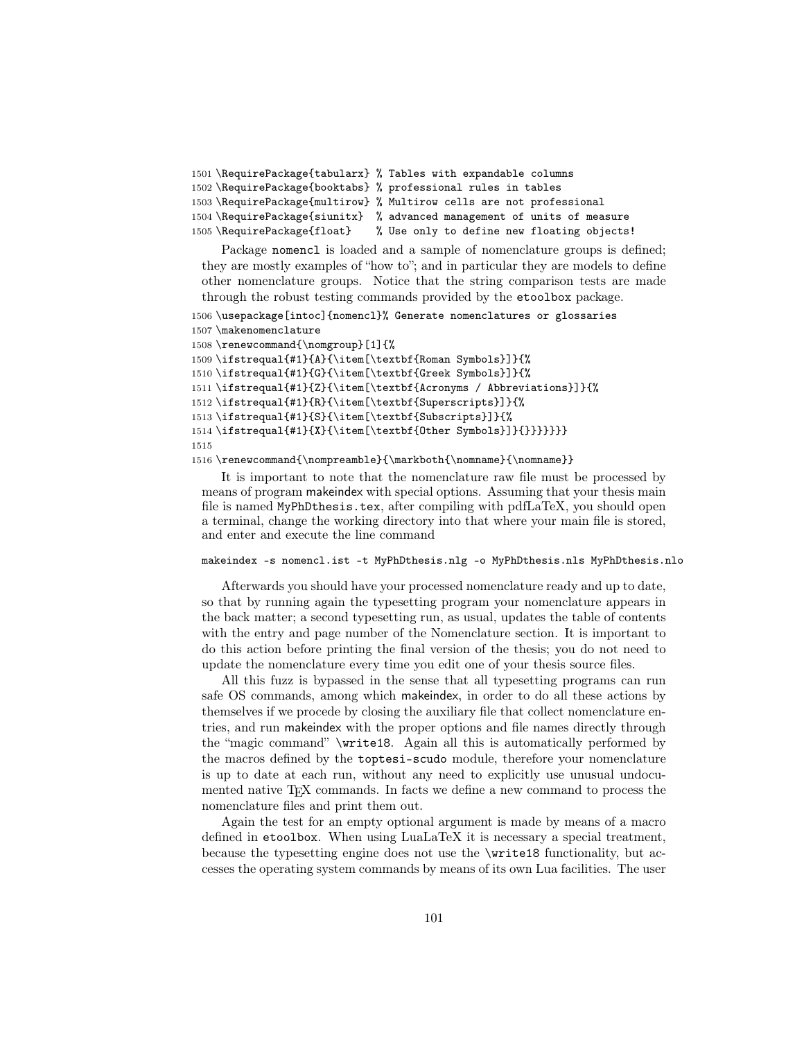```
1501 \RequirePackage{tabularx} % Tables with expandable columns
1502 \RequirePackage{booktabs} % professional rules in tables
1503 \RequirePackage{multirow} % Multirow cells are not professional
1504 \RequirePackage{siunitx} % advanced management of units of measure
1505 \RequirePackage{float} % Use only to define new floating objects!
```
Package nomencl is loaded and a sample of nomenclature groups is defined; they are mostly examples of "how to"; and in particular they are models to define other nomenclature groups. Notice that the string comparison tests are made through the robust testing commands provided by the etoolbox package.

```
1506 \usepackage[intoc]{nomencl}% Generate nomenclatures or glossaries
1507 \makenomenclature
1508 \renewcommand{\nomgroup}[1]{%
1509 \ifstrequal{#1}{A}{\item[\textbf{Roman Symbols}]}{%
1510 \ifstrequal{#1}{G}{\item[\textbf{Greek Symbols}]}{%
1511 \ifstrequal{#1}{Z}{\item[\textbf{Acronyms / Abbreviations}]}{%
1512 \ifstrequal{#1}{R}{\item[\textbf{Superscripts}]}{%
1513 \ifstrequal{#1}{S}{\item[\textbf{Subscripts}]}{%
1514 \ifstrequal{#1}{X}{\item[\textbf{Other Symbols}]}{}}}}}}}
```
1515

1516 \renewcommand{\nompreamble}{\markboth{\nomname}{\nomname}}

It is important to note that the nomenclature raw file must be processed by means of program makeindex with special options. Assuming that your thesis main file is named MyPhDthesis.tex, after compiling with pdfLaTeX, you should open a terminal, change the working directory into that where your main file is stored, and enter and execute the line command

### makeindex -s nomencl.ist -t MyPhDthesis.nlg -o MyPhDthesis.nls MyPhDthesis.nlo

Afterwards you should have your processed nomenclature ready and up to date, so that by running again the typesetting program your nomenclature appears in the back matter; a second typesetting run, as usual, updates the table of contents with the entry and page number of the Nomenclature section. It is important to do this action before printing the final version of the thesis; you do not need to update the nomenclature every time you edit one of your thesis source files.

All this fuzz is bypassed in the sense that all typesetting programs can run safe OS commands, among which makeindex, in order to do all these actions by themselves if we procede by closing the auxiliary file that collect nomenclature entries, and run makeindex with the proper options and file names directly through the "magic command" \write18. Again all this is automatically performed by the macros defined by the toptesi-scudo module, therefore your nomenclature is up to date at each run, without any need to explicitly use unusual undocumented native T<sub>EX</sub> commands. In facts we define a new command to process the nomenclature files and print them out.

Again the test for an empty optional argument is made by means of a macro defined in etoolbox. When using LuaLaTeX it is necessary a special treatment, because the typesetting engine does not use the \write18 functionality, but accesses the operating system commands by means of its own Lua facilities. The user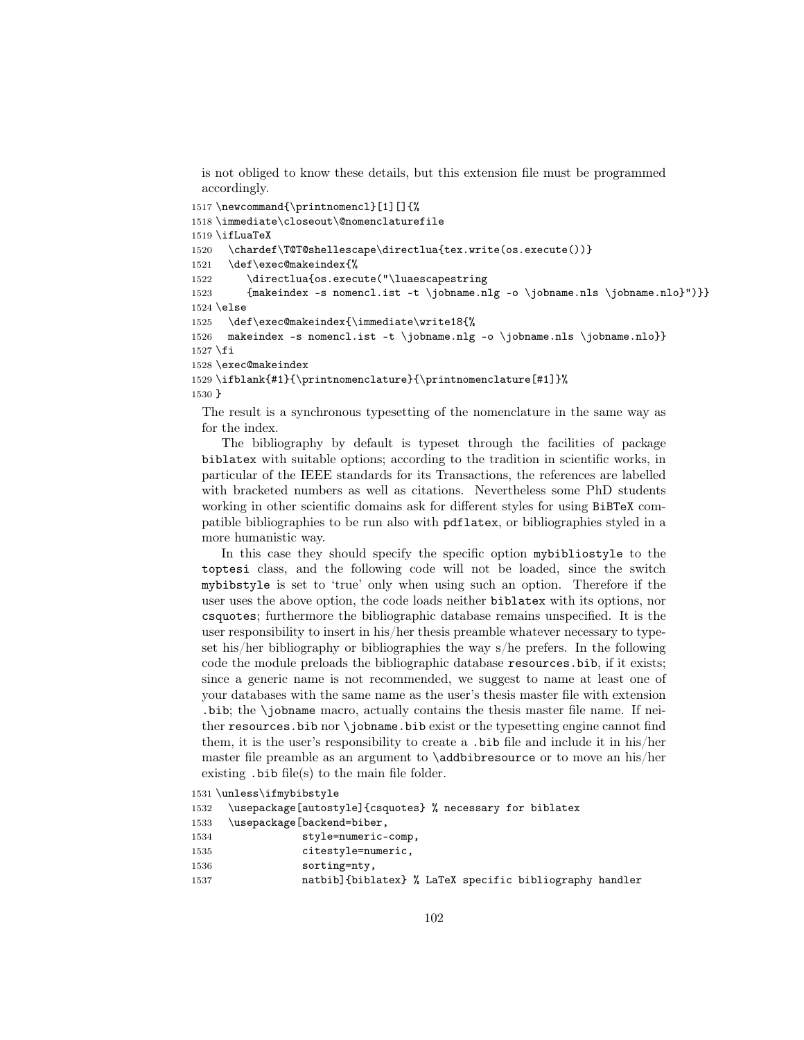is not obliged to know these details, but this extension file must be programmed accordingly.

```
1517 \newcommand{\printnomencl}[1][]{%
1518 \immediate\closeout\@nomenclaturefile
1519 \ifLuaTeX
1520 \chardef\T@T@shellescape\directlua{tex.write(os.execute())}
1521 \def\exec@makeindex{%
1522 \directlua{os.execute("\luaescapestring
1523 {makeindex -s nomencl.ist -t \jobname.nlg -o \jobname.nls \jobname.nlo}")}}
1524 \else
1525 \def\exec@makeindex{\immediate\write18{%
1526 makeindex -s nomencl.ist -t \jobname.nlg -o \jobname.nls \jobname.nlo}}
1527 \fi
1528 \exec@makeindex
1529 \ifblank{#1}{\printnomenclature}{\printnomenclature[#1]}%
1530 }
```
The result is a synchronous typesetting of the nomenclature in the same way as for the index.

The bibliography by default is typeset through the facilities of package biblatex with suitable options; according to the tradition in scientific works, in particular of the IEEE standards for its Transactions, the references are labelled with bracketed numbers as well as citations. Nevertheless some PhD students working in other scientific domains ask for different styles for using BiBTeX compatible bibliographies to be run also with pdflatex, or bibliographies styled in a more humanistic way.

In this case they should specify the specific option mybibliostyle to the toptesi class, and the following code will not be loaded, since the switch mybibstyle is set to 'true' only when using such an option. Therefore if the user uses the above option, the code loads neither biblatex with its options, nor csquotes; furthermore the bibliographic database remains unspecified. It is the user responsibility to insert in his/her thesis preamble whatever necessary to typeset his/her bibliography or bibliographies the way s/he prefers. In the following code the module preloads the bibliographic database resources.bib, if it exists; since a generic name is not recommended, we suggest to name at least one of your databases with the same name as the user's thesis master file with extension .bib; the \jobname macro, actually contains the thesis master file name. If neither resources.bib nor \jobname.bib exist or the typesetting engine cannot find them, it is the user's responsibility to create a .bib file and include it in his/her master file preamble as an argument to \addbibresource or to move an his/her existing .bib file(s) to the main file folder.

```
1531 \unless\ifmybibstyle
1532 \usepackage[autostyle]{csquotes} % necessary for biblatex
1533 \usepackage[backend=biber,
1534 style=numeric-comp,
1535 citestyle=numeric,
1536 sorting=nty,
1537 natbib]{biblatex} % LaTeX specific bibliography handler
```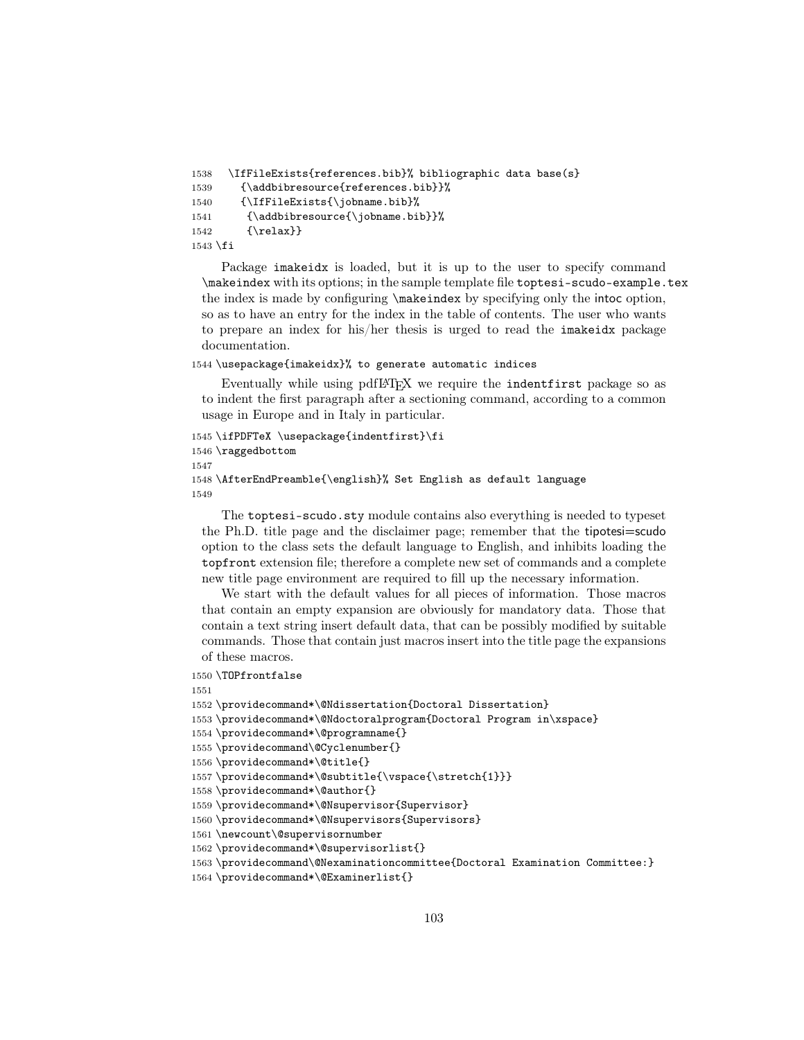```
1538 \IfFileExists{references.bib}% bibliographic data base(s}
1539 {\addbibresource{references.bib}}%
1540 {\IfFileExists{\jobname.bib}%
1541 {\addbibresource{\jobname.bib}}%
1542 \quad \{ \relax\}1543 \fi
```
Package imakeidx is loaded, but it is up to the user to specify command \makeindex with its options; in the sample template file toptesi-scudo-example.tex the index is made by configuring \makeindex by specifying only the intoc option, so as to have an entry for the index in the table of contents. The user who wants to prepare an index for his/her thesis is urged to read the imakeidx package documentation.

#### 1544 \usepackage{imakeidx}% to generate automatic indices

Eventually while using pdfLAT<sub>E</sub>X we require the indentfirst package so as to indent the first paragraph after a sectioning command, according to a common usage in Europe and in Italy in particular.

```
1545 \ifPDFTeX \usepackage{indentfirst}\fi
1546 \raggedbottom
1547
1548 \AfterEndPreamble{\english}% Set English as default language
1549
```
The toptesi-scudo.sty module contains also everything is needed to typeset the Ph.D. title page and the disclaimer page; remember that the tipotesi=scudo option to the class sets the default language to English, and inhibits loading the topfront extension file; therefore a complete new set of commands and a complete new title page environment are required to fill up the necessary information.

We start with the default values for all pieces of information. Those macros that contain an empty expansion are obviously for mandatory data. Those that contain a text string insert default data, that can be possibly modified by suitable commands. Those that contain just macros insert into the title page the expansions of these macros.

```
1550 \TOPfrontfalse
1551
1552 \providecommand*\@Ndissertation{Doctoral Dissertation}
1553 \providecommand*\@Ndoctoralprogram{Doctoral Program in\xspace}
1554 \providecommand*\@programname{}
1555 \providecommand\@Cyclenumber{}
1556 \providecommand*\@title{}
1557 \providecommand*\@subtitle{\vspace{\stretch{1}}}
1558 \providecommand*\@author{}
1559 \providecommand*\@Nsupervisor{Supervisor}
1560 \providecommand*\@Nsupervisors{Supervisors}
1561 \newcount\@supervisornumber
1562 \providecommand*\@supervisorlist{}
1563 \providecommand\@Nexaminationcommittee{Doctoral Examination Committee:}
1564 \providecommand*\@Examinerlist{}
```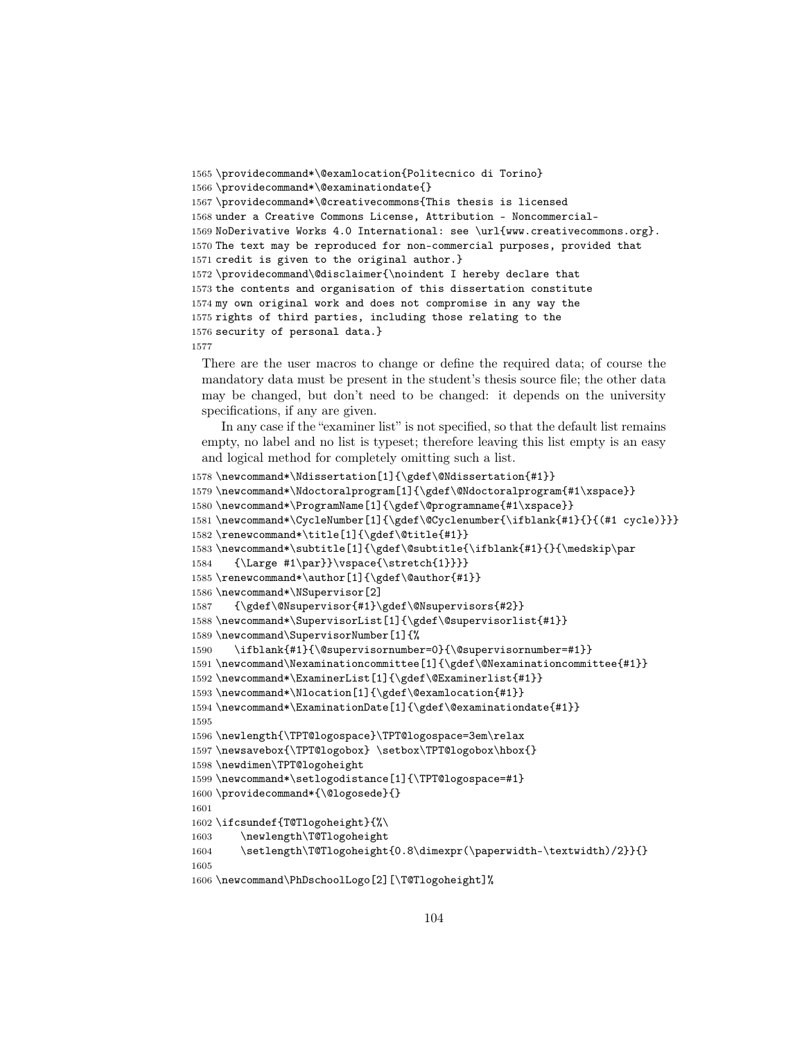```
1565 \providecommand*\@examlocation{Politecnico di Torino}
1566 \providecommand*\@examinationdate{}
1567 \providecommand*\@creativecommons{This thesis is licensed
1568 under a Creative Commons License, Attribution - Noncommercial-
1569 NoDerivative Works 4.0 International: see \url{www.creativecommons.org}.
1570 The text may be reproduced for non-commercial purposes, provided that
1571 credit is given to the original author.}
1572 \providecommand\@disclaimer{\noindent I hereby declare that
1573 the contents and organisation of this dissertation constitute
1574 my own original work and does not compromise in any way the
1575 rights of third parties, including those relating to the
1576 security of personal data.}
1577
```
There are the user macros to change or define the required data; of course the mandatory data must be present in the student's thesis source file; the other data may be changed, but don't need to be changed: it depends on the university specifications, if any are given.

In any case if the "examiner list" is not specified, so that the default list remains empty, no label and no list is typeset; therefore leaving this list empty is an easy and logical method for completely omitting such a list.

```
1578 \newcommand*\Ndissertation[1]{\gdef\@Ndissertation{#1}}
1579 \newcommand*\Ndoctoralprogram[1]{\gdef\@Ndoctoralprogram{#1\xspace}}
1580 \newcommand*\ProgramName[1]{\gdef\@programname{#1\xspace}}
1581 \newcommand*\CycleNumber[1]{\gdef\@Cyclenumber{\ifblank{#1}{}{(#1 cycle)}}}
1582 \renewcommand*\title[1]{\gdef\@title{#1}}
1583\newcommand*\subtitle[1]{\gdef\@subtitle{\ifblank{#1}{}{\medskip\par
1584 {\Large #1\par}}\vspace{\stretch{1}}}}
1585 \renewcommand*\author[1]{\gdef\@author{#1}}
1586 \newcommand*\NSupervisor[2]
1587 {\gdef\@Nsupervisor{#1}\gdef\@Nsupervisors{#2}}
1588 \newcommand*\SupervisorList[1]{\gdef\@supervisorlist{#1}}
1589 \newcommand\SupervisorNumber[1]{%
1590 \ifblank{#1}{\@supervisornumber=0}{\@supervisornumber=#1}}
1591 \newcommand\Nexaminationcommittee[1]{\gdef\@Nexaminationcommittee{#1}}
1592 \newcommand*\ExaminerList[1]{\gdef\@Examinerlist{#1}}
1593 \newcommand*\Nlocation[1]{\gdef\@examlocation{#1}}
1594 \newcommand*\ExaminationDate[1]{\gdef\@examinationdate{#1}}
1595
1596 \newlength{\TPT@logospace}\TPT@logospace=3em\relax
1597 \newsavebox{\TPT@logobox} \setbox\TPT@logobox\hbox{}
1598 \newdimen\TPT@logoheight
1599 \newcommand*\setlogodistance[1]{\TPT@logospace=#1}
1600 \providecommand*{\@logosede}{}
1601
1602 \ifcsundef{T@Tlogoheight}{%\
1603 \newlength\T@Tlogoheight
1604 \setlength\T@Tlogoheight{0.8\dimexpr(\paperwidth-\textwidth)/2}}{}
1605
1606 \newcommand\PhDschoolLogo[2][\T@Tlogoheight]%
```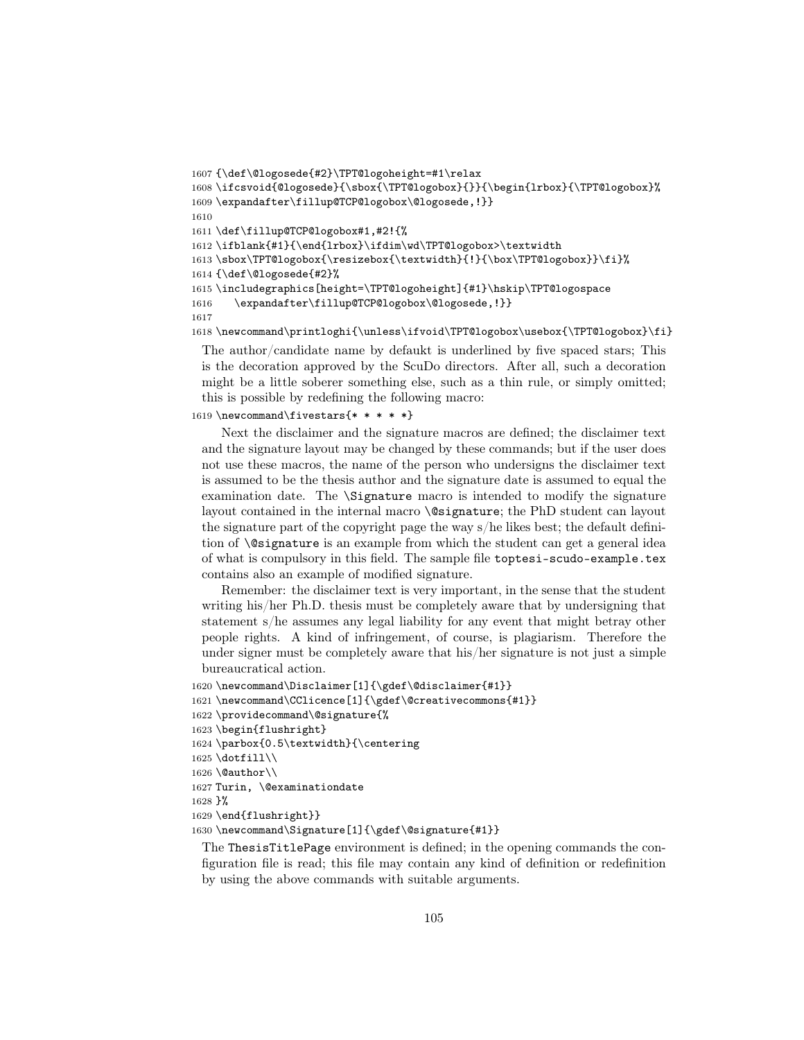```
1607 {\def\@logosede{#2}\TPT@logoheight=#1\relax
1608 \ifcsvoid{@logosede}{\sbox{\TPT@logobox}{}}{\begin{lrbox}{\TPT@logobox}%
1609 \expandafter\fillup@TCP@logobox\@logosede,!}}
1610
1611 \def\fillup@TCP@logobox#1,#2!{%
1612 \ifblank{#1}{\end{lrbox}\ifdim\wd\TPT@logobox>\textwidth
1613 \sbox\TPT@logobox{\resizebox{\textwidth}{!}{\box\TPT@logobox}}\fi}%
1614 {\def\@logosede{#2}%
1615 \includegraphics[height=\TPT@logoheight]{#1}\hskip\TPT@logospace
1616 \expandafter\fillup@TCP@logobox\@logosede,!}}
1617
1618 \newcommand\printloghi{\unless\ifvoid\TPT@logobox\usebox{\TPT@logobox}\fi}
```
The author/candidate name by defaukt is underlined by five spaced stars; This is the decoration approved by the ScuDo directors. After all, such a decoration might be a little soberer something else, such as a thin rule, or simply omitted; this is possible by redefining the following macro:

```
1619 \newcommand\fivestars\{******\}
```
Next the disclaimer and the signature macros are defined; the disclaimer text and the signature layout may be changed by these commands; but if the user does not use these macros, the name of the person who undersigns the disclaimer text is assumed to be the thesis author and the signature date is assumed to equal the examination date. The \Signature macro is intended to modify the signature layout contained in the internal macro \@signature; the PhD student can layout the signature part of the copyright page the way s/he likes best; the default definition of \@signature is an example from which the student can get a general idea of what is compulsory in this field. The sample file toptesi-scudo-example.tex contains also an example of modified signature.

Remember: the disclaimer text is very important, in the sense that the student writing his/her Ph.D. thesis must be completely aware that by undersigning that statement s/he assumes any legal liability for any event that might betray other people rights. A kind of infringement, of course, is plagiarism. Therefore the under signer must be completely aware that his/her signature is not just a simple bureaucratical action.

```
1620 \newcommand\Disclaimer[1]{\gdef\@disclaimer{#1}}
1621 \newcommand\CClicence[1]{\gdef\@creativecommons{#1}}
```

```
1622 \providecommand\@signature{%
```
1623 \begin{flushright}

```
1624 \parbox{0.5\textwidth}{\centering
```

```
1625 \dotfill\\
```

```
1626 \text{Quthor}\
```

```
1627 Turin, \@examinationdate
```

```
1628 }%
```

```
1629 \end{flushright}}
```

```
1630 \newcommand\Signature[1]{\gdef\@signature{#1}}
```
The ThesisTitlePage environment is defined; in the opening commands the configuration file is read; this file may contain any kind of definition or redefinition by using the above commands with suitable arguments.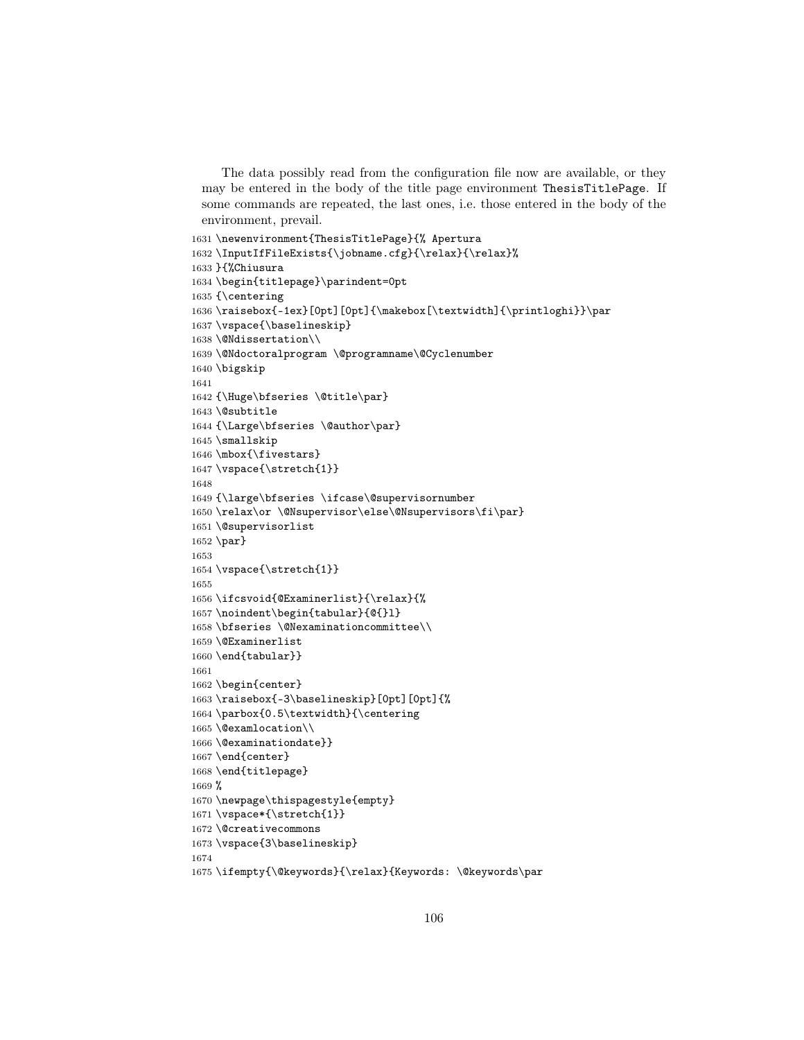The data possibly read from the configuration file now are available, or they may be entered in the body of the title page environment ThesisTitlePage. If some commands are repeated, the last ones, i.e. those entered in the body of the environment, prevail.

```
1631 \newenvironment{ThesisTitlePage}{% Apertura
1632 \InputIfFileExists{\jobname.cfg}{\relax}{\relax}%
1633 }{%Chiusura
1634 \begin{titlepage}\parindent=0pt
1635 {\centering
1636 \raisebox{-1ex}[0pt][0pt]{\makebox[\textwidth]{\printloghi}}\par
1637 \vspace{\baselineskip}
1638 \@Ndissertation\\
1639 \@Ndoctoralprogram \@programname\@Cyclenumber
1640 \bigskip
1641
1642 {\Huge\bfseries \@title\par}
1643 \@subtitle
1644 {\Large\bfseries \@author\par}
1645 \smallskip
1646 \mbox{\fivestars}
1647 \vspace{\stretch{1}}
1648
1649 {\large\bfseries \ifcase\@supervisornumber
1650 \relax\or \@Nsupervisor\else\@Nsupervisors\fi\par}
1651 \@supervisorlist
1652 \par}
1653
1654 \vspace{\stretch{1}}
1655
1656 \ifcsvoid{@Examinerlist}{\relax}{%
1657 \noindent\begin{tabular}{@{}l}
1658 \bfseries \@Nexaminationcommittee\\
1659 \@Examinerlist
1660 \end{tabular}}
1661
1662 \begin{center}
1663 \raisebox{-3\baselineskip}[0pt][0pt]{%
1664 \parbox{0.5\textwidth}{\centering
1665 \@examlocation\\
1666 \@examinationdate}}
1667\end{center}
1668 \end{titlepage}
1669 %
1670 \newpage\thispagestyle{empty}
1671 \vspace*{\stretch{1}}
1672 \@creativecommons
1673 \vspace{3\baselineskip}
1674
1675 \ifempty{\@keywords}{\relax}{Keywords: \@keywords\par
```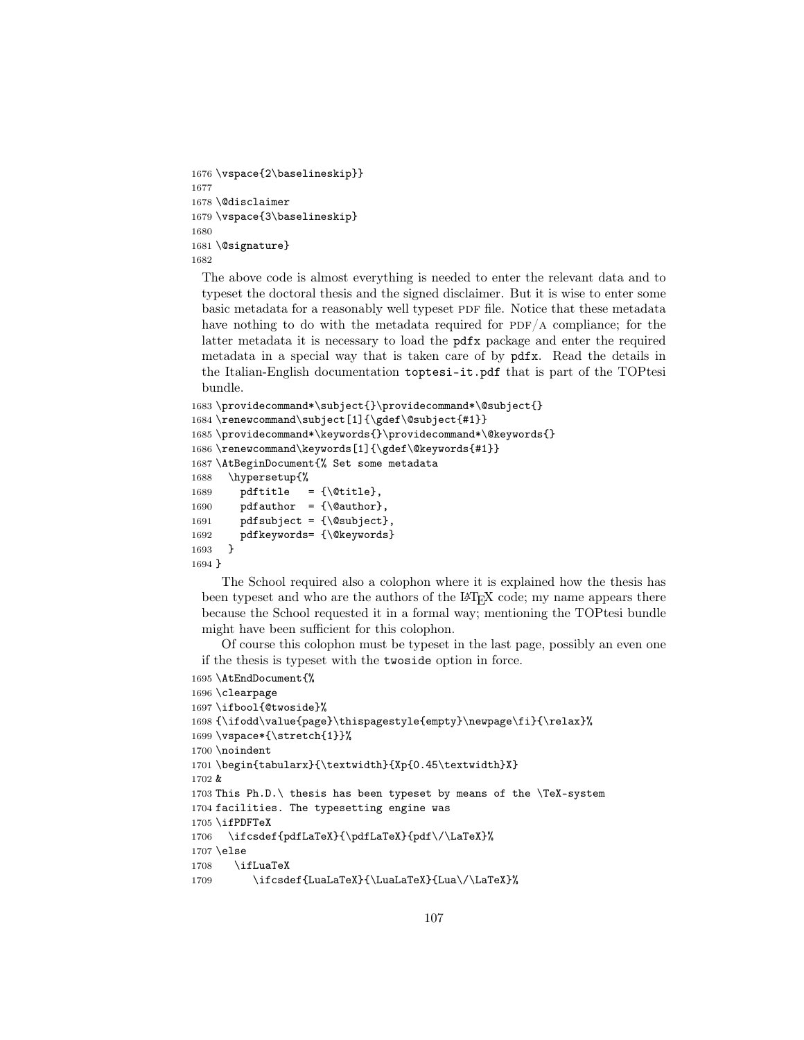```
1676 \vspace{2\baselineskip}}
1677
1678 \@disclaimer
1679 \vspace{3\baselineskip}
1680
1681 \@signature}
1682
```
The above code is almost everything is needed to enter the relevant data and to typeset the doctoral thesis and the signed disclaimer. But it is wise to enter some basic metadata for a reasonably well typeset PDF file. Notice that these metadata have nothing to do with the metadata required for  $PDF/A$  compliance; for the latter metadata it is necessary to load the pdfx package and enter the required metadata in a special way that is taken care of by pdfx. Read the details in the Italian-English documentation toptesi-it.pdf that is part of the TOPtesi bundle.

```
1683 \providecommand*\subject{}\providecommand*\@subject{}
1684 \renewcommand\subject[1]{\gdef\@subject{#1}}
1685 \providecommand*\keywords{}\providecommand*\@keywords{}
1686 \renewcommand\keywords[1]{\gdef\@keywords{#1}}
1687 \AtBeginDocument{% Set some metadata
1688 \hypersetup{%
1689 pdftitle = {\text{\%title}},
1690 pdfauthor = {\quad}1691 pdfsubject = {\@subject},
1692 pdfkeywords= {\@keywords}
1693 }
1694 }
```
The School required also a colophon where it is explained how the thesis has been typeset and who are the authors of the LATEX code; my name appears there because the School requested it in a formal way; mentioning the TOPtesi bundle might have been sufficient for this colophon.

Of course this colophon must be typeset in the last page, possibly an even one if the thesis is typeset with the twoside option in force.

```
1695 \AtEndDocument{%
1696 \clearpage
1697 \ifbool{@twoside}%
1698 {\ifodd\value{page}\thispagestyle{empty}\newpage\fi}{\relax}%
1699 \vspace*{\stretch{1}}%
1700 \noindent
1701 \begin{tabularx}{\textwidth}{Xp{0.45\textwidth}X}
1702 &
1703 This Ph.D.\ thesis has been typeset by means of the \TeX-system
1704 facilities. The typesetting engine was
1705 \ifPDFTeX
1706 \ifcsdef{pdfLaTeX}{\pdfLaTeX}{pdf\/\LaTeX}%
1707 \else
1708 \ifLuaTeX
1709 \ifcsdef{LuaLaTeX}{\LuaLaTeX}{Lua\/\LaTeX}%
```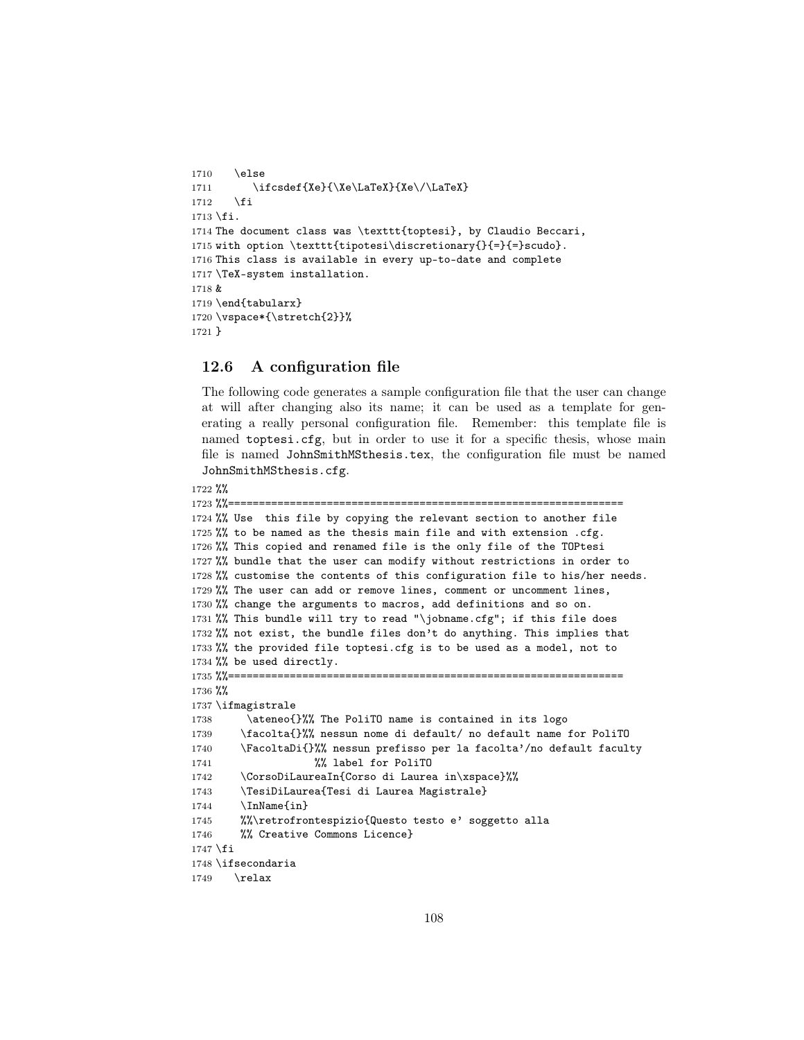```
1710 \else
1711 \ifcsdef{Xe}{\Xe\LaTeX}{Xe\/\LaTeX}
1712 \fi
1713 \fi.
1714 The document class was \texttt{toptesi}, by Claudio Beccari,
1715 with option \texttt{tipotesi\discretionary{}{=}{=}scudo}.
1716 This class is available in every up-to-date and complete
1717 \TeX-system installation.
1718 &
1719 \end{tabularx}
1720 \vspace*{\stretch{2}}%
1721 }
```
# 12.6 A configuration file

The following code generates a sample configuration file that the user can change at will after changing also its name; it can be used as a template for generating a really personal configuration file. Remember: this template file is named toptesi.cfg, but in order to use it for a specific thesis, whose main file is named JohnSmithMSthesis.tex, the configuration file must be named JohnSmithMSthesis.cfg.

```
1722 %%
```

```
1723 %%================================================================
1724 %% Use this file by copying the relevant section to another file
1725 %% to be named as the thesis main file and with extension .cfg.
1726 %% This copied and renamed file is the only file of the TOPtesi
1727 %% bundle that the user can modify without restrictions in order to
1728 %% customise the contents of this configuration file to his/her needs.
1729 %% The user can add or remove lines, comment or uncomment lines,
1730 %% change the arguments to macros, add definitions and so on.
1731 %% This bundle will try to read "\jobname.cfg"; if this file does
1732 %% not exist, the bundle files don't do anything. This implies that
1733 %% the provided file toptesi.cfg is to be used as a model, not to
1734 %% be used directly.
1735 %%================================================================
1736 %%
1737 \ifmagistrale
1738 \ateneo{}%% The PoliTO name is contained in its logo
1739 \facolta{}%% nessun nome di default/ no default name for PoliTO
1740 \FacoltaDi{}%% nessun prefisso per la facolta'/no default faculty
1741 %% label for PoliTO
1742 \CorsoDiLaureaIn{Corso di Laurea in\xspace}%%
1743 \TesiDiLaurea{Tesi di Laurea Magistrale}
1744 \InName{in}
1745 %%\retrofrontespizio{Questo testo e' soggetto alla
1746 %% Creative Commons Licence}
1747 \fi
1748 \ifsecondaria
1749 \relax
```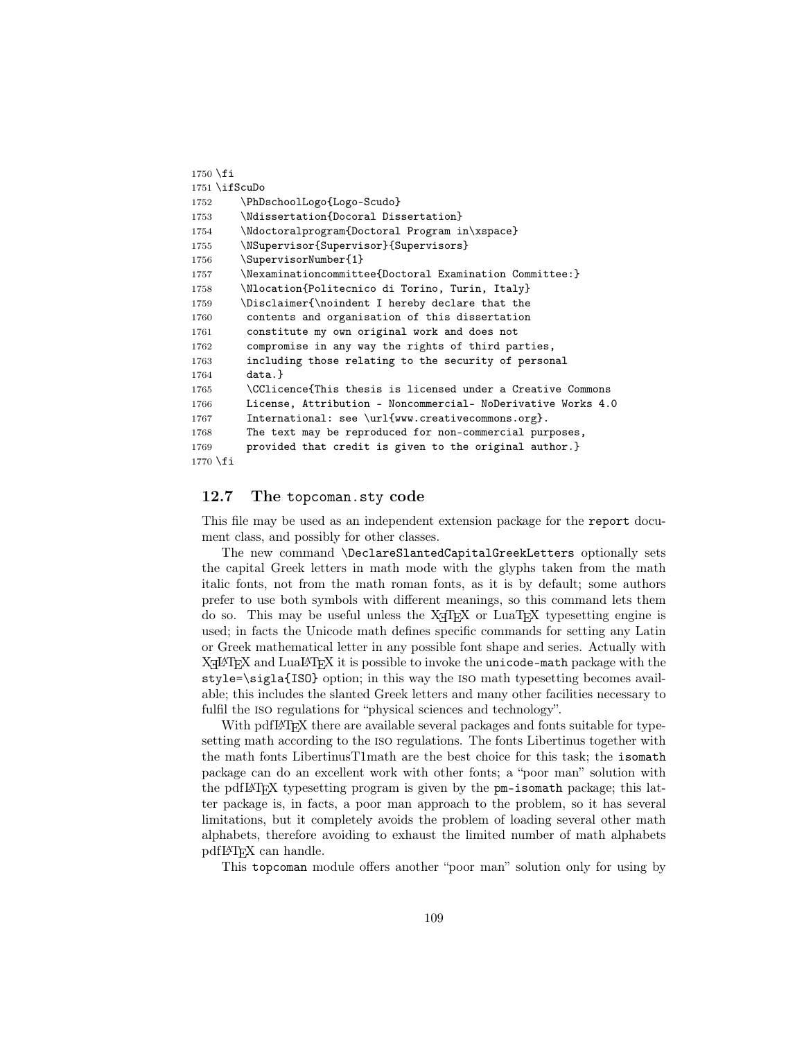```
1750 \fi
1751 \ifScuDo
1752 \PhDschoolLogo{Logo-Scudo}
1753 \Ndissertation{Docoral Dissertation}
1754 \Ndoctoralprogram{Doctoral Program in\xspace}
1755 \NSupervisor{Supervisor}{Supervisors}
1756 \SupervisorNumber{1}
1757 \Nexaminationcommittee{Doctoral Examination Committee:}
1758 \Nlocation{Politecnico di Torino, Turin, Italy}
1759 \Disclaimer{\noindent I hereby declare that the
1760 contents and organisation of this dissertation
1761 constitute my own original work and does not
1762 compromise in any way the rights of third parties,
1763 including those relating to the security of personal
1764 data.}
1765 \CClicence{This thesis is licensed under a Creative Commons
1766 License, Attribution - Noncommercial- NoDerivative Works 4.0
1767 International: see \url{www.creativecommons.org}.
1768 The text may be reproduced for non-commercial purposes,
1769 provided that credit is given to the original author.}
1770 \fi
```
## 12.7 The topcoman.sty code

This file may be used as an independent extension package for the report document class, and possibly for other classes.

The new command \DeclareSlantedCapitalGreekLetters optionally sets the capital Greek letters in math mode with the glyphs taken from the math italic fonts, not from the math roman fonts, as it is by default; some authors prefer to use both symbols with different meanings, so this command lets them do so. This may be useful unless the  $X \nsubseteq T$  are LuaT<sub>EX</sub> typesetting engine is used; in facts the Unicode math defines specific commands for setting any Latin or Greek mathematical letter in any possible font shape and series. Actually with  $X$   $H$   $\Delta$  and  $L$ ual $A$   $T$   $\Delta$  $X$  it is possible to invoke the unicode-math package with the style=\sigla{ISO} option; in this way the iso math typesetting becomes available; this includes the slanted Greek letters and many other facilities necessary to fulfil the iso regulations for "physical sciences and technology".

With pdfL<sup>AT</sup>EX there are available several packages and fonts suitable for typesetting math according to the iso regulations. The fonts Libertinus together with the math fonts LibertinusT1math are the best choice for this task; the isomath package can do an excellent work with other fonts; a "poor man" solution with the pdfLATEX typesetting program is given by the pm-isomath package; this latter package is, in facts, a poor man approach to the problem, so it has several limitations, but it completely avoids the problem of loading several other math alphabets, therefore avoiding to exhaust the limited number of math alphabets pdfLATEX can handle.

This topcoman module offers another "poor man" solution only for using by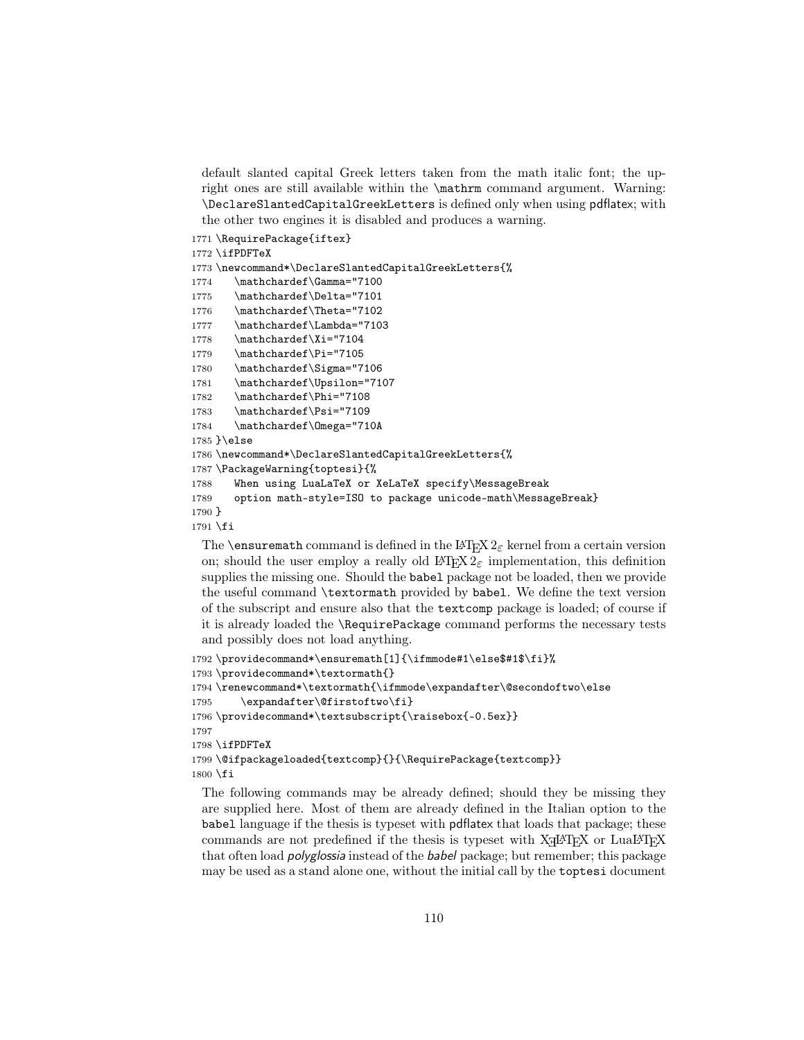default slanted capital Greek letters taken from the math italic font; the upright ones are still available within the \mathrm command argument. Warning: \DeclareSlantedCapitalGreekLetters is defined only when using pdflatex; with the other two engines it is disabled and produces a warning.

```
1771 \RequirePackage{iftex}
1772 \ifPDFTeX
1773 \newcommand*\DeclareSlantedCapitalGreekLetters{%
1774 \mathchardef\Gamma="7100
1775 \mathchardef\Delta="7101
1776 \mathchardef\Theta="7102
1777 \mathchardef\Lambda="7103
1778 \mathchardef\Xi="7104
1779 \mathchardef\Pi="7105
1780 \mathchardef\Sigma="7106
1781 \mathchardef\Upsilon="7107
1782 \mathchardef\Phi="7108
1783 \mathchardef\Psi="7109
1784 \mathchardef\Omega="710A
1785 }\else
1786 \newcommand*\DeclareSlantedCapitalGreekLetters{%
1787 \PackageWarning{toptesi}{%
1788 When using LuaLaTeX or XeLaTeX specify\MessageBreak
1789 option math-style=ISO to package unicode-math\MessageBreak}
1790 }
1791 \fi
```
The **\ensuremath** command is defined in the LATEX  $2\varepsilon$  kernel from a certain version on; should the user employ a really old LAT<sub>E</sub>X  $2\varepsilon$  implementation, this definition supplies the missing one. Should the babel package not be loaded, then we provide the useful command \textormath provided by babel. We define the text version of the subscript and ensure also that the textcomp package is loaded; of course if it is already loaded the \RequirePackage command performs the necessary tests and possibly does not load anything.

```
1792 \providecommand*\ensuremath[1]{\ifmmode#1\else$#1$\fi}%
1793 \providecommand*\textormath{}
1794 \renewcommand*\textormath{\ifmmode\expandafter\@secondoftwo\else
1795 \expandafter\@firstoftwo\fi}
1796 \providecommand*\textsubscript{\raisebox{-0.5ex}}
1797
1798 \ifPDFTeX
1799 \@ifpackageloaded{textcomp}{}{\RequirePackage{textcomp}}
1800 \fi
```
The following commands may be already defined; should they be missing they are supplied here. Most of them are already defined in the Italian option to the babel language if the thesis is typeset with pdflatex that loads that package; these commands are not predefined if the thesis is typeset with  $X_{\overline{d}}A^{\prime}E^{\prime}X$  or  $LuaA^{\prime}E^{\prime}X$ that often load polyglossia instead of the babel package; but remember; this package may be used as a stand alone one, without the initial call by the toptesi document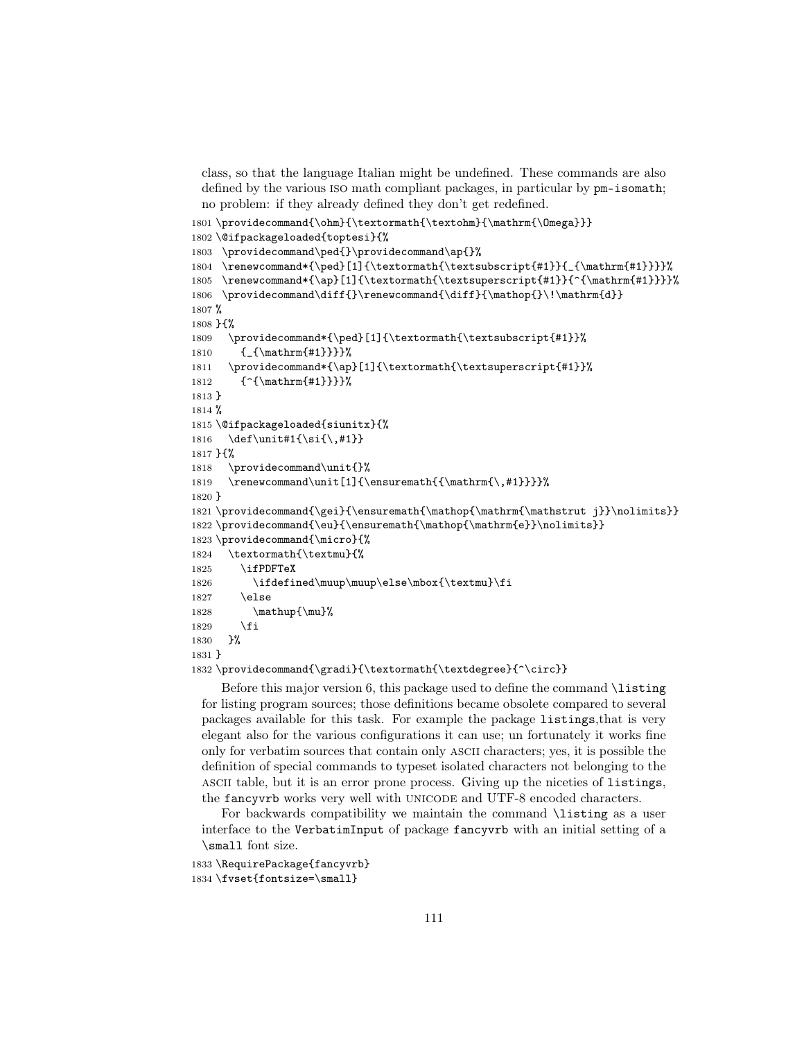class, so that the language Italian might be undefined. These commands are also defined by the various iso math compliant packages, in particular by pm-isomath; no problem: if they already defined they don't get redefined.

```
1801\providecommand{\ohm}{\textormath{\textohm}{\mathrm{\Omega}}}
1802 \@ifpackageloaded{toptesi}{%
1803 \providecommand\ped{}\providecommand\ap{}%
1804 \renewcommand*{\ped}[1]{\textormath{\textsubscript{#1}}{_{\mathrm{#1}}}}%
1805 \renewcommand*{\ap}[1]{\textormath{\textsuperscript{#1}}{^{\mathrm{#1}}}}%
1806 \providecommand\diff{}\renewcommand{\diff}{\mathop{}\!\mathrm{d}}
1807 %
1808 }{%
1809 \providecommand*{\ped}[1]{\textormath{\textsubscript{#1}}%
1810 {_{\mathrm{#1}}}}%
1811 \providecommand*{\ap}[1]{\textormath{\textsuperscript{#1}}%
1812 {^{\mathrm{#1}}}}%
1813 }
1814 %
1815 \@ifpackageloaded{siunitx}{%
1816 \def\unit#1{\si{\,#1}}
1817 }{%
1818 \providecommand\unit{}%
1819 \renewcommand\unit[1]{\ensuremath{{\mathrm{\,#1}}}}}
1820 }
1821 \providecommand{\gei}{\ensuremath{\mathop{\mathrm{\mathstrut j}}\nolimits}}
1822 \providecommand{\eu}{\ensuremath{\mathop{\mathrm{e}}\nolimits}}
1823 \providecommand{\micro}{%
1824 \textormath{\textmu}{%
1825 \ifPDFTeX
1826 \ifdefined\muup\muup\else\mbox{\textmu}\fi
1827 \else
1828 \mathup{\mu}%
1829 \fi
1830 }%
1831 }
1832 \providecommand{\gradi}{\textormath{\textdegree}{^\circ}}
```
Before this major version 6, this package used to define the command \listing for listing program sources; those definitions became obsolete compared to several packages available for this task. For example the package listings,that is very elegant also for the various configurations it can use; un fortunately it works fine only for verbatim sources that contain only ascii characters; yes, it is possible the definition of special commands to typeset isolated characters not belonging to the ascii table, but it is an error prone process. Giving up the niceties of listings, the fancyvrb works very well with UNICODE and UTF-8 encoded characters.

For backwards compatibility we maintain the command \listing as a user interface to the VerbatimInput of package fancyvrb with an initial setting of a \small font size.

```
1833 \RequirePackage{fancyvrb}
1834 \fvset{fontsize=\small}
```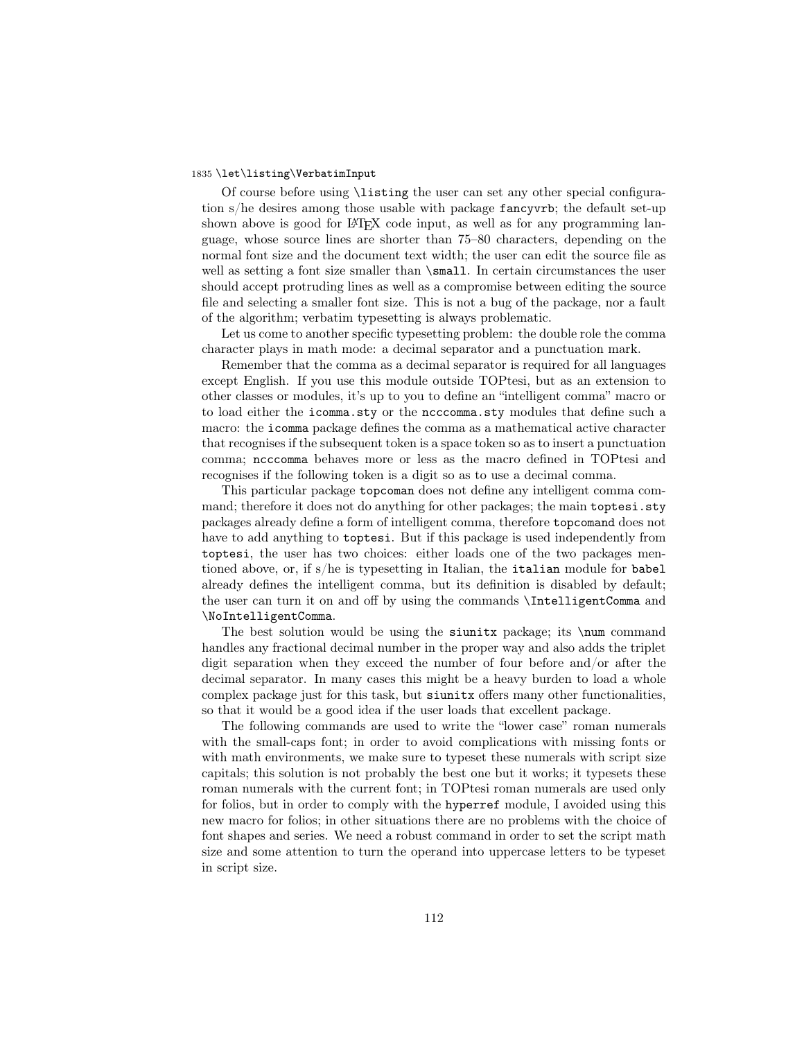#### 1835 \let\listing\VerbatimInput

Of course before using \listing the user can set any other special configuration s/he desires among those usable with package fancyvrb; the default set-up shown above is good for LAT<sub>EX</sub> code input, as well as for any programming language, whose source lines are shorter than 75–80 characters, depending on the normal font size and the document text width; the user can edit the source file as well as setting a font size smaller than  $\mathrm{small}$ . In certain circumstances the user should accept protruding lines as well as a compromise between editing the source file and selecting a smaller font size. This is not a bug of the package, nor a fault of the algorithm; verbatim typesetting is always problematic.

Let us come to another specific typesetting problem: the double role the comma character plays in math mode: a decimal separator and a punctuation mark.

Remember that the comma as a decimal separator is required for all languages except English. If you use this module outside TOPtesi, but as an extension to other classes or modules, it's up to you to define an "intelligent comma" macro or to load either the icomma.sty or the ncccomma.sty modules that define such a macro: the icomma package defines the comma as a mathematical active character that recognises if the subsequent token is a space token so as to insert a punctuation comma; ncccomma behaves more or less as the macro defined in TOPtesi and recognises if the following token is a digit so as to use a decimal comma.

This particular package topcoman does not define any intelligent comma command; therefore it does not do anything for other packages; the main toptesi.sty packages already define a form of intelligent comma, therefore topcomand does not have to add anything to toptesi. But if this package is used independently from toptesi, the user has two choices: either loads one of the two packages mentioned above, or, if s/he is typesetting in Italian, the italian module for babel already defines the intelligent comma, but its definition is disabled by default; the user can turn it on and off by using the commands \IntelligentComma and \NoIntelligentComma.

The best solution would be using the siunitx package; its \num command handles any fractional decimal number in the proper way and also adds the triplet digit separation when they exceed the number of four before and/or after the decimal separator. In many cases this might be a heavy burden to load a whole complex package just for this task, but siunitx offers many other functionalities, so that it would be a good idea if the user loads that excellent package.

The following commands are used to write the "lower case" roman numerals with the small-caps font; in order to avoid complications with missing fonts or with math environments, we make sure to typeset these numerals with script size capitals; this solution is not probably the best one but it works; it typesets these roman numerals with the current font; in TOPtesi roman numerals are used only for folios, but in order to comply with the hyperref module, I avoided using this new macro for folios; in other situations there are no problems with the choice of font shapes and series. We need a robust command in order to set the script math size and some attention to turn the operand into uppercase letters to be typeset in script size.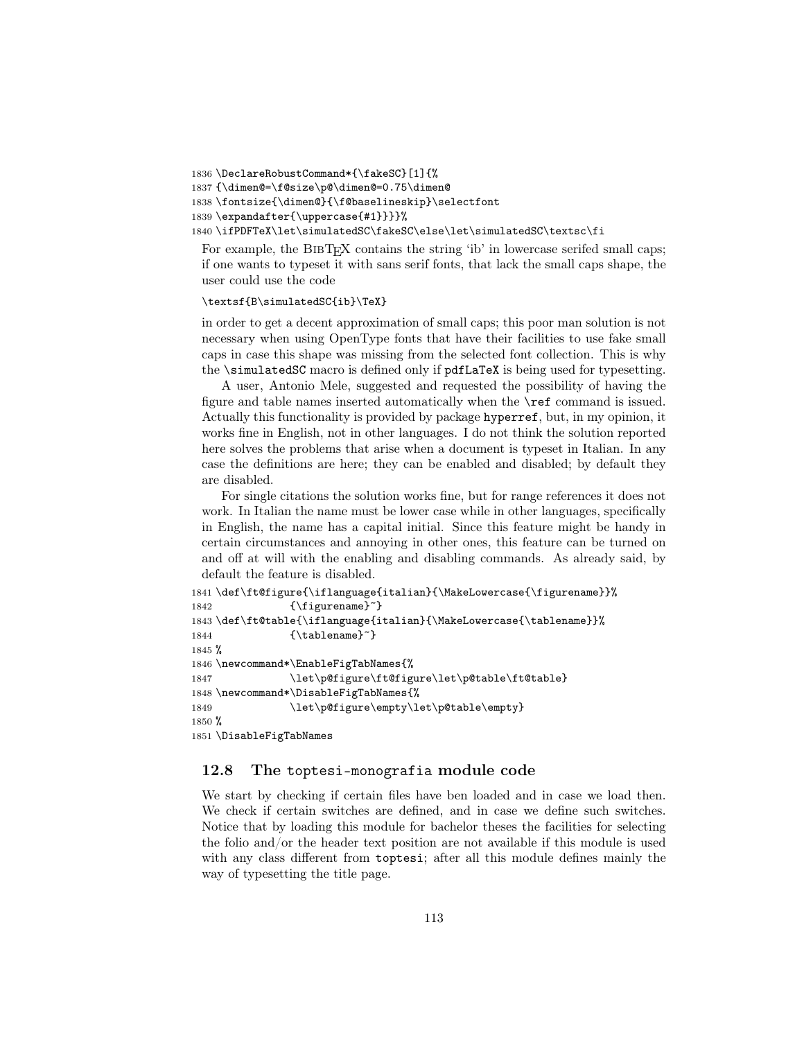```
1836 \DeclareRobustCommand*{\fakeSC}[1]{%
1837 {\dimen@=\f@size\p@\dimen@=0.75\dimen@
1838 \fontsize{\dimen@}{\f@baselineskip}\selectfont
1839 \expandafter{\uppercase{#1}}}}%
1840 \ifPDFTeX\let\simulatedSC\fakeSC\else\let\simulatedSC\textsc\fi
 For example, the BIBT<sub>EX</sub> contains the string 'ib' in lowercase serifed small caps;
```
if one wants to typeset it with sans serif fonts, that lack the small caps shape, the user could use the code

\textsf{B\simulatedSC{ib}\TeX}

in order to get a decent approximation of small caps; this poor man solution is not necessary when using OpenType fonts that have their facilities to use fake small caps in case this shape was missing from the selected font collection. This is why the \simulatedSC macro is defined only if pdfLaTeX is being used for typesetting.

A user, Antonio Mele, suggested and requested the possibility of having the figure and table names inserted automatically when the \ref command is issued. Actually this functionality is provided by package hyperref, but, in my opinion, it works fine in English, not in other languages. I do not think the solution reported here solves the problems that arise when a document is typeset in Italian. In any case the definitions are here; they can be enabled and disabled; by default they are disabled.

For single citations the solution works fine, but for range references it does not work. In Italian the name must be lower case while in other languages, specifically in English, the name has a capital initial. Since this feature might be handy in certain circumstances and annoying in other ones, this feature can be turned on and off at will with the enabling and disabling commands. As already said, by default the feature is disabled.

```
1841 \def\ft@figure{\iflanguage{italian}{\MakeLowercase{\figurename}}%
1842 {\figurename}<sup>~}</sup>
1843 \def\ft@table{\iflanguage{italian}{\MakeLowercase{\tablename}}%
1844 {\tablename}"}
1845 %
1846 \newcommand*\EnableFigTabNames{%
1847 \let\p@figure\ft@figure\let\p@table\ft@table}
1848 \newcommand*\DisableFigTabNames{%
1849 \let\p@figure\empty\let\p@table\empty}
1850 %
1851 \DisableFigTabNames
```
## 12.8 The toptesi-monografia module code

We start by checking if certain files have ben loaded and in case we load then. We check if certain switches are defined, and in case we define such switches. Notice that by loading this module for bachelor theses the facilities for selecting the folio and/or the header text position are not available if this module is used with any class different from toptesi; after all this module defines mainly the way of typesetting the title page.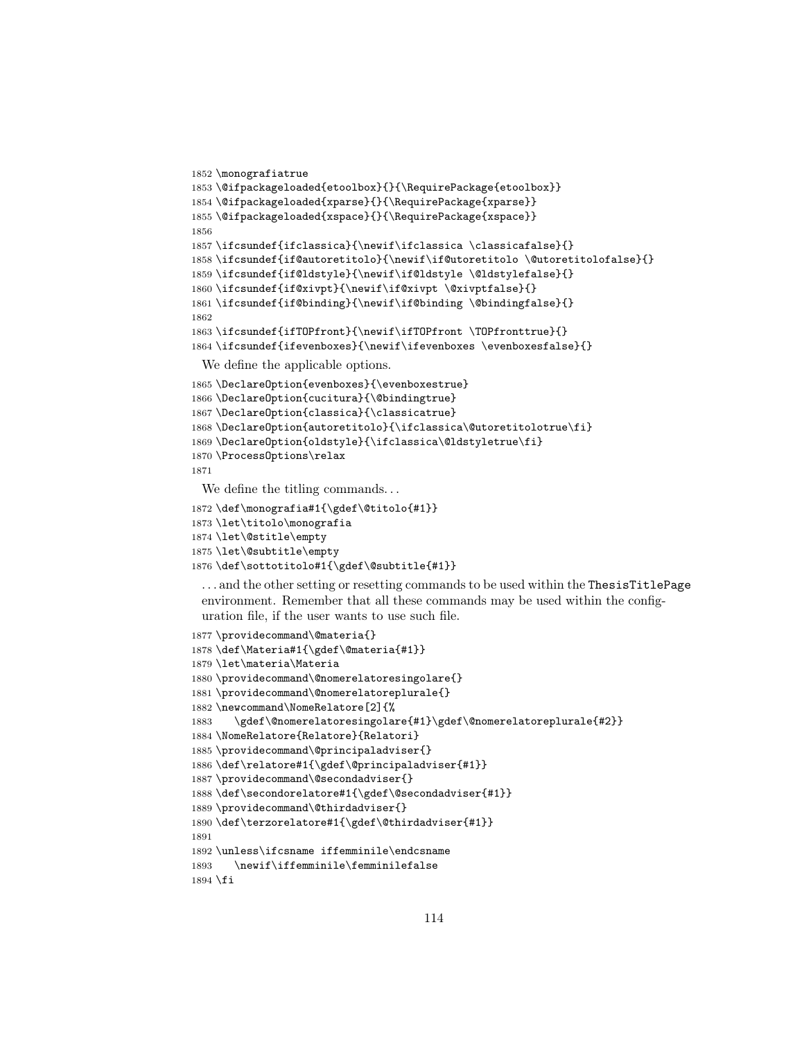```
1852 \monografiatrue
1853 \@ifpackageloaded{etoolbox}{}{\RequirePackage{etoolbox}}
1854 \@ifpackageloaded{xparse}{}{\RequirePackage{xparse}}
1855 \@ifpackageloaded{xspace}{}{\RequirePackage{xspace}}
1856
1857 \ifcsundef{ifclassica}{\newif\ifclassica \classicafalse}{}
1858 \ifcsundef{if@autoretitolo}{\newif\if@utoretitolo \@utoretitolofalse}{}
1859 \ifcsundef{if@ldstyle}{\newif\if@ldstyle \@ldstylefalse}{}
1860 \ifcsundef{if@xivpt}{\newif\if@xivpt \@xivptfalse}{}
1861 \ifcsundef{if@binding}{\newif\if@binding \@bindingfalse}{}
1862
1863 \ifcsundef{ifTOPfront}{\newif\ifTOPfront \TOPfronttrue}{}
1864 \ifcsundef{ifevenboxes}{\newif\ifevenboxes \evenboxesfalse}{}
 We define the applicable options.
1865 \DeclareOption{evenboxes}{\evenboxestrue}
1866 \DeclareOption{cucitura}{\@bindingtrue}
1867 \DeclareOption{classica}{\classicatrue}
1868 \DeclareOption{autoretitolo}{\ifclassica\@utoretitolotrue\fi}
1869 \DeclareOption{oldstyle}{\ifclassica\@ldstyletrue\fi}
1870 \ProcessOptions\relax
1871
 We define the titling commands...
1872 \def\monografia#1{\gdef\@titolo{#1}}
1873 \let\titolo\monografia
1874 \let\@stitle\empty
1875 \let\@subtitle\empty
1876 \def\sottotitolo#1{\gdef\@subtitle{#1}}
 . . . and the other setting or resetting commands to be used within the ThesisTitlePage
 environment. Remember that all these commands may be used within the config-
 uration file, if the user wants to use such file.
1877 \providecommand\@materia{}
1878 \def\Materia#1{\gdef\@materia{#1}}
1879 \let\materia\Materia
1880 \providecommand\@nomerelatoresingolare{}
```

```
1881 \providecommand\@nomerelatoreplurale{}
1882 \newcommand\NomeRelatore[2]{%
```
\gdef\@nomerelatoresingolare{#1}\gdef\@nomerelatoreplurale{#2}}

```
1884 \NomeRelatore{Relatore}{Relatori}
```

```
1885 \providecommand\@principaladviser{}
```

```
1886 \def\relatore#1{\gdef\@principaladviser{#1}}
```

```
1887 \providecommand\@secondadviser{}
1888 \def\secondorelatore#1{\gdef\@secondadviser{#1}}
```

```
1889 \providecommand\@thirdadviser{}
```

```
1890 \def\terzorelatore#1{\gdef\@thirdadviser{#1}}
```

```
1891
```

```
1892 \unless\ifcsname iffemminile\endcsname
1893 \newif\iffemminile\femminilefalse
```

```
1894 \fi
```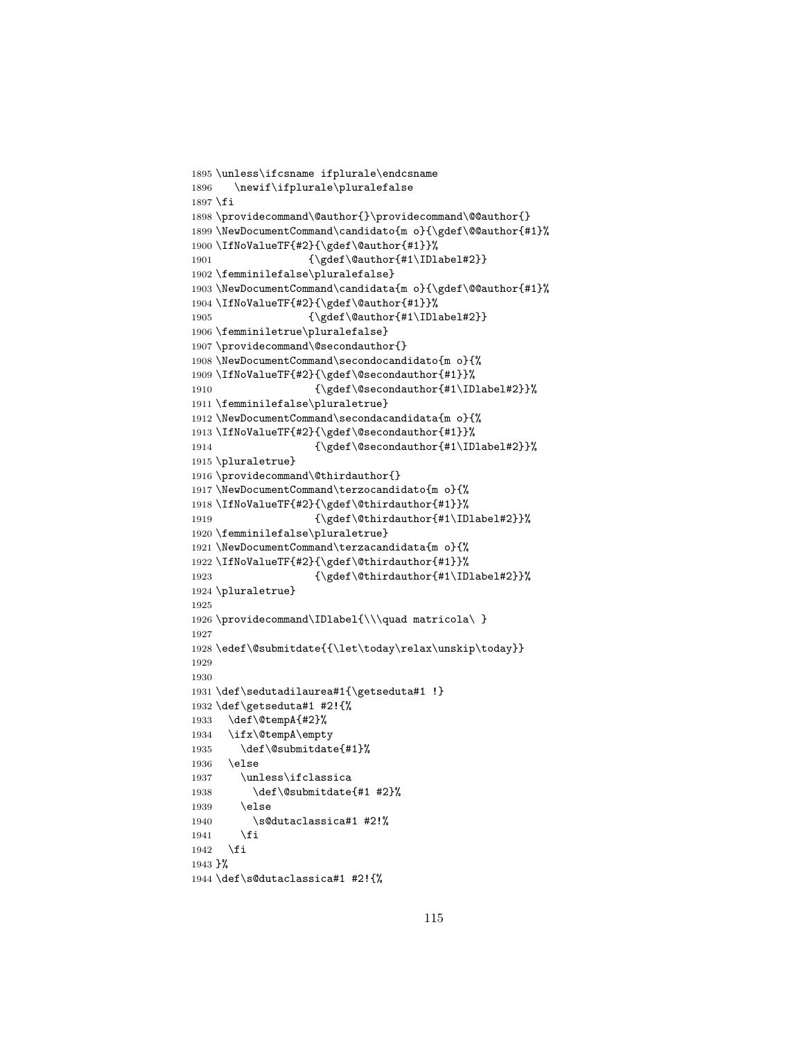```
1895 \unless\ifcsname ifplurale\endcsname
1896 \newif\ifplurale\pluralefalse
1897 \fi
1898 \providecommand\@author{}\providecommand\@@author{}
1899 \NewDocumentCommand\candidato{m o}{\gdef\@@author{#1}%
1900 \IfNoValueTF{#2}{\gdef\@author{#1}}%
1901 {\gdef\@author{#1\IDlabel#2}}
1902 \femminilefalse\pluralefalse}
1903 \NewDocumentCommand\candidata{m o}{\gdef\@@author{#1}%
1904 \IfNoValueTF{#2}{\gdef\@author{#1}}%
1905 {\gdef\@author{#1\IDlabel#2}}
1906 \femminiletrue\pluralefalse}
1907 \providecommand\@secondauthor{}
1908 \NewDocumentCommand\secondocandidato{m o}{%
1909 \IfNoValueTF{#2}{\gdef\@secondauthor{#1}}%
1910 {\qdet\@sec\@and\@t{+1\IDlabel#2}}\1911 \femminilefalse\pluraletrue}
1912 \NewDocumentCommand\secondacandidata{m o}{%
1913 \IfNoValueTF{#2}{\gdef\@secondauthor{#1}}%
1914 {\qdet\@sec\@match}1915 \pluraletrue}
1916 \providecommand\@thirdauthor{}
1917 \NewDocumentCommand\terzocandidato{m o}{%
1918 \IfNoValueTF{#2}{\gdef\@thirdauthor{#1}}%
1919 {\gdef\@thirdauthor{#1\IDlabel#2}}%
1920 \femminilefalse\pluraletrue}
1921 \NewDocumentCommand\terzacandidata{m o}{%
1922 \IfNoValueTF{#2}{\gdef\@thirdauthor{#1}}%
1923 {\gdef\@thirdauthor{#1\IDlabel#2}}%
1924 \pluraletrue}
1925
1926 \providecommand\IDlabel{\\\quad matricola\ }
1927
1928 \edef\@submitdate{{\let\today\relax\unskip\today}}
1929
1930
1931 \def\sedutadilaurea#1{\getseduta#1 !}
1932 \def\getseduta#1 #2!{%
1933 \def\@tempA{#2}%
1934 \ifx\@tempA\empty
1935 \def\@submitdate{#1}%
1936 \else
1937 \unless\ifclassica
1938 \def\@submitdate{#1 #2}%
1939 \else
1940 \s@dutaclassica#1 #2!%
1941 \fi
1942 \fi
1943 }%
1944 \def\s@dutaclassica#1 #2!{%
```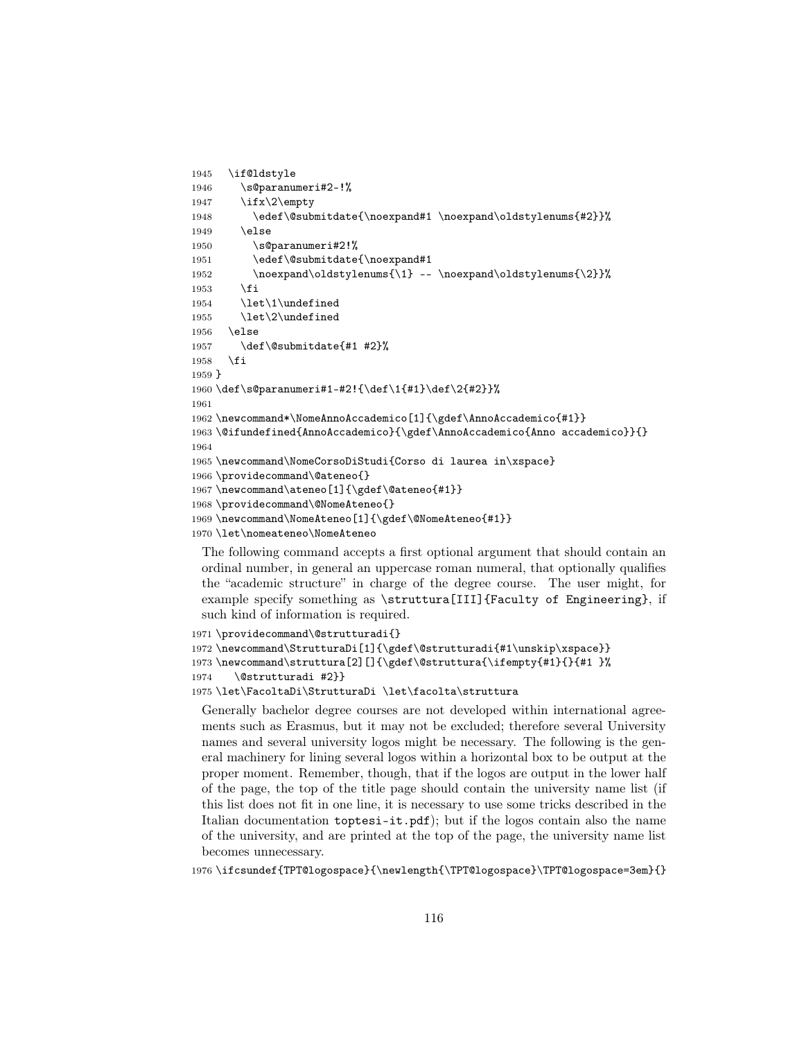```
1945 \if@ldstyle
1946 \s@paranumeri#2-!%
1947 \ifx\2\empty
1948 \edef\@submitdate{\noexpand#1 \noexpand\oldstylenums{#2}}%
1949 \else
1950 \s@paranumeri#2!%
1951 \edef\@submitdate{\noexpand#1
1952 \noexpand\oldstylenums{\1} -- \noexpand\oldstylenums{\2}}%
1953 \fi
1954 \let\1\undefined
1955 \let\2\undefined
1956 \else
1957 \def\@submitdate{#1 #2}%
1958 \fi
1959 }
1960 \def\s@paranumeri#1-#2!{\def\1{#1}\def\2{#2}}%
1961
1962 \newcommand*\NomeAnnoAccademico[1]{\gdef\AnnoAccademico{#1}}
1963 \@ifundefined{AnnoAccademico}{\gdef\AnnoAccademico{Anno accademico}}{}
1964
1965 \newcommand\NomeCorsoDiStudi{Corso di laurea in\xspace}
1966 \providecommand\@ateneo{}
1967 \newcommand\ateneo[1]{\gdef\@ateneo{#1}}
1968 \providecommand\@NomeAteneo{}
1969 \newcommand\NomeAteneo[1]{\gdef\@NomeAteneo{#1}}
1970 \let\nomeateneo\NomeAteneo
```
The following command accepts a first optional argument that should contain an ordinal number, in general an uppercase roman numeral, that optionally qualifies the "academic structure" in charge of the degree course. The user might, for example specify something as \struttura[III]{Faculty of Engineering}, if such kind of information is required.

```
1971 \providecommand\@strutturadi{}
1972 \newcommand\StrutturaDi[1]{\gdef\@strutturadi{#1\unskip\xspace}}
1973 \newcommand\struttura[2][]{\gdef\@struttura{\ifempty{#1}{}{#1 }%
1974 \@strutturadi #2}}
1975 \let\FacoltaDi\StrutturaDi \let\facolta\struttura
```
Generally bachelor degree courses are not developed within international agreements such as Erasmus, but it may not be excluded; therefore several University names and several university logos might be necessary. The following is the general machinery for lining several logos within a horizontal box to be output at the proper moment. Remember, though, that if the logos are output in the lower half of the page, the top of the title page should contain the university name list (if this list does not fit in one line, it is necessary to use some tricks described in the Italian documentation toptesi-it.pdf); but if the logos contain also the name of the university, and are printed at the top of the page, the university name list becomes unnecessary.

1976 \ifcsundef{TPT@logospace}{\newlength{\TPT@logospace}\TPT@logospace=3em}{}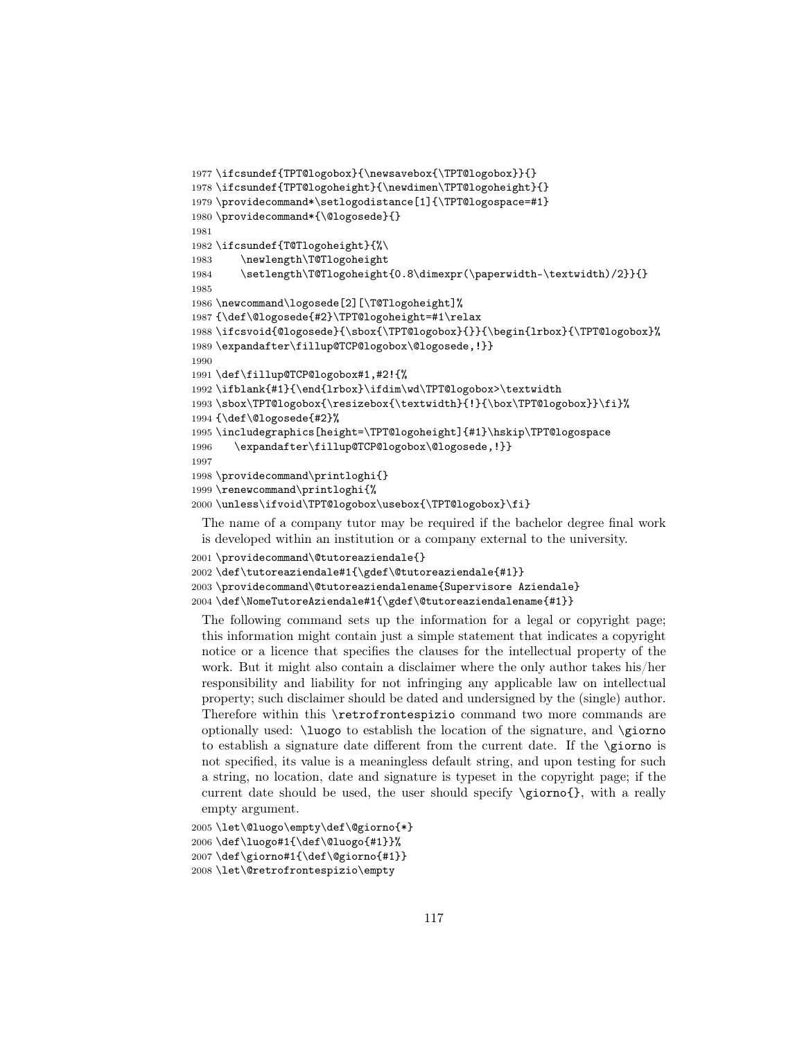```
1977 \ifcsundef{TPT@logobox}{\newsavebox{\TPT@logobox}}{}
1978 \ifcsundef{TPT@logoheight}{\newdimen\TPT@logoheight}{}
1979 \providecommand*\setlogodistance[1]{\TPT@logospace=#1}
1980 \providecommand*{\@logosede}{}
1981
1982 \ifcsundef{T@Tlogoheight}{%\
1983 \newlength\T@Tlogoheight
1984 \setlength\T@Tlogoheight{0.8\dimexpr(\paperwidth-\textwidth)/2}}{}
1985
1986 \newcommand\logosede[2][\T@Tlogoheight]%
1987 {\def\@logosede{#2}\TPT@logoheight=#1\relax
1988 \ifcsvoid{@logosede}{\sbox{\TPT@logobox}{}}{\begin{lrbox}{\TPT@logobox}%
1989 \expandafter\fillup@TCP@logobox\@logosede,!}}
1990
1991 \def\fillup@TCP@logobox#1,#2!{%
1992 \ifblank{#1}{\end{lrbox}\ifdim\wd\TPT@logobox>\textwidth
1993 \sbox\TPT@logobox{\resizebox{\textwidth}{!}{\box\TPT@logobox}}\fi}%
1994 {\def\@logosede{#2}%
1995 \includegraphics[height=\TPT@logoheight]{#1}\hskip\TPT@logospace
1996 \expandafter\fillup@TCP@logobox\@logosede,!}}
1997
1998 \providecommand\printloghi{}
1999 \renewcommand\printloghi{%
2000 \unless\ifvoid\TPT@logobox\usebox{\TPT@logobox}\fi}
```
The name of a company tutor may be required if the bachelor degree final work is developed within an institution or a company external to the university.

```
2001 \providecommand\@tutoreaziendale{}
2002 \def\tutoreaziendale#1{\gdef\@tutoreaziendale{#1}}
2003 \providecommand\@tutoreaziendalename{Supervisore Aziendale}
```

```
2004 \def\NomeTutoreAziendale#1{\gdef\@tutoreaziendalename{#1}}
```
The following command sets up the information for a legal or copyright page; this information might contain just a simple statement that indicates a copyright notice or a licence that specifies the clauses for the intellectual property of the work. But it might also contain a disclaimer where the only author takes his/her responsibility and liability for not infringing any applicable law on intellectual property; such disclaimer should be dated and undersigned by the (single) author. Therefore within this \retrofrontespizio command two more commands are optionally used: \luogo to establish the location of the signature, and \giorno to establish a signature date different from the current date. If the \giorno is not specified, its value is a meaningless default string, and upon testing for such a string, no location, date and signature is typeset in the copyright page; if the current date should be used, the user should specify \giorno{}, with a really empty argument.

```
2005 \let\@luogo\empty\def\@giorno{*}
2006 \def\luogo#1{\def\@luogo{#1}}%
2007 \def\giorno#1{\def\@giorno{#1}}
2008 \let\@retrofrontespizio\empty
```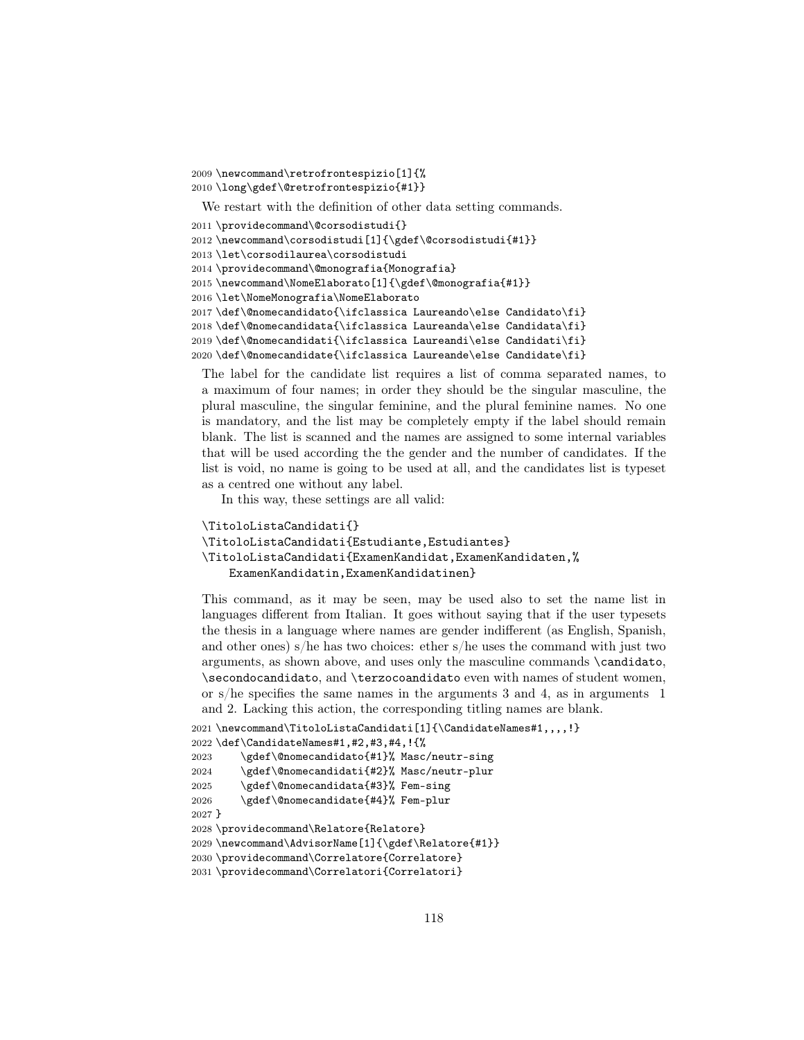```
2009 \newcommand\retrofrontespizio[1]{%
2010 \long\gdef\@retrofrontespizio{#1}}
 We restart with the definition of other data setting commands.
2011 \providecommand\@corsodistudi{}
2012 \newcommand\corsodistudi[1]{\gdef\@corsodistudi{#1}}
2013 \let\corsodilaurea\corsodistudi
2014 \providecommand\@monografia{Monografia}
2015 \newcommand\NomeElaborato[1]{\gdef\@monografia{#1}}
2016 \let\NomeMonografia\NomeElaborato
2017 \def\@nomecandidato{\ifclassica Laureando\else Candidato\fi}
2018 \def\@nomecandidata{\ifclassica Laureanda\else Candidata\fi}
2019 \def\@nomecandidati{\ifclassica Laureandi\else Candidati\fi}
2020 \def\@nomecandidate{\ifclassica Laureande\else Candidate\fi}
```
The label for the candidate list requires a list of comma separated names, to a maximum of four names; in order they should be the singular masculine, the plural masculine, the singular feminine, and the plural feminine names. No one is mandatory, and the list may be completely empty if the label should remain blank. The list is scanned and the names are assigned to some internal variables that will be used according the the gender and the number of candidates. If the list is void, no name is going to be used at all, and the candidates list is typeset as a centred one without any label.

In this way, these settings are all valid:

```
\TitoloListaCandidati{}
\TitoloListaCandidati{Estudiante,Estudiantes}
\TitoloListaCandidati{ExamenKandidat,ExamenKandidaten,%
    ExamenKandidatin,ExamenKandidatinen}
```
This command, as it may be seen, may be used also to set the name list in languages different from Italian. It goes without saying that if the user typesets the thesis in a language where names are gender indifferent (as English, Spanish, and other ones) s/he has two choices: ether s/he uses the command with just two arguments, as shown above, and uses only the masculine commands \candidato, \secondocandidato, and \terzocoandidato even with names of student women, or s/he specifies the same names in the arguments 3 and 4, as in arguments 1 and 2. Lacking this action, the corresponding titling names are blank.

```
2021 \newcommand\TitoloListaCandidati[1]{\CandidateNames#1,,,,!}
2022 \def\CandidateNames#1,#2,#3,#4,!{%
2023 \gdef\@nomecandidato{#1}% Masc/neutr-sing
2024 \gdef\@nomecandidati{#2}% Masc/neutr-plur
2025 \gdef\@nomecandidata{#3}% Fem-sing
2026 \gdef\@nomecandidate{#4}% Fem-plur
2027 }
2028 \providecommand\Relatore{Relatore}
2029 \newcommand\AdvisorName[1]{\gdef\Relatore{#1}}
2030 \providecommand\Correlatore{Correlatore}
2031 \providecommand\Correlatori{Correlatori}
```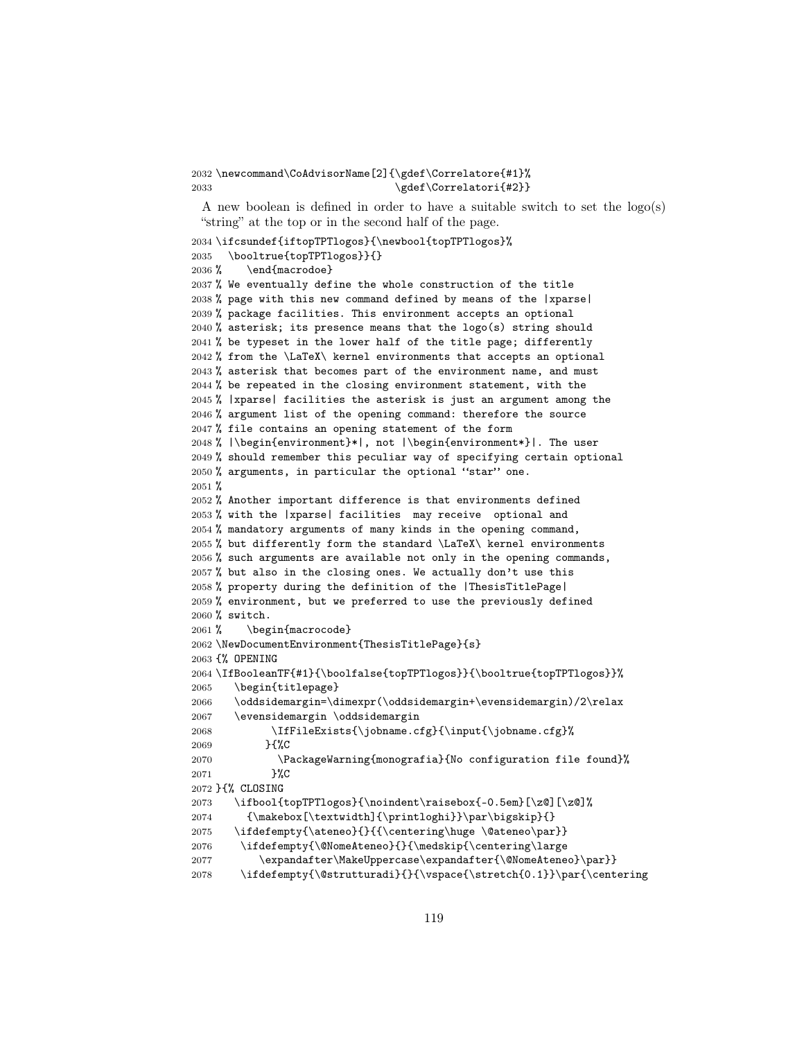\newcommand\CoAdvisorName[2]{\gdef\Correlatore{#1}% 2033 \gdef\Correlatori{#2}}

A new boolean is defined in order to have a suitable switch to set the logo(s) "string" at the top or in the second half of the page.

```
2034 \ifcsundef{iftopTPTlogos}{\newbool{topTPTlogos}%
2035 \booltrue{topTPTlogos}}{}
2036 % \end{macrodoe}
2037 % We eventually define the whole construction of the title
2038 % page with this new command defined by means of the |xparse|
2039 % package facilities. This environment accepts an optional
2040% asterisk; its presence means that the logo(s) string should
2041 % be typeset in the lower half of the title page; differently
2042 % from the \LaTeX\ kernel environments that accepts an optional
2043 % asterisk that becomes part of the environment name, and must
2044 % be repeated in the closing environment statement, with the
2045 % |xparse| facilities the asterisk is just an argument among the
2046 % argument list of the opening command: therefore the source
2047 % file contains an opening statement of the form
2048 % |\begin{environment}*|, not |\begin{environment*}|. The user
2049 % should remember this peculiar way of specifying certain optional
2050 % arguments, in particular the optional "star" one.
2051 %
2052 % Another important difference is that environments defined
2053 % with the |xparse| facilities may receive optional and
2054 % mandatory arguments of many kinds in the opening command,
2055 % but differently form the standard \LaTeX\ kernel environments
2056 % such arguments are available not only in the opening commands,
2057 % but also in the closing ones. We actually don't use this
2058 % property during the definition of the |ThesisTitlePage|
2059 % environment, but we preferred to use the previously defined
2060 % switch.
2061 % \begin{macrocode}
2062 \NewDocumentEnvironment{ThesisTitlePage}{s}
2063 {% OPENING
2064 \IfBooleanTF{#1}{\boolfalse{topTPTlogos}}{\booltrue{topTPTlogos}}%
2065 \begin{titlepage}
2066 \oddsidemargin=\dimexpr(\oddsidemargin+\evensidemargin)/2\relax
2067 \evensidemargin \oddsidemargin
2068 \IfFileExists{\jobname.cfg}{\input{\jobname.cfg}%
2069 }{%C
2070 \PackageWarning{monografia}{No configuration file found}%
2071 }%C
2072 }{% CLOSING
2073 \ifbool{topTPTlogos}{\noindent\raisebox{-0.5em}[\z@][\z@]%
2074 {\makebox[\textwidth]{\printloghi}}\par\bigskip}{}
2075 \ifdefempty{\ateneo}{}{{\centering\huge \@ateneo\par}}
2076 \ifdefempty{\@NomeAteneo}{}{\medskip{\centering\large
2077 \expandafter\MakeUppercase\expandafter{\@NomeAteneo}\par}}
2078 \ifdefempty{\@strutturadi}{}{\vspace{\stretch{0.1}}\par{\centering
```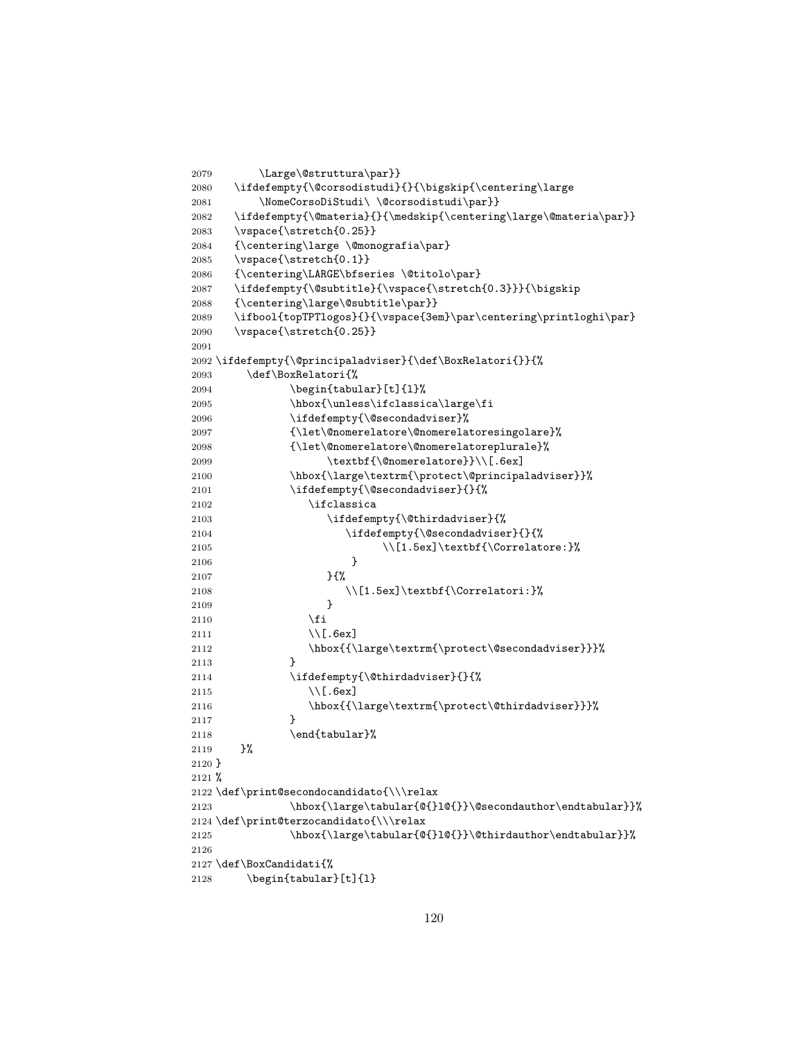```
2079 \Large\@struttura\par}}
2080 \ifdefempty{\@corsodistudi}{}{\bigskip{\centering\large
2081 \NomeCorsoDiStudi\ \@corsodistudi\par}}
2082 \ifdefempty{\@materia}{}{\medskip{\centering\large\@materia\par}}
2083 \vspace{\stretch{0.25}}
2084 {\centering\large \@monografia\par}
2085 \vspace{\stretch{0.1}}
2086 {\centering\LARGE\bfseries \@titolo\par}
2087 \ifdefempty{\@subtitle}{\vspace{\stretch{0.3}}}{\bigskip
2088 {\centering\large\@subtitle\par}}
2089 \ifbool{topTPTlogos}{}{\vspace{3em}\par\centering\printloghi\par}
2090 \vspace{\stretch{0.25}}
2091
2092 \ifdefempty{\@principaladviser}{\def\BoxRelatori{}}{%
2093 \def\BoxRelatori{%
2094 \begin{tabular}[t]{l}%
2095 \hbox{\unless\ifclassica\large\fi
2096 \ifdefempty{\@secondadviser}%
2097 {\let\@nomerelatore\@nomerelatoresingolare}%
2098 {\let\@nomerelatore\@nomerelatoreplurale}%
2099 \textbf{\@nomerelatore}}\\[.6ex]
2100 \hbox{\large\textrm{\protect\@principaladviser}}%
2101 \ifdefempty{\@secondadviser}{}{%
2102 \ifclassica
2103 \ifdefempty{\@thirdadviser}{%
2104 \ifdefempty{\@secondadviser}{}{%
2105 \{\Correlatore:}\2106 }
2107 }{%
2108 \\[1.5ex]\textbf{\Correlatori:}%
2109 }
2110 \fi
2111 \\[.6ex]
2112 \hbox{{\large\textrm{\protect\@secondadviser}}}%
2113 }
2114 \ifdefempty{\@thirdadviser}{}{%
2115 \\[.6ex]
2116 \hbox{{\large\textrm{\protect\@thirdadviser}}}%
2117 }
2118 \end{tabular}%
2119 }%
2120 }
2121 %
2122 \def\print@secondocandidato{\\\relax
2123 \hbox{\large\tabular{@{}l@{}}\@secondauthor\endtabular}}%
2124 \def\print@terzocandidato{\\\relax
2125 \hbox{\large\tabular{@{}l@{}}\@thirdauthor\endtabular}}%
2126
2127 \def\BoxCandidati{%
2128 \begin{tabular}[t]{l}
```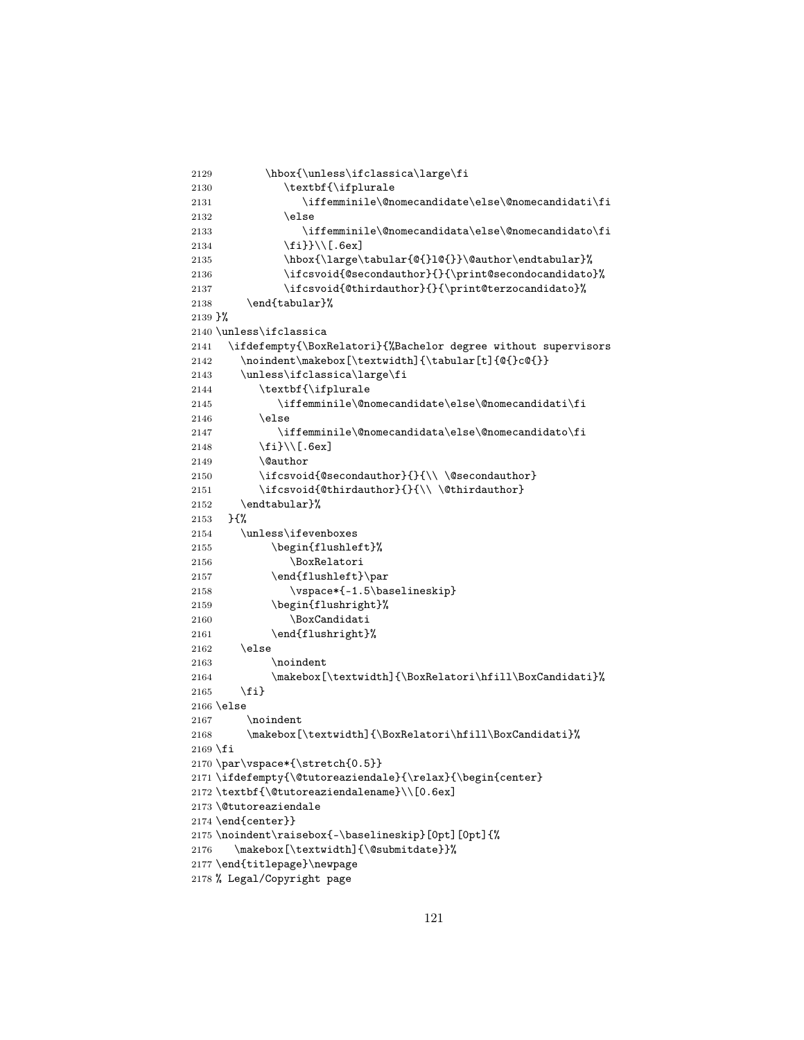```
2129 \hbox{\unless\ifclassica\large\fi
2130 \textbf{\ifplurale
2131 \iffemminile\@nomecandidate\else\@nomecandidati\fi
2132 \else
2133 \iffemminile\@nomecandidata\else\@nomecandidato\fi
2134 \{f_i\}\}\ \[\text{6ex}\]2135 \hbox{\large\tabular{@{}l@{}}\@author\endtabular}%
2136 \ifcsvoid{@secondauthor}{}{\print@secondocandidato}%
2137 \ifcsvoid{@thirdauthor}{}{\print@terzocandidato}%
2138 \end{tabular}%
2139 }%
2140 \unless\ifclassica
2141 \ifdefempty{\BoxRelatori}{%Bachelor degree without supervisors
2142 \noindent\makebox[\textwidth]{\tabular[t]{@{}c@{}}
2143 \unless\ifclassica\large\fi
2144 \textbf{\ifplurale
2145 \iffemminile\@nomecandidate\else\@nomecandidati\fi
2146 \else
2147 \iffemminile\@nomecandidata\else\@nomecandidato\fi
2148 \fi}\\[.6ex]
2149 \@author
2150 \ifccosoid (@secondauthor} {} {\\ \@secondauthor}
2151 \ifcsvoid{\@thirdauthor}{\}\2152 \endtabular}%
2153 }{%
2154 \unless\ifevenboxes
2155 \begin{flushleft}%
2156 \BoxRelatori
2157 \end{flushleft}\par
2158 \vspace*{-1.5\baselineskip}
2159 \begin{flushright}%
2160 \BoxCandidati
2161 \end{flushright}%
2162 \else
2163 \noindent
2164 \makebox[\textwidth]{\BoxRelatori\hfill\BoxCandidati}%
2165 \fi}
2166 \else
2167 \noindent
2168 \makebox[\textwidth]{\BoxRelatori\hfill\BoxCandidati}%
2169 \fi
2170 \par\vspace*{\stretch{0.5}}
\label{thm:main} $$ 2171 \ifdef empty{\\&tutoreaziendale}{\relax}{\begin{array}{c} \neg} \bigcup_{\neg} \bigcup_{\neg} \bigcup_{\neg} \bigcup_{\neg} \bigcup_{\neg} \bigcup_{\neg} \bigcup_{\neg} \bigcup_{\neg} \bigcup_{\neg} \bigcup_{\neg} \bigcup_{\neg} \bigcup_{\neg} \bigcup_{\neg} \bigcup_{\neg} \bigcup_{\neg} \bigcup_{\neg} \bigcup_{\neg} \bigcup_{\neg} \bigcup_{\neg} \bigcup_{\neg} \bigcup_{\neg} \bigcup_{\neg} \bigcup_{\neg} \bigcup_{\neg} \bigcup_{\neg} \big2172 \textbf{\@tutoreaziendalename}\\[0.6ex]
2173 \@tutoreaziendale
2174 \end{center}}
2175 \noindent\raisebox{-\baselineskip}[0pt][0pt]{%
2176 \makebox[\textwidth]{\@submitdate}}%
2177 \end{titlepage}\newpage
2178 % Legal/Copyright page
```

```
121
```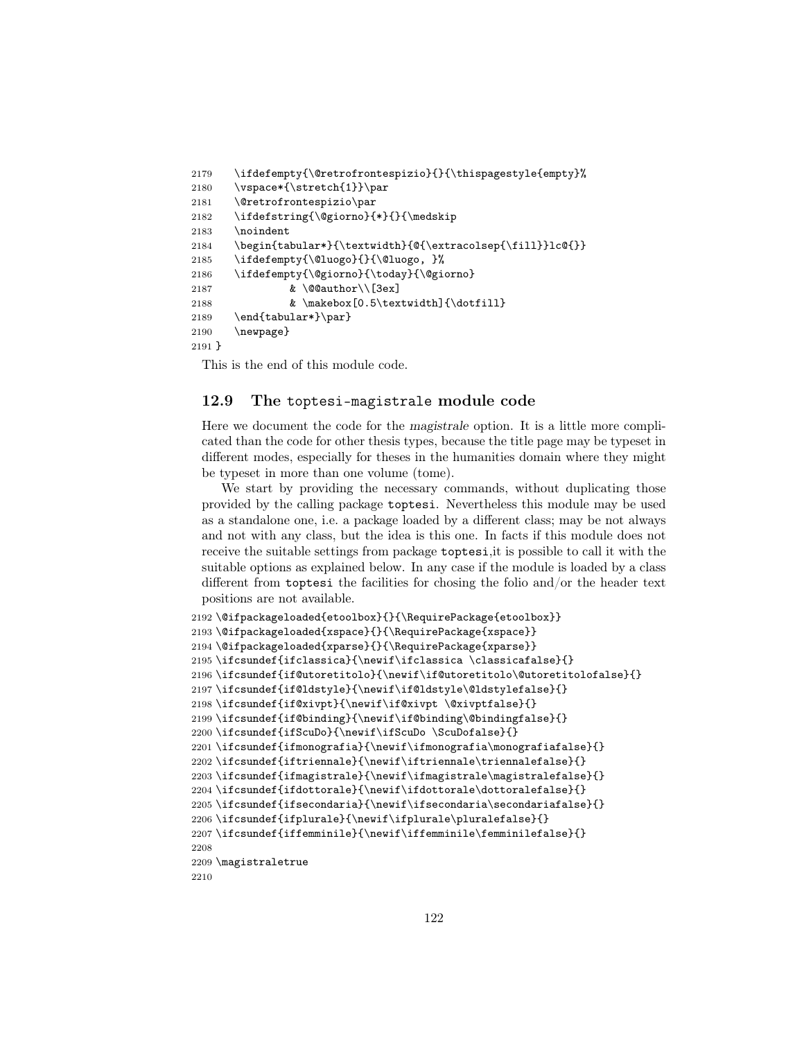```
2179 \ifdefempty{\@retrofrontespizio}{}{\thispagestyle{empty}%
2180 \vspace*{\stretch{1}}\par
2181 \@retrofrontespizio\par
2182 \ifdefstring{\@giorno}{*}{}{\medskip
2183 \noindent
2184 \begin{tabular*}{\textwidth}{@{\extracolsep{\fill}}lc@{}}
2185 \ifdefempty{\@luogo}{}{\@luogo, }%
2186 \ifdefempty{\@giorno}{\today}{\@giorno}
2187 & \@@author\\[3ex]
2188 \& \n\makebox{[0.5\textwidth]{\dot{1}}1}2189 \end{tabular*}\par}
2190 \newpage}
2191 }
```
This is the end of this module code.

# 12.9 The toptesi-magistrale module code

Here we document the code for the magistrale option. It is a little more complicated than the code for other thesis types, because the title page may be typeset in different modes, especially for theses in the humanities domain where they might be typeset in more than one volume (tome).

We start by providing the necessary commands, without duplicating those provided by the calling package toptesi. Nevertheless this module may be used as a standalone one, i.e. a package loaded by a different class; may be not always and not with any class, but the idea is this one. In facts if this module does not receive the suitable settings from package toptesi,it is possible to call it with the suitable options as explained below. In any case if the module is loaded by a class different from toptesi the facilities for chosing the folio and/or the header text positions are not available.

```
2192 \@ifpackageloaded{etoolbox}{}{\RequirePackage{etoolbox}}
2193\@ifpackageloaded{xspace}{}{\RequirePackage{xspace}}
2194 \@ifpackageloaded{xparse}{}{\RequirePackage{xparse}}
2195 \ifcsundef{ifclassica}{\newif\ifclassica \classicafalse}{}
2196 \ifcsundef{if@utoretitolo}{\newif\if@utoretitolo\@utoretitolofalse}{}
2197 \ifcsundef{if@ldstyle}{\newif\if@ldstyle\@ldstylefalse}{}
2198 \ifcsundef{if@xivpt}{\newif\if@xivpt \@xivptfalse}{}
2199 \ifcsundef{if@binding}{\newif\if@binding\@bindingfalse}{}
2200 \ifcsundef{ifScuDo}{\newif\ifScuDo \ScuDofalse}{}
2201 \ifcsundef{ifmonografia}{\newif\ifmonografia\monografiafalse}{}
2202 \ifcsundef{iftriennale}{\newif\iftriennale\triennalefalse}{}
2203 \ifcsundef{ifmagistrale}{\newif\ifmagistrale\magistralefalse}{}
2204 \ifcsundef{ifdottorale}{\newif\ifdottorale\dottoralefalse}{}
2205 \ifcsundef{ifsecondaria}{\newif\ifsecondaria\secondariafalse}{}
2206 \ifcsundef{ifplurale}{\newif\ifplurale\pluralefalse}{}
2207 \ifcsundef{iffemminile}{\newif\iffemminile\femminilefalse}{}
2208
2209 \magistraletrue
2210
```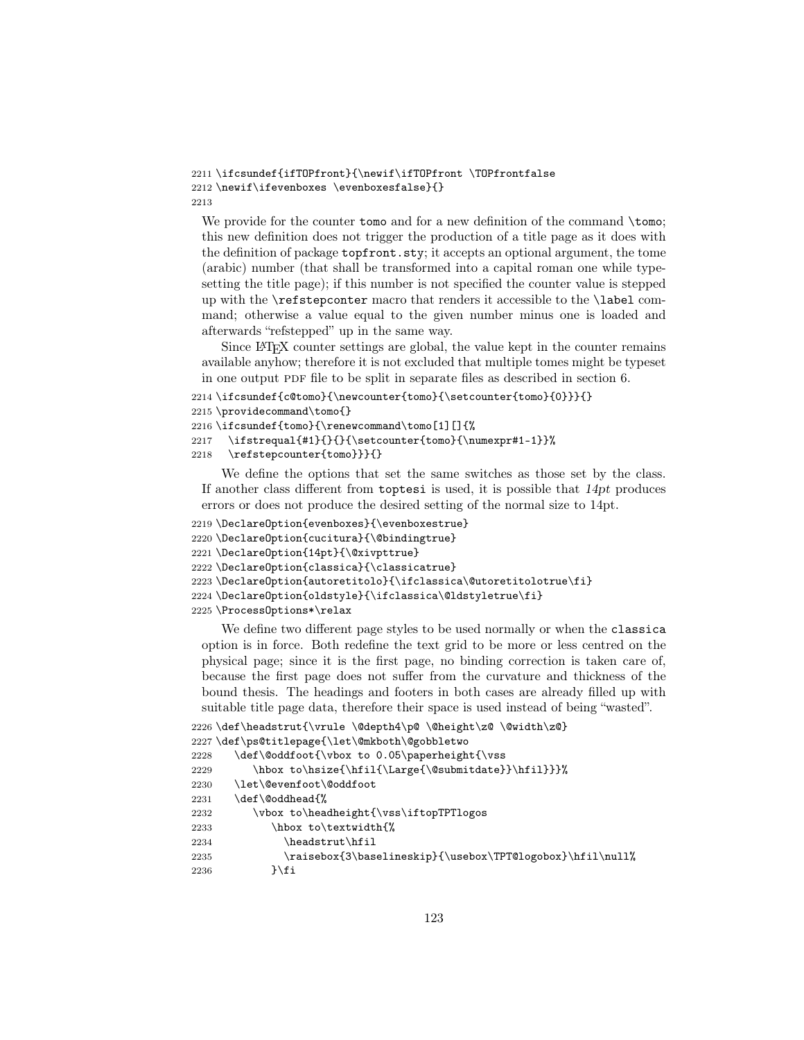```
2211 \ifcsundef{ifTOPfront}{\newif\ifTOPfront \TOPfrontfalse
2212 \newif\ifevenboxes \evenboxesfalse}{}
2213
```
We provide for the counter tomo and for a new definition of the command  $\times$ this new definition does not trigger the production of a title page as it does with the definition of package topfront.sty; it accepts an optional argument, the tome (arabic) number (that shall be transformed into a capital roman one while typesetting the title page); if this number is not specified the counter value is stepped up with the \refstepconter macro that renders it accessible to the \label command; otherwise a value equal to the given number minus one is loaded and afterwards "refstepped" up in the same way.

Since LATEX counter settings are global, the value kept in the counter remains available anyhow; therefore it is not excluded that multiple tomes might be typeset in one output PDF file to be split in separate files as described in section 6.

```
2214 \ifcsundef{c@tomo}{\newcounter{tomo}{\setcounter{tomo}{0}}}{}
```

```
2215 \providecommand\tomo{}
```

```
2216 \ifcsundef{tomo}{\renewcommand\tomo[1][]{%
```

```
2217 \ifstrequal{#1}{}{}{\setcounter{tomo}{\numexpr#1-1}}%
```

```
2218 \refstepcounter{tomo}}}{}
```
We define the options that set the same switches as those set by the class. If another class different from  $t$  toptesi is used, it is possible that  $14pt$  produces errors or does not produce the desired setting of the normal size to 14pt.

```
2219 \DeclareOption{evenboxes}{\evenboxestrue}
2220 \DeclareOption{cucitura}{\@bindingtrue}
2221 \DeclareOption{14pt}{\@xivpttrue}
2222 \DeclareOption{classica}{\classicatrue}
2223 \DeclareOption{autoretitolo}{\ifclassica\@utoretitolotrue\fi}
2224 \DeclareOption{oldstyle}{\ifclassica\@ldstyletrue\fi}
2225 \ProcessOptions*\relax
```
We define two different page styles to be used normally or when the classica option is in force. Both redefine the text grid to be more or less centred on the physical page; since it is the first page, no binding correction is taken care of, because the first page does not suffer from the curvature and thickness of the bound thesis. The headings and footers in both cases are already filled up with suitable title page data, therefore their space is used instead of being "wasted".

```
2226 \def\headstrut{\vrule \@depth4\p@ \@height\z@ \@width\z@}
2227 \def\ps@titlepage{\let\@mkboth\@gobbletwo
2228 \def\@oddfoot{\vbox to 0.05\paperheight{\vss
2229 \hbox to\hsize{\hfil{\Large{\@submitdate}}\hfil}}}%
2230 \let\@evenfoot\@oddfoot
2231 \def\@oddhead{%
2232 \vbox to\headheight{\vss\iftopTPTlogos
2233 \hbox to\textwidth{%
2234 \headstrut\hfil
2235 \raisebox{3\baselineskip}{\usebox\TPT@logobox}\hfil\null%
2236 }\fi
```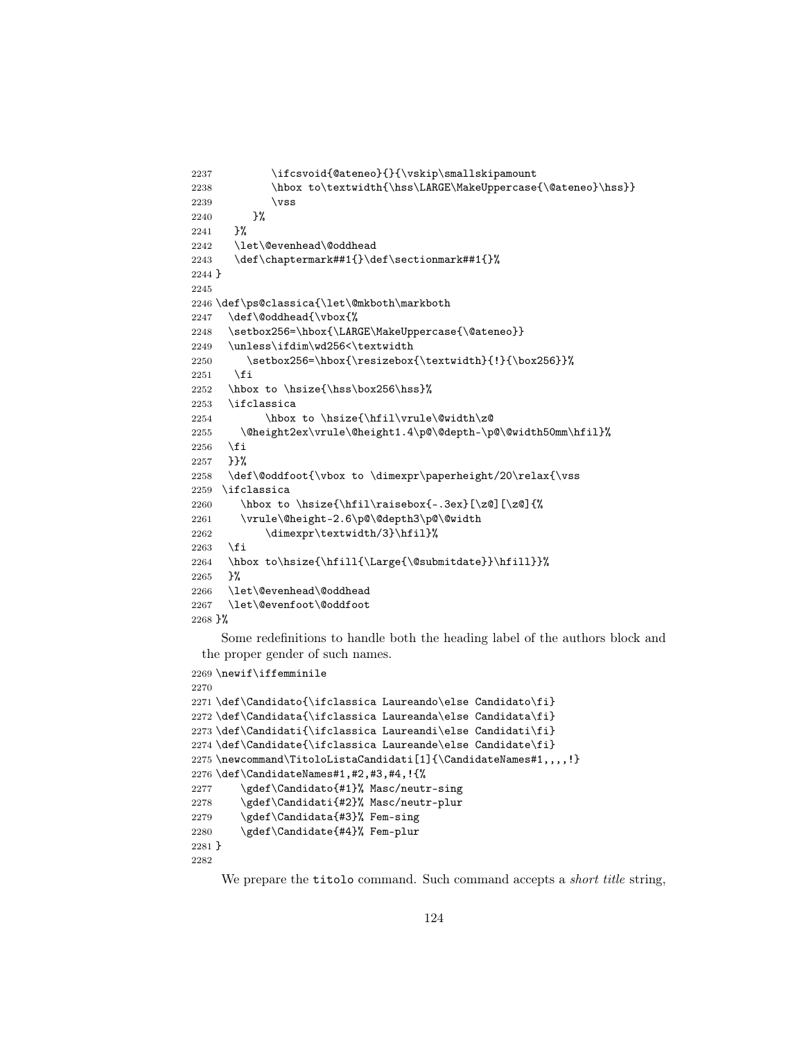```
2237 \ifcsvoid{@ateneo}{}{\vskip\smallskipamount
2238 \hbox to\textwidth{\hss\LARGE\MakeUppercase{\@ateneo}\hss}}
2239 \vss
2240 }%
2241 }%
2242 \let\@evenhead\@oddhead
2243 \def\chaptermark##1{}\def\sectionmark##1{}%
2244 }
2245
2246 \def\ps@classica{\let\@mkboth\markboth
2247 \def\@oddhead{\vbox{%
2248 \setbox256=\hbox{\LARGE\MakeUppercase{\@ateneo}}
2249 \unless\ifdim\wd256<\textwidth
2250 \setbox256=\hbox{\resizebox{\textwidth}{!}{\box256}}%
2251 \fi
2252 \hbox to \hsize{\hss\box256\hss}%
2253 \ifclassica
2254 \hbox to \hsize{\hfil\vrule\@width\z@
2255 \@height2ex\vrule\@height1.4\p@\@depth-\p@\@width50mm\hfil}%
2256 \fi
2257 }}%
2258 \def\@oddfoot{\vbox to \dimexpr\paperheight/20\relax{\vss
2259 \ifclassica
2260 \hbox to \hsize{\hfil\raisebox{-.3ex}[\z@][\z@]{%
2261 \vrule\@height-2.6\p@\@depth3\p@\@width
2262 \dimexpr\textwidth/3}\hfil}%
2263 \fi
2264 \hbox to\hsize{\hfill{\Large{\@submitdate}}\hfill}}%
2265 }%
2266 \let\@evenhead\@oddhead
2267 \let\@evenfoot\@oddfoot
2268 }%
```
Some redefinitions to handle both the heading label of the authors block and the proper gender of such names.

```
2269 \newif\iffemminile
2270
2271 \def\Candidato{\ifclassica Laureando\else Candidato\fi}
2272 \def\Candidata{\ifclassica Laureanda\else Candidata\fi}
2273 \def\Candidati{\ifclassica Laureandi\else Candidati\fi}
2274 \def\Candidate{\ifclassica Laureande\else Candidate\fi}
2275 \newcommand\TitoloListaCandidati[1]{\CandidateNames#1,,,,!}
2276 \def\CandidateNames#1,#2,#3,#4,!{%
2277 \gdef\Candidato{#1}% Masc/neutr-sing
2278 \gdef\Candidati{#2}% Masc/neutr-plur
2279 \gdef\Candidata{#3}% Fem-sing
2280 \gdef\Candidate{#4}% Fem-plur
2281 }
2282
```
We prepare the titolo command. Such command accepts a *short title* string,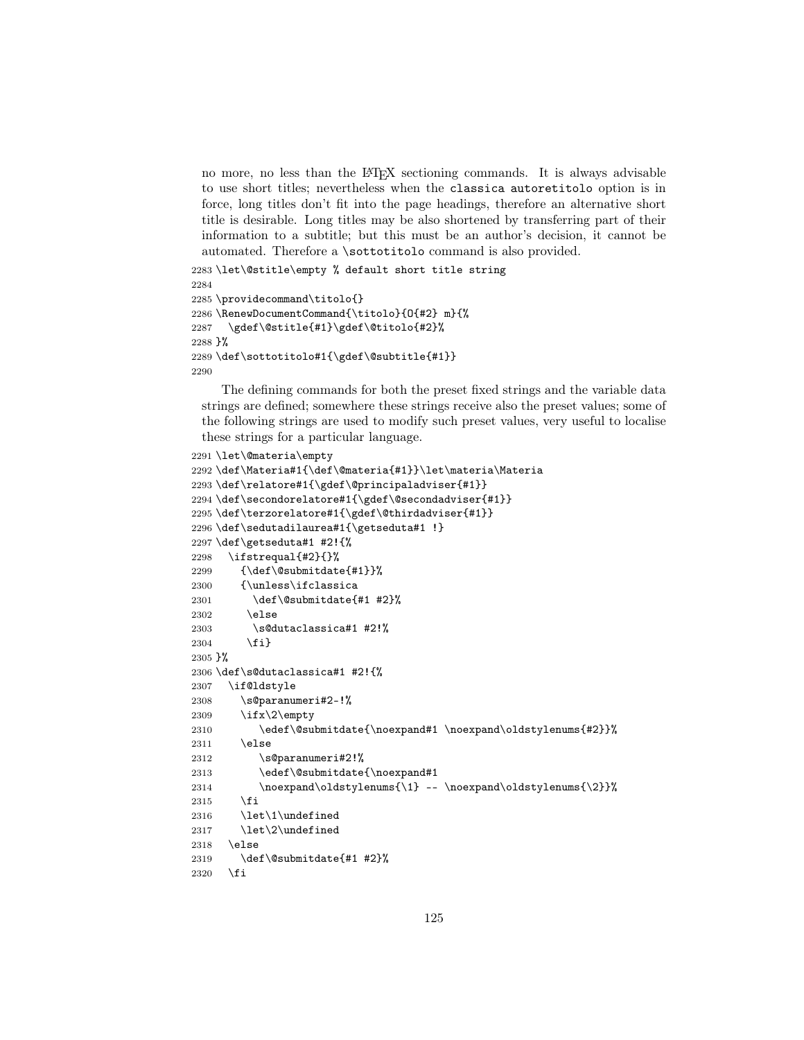no more, no less than the LATEX sectioning commands. It is always advisable to use short titles; nevertheless when the classica autoretitolo option is in force, long titles don't fit into the page headings, therefore an alternative short title is desirable. Long titles may be also shortened by transferring part of their information to a subtitle; but this must be an author's decision, it cannot be automated. Therefore a \sottotitolo command is also provided.

```
2283 \let\@stitle\empty % default short title string
2284
2285 \providecommand\titolo{}
2286 \RenewDocumentCommand{\titolo}{O{#2} m}{%
2287 \gdef\@stitle{#1}\gdef\@titolo{#2}%
2288 }%
2289 \def\sottotitolo#1{\gdef\@subtitle{#1}}
2290
```
The defining commands for both the preset fixed strings and the variable data strings are defined; somewhere these strings receive also the preset values; some of the following strings are used to modify such preset values, very useful to localise these strings for a particular language.

```
2291 \let\@materia\empty
2292 \def\Materia#1{\def\@materia{#1}}\let\materia\Materia
2293 \def\relatore#1{\gdef\@principaladviser{#1}}
2294 \def\secondorelatore#1{\gdef\@secondadviser{#1}}
2295 \def\terzorelatore#1{\gdef\@thirdadviser{#1}}
2296 \def\sedutadilaurea#1{\getseduta#1 !}
2297 \def\getseduta#1 #2!{%
2298 \ifstrequal{#2}{}%
2299 {\def\@submitdate{#1}}%
2300 {\unless\ifclassica
2301 \def\@submitdate{#1 #2}%
2302 \else
2303 \s@dutaclassica#1 #2!%
2304 \fi}
2305 }%
2306 \def\s@dutaclassica#1 #2!{%
2307 \if@ldstyle
2308 \s@paranumeri#2-!%
2309 \ifx\2\empty
2310 \edef\@submitdate{\noexpand#1 \noexpand\oldstylenums{#2}}%
2311 \else
2312 \s@paranumeri#2!%
2313 \edef\@submitdate{\noexpand#1
2314 \noexpand\oldstylenums{\1} -- \noexpand\oldstylenums{\2}}%
2315 \fi
2316 \let\1\undefined
2317 \let\2\undefined
2318 \else
2319 \def\@submitdate{#1 #2}%
2320 \fi
```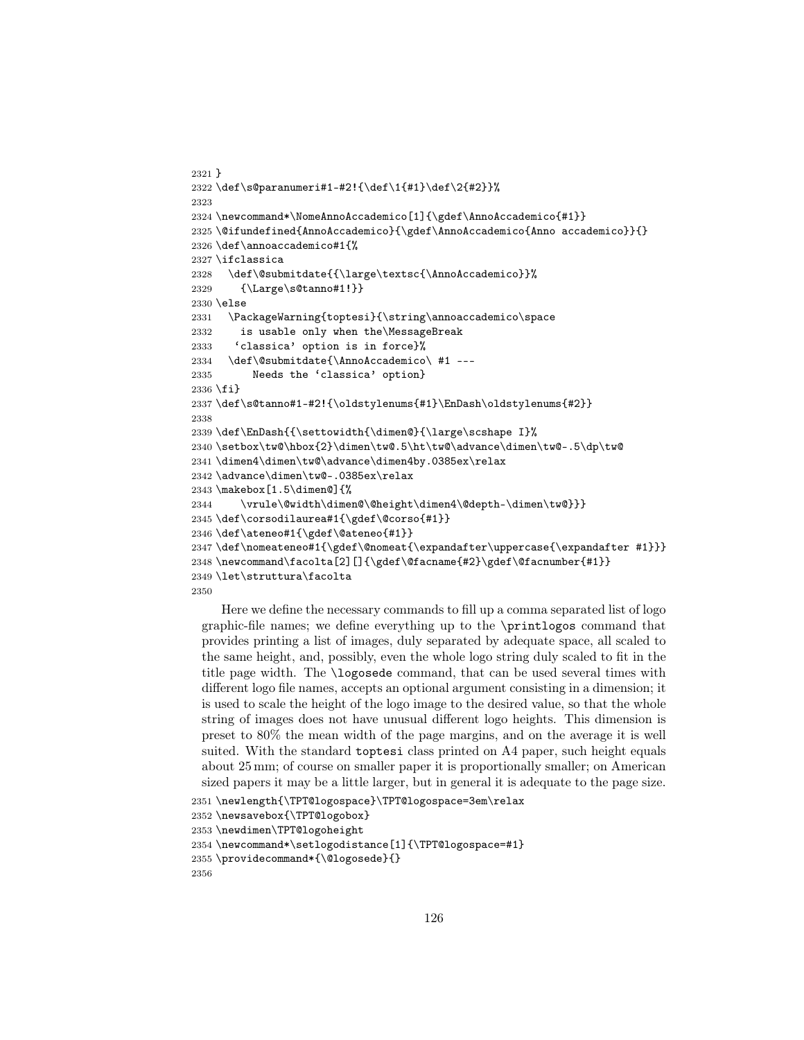```
2321 }
2322 \def\s@paranumeri#1-#2!{\def\1{#1}\def\2{#2}}%
2323
2324 \newcommand*\NomeAnnoAccademico[1]{\gdef\AnnoAccademico{#1}}
2325 \@ifundefined{AnnoAccademico}{\gdef\AnnoAccademico{Anno accademico}}{}
2326 \def\annoaccademico#1{%
2327 \ifclassica
2328 \def\@submitdate{{\large\textsc{\AnnoAccademico}}%
2329 {\Large\s@tanno#1!}}
2330 \else
2331 \PackageWarning{toptesi}{\string\annoaccademico\space
2332 is usable only when the\MessageBreak
2333 'classica' option is in force}%
2334 \def\@submitdate{\AnnoAccademico\ #1 ---
2335 Needs the 'classica' option}
2336 \fi}
2337 \def\s@tanno#1-#2!{\oldstylenums{#1}\EnDash\oldstylenums{#2}}
2338
2339 \def\EnDash{{\settowidth{\dimen@}{\large\scshape I}%
2340 \setbox\tw@\hbox{2}\dimen\tw@.5\ht\tw@\advance\dimen\tw@-.5\dp\tw@
2341 \dimen4\dimen\tw@\advance\dimen4by.0385ex\relax
2342 \advance\dimen\tw@-.0385ex\relax
2343 \makebox[1.5\dimen@]{%
2344 \vrule\@width\dimen@\@height\dimen4\@depth-\dimen\tw@}}}
2345 \def\corsodilaurea#1{\gdef\@corso{#1}}
2346 \def\ateneo#1{\gdef\@ateneo{#1}}
2347 \def\name{thm}{\gdef\@non\{ \expandafter\uparrow\expandafter\expandafter\expandafter \#1} \}2348 \newcommand\facolta[2][]{\gdef\@facname{#2}\gdef\@facnumber{#1}}
2349 \let\struttura\facolta
2350
```
Here we define the necessary commands to fill up a comma separated list of logo graphic-file names; we define everything up to the \printlogos command that provides printing a list of images, duly separated by adequate space, all scaled to the same height, and, possibly, even the whole logo string duly scaled to fit in the title page width. The \logosede command, that can be used several times with different logo file names, accepts an optional argument consisting in a dimension; it is used to scale the height of the logo image to the desired value, so that the whole string of images does not have unusual different logo heights. This dimension is preset to 80% the mean width of the page margins, and on the average it is well suited. With the standard toptesi class printed on A4 paper, such height equals about 25 mm; of course on smaller paper it is proportionally smaller; on American sized papers it may be a little larger, but in general it is adequate to the page size.

```
2351 \newlength{\TPT@logospace}\TPT@logospace=3em\relax
2352 \newsavebox{\TPT@logobox}
2353 \newdimen\TPT@logoheight
2354 \newcommand*\setlogodistance[1]{\TPT@logospace=#1}
2355 \providecommand*{\@logosede}{}
2356
```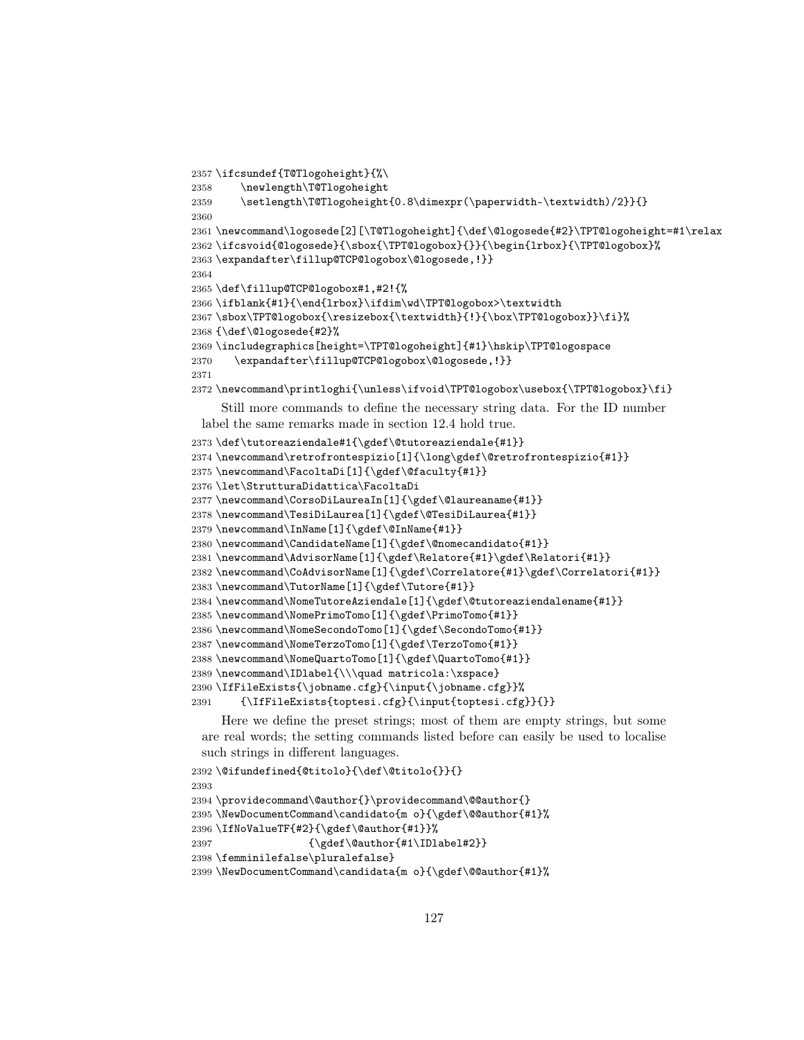```
2357 \ifcsundef{T@Tlogoheight}{%\
2358 \newlength\T@Tlogoheight
2359 \setlength\T@Tlogoheight{0.8\dimexpr(\paperwidth-\textwidth)/2}}{}
2360
2361 \newcommand\logosede[2][\T@Tlogoheight]{\def\@logosede{#2}\TPT@logoheight=#1\relax
2362 \ifcsvoid{@logosede}{\sbox{\TPT@logobox}{}}{\begin{lrbox}{\TPT@logobox}%
2363 \expandafter\fillup@TCP@logobox\@logosede,!}}
2364
2365 \def\fillup@TCP@logobox#1,#2!{%
2366 \ifblank{#1}{\end{lrbox}\ifdim\wd\TPT@logobox>\textwidth
2367 \sbox\TPT@logobox{\resizebox{\textwidth}{!}{\box\TPT@logobox}}\fi}%
2368 {\def\@logosede{#2}%
2369 \includegraphics[height=\TPT@logoheight]{#1}\hskip\TPT@logospace
2370 \expandafter\fillup@TCP@logobox\@logosede,!}}
2371
2372 \newcommand\printloghi{\unless\ifvoid\TPT@logobox\usebox{\TPT@logobox}\fi}
     Still more commands to define the necessary string data. For the ID number
 label the same remarks made in section 12.4 hold true.
2373 \def\tutoreaziendale#1{\gdef\@tutoreaziendale{#1}}
2374 \newcommand\retrofrontespizio[1]{\long\gdef\@retrofrontespizio{#1}}
2375 \newcommand\FacoltaDi[1]{\gdef\@faculty{#1}}
2376 \let\StrutturaDidattica\FacoltaDi
2377 \newcommand\CorsoDiLaureaIn[1]{\gdef\@laureaname{#1}}
2378 \newcommand\TesiDiLaurea[1]{\gdef\@TesiDiLaurea{#1}}
2379 \newcommand\InName[1]{\gdef\@InName{#1}}
2380 \newcommand\CandidateName[1]{\gdef\@nomecandidato{#1}}
2381 \newcommand\AdvisorName[1]{\gdef\Relatore{#1}\gdef\Relatori{#1}}
2382 \newcommand\CoAdvisorName[1]{\gdef\Correlatore{#1}\gdef\Correlatori{#1}}
2383 \newcommand\TutorName[1]{\gdef\Tutore{#1}}
2384 \newcommand\NomeTutoreAziendale[1]{\gdef\@tutoreaziendalename{#1}}
2385 \newcommand\NomePrimoTomo[1]{\gdef\PrimoTomo{#1}}
2386 \newcommand\NomeSecondoTomo[1]{\gdef\SecondoTomo{#1}}
2387 \newcommand\NomeTerzoTomo[1]{\gdef\TerzoTomo{#1}}
2388 \newcommand\NomeQuartoTomo[1]{\gdef\QuartoTomo{#1}}
2389 \newcommand\IDlabel{\\\quad matricola:\xspace}
2390 \IfFileExists{\jobname.cfg}{\input{\jobname.cfg}}%
2391 {\IfFileExists{toptesi.cfg}{\input{toptesi.cfg}}{}}
```
Here we define the preset strings; most of them are empty strings, but some are real words; the setting commands listed before can easily be used to localise such strings in different languages.

```
2392 \@ifundefined{@titolo}{\def\@titolo{}}{}
2393
2394 \providecommand\@author{}\providecommand\@@author{}
2395 \NewDocumentCommand\candidato{m o}{\gdef\@@author{#1}%
2396 \IfNoValueTF{#2}{\gdef\@author{#1}}%
2397 {\gdef\@author{#1\IDlabel#2}}
2398 \femminilefalse\pluralefalse}
2399 \NewDocumentCommand\candidata{m o}{\gdef\@@author{#1}%
```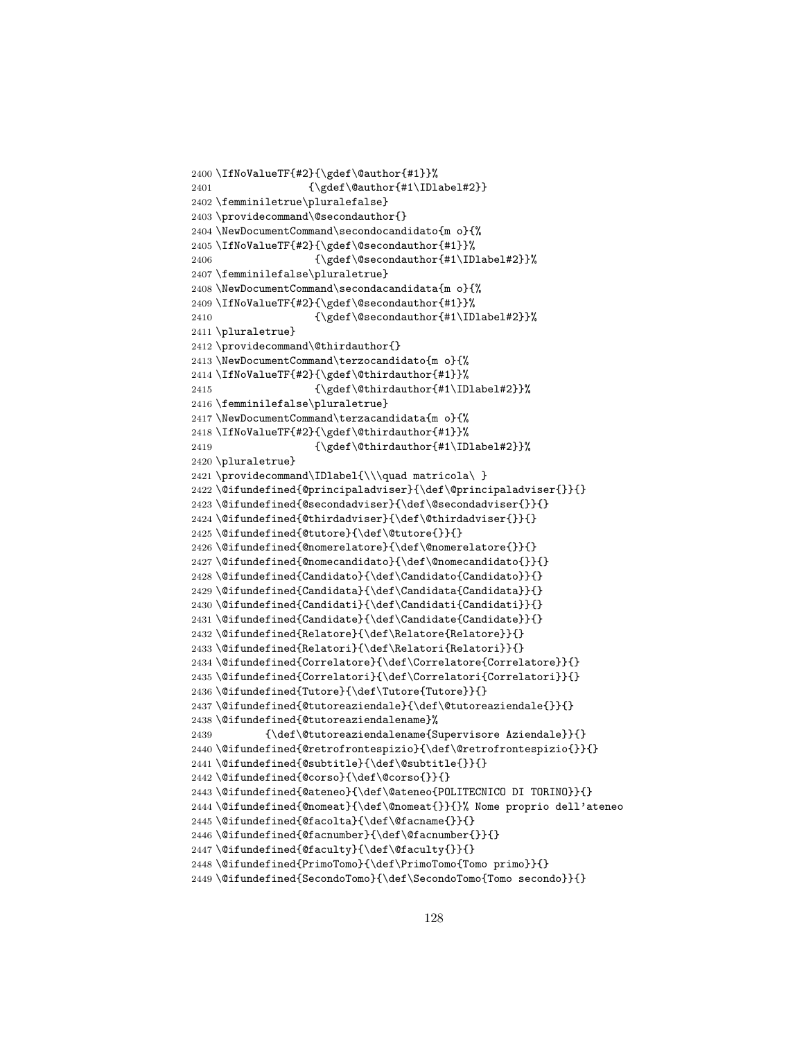```
2400 \IfNoValueTF{#2}{\gdef\@author{#1}}%
2401 {\qdet\text{#1}\IDlabel#2}}2402 \femminiletrue\pluralefalse}
2403 \providecommand\@secondauthor{}
2404 \NewDocumentCommand\secondocandidato{m o}{%
2405 \IfNoValueTF{#2}{\gdef\@secondauthor{#1}}%
2406 {\qquad\qquad {\gdef\@secondauthor{#1\IDlabel#2}}%
2407 \femminilefalse\pluraletrue}
2408 \NewDocumentCommand\secondacandidata{m o}{%
2409 \IfNoValueTF{#2}{\gdef\@secondauthor{#1}}%
2410 {\qdet\@sec\@and\@ath\@trm{+1\IDlabel#2}}\2411 \pluraletrue}
2412 \providecommand\@thirdauthor{}
2413 \NewDocumentCommand\terzocandidato{m o}{%
2414 \IfNoValueTF{#2}{\gdef\@thirdauthor{#1}}%
2415 {\qdet\;\text{d}thirdauthor{\#1\IDlabel#2}}\2416 \femminilefalse\pluraletrue}
2417 \NewDocumentCommand\terzacandidata{m o}{%
2418 \IfNoValueTF{#2}{\gdef\@thirdauthor{#1}}%
2419 {\qdet\text{d}thirdauthor{#1\IDlabel#2}}2420 \pluraletrue}
2421\providecommand\IDlabel{\\\quad matricola\ }
2422 \@ifundefined{@principaladviser}{\def\@principaladviser{}}{}
2423 \@ifundefined{@secondadviser}{\def\@secondadviser{}}{}
2424 \@ifundefined{@thirdadviser}{\def\@thirdadviser{}}{}
2425 \@ifundefined{@tutore}{\def\@tutore{}}{}
2426 \@ifundefined{@nomerelatore}{\def\@nomerelatore{}}{}
2427 \@ifundefined{@nomecandidato}{\def\@nomecandidato{}}{}
2428 \@ifundefined{Candidato}{\def\Candidato{Candidato}}{}
2429 \@ifundefined{Candidata}{\def\Candidata{Candidata}}{}
2430 \@ifundefined{Candidati}{\def\Candidati{Candidati}}{}
2431 \@ifundefined{Candidate}{\def\Candidate{Candidate}}{}
2432 \@ifundefined{Relatore}{\def\Relatore{Relatore}}{}
2433 \@ifundefined{Relatori}{\def\Relatori{Relatori}}{}
2434 \@ifundefined{Correlatore}{\def\Correlatore{Correlatore}}{}
2435 \@ifundefined{Correlatori}{\def\Correlatori{Correlatori}}{}
2436 \@ifundefined{Tutore}{\def\Tutore{Tutore}}{}
2437 \@ifundefined{@tutoreaziendale}{\def\@tutoreaziendale{}}{}
2438 \@ifundefined{@tutoreaziendalename}%
2439 {\def\@tutoreaziendalename{Supervisore Aziendale}}{}
2440 \@ifundefined{@retrofrontespizio}{\def\@retrofrontespizio{}}{}
2441 \@ifundefined{@subtitle}{\def\@subtitle{}}{}
2442 \@ifundefined{@corso}{\def\@corso{}}{}
2443 \@ifundefined{@ateneo}{\def\@ateneo{POLITECNICO DI TORINO}}{}
2444 \@ifundefined{@nomeat}{\def\@nomeat{}}{}% Nome proprio dell'ateneo
2445 \@ifundefined{@facolta}{\def\@facname{}}{}
2446 \@ifundefined{@facnumber}{\def\@facnumber{}}{}
2447\@ifundefined{@faculty}{\def\@faculty{}}{}
2448 \@ifundefined{PrimoTomo}{\def\PrimoTomo{Tomo primo}}{}
2449 \@ifundefined{SecondoTomo}{\def\SecondoTomo{Tomo secondo}}{}
```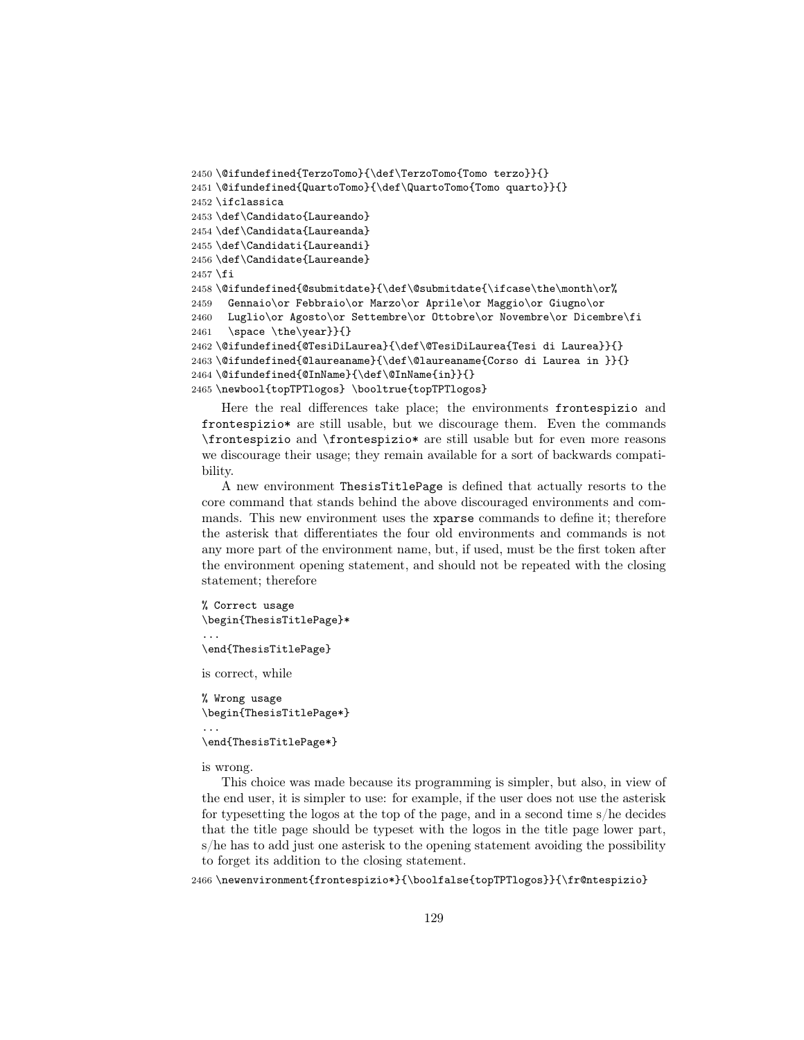```
2450 \@ifundefined{TerzoTomo}{\def\TerzoTomo{Tomo terzo}}{}
2451 \@ifundefined{QuartoTomo}{\def\QuartoTomo{Tomo quarto}}{}
2452 \ifclassica
2453 \def\Candidato{Laureando}
2454 \def\Candidata{Laureanda}
2455 \def\Candidati{Laureandi}
2456 \def\Candidate{Laureande}
2457 \fi
2458\@ifundefined{@submitdate}{\def\@submitdate{\ifcase\the\month\or%
2459 Gennaio\or Febbraio\or Marzo\or Aprile\or Maggio\or Giugno\or
2460 Luglio\or Agosto\or Settembre\or Ottobre\or Novembre\or Dicembre\fi
2461 \space \the\year}}{}
2462 \@ifundefined{@TesiDiLaurea}{\def\@TesiDiLaurea{Tesi di Laurea}}{}
2463 \@ifundefined{@laureaname}{\def\@laureaname{Corso di Laurea in }}{}
2464 \@ifundefined{@InName}{\def\@InName{in}}{}
2465 \newbool{topTPTlogos} \booltrue{topTPTlogos}
```
Here the real differences take place; the environments frontespizio and frontespizio\* are still usable, but we discourage them. Even the commands \frontespizio and \frontespizio\* are still usable but for even more reasons we discourage their usage; they remain available for a sort of backwards compatibility.

A new environment ThesisTitlePage is defined that actually resorts to the core command that stands behind the above discouraged environments and commands. This new environment uses the xparse commands to define it; therefore the asterisk that differentiates the four old environments and commands is not any more part of the environment name, but, if used, must be the first token after the environment opening statement, and should not be repeated with the closing statement; therefore

```
% Correct usage
\begin{ThesisTitlePage}*
...
\end{ThesisTitlePage}
```
is correct, while

% Wrong usage \begin{ThesisTitlePage\*} ... \end{ThesisTitlePage\*}

is wrong.

This choice was made because its programming is simpler, but also, in view of the end user, it is simpler to use: for example, if the user does not use the asterisk for typesetting the logos at the top of the page, and in a second time s/he decides that the title page should be typeset with the logos in the title page lower part, s/he has to add just one asterisk to the opening statement avoiding the possibility to forget its addition to the closing statement.

2466 \newenvironment{frontespizio\*}{\boolfalse{topTPTlogos}}{\fr@ntespizio}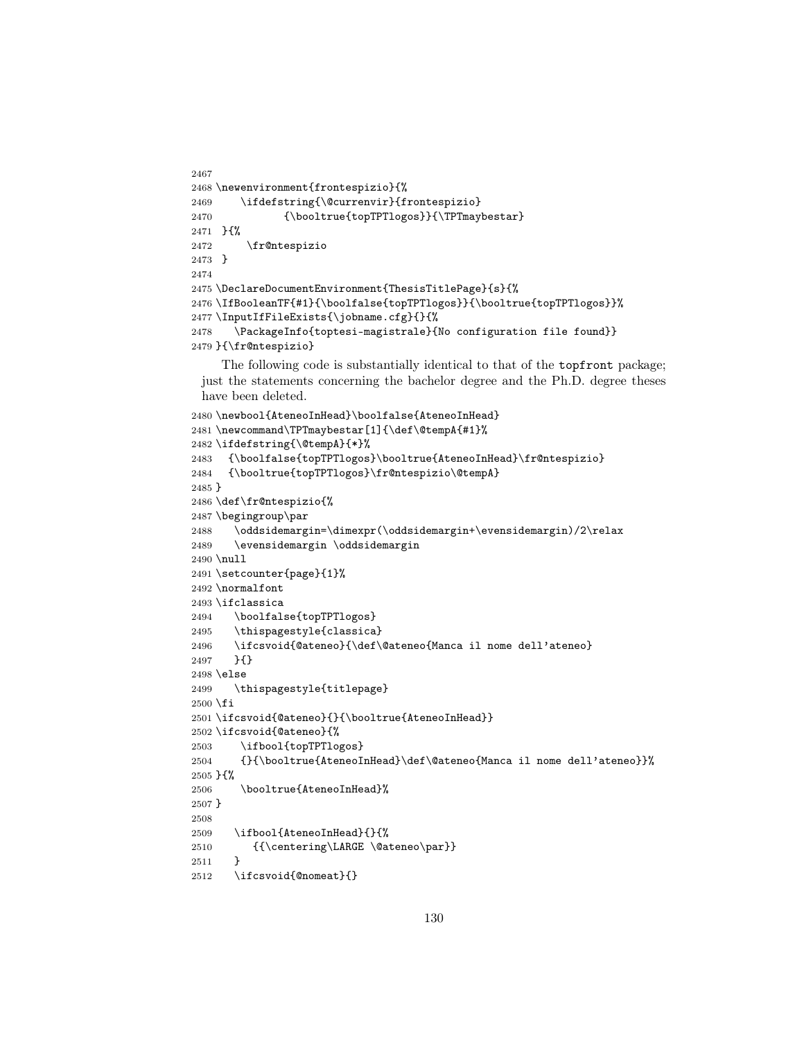```
2467
2468 \newenvironment{frontespizio}{%
2469 \ifdefstring{\@currenvir}{frontespizio}
2470 {\booltrue{topTPTlogos}}{\TPTmaybestar}
2471 }{%
2472 \fr@ntespizio
2473 }
2474
2475 \DeclareDocumentEnvironment{ThesisTitlePage}{s}{%
2476 \IfBooleanTF{#1}{\boolfalse{topTPTlogos}}{\booltrue{topTPTlogos}}%
2477 \InputIfFileExists{\jobname.cfg}{}{%
2478 \PackageInfo{toptesi-magistrale}{No configuration file found}}
2479 }{\fr@ntespizio}
```
The following code is substantially identical to that of the topfront package; just the statements concerning the bachelor degree and the Ph.D. degree theses have been deleted.

```
2480 \newbool{AteneoInHead}\boolfalse{AteneoInHead}
2481 \newcommand\TPTmaybestar[1]{\def\@tempA{#1}%
2482 \ifdefstring{\@tempA}{*}%
2483 {\boolfalse{topTPTlogos}\booltrue{AteneoInHead}\fr@ntespizio}
2484 {\booltrue{topTPTlogos}\fr@ntespizio\@tempA}
2485 }
2486 \def\fr@ntespizio{%
2487 \begingroup\par
2488 \oddsidemargin=\dimexpr(\oddsidemargin+\evensidemargin)/2\relax
2489 \evensidemargin \oddsidemargin
2490 \null
2491 \setcounter{page}{1}%
2492 \normalfont
2493 \ifclassica
2494 \boolfalse{topTPTlogos}
2495 \thispagestyle{classica}
2496 \ifcsvoid{@ateneo}{\def\@ateneo{Manca il nome dell'ateneo}
2497 }{}
2498 \else
2499 \thispagestyle{titlepage}
2500 \fi
2501 \ifcsvoid{@ateneo}{}{\booltrue{AteneoInHead}}
2502 \ifcsvoid{@ateneo}{%
2503 \ifbool{topTPTlogos}
2504 {}{\booltrue{AteneoInHead}\def\@ateneo{Manca il nome dell'ateneo}}%
2505 }{%
2506 \booltrue{AteneoInHead}%
2507 }
2508
2509 \ifbool{AteneoInHead}{}{%
2510 {{\centering\LARGE \@ateneo\par}}
2511 }
2512 \ifcsvoid{@nomeat}{}
```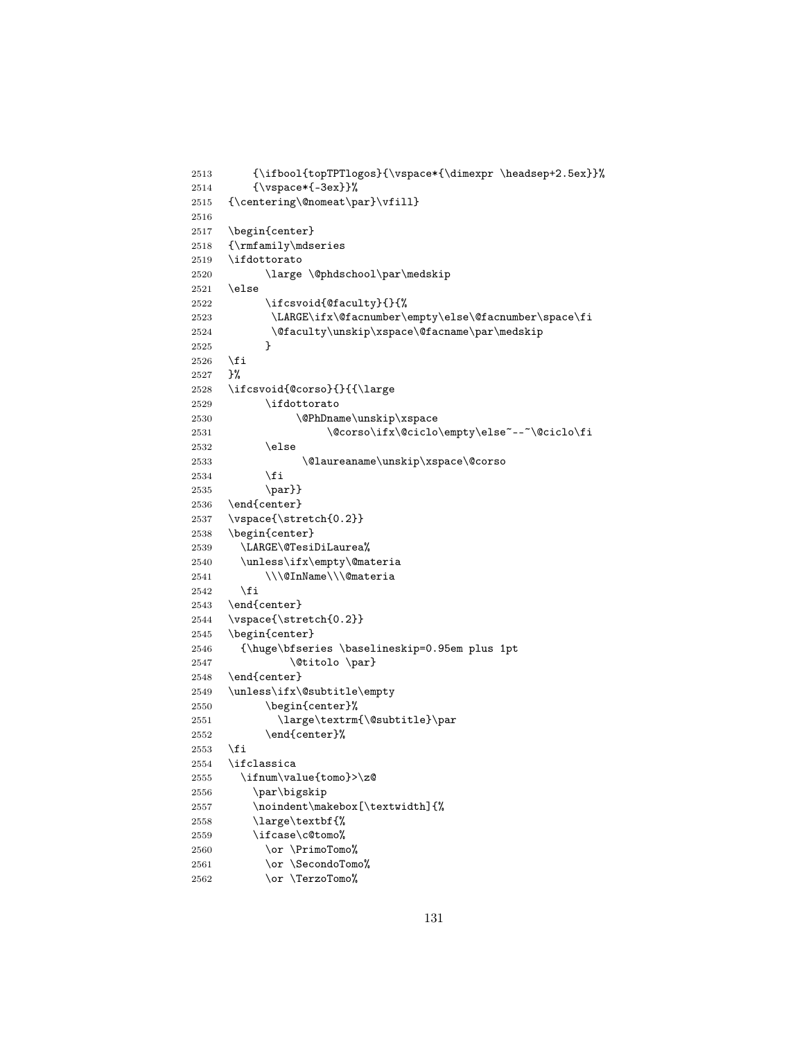```
2513 {\ifbool{topTPTlogos}{\vspace*{\dimexpr \headsep+2.5ex}}%
2514 {\vspace*{-3ex}}%
2515 {\centering\@nomeat\par}\vfill}
2516
2517 \begin{center}
2518 {\rmfamily\mdseries
2519 \ifdottorato
2520 \large \@phdschool\par\medskip
2521 \else
2522 \ifcsvoid{@faculty}{}{%
2523 \LARGE\ifx\@facnumber\empty\else\@facnumber\space\fi
2524 \of a \cup ty\unskip x space\@fa caname\parrow\medspace\leq 2525 }
2525 }
2526 \fi
2527 }%
2528 \ifcsvoid{@corso}{}{{\large
2529 \ifdottorato
2530 \@PhDname\unskip\xspace
2531 \@corso\ifx\@ciclo\empty\else~--~\@ciclo\fi
2532 \else
2533 \@laureaname\unskip\xspace\@corso
2534 \setminusfi
2535 \par}}
2536 \end{center}
2537 \vspace{\stretch{0.2}}
2538 \begin{center}
2539 \LARGE\@TesiDiLaurea%
2540 \unless\ifx\empty\@materia
2541 \\\@InName\\\@materia
2542 \fi
2543 \end{center}
2544 \vspace{\stretch{0.2}}
2545 \begin{center}
2546 {\huge\bfseries \baselineskip=0.95em plus 1pt
2547 \@titolo \par}
2548 \end{center}
2549 \unless\ifx\@subtitle\empty
2550 \begin{center}%
2551 \large\textrm{\@subtitle}\par
2552 \end{center}%
2553 \fi
2554 \ifclassica
2555 \ifnum\value{tomo}>\z@
2556 \par\bigskip
2557 \noindent\makebox[\textwidth]{%
2558 \large\textbf{%
2559 \ifcase\c@tomo%
2560 \or \PrimoTomo%
2561 \or \SecondoTomo%
2562 \or \TerzoTomo%
```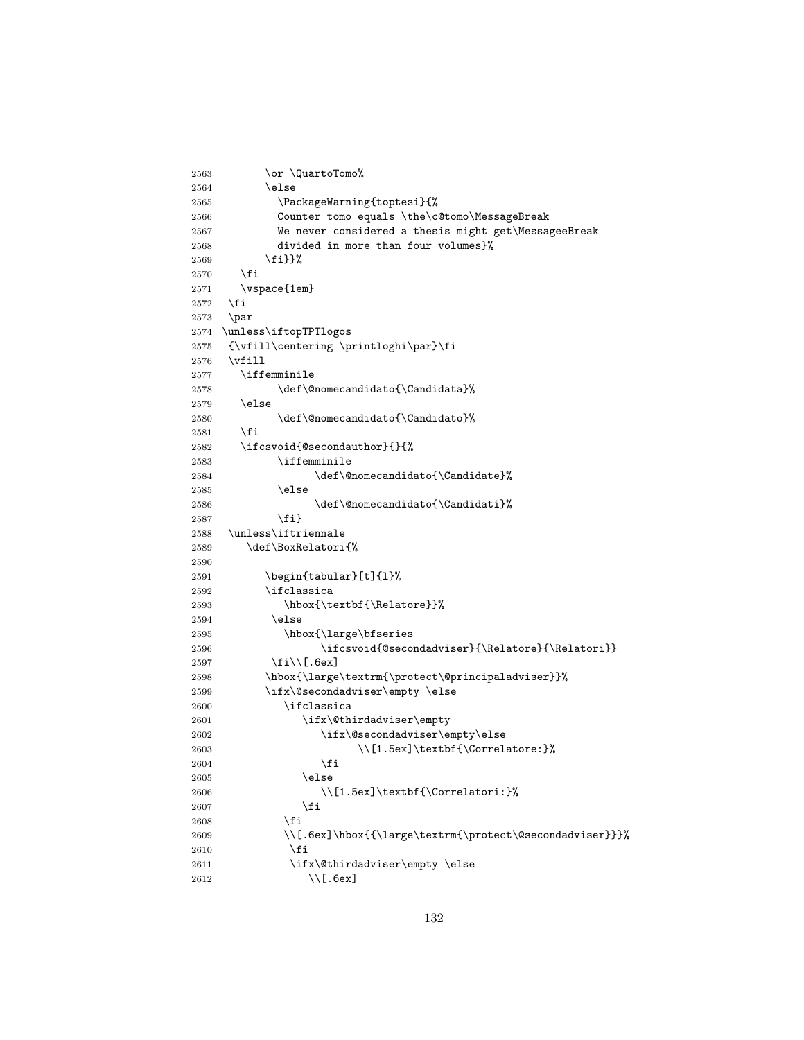```
2563 \or \QuartoTomo%
2564 \else
2565 \PackageWarning{toptesi}{%
2566 Counter tomo equals \the\c@tomo\MessageBreak
2567 We never considered a thesis might get\MessageeBreak
2568 divided in more than four volumes}%
2569 \fi}}%
2570 \fi
2571 \vspace{1em}
2572 \fi
2573 \par
2574 \unless\iftopTPTlogos
2575 {\vfill\centering \printloghi\par}\fi
2576 \forallfill
2577 \iffemminile
2578 \def\@nomecandidato{\Candidata}%
2579 \else
2580 \def\@nomecandidato{\Candidato}%
2581 \overline{f}2582 \ifcsvoid{@secondauthor}{}{%
2583 \iffemminile
2584 \def\@nomecandidato{\Candidate}%
2585 \else
2586 \def\@nomecandidato{\Candidati}%
2587 \fi}
2588 \unless\iftriennale
2589 \def\BoxRelatori{%
2590
2591 \begin{tabular}[t]{l}%
2592 \ifclassica
2593 \hbox{\textbf{\Relatore}}%
2594 \else
2595 \hbox{\large\bfseries
2596 \ifcsvoid{@secondadviser}{\Relatore}{\Relatori}}
2597 \fi\\[.6ex]
2598 \hbox{\large\textrm{\protect\@principaladviser}}%
2599 \ifx\@secondadviser\empty \else
2600 \ifclassica
2601 \ifx\@thirdadviser\empty
2602 \ifx\@secondadviser\empty\else
2603 \\[1.5ex]\textbf{\Correlatore:}%
2604 \fi
2605 \else
2606 \{\Correlatori:\}\2607 \setminusfi
2608 \fi
2609 \\[.6ex]\hbox{{\large\textrm{\protect\@secondadviser}}}%
2610 \fi
2611 \ifx\@thirdadviser\empty \else
2612 \\[.6ex]
```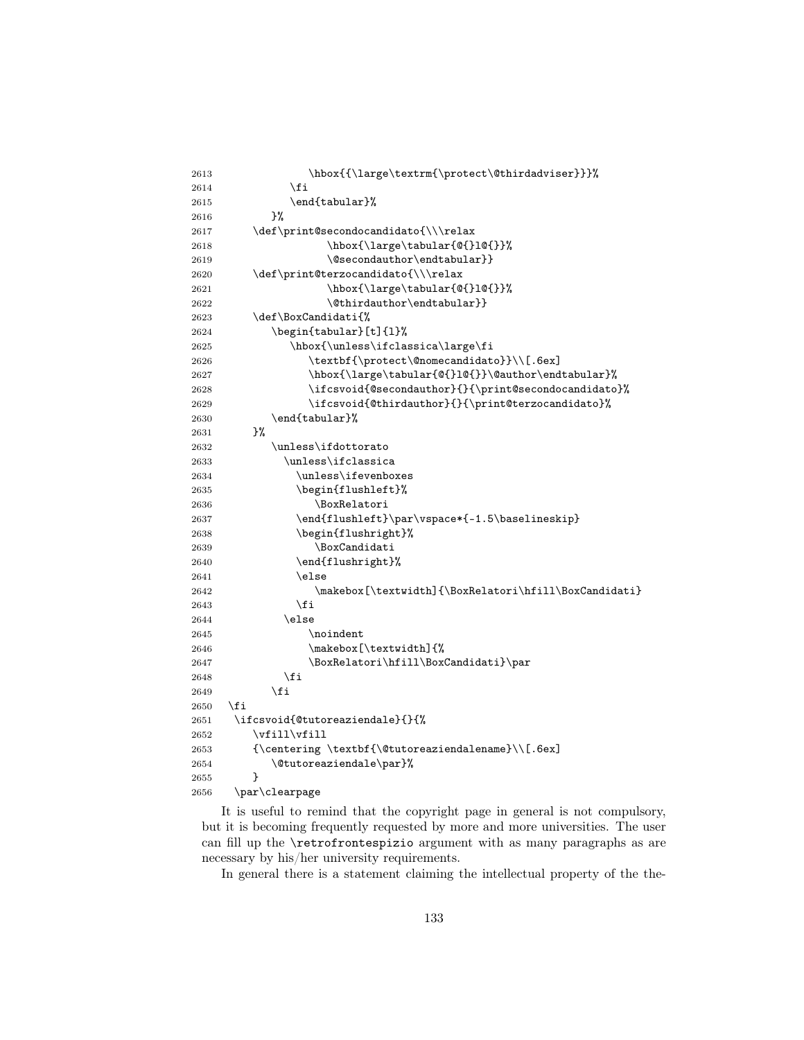| \fi<br>2614<br>\end{tabular}%<br>2615<br>}‰<br>2616<br>\def\print@secondocandidato{\\\relax<br>2617<br>\hbox{\large\tabular{@{}1@{}}%<br>2618<br>\@secondauthor\endtabular}}<br>2619<br>\def\print@terzocandidato{\\\relax<br>2620<br>\hbox{\large\tabular{@{}1@{}}%<br>2621<br>$\left\{ \mathcal{C} \right\}$<br>2622<br>\def\BoxCandidati{%<br>2623<br>\begin{tabular}[t]{1}%<br>2624<br>\hbox{\unless\ifclassica\large\fi<br>2625<br>\textbf{\protect\@nomecandidato}}\\[.6ex]<br>2626<br>\hbox{\large\tabular{@{}1@{}}\@author\endtabular}%<br>2627<br>\ifcsvoid{@secondauthor}{}{\print@secondocandidato}%<br>2628<br>\ifcsvoid{@thirdauthor}{}{\print@terzocandidato}%<br>2629<br>\end{tabular}%<br>2630<br>}%<br>2631<br>\unless\ifdottorato<br>2632<br>\unless\ifclassica<br>2633<br>\unless\ifevenboxes<br>2634<br>\begin{flushleft}%<br>2635 |  |
|--------------------------------------------------------------------------------------------------------------------------------------------------------------------------------------------------------------------------------------------------------------------------------------------------------------------------------------------------------------------------------------------------------------------------------------------------------------------------------------------------------------------------------------------------------------------------------------------------------------------------------------------------------------------------------------------------------------------------------------------------------------------------------------------------------------------------------------------------------|--|
|                                                                                                                                                                                                                                                                                                                                                                                                                                                                                                                                                                                                                                                                                                                                                                                                                                                        |  |
|                                                                                                                                                                                                                                                                                                                                                                                                                                                                                                                                                                                                                                                                                                                                                                                                                                                        |  |
|                                                                                                                                                                                                                                                                                                                                                                                                                                                                                                                                                                                                                                                                                                                                                                                                                                                        |  |
|                                                                                                                                                                                                                                                                                                                                                                                                                                                                                                                                                                                                                                                                                                                                                                                                                                                        |  |
|                                                                                                                                                                                                                                                                                                                                                                                                                                                                                                                                                                                                                                                                                                                                                                                                                                                        |  |
|                                                                                                                                                                                                                                                                                                                                                                                                                                                                                                                                                                                                                                                                                                                                                                                                                                                        |  |
|                                                                                                                                                                                                                                                                                                                                                                                                                                                                                                                                                                                                                                                                                                                                                                                                                                                        |  |
|                                                                                                                                                                                                                                                                                                                                                                                                                                                                                                                                                                                                                                                                                                                                                                                                                                                        |  |
|                                                                                                                                                                                                                                                                                                                                                                                                                                                                                                                                                                                                                                                                                                                                                                                                                                                        |  |
|                                                                                                                                                                                                                                                                                                                                                                                                                                                                                                                                                                                                                                                                                                                                                                                                                                                        |  |
|                                                                                                                                                                                                                                                                                                                                                                                                                                                                                                                                                                                                                                                                                                                                                                                                                                                        |  |
|                                                                                                                                                                                                                                                                                                                                                                                                                                                                                                                                                                                                                                                                                                                                                                                                                                                        |  |
|                                                                                                                                                                                                                                                                                                                                                                                                                                                                                                                                                                                                                                                                                                                                                                                                                                                        |  |
|                                                                                                                                                                                                                                                                                                                                                                                                                                                                                                                                                                                                                                                                                                                                                                                                                                                        |  |
|                                                                                                                                                                                                                                                                                                                                                                                                                                                                                                                                                                                                                                                                                                                                                                                                                                                        |  |
|                                                                                                                                                                                                                                                                                                                                                                                                                                                                                                                                                                                                                                                                                                                                                                                                                                                        |  |
|                                                                                                                                                                                                                                                                                                                                                                                                                                                                                                                                                                                                                                                                                                                                                                                                                                                        |  |
|                                                                                                                                                                                                                                                                                                                                                                                                                                                                                                                                                                                                                                                                                                                                                                                                                                                        |  |
|                                                                                                                                                                                                                                                                                                                                                                                                                                                                                                                                                                                                                                                                                                                                                                                                                                                        |  |
|                                                                                                                                                                                                                                                                                                                                                                                                                                                                                                                                                                                                                                                                                                                                                                                                                                                        |  |
|                                                                                                                                                                                                                                                                                                                                                                                                                                                                                                                                                                                                                                                                                                                                                                                                                                                        |  |
|                                                                                                                                                                                                                                                                                                                                                                                                                                                                                                                                                                                                                                                                                                                                                                                                                                                        |  |
| \BoxRelatori<br>2636                                                                                                                                                                                                                                                                                                                                                                                                                                                                                                                                                                                                                                                                                                                                                                                                                                   |  |
| \end{flushleft}\par\vspace*{-1.5\baselineskip}<br>2637                                                                                                                                                                                                                                                                                                                                                                                                                                                                                                                                                                                                                                                                                                                                                                                                 |  |
| \begin{flushright}%<br>2638                                                                                                                                                                                                                                                                                                                                                                                                                                                                                                                                                                                                                                                                                                                                                                                                                            |  |
| \BoxCandidati<br>2639                                                                                                                                                                                                                                                                                                                                                                                                                                                                                                                                                                                                                                                                                                                                                                                                                                  |  |
| \end{flushright}%<br>2640                                                                                                                                                                                                                                                                                                                                                                                                                                                                                                                                                                                                                                                                                                                                                                                                                              |  |
| \else<br>2641                                                                                                                                                                                                                                                                                                                                                                                                                                                                                                                                                                                                                                                                                                                                                                                                                                          |  |
| \makebox[\textwidth]{\BoxRelatori\hfill\BoxCandidati}<br>2642                                                                                                                                                                                                                                                                                                                                                                                                                                                                                                                                                                                                                                                                                                                                                                                          |  |
| \fi<br>2643                                                                                                                                                                                                                                                                                                                                                                                                                                                                                                                                                                                                                                                                                                                                                                                                                                            |  |
| \else<br>2644                                                                                                                                                                                                                                                                                                                                                                                                                                                                                                                                                                                                                                                                                                                                                                                                                                          |  |
| \noindent<br>2645                                                                                                                                                                                                                                                                                                                                                                                                                                                                                                                                                                                                                                                                                                                                                                                                                                      |  |
| \makebox[\textwidth]{%<br>2646                                                                                                                                                                                                                                                                                                                                                                                                                                                                                                                                                                                                                                                                                                                                                                                                                         |  |
| \BoxRelatori\hfill\BoxCandidati}\par<br>2647                                                                                                                                                                                                                                                                                                                                                                                                                                                                                                                                                                                                                                                                                                                                                                                                           |  |
| \fi<br>2648                                                                                                                                                                                                                                                                                                                                                                                                                                                                                                                                                                                                                                                                                                                                                                                                                                            |  |
| \fi<br>2649                                                                                                                                                                                                                                                                                                                                                                                                                                                                                                                                                                                                                                                                                                                                                                                                                                            |  |
| \fi<br>2650                                                                                                                                                                                                                                                                                                                                                                                                                                                                                                                                                                                                                                                                                                                                                                                                                                            |  |
| \ifcsvoid{@tutoreaziendale}{}{%<br>2651                                                                                                                                                                                                                                                                                                                                                                                                                                                                                                                                                                                                                                                                                                                                                                                                                |  |
| $\forall$ ill $\forall$ ill<br>2652                                                                                                                                                                                                                                                                                                                                                                                                                                                                                                                                                                                                                                                                                                                                                                                                                    |  |
| ${\centering \textbf{\(\texttt{Cutoreaziendalename}\(\Gamma) \text{.} 6ex}$<br>2653                                                                                                                                                                                                                                                                                                                                                                                                                                                                                                                                                                                                                                                                                                                                                                    |  |
| \@tutoreaziendale\par}%<br>2654                                                                                                                                                                                                                                                                                                                                                                                                                                                                                                                                                                                                                                                                                                                                                                                                                        |  |
| ጉ<br>2655                                                                                                                                                                                                                                                                                                                                                                                                                                                                                                                                                                                                                                                                                                                                                                                                                                              |  |
| \par\clearpage<br>2656                                                                                                                                                                                                                                                                                                                                                                                                                                                                                                                                                                                                                                                                                                                                                                                                                                 |  |

It is useful to remind that the copyright page in general is not compulsory, but it is becoming frequently requested by more and more universities. The user can fill up the \retrofrontespizio argument with as many paragraphs as are necessary by his/her university requirements.

In general there is a statement claiming the intellectual property of the the-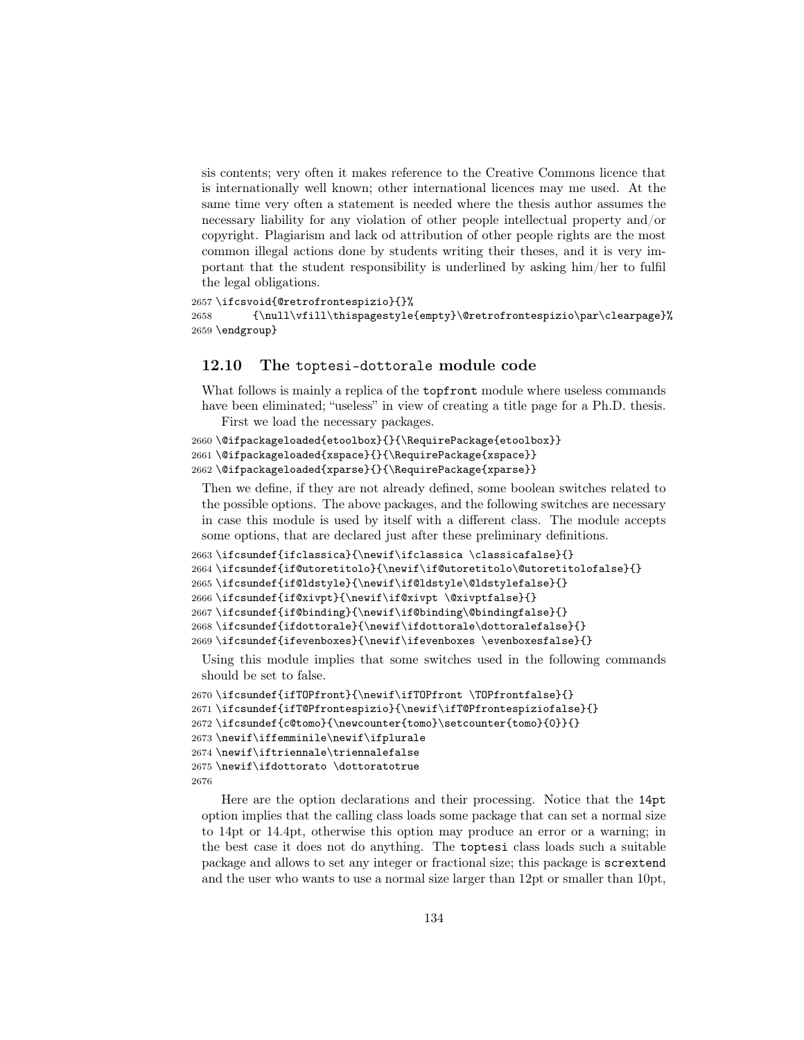sis contents; very often it makes reference to the Creative Commons licence that is internationally well known; other international licences may me used. At the same time very often a statement is needed where the thesis author assumes the necessary liability for any violation of other people intellectual property and/or copyright. Plagiarism and lack od attribution of other people rights are the most common illegal actions done by students writing their theses, and it is very important that the student responsibility is underlined by asking him/her to fulfil the legal obligations.

```
2657 \ifcsvoid{@retrofrontespizio}{}%
2658 {\null\vfill\thispagestyle{empty}\@retrofrontespizio\par\clearpage}%
2659 \endgroup}
```
#### 12.10 The toptesi-dottorale module code

What follows is mainly a replica of the topfront module where useless commands have been eliminated; "useless" in view of creating a title page for a Ph.D. thesis.

First we load the necessary packages.

```
2660\@ifpackageloaded{etoolbox}{}{\RequirePackage{etoolbox}}
2661 \@ifpackageloaded{xspace}{}{\RequirePackage{xspace}}
2662 \@ifpackageloaded{xparse}{}{\RequirePackage{xparse}}
```
Then we define, if they are not already defined, some boolean switches related to the possible options. The above packages, and the following switches are necessary in case this module is used by itself with a different class. The module accepts some options, that are declared just after these preliminary definitions.

```
2663 \ifcsundef{ifclassica}{\newif\ifclassica \classicafalse}{}
2664 \ifcsundef{if@utoretitolo}{\newif\if@utoretitolo\@utoretitolofalse}{}
2665 \ifcsundef{if@ldstyle}{\newif\if@ldstyle\@ldstylefalse}{}
2666 \ifcsundef{if@xivpt}{\newif\if@xivpt \@xivptfalse}{}
2667 \ifcsundef{if@binding}{\newif\if@binding\@bindingfalse}{}
2668 \ifcsundef{ifdottorale}{\newif\ifdottorale\dottoralefalse}{}
2669 \ifcsundef{ifevenboxes}{\newif\ifevenboxes \evenboxesfalse}{}
```
Using this module implies that some switches used in the following commands should be set to false.

```
2670 \ifcsundef{ifTOPfront}{\newif\ifTOPfront \TOPfrontfalse}{}
2671 \ifcsundef{ifT@Pfrontespizio}{\newif\ifT@Pfrontespiziofalse}{}
2672 \ifcsundef{c@tomo}{\newcounter{tomo}\setcounter{tomo}{0}}{}
2673 \newif\iffemminile\newif\ifplurale
2674 \newif\iftriennale\triennalefalse
2675 \newif\ifdottorato \dottoratotrue
2676
```
Here are the option declarations and their processing. Notice that the 14pt option implies that the calling class loads some package that can set a normal size to 14pt or 14.4pt, otherwise this option may produce an error or a warning; in the best case it does not do anything. The toptesi class loads such a suitable package and allows to set any integer or fractional size; this package is scrextend and the user who wants to use a normal size larger than 12pt or smaller than 10pt,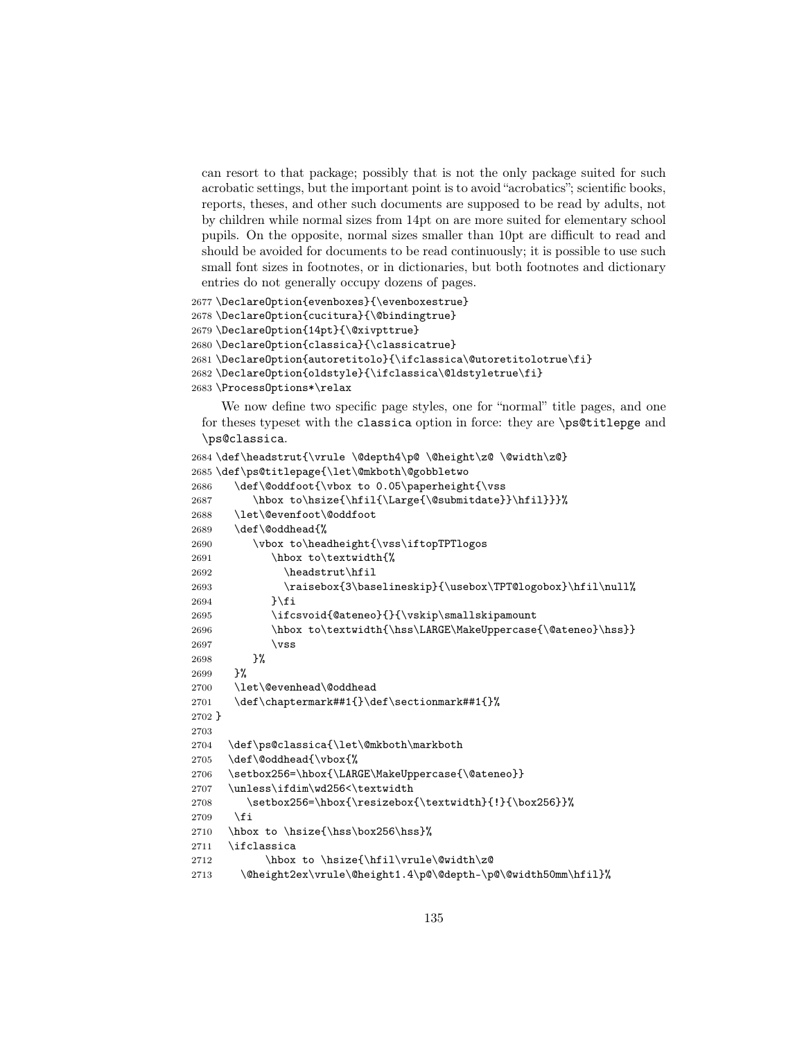can resort to that package; possibly that is not the only package suited for such acrobatic settings, but the important point is to avoid "acrobatics"; scientific books, reports, theses, and other such documents are supposed to be read by adults, not by children while normal sizes from 14pt on are more suited for elementary school pupils. On the opposite, normal sizes smaller than 10pt are difficult to read and should be avoided for documents to be read continuously; it is possible to use such small font sizes in footnotes, or in dictionaries, but both footnotes and dictionary entries do not generally occupy dozens of pages.

```
2677 \DeclareOption{evenboxes}{\evenboxestrue}
2678 \DeclareOption{cucitura}{\@bindingtrue}
2679 \DeclareOption{14pt}{\@xivpttrue}
2680 \DeclareOption{classica}{\classicatrue}
2681 \DeclareOption{autoretitolo}{\ifclassica\@utoretitolotrue\fi}
2682 \DeclareOption{oldstyle}{\ifclassica\@ldstyletrue\fi}
2683 \ProcessOptions*\relax
```
We now define two specific page styles, one for "normal" title pages, and one for theses typeset with the classica option in force: they are \ps@titlepge and \ps@classica.

```
2684 \def\headstrut{\vrule \@depth4\p@ \@height\z@ \@width\z@}
2685 \def\ps@titlepage{\let\@mkboth\@gobbletwo
2686 \def\@oddfoot{\vbox to 0.05\paperheight{\vss
2687 \hbox to\hsize{\hfil{\Large{\@submitdate}}\hfil}}}%
2688 \let\@evenfoot\@oddfoot
2689 \def\@oddhead{%
2690 \vbox to\headheight{\vss\iftopTPTlogos
2691 \hbox to\textwidth{%
2692 \headstrut\hfil
2693 \raisebox{3\baselineskip}{\usebox\TPT@logobox}\hfil\null%
2694 }\fi
2695 \ifcsvoid{@ateneo}{}{\vskip\smallskipamount
2696 \hbox to\textwidth{\hss\LARGE\MakeUppercase{\@ateneo}\hss}}
2697 \forallss
2698 }%
2699 }%
2700 \let\@evenhead\@oddhead
2701 \def\chaptermark##1{}\def\sectionmark##1{}%
2702 }
2703
2704 \def\ps@classica{\let\@mkboth\markboth
2705 \def\@oddhead{\vbox{%
2706 \setbox256=\hbox{\LARGE\MakeUppercase{\@ateneo}}
2707 \unless\ifdim\wd256<\textwidth
2708 \setbox256=\hbox{\resizebox{\textwidth}{!}{\box256}}%
2709 \fi
2710 \hbox to \hsize{\hss\box256\hss}%
2711 \ifclassica
2712 \hbox to \hsize{\hfil\vrule\@width\z@
2713 \@height2ex\vrule\@height1.4\p@\@depth-\p@\@width50mm\hfil}%
```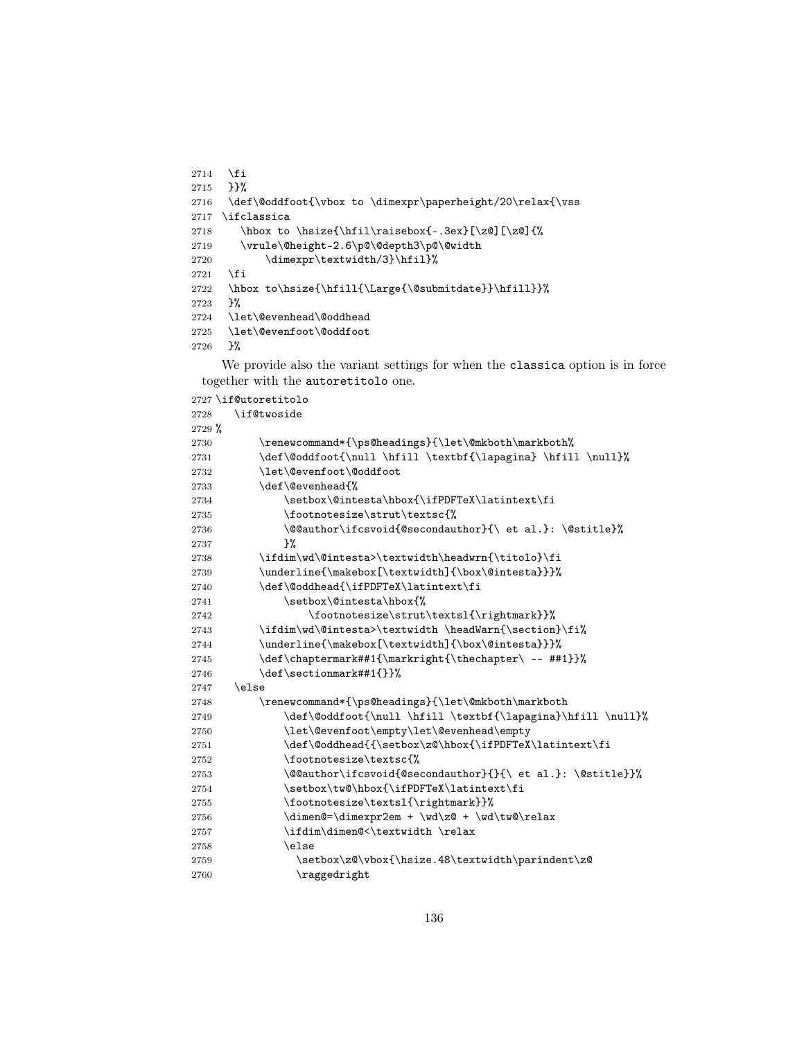```
2714 \fi
2715 }}%
2716 \def\@oddfoot{\vbox to \dimexpr\paperheight/20\relax{\vss
2717 \ifclassica
2718 \hbox to \hsize{\hfil\raisebox{-.3ex}[\z@][\z@]{%
2719 \vrule\@height-2.6\p@\@depth3\p@\@width
2720 \dimexpr\textwidth/3}\hfil}%
2721 \fi
2722 \hbox to\hsize{\hfill{\Large{\@submitdate}}\hfill}}%
2723 }%
2724 \let\@evenhead\@oddhead
2725 \let\@evenfoot\@oddfoot
2726 }%
```
We provide also the variant settings for when the classica option is in force together with the autoretitolo one.

```
2727 \if@utoretitolo
2728 \if@twoside
2729 %
2730 \renewcommand*{\ps@headings}{\let\@mkboth\markboth%
2731 \def\@oddfoot{\null \bf \textbf{\label{label} \bf} \bf{all}\2732 \let\@evenfoot\@oddfoot
2733 \def\@evenhead{%
2734 \setminus\@intesta\hbox{\iifPDFTeX\latintext\fi}2735 \footnotesize\strut\textsc{%
2736 \@@author\ifcsvoid{@secondauthor}{\ et al.}: \@stitle}%
2737 }%
2738 \ifdim\wd\@intesta>\textwidth\headwrn{\titolo}\fi
2739 \underline{\makebox[\textwidth]{\box\@intesta}}}%
2740 \def\@oddhead{\ifPDFTeX\latintext\fi
2741 \setbox\@intesta\hbox{%
2742 \footnotesize\strut\textsl{\rightmark}}%
2743 \ifdim\wd\@intesta>\textwidth \headWarn{\section}\fi%
2744 \underline{\makebox[\textwidth]{\box\@intesta}}}%
2745 \def\chaptermark##1{\markright{\thechapter\ -- ##1}}%
2746 \def\sectionmark##1{}}%
2747 \else
2748 \renewcommand*{\ps@headings}{\let\@mkboth\markboth
2749 \def\@oddfoot{\nnull \hfil \text{llapagina}\hfil \hull\%2750 \let\@evenfoot\empty\let\@evenhead\empty
2751 \def\@odd\theta{\\set\ox\z0\hbox{`tfPDFTeX\latintext{fi}}2752 \footnotesize\textsc{%
2753 \@@author\ifcsvoid{@secondauthor}{}{\ et al.}: \@stitle}}%
2754 \setbox\tw@\hbox{\ifPDFTeX\latintext\fi
2755 \footnotesize\textsl{\rightmark}}%
2756 \dim\mathbb{C}=\dim\exp2em + \wd\zeta + \wd\tw\relax2757 \ifdim\dimen@<\textwidth \relax
2758 \else
2759 \setbox\z@\vbox{\hsize.48\textwidth\parindent\z@
2760 \raggedright
```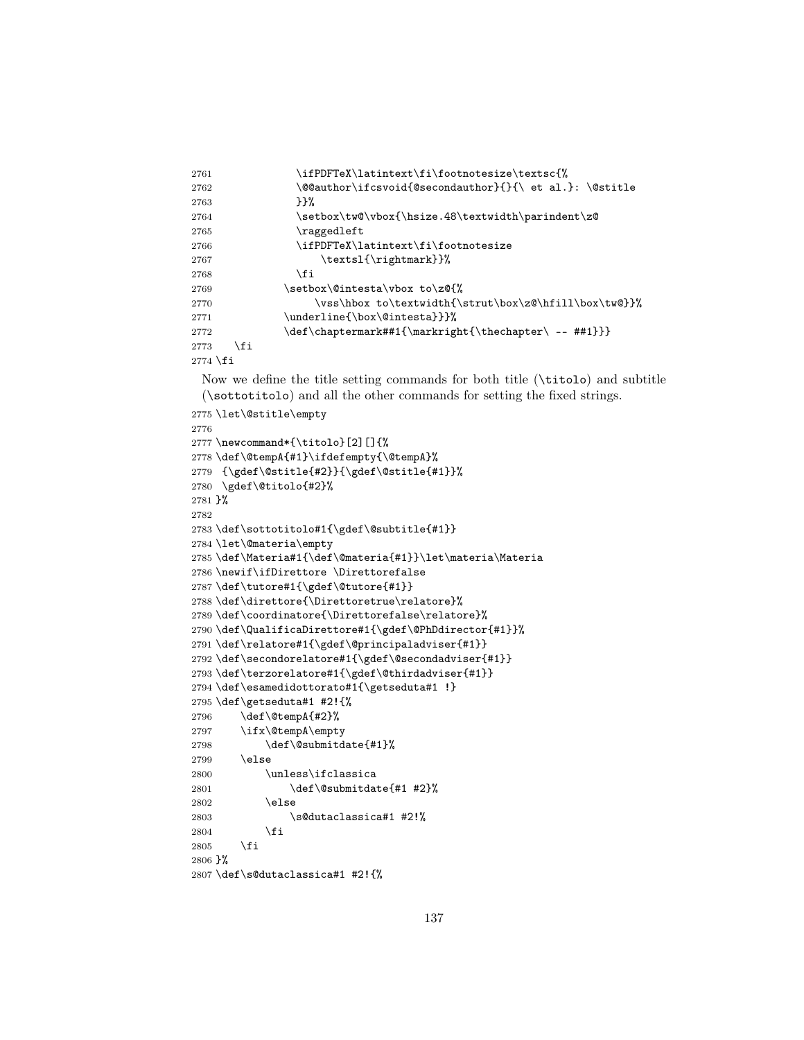```
2761 \ifPDFTeX\latintext\fi\footnotesize\textsc{%
2762 \@@author\ifcsvoid{@secondauthor}{}{\ et al.}: \@stitle
2763 }}%
2764 \setbox\tw@\vbox{\hsize.48\textwidth\parindent\z@
2765 \raggedleft
2766 \ifPDFTeX\latintext\fi\footnotesize
2767 \textsl{\rightmark}}%
2768 \fi
2769 \setbox\@intesta\vbox to\z@{%
2770 \vss\hbox to\textwidth{\strut\box\z@\hfill\box\tw@}}%
2771 \underline{\box\@intesta}}}%
2772 \def\chaptermark##1{\markright{\thechapter\ -- ##1}}}
2773 \fi
2774 \fi
 Now we define the title setting commands for both title (\titolo) and subtitle
 (\sottotitolo) and all the other commands for setting the fixed strings.
2775 \let\@stitle\empty
2776
2777 \newcommand*{\titolo}[2][]{%
2778 \def\@tempA{#1}\ifdefempty{\@tempA}%
2779 {\gdef\@stitle{#2}}{\gdef\@stitle{#1}}%
2780 \gdef\@titolo{#2}%
2781 }%
2782
2783 \def\sottotitolo#1{\gdef\@subtitle{#1}}
2784 \let\@materia\empty
2785 \def\Materia#1{\def\@materia{#1}}\let\materia\Materia
2786 \newif\ifDirettore \Direttorefalse
2787 \def\tutore#1{\gdef\@tutore{#1}}
2788 \def\direttore{\Direttoretrue\relatore}%
2789 \def\coordinatore{\Direttorefalse\relatore}%
2790 \def\QualificaDirettore#1{\gdef\@PhDdirector{#1}}%
2791 \def\relatore#1{\gdef\@principaladviser{#1}}
2792 \def\secondorelatore#1{\gdef\@secondadviser{#1}}
2793 \def\terzorelatore#1{\gdef\@thirdadviser{#1}}
2794 \def\esamedidottorato#1{\getseduta#1 !}
2795 \def\getseduta#1 #2!{%
2796 \def\@tempA{#2}%
2797 \ifx\@tempA\empty
2798 \def\@submitdate{#1}%
2799 \else
2800 \unless\ifclassica
2801 \def\@subscript{41} +2}%
2802 \else
2803 \s@dutaclassica#1 #2!%
2804 \fi
2805 \fi
2806 }%
2807 \def\s@dutaclassica#1 #2!{%
```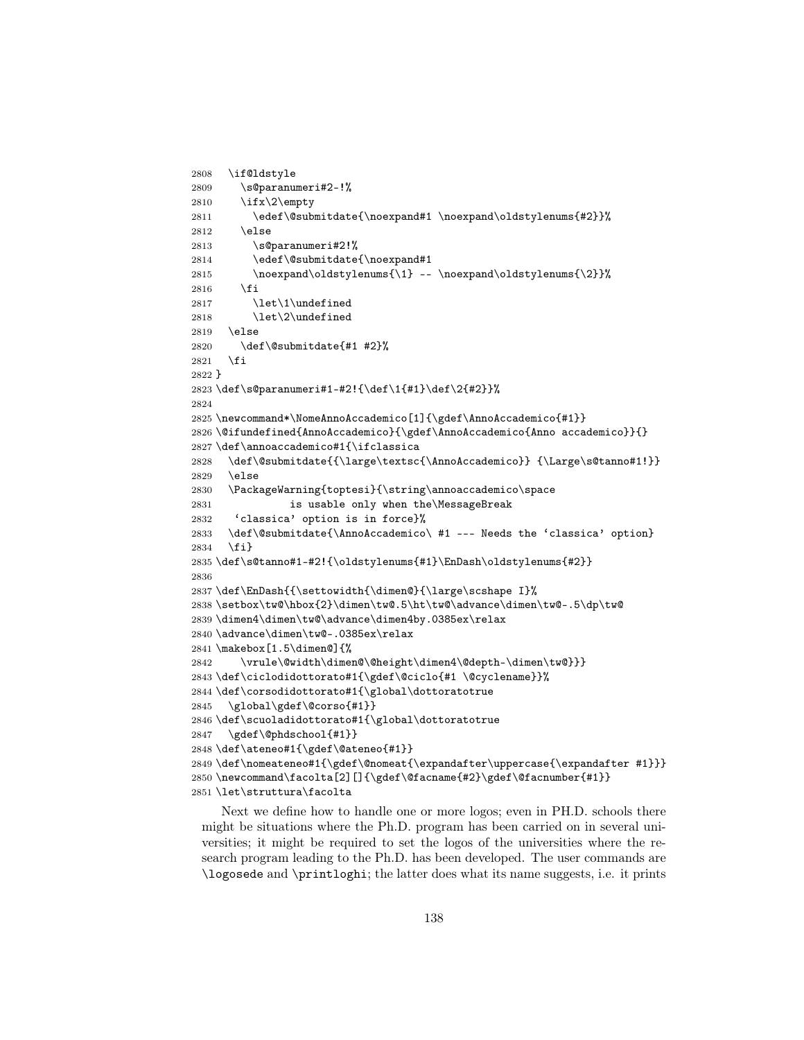```
2808 \if@ldstyle
2809 \s@paranumeri#2-!%
2810 \ifx\2\empty
2811 \edef\@submitdate{\noexpand#1 \noexpand\oldstylenums{#2}}%
2812 \else
2813 \s@paranumeri#2!%
2814 \edef\@submitdate{\noexpand#1
2815 \noexpand\oldstylenums{\1} -- \noexpand\oldstylenums{\2}}%
2816 \fi
2817 \let\1\undefined
2818 \let\2\undefined
2819 \else
2820 \def\@submitdate{#1 #2}%
2821 \fi
2822 }
2823 \def\s@paranumeri#1-#2!{\def\1{#1}\def\2{#2}}%
2824
2825 \newcommand*\NomeAnnoAccademico[1]{\gdef\AnnoAccademico{#1}}
2826 \@ifundefined{AnnoAccademico}{\gdef\AnnoAccademico{Anno accademico}}{}
2827 \def\annoaccademico#1{\ifclassica
2828 \def\@submitdate{{\large\textsc{\AnnoAccademico}} {\Large\s@tanno#1!}}
2829 \else
2830 \PackageWarning{toptesi}{\string\annoaccademico\space
2831 is usable only when the\MessageBreak
2832 'classica' option is in force}%
2833 \def\@submitdate{\AnnoAccademico\ #1 --- Needs the 'classica' option}
2834 \fi}
2835 \def\s@tanno#1-#2!{\oldstylenums{#1}\EnDash\oldstylenums{#2}}
2836
2837 \def\EnDash{{\settowidth{\dimen@}{\large\scshape I}%
2838 \setbox\tw@\hbox{2}\dimen\tw@.5\ht\tw@\advance\dimen\tw@-.5\dp\tw@
2839 \dimen4\dimen\tw@\advance\dimen4by.0385ex\relax
2840 \advance\dimen\tw@-.0385ex\relax
2841 \makebox[1.5\dimen@]{%
2842 \vrule\@width\dimen@\@height\dimen4\@depth-\dimen\tw@}}}
2843 \def\ciclodidottorato#1{\gdef\@ciclo{#1 \@cyclename}}%
2844 \def\corsodidottorato#1{\global\dottoratotrue
2845 \global\gdef\@corso{#1}}
2846 \def\scuoladidottorato#1{\global\dottoratotrue
2847 \gdef\@phdschool{#1}}
2848 \def\ateneo#1{\gdef\@ateneo{#1}}
2849 \def\name{1}{gdef}\@{nomeatf\expandafter\uppercase^{\expandafter\#1}}2850 \newline \newline \label{p:2} $$\newcommand{\facoltz[2][}{\get\@facname{#2}\gdef\@facnumber{#1}}" \leq \newcommand{\facoltz[2][}{\get\@facname{#2}\egdef\@facname{#1}}" \leq \newcommand{\facoltz[2][}{\get\@facname{#2}\egdef\@facname{#1}}" \leq \newcommand{\facoltz[2][}{\get\@facname{#2}\egdef\@facname{#1}}" \leq \newcommand{\facoltz[2][}{\get\@facname{#2}\egdef\@facname{#1}}" \leq \newcommand{\facoltz[2][}{\get2851 \let\struttura\facolta
```
Next we define how to handle one or more logos; even in PH.D. schools there might be situations where the Ph.D. program has been carried on in several universities; it might be required to set the logos of the universities where the research program leading to the Ph.D. has been developed. The user commands are \logosede and \printloghi; the latter does what its name suggests, i.e. it prints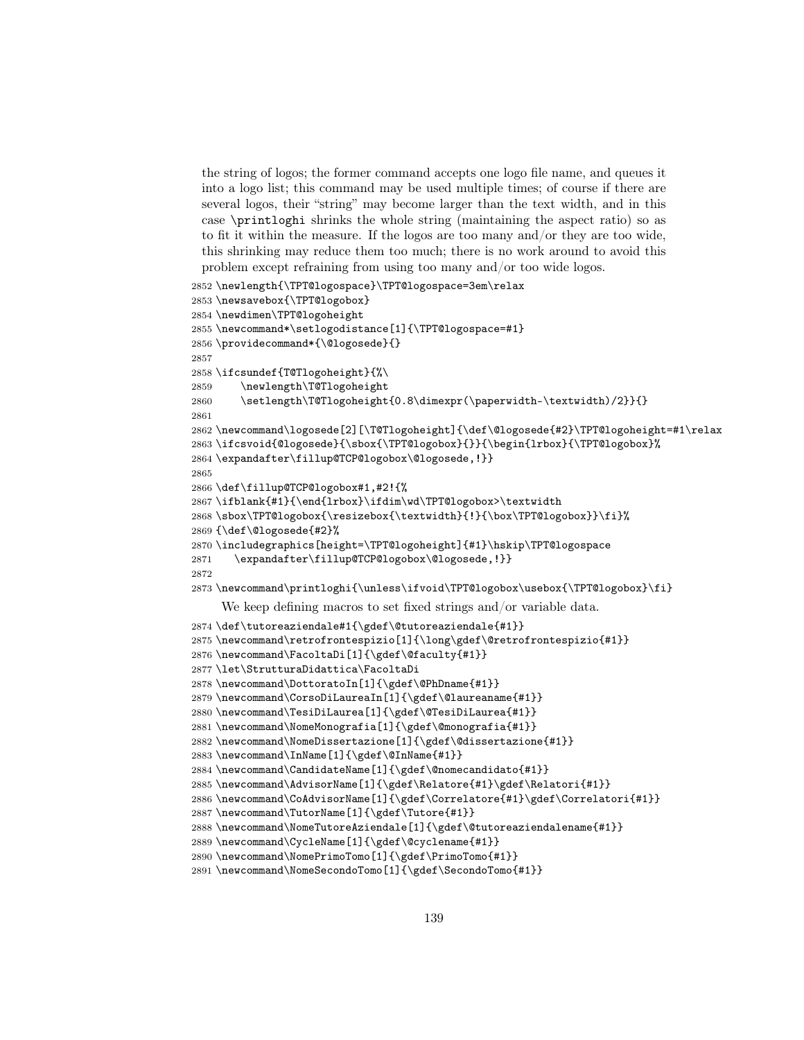the string of logos; the former command accepts one logo file name, and queues it into a logo list; this command may be used multiple times; of course if there are several logos, their "string" may become larger than the text width, and in this case \printloghi shrinks the whole string (maintaining the aspect ratio) so as to fit it within the measure. If the logos are too many and/or they are too wide, this shrinking may reduce them too much; there is no work around to avoid this problem except refraining from using too many and/or too wide logos.

```
2852 \newlength{\TPT@logospace}\TPT@logospace=3em\relax
2853 \newsavebox{\TPT@logobox}
2854 \newdimen\TPT@logoheight
2855 \newcommand*\setlogodistance[1]{\TPT@logospace=#1}
2856 \providecommand*{\@logosede}{}
2857
2858 \ifcsundef{T@Tlogoheight}{%\
2859 \newlength\T@Tlogoheight
2860 \setlength\T@Tlogoheight{0.8\dimexpr(\paperwidth-\textwidth)/2}}{}
2861
2862 \newcommand\logosede[2][\T@Tlogoheight]{\def\@logosede{#2}\TPT@logoheight=#1\relax
2863 \ifcsvoid{@logosede}{\sbox{\TPT@logobox}{}}{\begin{lrbox}{\TPT@logobox}%
2864 \expandafter\fillup@TCP@logobox\@logosede,!}}
2865
2866 \def\fillup@TCP@logobox#1,#2!{%
2867 \ifblank{#1}{\end{lrbox}\ifdim\wd\TPT@logobox>\textwidth
2868 \sbox\TPT@logobox{\resizebox{\textwidth}{!}{\box\TPT@logobox}}\fi}%
2869 {\def\@logosede{#2}%
2870 \includegraphics[height=\TPT@logoheight]{#1}\hskip\TPT@logospace
2871 \expandafter\fillup@TCP@logobox\@logosede,!}}
2872
2873 \newcommand\printloghi{\unless\ifvoid\TPT@logobox\usebox{\TPT@logobox}\fi}
     We keep defining macros to set fixed strings and/or variable data.
2874 \def\tutoreaziendale#1{\gdef\@tutoreaziendale{#1}}
2875 \newcommand\retrofrontespizio[1]{\long\gdef\@retrofrontespizio{#1}}
2876 \newcommand\FacoltaDi[1]{\gdef\@faculty{#1}}
2877 \let\StrutturaDidattica\FacoltaDi
2878 \newcommand\DottoratoIn[1]{\gdef\@PhDname{#1}}
2879 \newcommand\CorsoDiLaureaIn[1]{\gdef\@laureaname{#1}}
2880 \newcommand\TesiDiLaurea[1]{\gdef\@TesiDiLaurea{#1}}
2881 \newcommand\NomeMonografia[1]{\gdef\@monografia{#1}}
2882 \newcommand\NomeDissertazione[1]{\gdef\@dissertazione{#1}}
2883 \newcommand\InName[1]{\gdef\@InName{#1}}
2884 \newcommand\CandidateName[1]{\gdef\@nomecandidato{#1}}
2885 \newcommand\AdvisorName[1]{\gdef\Relatore{#1}\gdef\Relatori{#1}}
2886 \newcommand\CoAdvisorName[1]{\gdef\Correlatore{#1}\gdef\Correlatori{#1}}
2887 \newcommand\TutorName[1]{\gdef\Tutore{#1}}
2888 \newcommand\NomeTutoreAziendale[1]{\gdef\@tutoreaziendalename{#1}}
2889 \newcommand\CycleName[1]{\gdef\@cyclename{#1}}
2890 \newcommand\NomePrimoTomo[1]{\gdef\PrimoTomo{#1}}
2891 \newcommand\NomeSecondoTomo[1]{\gdef\SecondoTomo{#1}}
```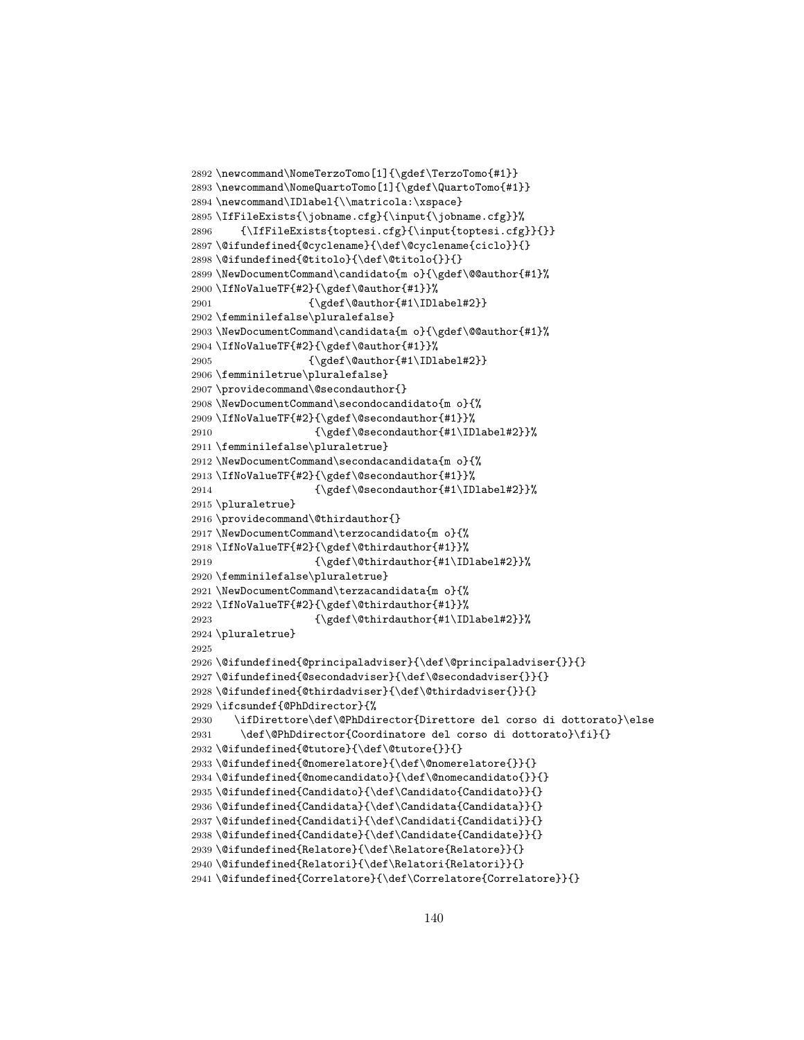```
2892 \newcommand\NomeTerzoTomo[1]{\gdef\TerzoTomo{#1}}
2893 \newcommand\NomeQuartoTomo[1]{\gdef\QuartoTomo{#1}}
2894 \newcommand\IDlabel{\\matricola:\xspace}
2895 \IfFileExists{\jobname.cfg}{\input{\jobname.cfg}}%
2896 {\IfFileExists{toptesi.cfg}{\input{toptesi.cfg}}{}}
2897 \@ifundefined{@cyclename}{\def\@cyclename{ciclo}}{}
2898 \@ifundefined{@titolo}{\def\@titolo{}}{}
2899 \NewDocumentCommand\candidato{m o}{\gdef\@@author{#1}%
2900 \verb|\IfNoValueTF{#2}{\gdef\@author{\#1}}\%2901 \qquad \qquad {\hspace{15pt} \verb|Addbot|#1\label{label#2}}2902 \femminilefalse\pluralefalse}
2903 \NewDocumentCommand\candidata{m o}{\gdef\@@author{#1}%
2904 \IfNoValueTF{#2}{\gdef\@author{#1}}%
2905 {\gdef\@author{#1\IDlabel#2}}
2906 \femminiletrue\pluralefalse}
2907 \providecommand\@secondauthor{}
2908 \NewDocumentCommand\secondocandidato{m o}{%
2909 \IfNoValueTF{#2}{\gdef\@secondauthor{#1}}%
2910 {\qdet\@sec\@match} {\\gdef\@secondauthor{#1\IDlabel#2}} }
2911 \femminilefalse\pluraletrue}
2912 \NewDocumentCommand\secondacandidata{m o}{%
2913 \IfNoValueTF{#2}{\gdef\@secondauthor{#1}}%
2914 {\qdet\@sec\@match}2915 \pluraletrue}
2916 \providecommand\@thirdauthor{}
2917 \NewDocumentCommand\terzocandidato{m o}{%
2918 \IfNoValueTF{#2}{\gdef\@thirdauthor{#1}}%
2919 {\qdet\text{d}thirdauthor{#1\IDlabel#2}}2920 \femminilefalse\pluraletrue}
2921 \NewDocumentCommand\terzacandidata{m o}{%
2922 \IfNoValueTF{#2}{\gdef\@thirdauthor{#1}}%
2923 {\qof\@thirdauthor{#1\IDlabel#2}}\2924 \pluraletrue}
2925
2926 \@ifundefined{@principaladviser}{\def\@principaladviser{}}{}
2927 \@ifundefined{@secondadviser}{\def\@secondadviser{}}{}
2928 \@ifundefined{@thirdadviser}{\def\@thirdadviser{}}{}
2929 \ifcsundef{@PhDdirector}{%
2930 \ifDirettore\def\@PhDdirector{Direttore del corso di dottorato}\else
2931 \def\@PhDdirector{Coordinatore del corso di dottorato}\fi}{}
2932 \@ifundefined{@tutore}{\def\@tutore{}}{}
2933 \@ifundefined{@nomerelatore}{\def\@nomerelatore{}}{}
2934 \@ifundefined{@nomecandidato}{\def\@nomecandidato{}}{}
2935 \@ifundefined{Candidato}{\def\Candidato{Candidato}}{}
2936 \@ifundefined{Candidata}{\def\Candidata{Candidata}}{}
2937 \@ifundefined{Candidati}{\def\Candidati{Candidati}}{}
2938 \@ifundefined{Candidate}{\def\Candidate{Candidate}}{}
2939 \@ifundefined{Relatore}{\def\Relatore{Relatore}}{}
2940 \@ifundefined{Relatori}{\def\Relatori{Relatori}}{}
2941 \@ifundefined{Correlatore}{\def\Correlatore{Correlatore}}{}
```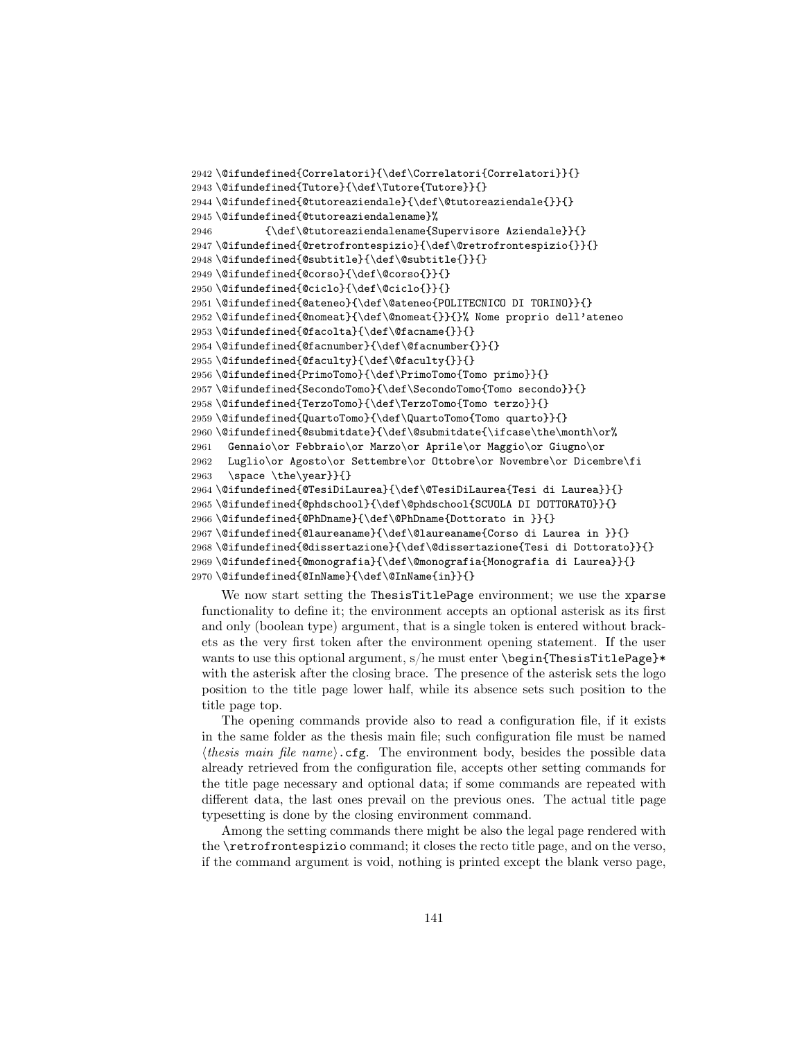```
2942 \@ifundefined{Correlatori}{\def\Correlatori{Correlatori}}{}
2943 \@ifundefined{Tutore}{\def\Tutore{Tutore}}{}
2944 \@ifundefined{@tutoreaziendale}{\def\@tutoreaziendale{}}{}
2945 \@ifundefined{@tutoreaziendalename}%
2946 {\def\@tutoreaziendalename{Supervisore Aziendale}}{}
2947 \@ifundefined{@retrofrontespizio}{\def\@retrofrontespizio{}}{}
2948 \@ifundefined{@subtitle}{\def\@subtitle{}}{}
2949 \@ifundefined{@corso}{\def\@corso{}}{}
2950 \@ifundefined{@ciclo}{\def\@ciclo{}}{}
2951 \@ifundefined{@ateneo}{\def\@ateneo{POLITECNICO DI TORINO}}{}
2952 \@ifundefined{@nomeat}{\def\@nomeat{}}{}% Nome proprio dell'ateneo
2953 \@ifundefined{@facolta}{\def\@facname{}}{}
2954 \@ifundefined{@facnumber}{\def\@facnumber{}}{}
2955 \@ifundefined{@faculty}{\def\@faculty{}}{}
2956 \@ifundefined{PrimoTomo}{\def\PrimoTomo{Tomo primo}}{}
2957 \@ifundefined{SecondoTomo}{\def\SecondoTomo{Tomo secondo}}{}
2958 \@ifundefined{TerzoTomo}{\def\TerzoTomo{Tomo terzo}}{}
2959 \@ifundefined{QuartoTomo}{\def\QuartoTomo{Tomo quarto}}{}
2960 \@ifundefined{@submitdate}{\def\@submitdate{\ifcase\the\month\or%
2961 Gennaio\or Febbraio\or Marzo\or Aprile\or Maggio\or Giugno\or
2962 Luglio\or Agosto\or Settembre\or Ottobre\or Novembre\or Dicembre\fi
2963 \space \the\year}}{}
2964 \@ifundefined{@TesiDiLaurea}{\def\@TesiDiLaurea{Tesi di Laurea}}{}
2965 \@ifundefined{@phdschool}{\def\@phdschool{SCUOLA DI DOTTORATO}}{}
2966 \@ifundefined{@PhDname}{\def\@PhDname{Dottorato in }}{}
2967 \@ifundefined{@laureaname}{\def\@laureaname{Corso di Laurea in }}{}
2968 \@ifundefined{@dissertazione}{\def\@dissertazione{Tesi di Dottorato}}{}
2969 \@ifundefined{@monografia}{\def\@monografia{Monografia di Laurea}}{}
2970 \@ifundefined{@InName}{\def\@InName{in}}{}
```
We now start setting the ThesisTitlePage environment; we use the xparse functionality to define it; the environment accepts an optional asterisk as its first and only (boolean type) argument, that is a single token is entered without brackets as the very first token after the environment opening statement. If the user wants to use this optional argument, s/he must enter \begin{ThesisTitlePage}\* with the asterisk after the closing brace. The presence of the asterisk sets the logo position to the title page lower half, while its absence sets such position to the title page top.

The opening commands provide also to read a configuration file, if it exists in the same folder as the thesis main file; such configuration file must be named  $\langle \text{thesis main file name} \rangle \cdot \text{cfg.}$  The environment body, besides the possible data already retrieved from the configuration file, accepts other setting commands for the title page necessary and optional data; if some commands are repeated with different data, the last ones prevail on the previous ones. The actual title page typesetting is done by the closing environment command.

Among the setting commands there might be also the legal page rendered with the \retrofrontespizio command; it closes the recto title page, and on the verso, if the command argument is void, nothing is printed except the blank verso page,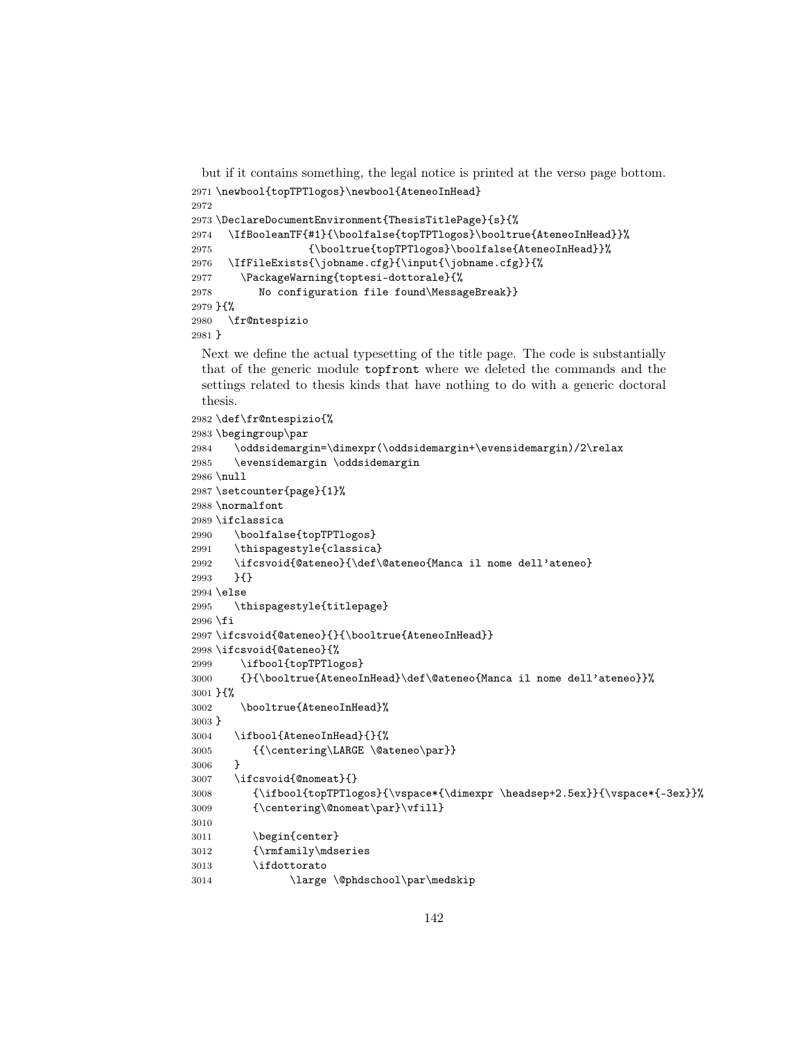but if it contains something, the legal notice is printed at the verso page bottom. \newbool{topTPTlogos}\newbool{AteneoInHead}

```
2972
2973 \DeclareDocumentEnvironment{ThesisTitlePage}{s}{%
2974 \IfBooleanTF{#1}{\boolfalse{topTPTlogos}\booltrue{AteneoInHead}}%
2975 {\booltrue{topTPTlogos}\boolfalse{AteneoInHead}}%
2976 \IfFileExists{\jobname.cfg}{\input{\jobname.cfg}}{%
2977 \PackageWarning{toptesi-dottorale}{%
2978 No configuration file found\MessageBreak}}
2979 }{%
2980 \fr@ntespizio
2981 }
```
Next we define the actual typesetting of the title page. The code is substantially that of the generic module topfront where we deleted the commands and the settings related to thesis kinds that have nothing to do with a generic doctoral thesis.

```
2982 \def\fr@ntespizio{%
2983 \begingroup\par
2984 \verb|\oddsidemargin=\\dimexpr(\oddsidemargin+\\evensidemargin)/2\relax2985 \evensidemargin \oddsidemargin
2986 \null
2987 \setcounter{page}{1}%
2988 \normalfont
2989 \ifclassica
2990 \boolfalse{topTPTlogos}
2991 \thispagestyle{classica}
2992 \ifcsvoid{@ateneo}{\def\@ateneo{Manca il nome dell'ateneo}
2993 }{}
2994 \else
2995 \thispagestyle{titlepage}
2996 \fi
2997 \ifcsvoid{@ateneo}{}{\booltrue{AteneoInHead}}
2998 \ifcsvoid{@ateneo}{%
2999 \ifbool{topTPTlogos}
3000 {}{\booltrue{AteneoInHead}\def\@ateneo{Manca il nome dell'ateneo}}%
3001 }{%
3002 \booltrue{AteneoInHead}%
3003 }
3004 \ifbool{AteneoInHead}{}{%
3005 {{\centering\LARGE \@ateneo\par}}
3006 }
3007 \ifcsvoid{@nomeat}{}
3008 {\ifbool{topTPTlogos}{\vspace*{\dimexpr \headsep+2.5ex}}{\vspace*{-3ex}}%
3009 {\centering\@nomeat\par}\vfill}
3010
3011 \begin{center}
3012 {\rmfamily\mdseries
3013 \ifdottorato
3014 \large \@phdschool\par\medskip
```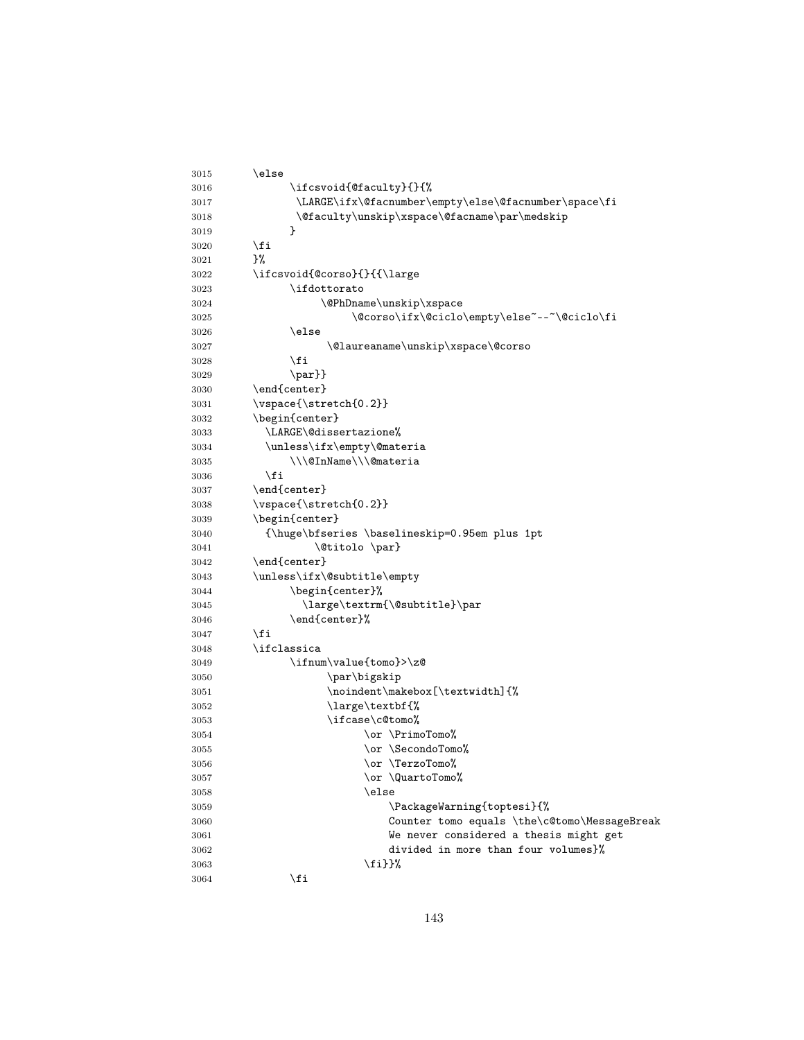| 3015 | \else                                                |
|------|------------------------------------------------------|
| 3016 | \ifcsvoid{@faculty}{}{%                              |
| 3017 | \LARGE\ifx\@facnumber\empty\else\@facnumber\space\fi |
| 3018 | \@faculty\unskip\xspace\@facname\par\medskip         |
| 3019 | }                                                    |
| 3020 | \fi                                                  |
| 3021 | }‰                                                   |
| 3022 | \ifcsvoid{@corso}{}{{\large                          |
| 3023 | \ifdottorato                                         |
| 3024 | \@PhDname\unskip\xspace                              |
| 3025 | \@corso\ifx\@ciclo\empty\else~--~\@ciclo\fi          |
| 3026 | \else                                                |
| 3027 | \@laureaname\unskip\xspace\@corso                    |
| 3028 | \fi                                                  |
| 3029 | $\parifnextchar[{\@model{I}}{\mathcal{B}}$           |
| 3030 | \end{center}                                         |
| 3031 | \vspace{\stretch{0.2}}                               |
| 3032 | \begin{center}                                       |
| 3033 | \LARGE\@dissertazione%                               |
| 3034 | \unless\ifx\empty\@materia                           |
| 3035 | \\\@InName\\\@materia                                |
| 3036 | \fi                                                  |
| 3037 | \end{center}                                         |
| 3038 | \vspace{\stretch{0.2}}                               |
| 3039 | \begin{center}                                       |
| 3040 | {\huge\bfseries \baselineskip=0.95em plus 1pt        |
| 3041 | \@titolo\par}                                        |
| 3042 | \end{center}                                         |
| 3043 | \unless\ifx\@subtitle\empty                          |
| 3044 | \begin{center}%                                      |
| 3045 | \large\textrm{\@subtitle}\par                        |
| 3046 | \end{center}%                                        |
| 3047 | \fi                                                  |
| 3048 | \ifclassica                                          |
| 3049 | \ifnum\value{tomo}>\z@                               |
| 3050 | \par\bigskip                                         |
| 3051 | \noindent\makebox[\textwidth]{%                      |
| 3052 | \large\textbf{%                                      |
| 3053 | \ifcase\c@tomo%                                      |
| 3054 | \or \PrimoTomo%                                      |
| 3055 | \or \SecondoTomo%                                    |
| 3056 | \or \TerzoTomo%                                      |
| 3057 | \or \QuartoTomo%                                     |
| 3058 | \else                                                |
| 3059 | \PackageWarning{toptesi}{%                           |
| 3060 | Counter tomo equals \the\c@tomo\MessageBreak         |
| 3061 | We never considered a thesis might get               |
| 3062 | divided in more than four volumes}%                  |
| 3063 | \fi}}%                                               |
| 3064 | \fi                                                  |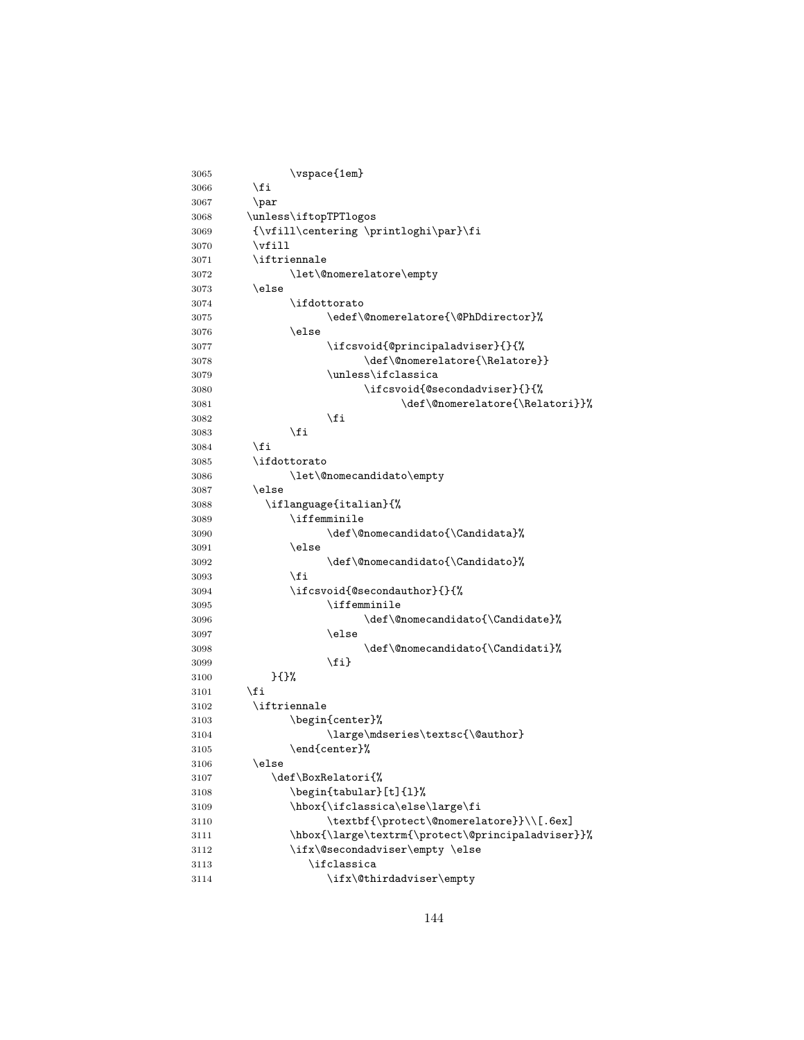| 3065 | \vspace{1em}                                      |
|------|---------------------------------------------------|
| 3066 | \fi                                               |
| 3067 | \par                                              |
| 3068 | \unless\iftopTPTlogos                             |
| 3069 | {\vfill\centering \printloghi\par}\fi             |
| 3070 | $\forall$ ill                                     |
| 3071 | \iftriennale                                      |
| 3072 | \let\@nomerelatore\empty                          |
| 3073 | \else                                             |
| 3074 | \ifdottorato                                      |
| 3075 | \edef\@nomerelatore{\@PhDdirector}%               |
| 3076 | \else                                             |
| 3077 | \ifcsvoid{@principaladviser}{}{%                  |
| 3078 | \def\@nomerelatore{\Relatore}}                    |
| 3079 | \unless\ifclassica                                |
| 3080 | \ifcsvoid{@secondadviser}{}{%                     |
| 3081 | \def\@nomerelatore{\Relatori}}%                   |
| 3082 | \fi                                               |
| 3083 | \fi                                               |
| 3084 | \fi                                               |
| 3085 | \ifdottorato                                      |
| 3086 | \let\@nomecandidato\empty                         |
| 3087 | \else                                             |
| 3088 | \iflanguage{italian}{%                            |
| 3089 | \iffemminile                                      |
| 3090 | \def\@nomecandidato{\Candidata}%                  |
| 3091 | \else                                             |
| 3092 | \def\@nomecandidato{\Candidato}%                  |
| 3093 | \fi                                               |
| 3094 | \ifcsvoid{@secondauthor}{}{%                      |
| 3095 | \iffemminile                                      |
| 3096 | \def\@nomecandidato{\Candidate}%                  |
| 3097 | \else                                             |
| 3098 | \def\@nomecandidato{\Candidati}%                  |
| 3099 | \fi}                                              |
| 3100 | }{}%                                              |
| 3101 | \fi                                               |
| 3102 | \iftriennale                                      |
| 3103 | \begin{center}%                                   |
| 3104 | \large\mdseries\textsc{\@author}                  |
| 3105 | $\end{center}$ <sup>%</sup>                       |
| 3106 | \else                                             |
| 3107 | \def\BoxRelatori{%                                |
| 3108 | \begin{tabular}[t]{1}%                            |
| 3109 | \hbox{\ifclassica\else\large\fi                   |
| 3110 | \textbf{\protect\@nomerelatore}}\\[.6ex]          |
| 3111 | \hbox{\large\textrm{\protect\@principaladviser}}% |
| 3112 | \ifx\@secondadviser\empty \else                   |
| 3113 | \ifclassica                                       |
| 3114 | \ifx\@thirdadviser\empty                          |
|      |                                                   |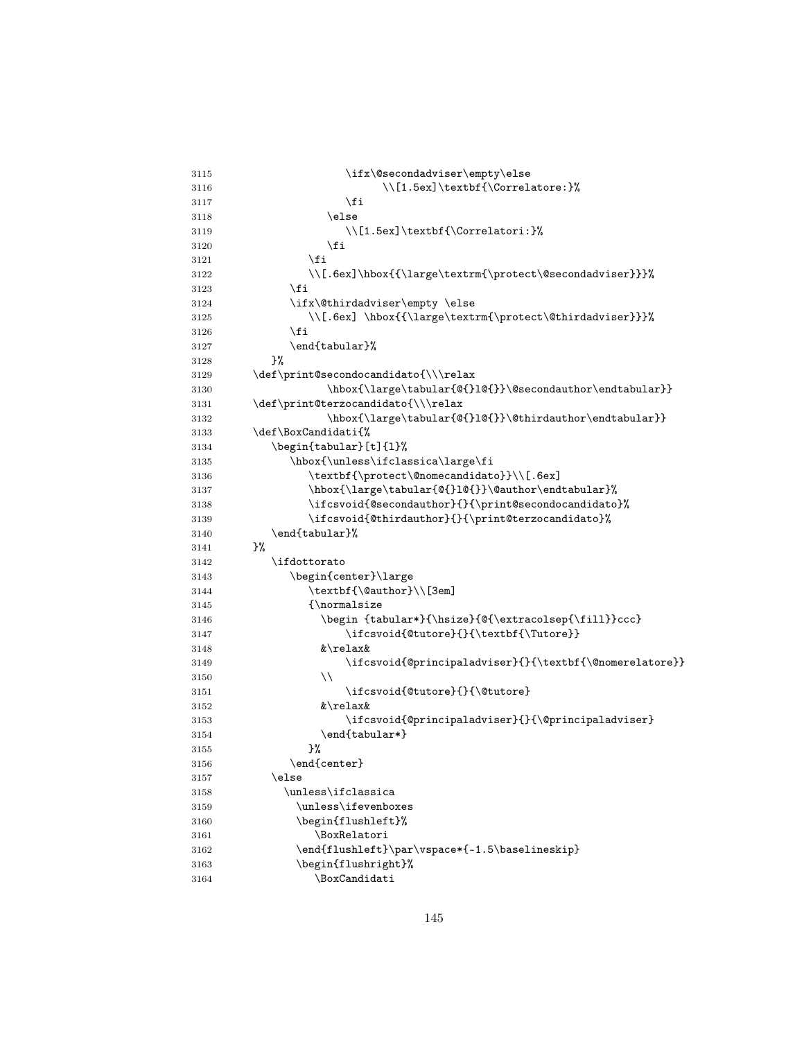| 3115 | \ifx\@secondadviser\empty\else                           |
|------|----------------------------------------------------------|
| 3116 | \\[1.5ex]\textbf{\Correlatore:}%                         |
| 3117 | \fi                                                      |
| 3118 | \else                                                    |
| 3119 | \\[1.5ex]\textbf{\Correlatori:}%                         |
| 3120 | \fi                                                      |
| 3121 | \fi                                                      |
| 3122 | \\[.6ex]\hbox{{\large\textrm{\protect\@secondadviser}}}% |
| 3123 | \fi                                                      |
| 3124 | \ifx\@thirdadviser\empty \else                           |
| 3125 | \\[.6ex]\hbox{{\large\textrm{\protect\@thirdadviser}}}%  |
| 3126 | \fi                                                      |
| 3127 | \end{tabular}%                                           |
| 3128 | }‰                                                       |
| 3129 | \def\print@secondocandidato{\\\relax                     |
| 3130 | \hbox{\large\tabular{@{}1@{}}\@secondauthor\endtabular}} |
| 3131 | \def\print@terzocandidato{\\\relax                       |
| 3132 | \hbox{\large\tabular{@{}1@{}}\@thirdauthor\endtabular}}  |
| 3133 | \def\BoxCandidati{%                                      |
| 3134 | \begin{tabular}[t]{1}%                                   |
| 3135 | \hbox{\unless\ifclassica\large\fi                        |
| 3136 | \textbf{\protect\@nomecandidato}}\\[.6ex]                |
| 3137 | \hbox{\large\tabular{@{}1@{}}\@author\endtabular}%       |
| 3138 | \ifcsvoid{@secondauthor}{}{\print@secondocandidato}%     |
| 3139 | \ifcsvoid{@thirdauthor}{}{\print@terzocandidato}%        |
| 3140 | \end{tabular}%                                           |
| 3141 | }‰                                                       |
| 3142 | \ifdottorato                                             |
| 3143 | \begin{center}\large                                     |
| 3144 | \textbf{\@author}\\[3em]                                 |
| 3145 | ${\normalsize}$                                          |
| 3146 | \begin {tabular*}{\hsize}{@{\extracolsep{\fill}}ccc}     |
| 3147 | \ifcsvoid{@tutore}{}{\textbf{\Tutore}}                   |
| 3148 | &\relax&                                                 |
| 3149 | \ifcsvoid{@principaladviser}{}{\textbf{\@nomerelatore}}  |
| 3150 | $\setminus$                                              |
| 3151 | \ifcsvoid{@tutore}{}{\@tutore}                           |
| 3152 | &\relax&                                                 |
| 3153 | \ifcsvoid{@principaladviser}{}{\@principaladviser}       |
| 3154 | \end{tabular*}                                           |
| 3155 | }‰                                                       |
| 3156 | \end{center}                                             |
| 3157 | \else                                                    |
| 3158 | \unless\ifclassica                                       |
| 3159 | \unless\ifevenboxes                                      |
| 3160 | \begin{flushleft}%                                       |
| 3161 | \BoxRelatori                                             |
| 3162 | \end{flushleft}\par\vspace*{-1.5\baselineskip}           |
| 3163 | \begin{flushright}%                                      |
| 3164 | \BoxCandidati                                            |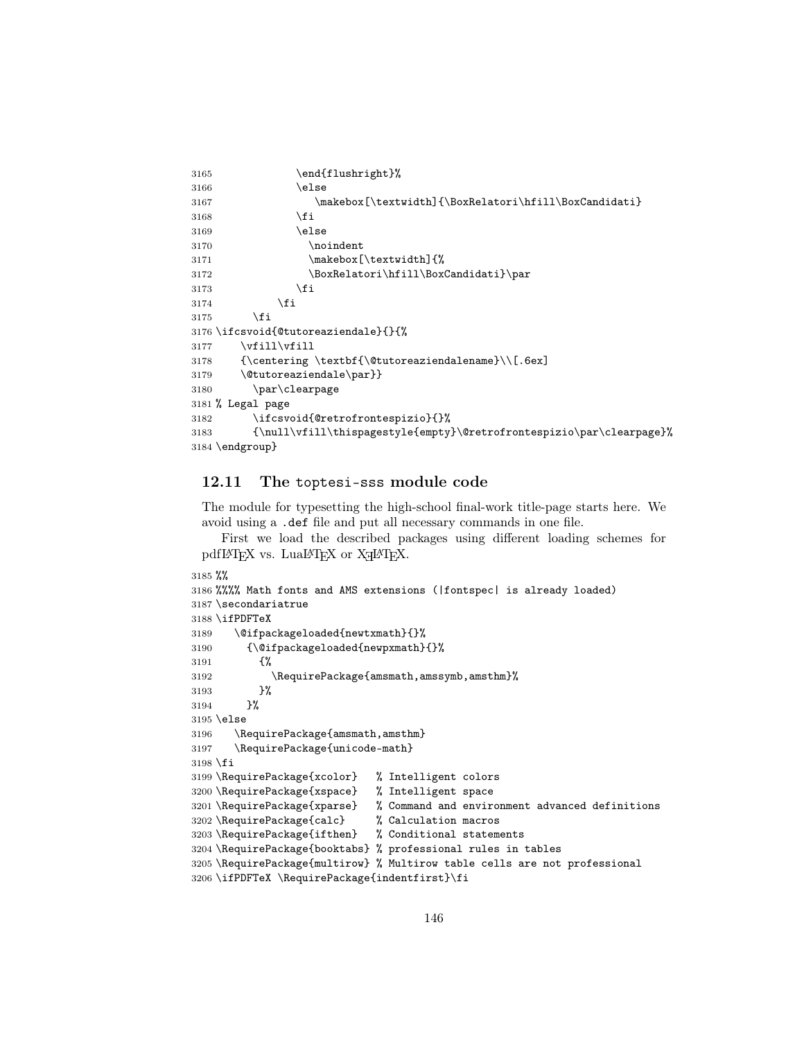```
3165 \end{flushright}%
3166 \else
3167 \makebox[\textwidth]{\BoxRelatori\hfill\BoxCandidati}
3168 \fi
3169 \else
3170 \noindent
3171 \makebox[\textwidth]{%
3172 \BoxRelatori\hfill\BoxCandidati}\par
3173 \fi
3174 \fi
3175 \setminusfi
3176 \ifcsvoid{@tutoreaziendale}{}{%
3177 \forallfill\forallfill
3178 {\centering \textbf{\@tutoreaziendalename}\\[.6ex]
3179 \@tutoreaziendale\par}}
3180 \par\clearpage
3181 % Legal page
3182 \ifcsvoid{@retrofrontespizio}{}%
3183 {\null\vfill\thispagestyle{empty}\@retrofrontespizio\par\clearpage}%
3184 \endgroup}
```
## 12.11 The toptesi-sss module code

The module for typesetting the high-school final-work title-page starts here. We avoid using a .def file and put all necessary commands in one file.

First we load the described packages using different loading schemes for  $pdfIATEX$  vs.  $LuaIATEX$  or  $XdIATEX$ .

```
3185 %%
3186 %%%% Math fonts and AMS extensions (|fontspec| is already loaded)
3187 \secondariatrue
3188 \ifPDFTeX
3189 \@ifpackageloaded{newtxmath}{}%
3190 {\@ifpackageloaded{newpxmath}{}%
3191 {%
3192 \RequirePackage{amsmath,amssymb,amsthm}%
3193 }%
3194 }%
3195 \else
3196 \RequirePackage{amsmath,amsthm}
3197 \RequirePackage{unicode-math}
3198 \fi
3199 \RequirePackage{xcolor} % Intelligent colors
3200 \RequirePackage{xspace} % Intelligent space
3201 \RequirePackage{xparse} % Command and environment advanced definitions 3202 \RequirePackage{calc} % Calculation macros
3202 \RequirePackage{calc}
3203 \RequirePackage{ifthen} % Conditional statements
3204 \RequirePackage{booktabs} % professional rules in tables
3205 \RequirePackage{multirow} % Multirow table cells are not professional
3206 \ifPDFTeX \RequirePackage{indentfirst}\fi
```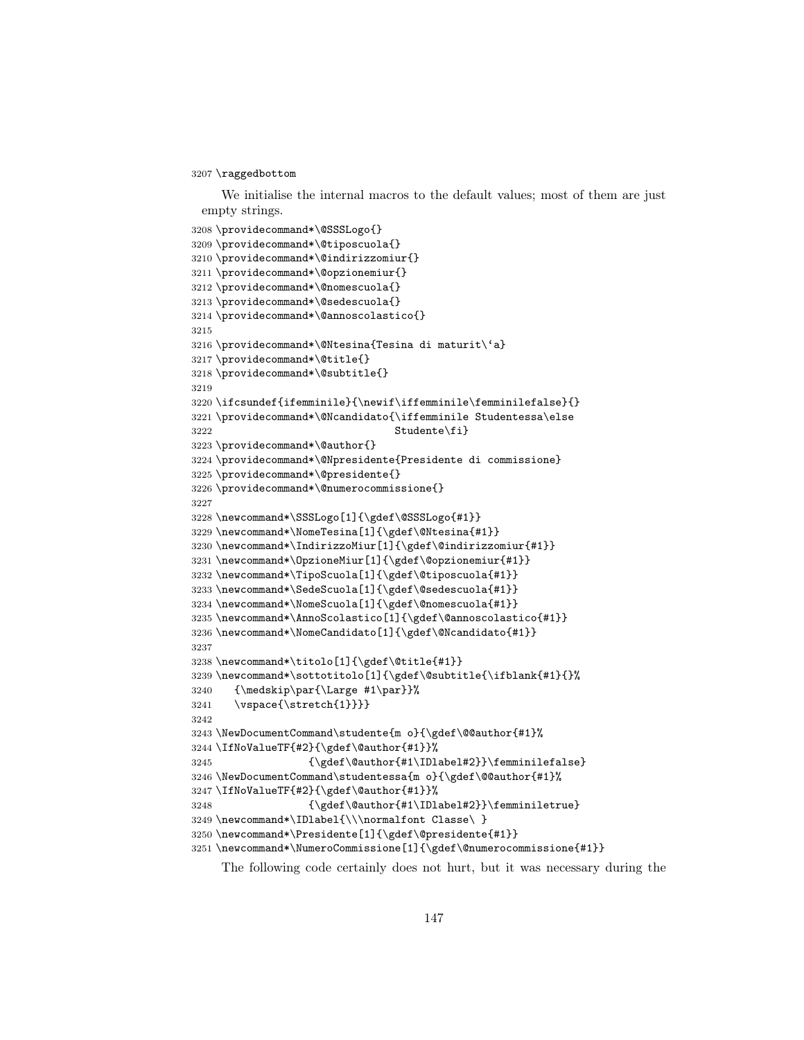## \raggedbottom

We initialise the internal macros to the default values; most of them are just empty strings.

```
3208 \providecommand*\@SSSLogo{}
3209 \providecommand*\@tiposcuola{}
3210 \providecommand*\@indirizzomiur{}
3211 \providecommand*\@opzionemiur{}
3212 \providecommand*\@nomescuola{}
3213 \providecommand*\@sedescuola{}
3214 \providecommand*\@annoscolastico{}
3215
3216 \providecommand*\@Ntesina{Tesina di maturit\'a}
3217 \providecommand*\@title{}
3218 \providecommand*\@subtitle{}
3219
3220 \ifcsundef{ifemminile}{\newif\iffemminile\femminilefalse}{}
3221 \providecommand*\@Ncandidato{\iffemminile Studentessa\else
3222 Studente\fi}
3223 \providecommand*\@author{}
3224 \providecommand*\@Npresidente{Presidente di commissione}
3225 \providecommand*\@presidente{}
3226 \providecommand*\@numerocommissione{}
3227
3228 \newcommand*\SSSLogo[1]{\gdef\@SSSLogo{#1}}
3229 \newcommand*\NomeTesina[1]{\gdef\@Ntesina{#1}}
3230 \newcommand*\IndirizzoMiur[1]{\gdef\@indirizzomiur{#1}}
3231 \newcommand*\OpzioneMiur[1]{\gdef\@opzionemiur{#1}}
3232 \newcommand*\TipoScuola[1]{\gdef\@tiposcuola{#1}}
3233 \newcommand*\SedeScuola[1]{\gdef\@sedescuola{#1}}
3234 \newcommand*\NomeScuola[1]{\gdef\@nomescuola{#1}}
3235 \newcommand*\AnnoScolastico[1]{\gdef\@annoscolastico{#1}}
3236 \newcommand*\NomeCandidato[1]{\gdef\@Ncandidato{#1}}
3237
3238 \newcommand*\titolo[1]{\gdef\@title{#1}}
3239 \newcommand*\sottotitolo[1]{\gdef\@subtitle{\ifblank{#1}{}%
3240 {\medskip\par{\Large #1\par}}%
3241 \vspace{\stretch{1}}}}
3242
3243 \NewDocumentCommand\studente{m o}{\gdef\@@author{#1}%
3244 \IfNoValueTF{#2}{\gdef\@author{#1}}%
3245 {\gdef\@author{#1\IDlabel#2}}\femminilefalse}
3246 \NewDocumentCommand\studentessa{m o}{\gdef\@@author{#1}%
3247 \IfNoValueTF{#2}{\gdef\@author{#1}}%
3248 {\gdef\@author{#1\IDlabel#2}}\femminiletrue}
3249 \newcommand*\IDlabel{\\\normalfont Classe\ }
3250 \newcommand*\Presidente[1]{\gdef\@presidente{#1}}
3251 \newcommand*\NumeroCommissione[1]{\gdef\@numerocommissione{#1}}
```
The following code certainly does not hurt, but it was necessary during the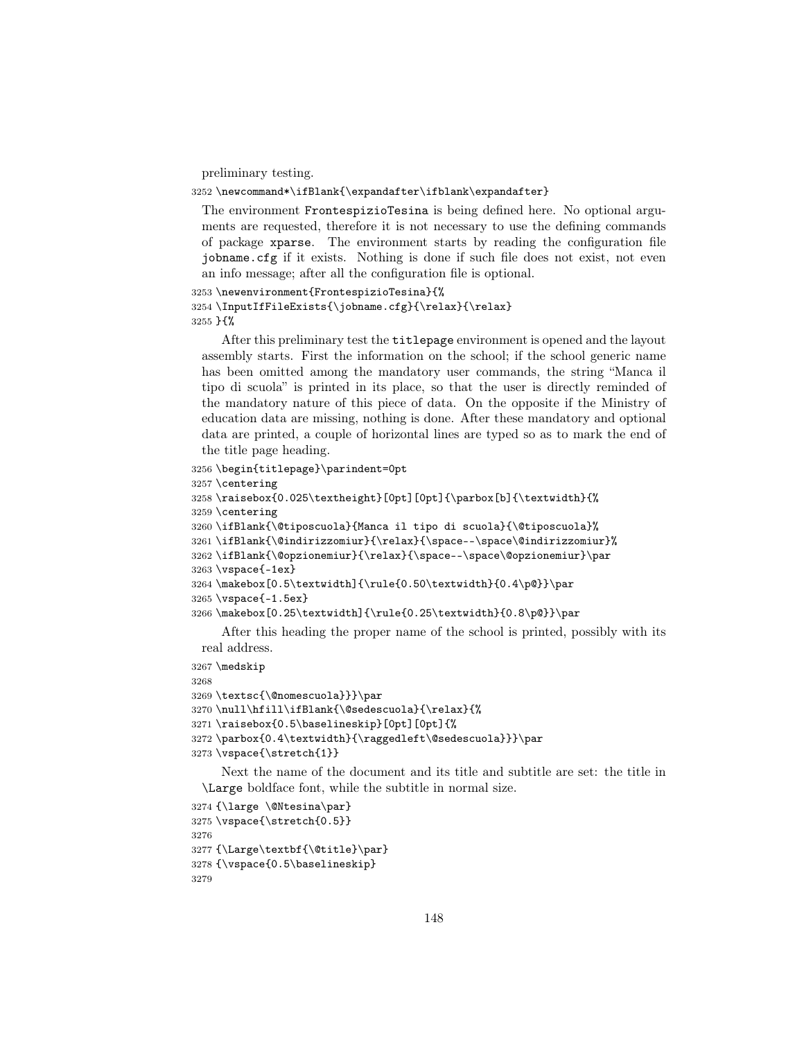preliminary testing.

## 3252 \newcommand\*\ifBlank{\expandafter\ifblank\expandafter}

The environment FrontespizioTesina is being defined here. No optional arguments are requested, therefore it is not necessary to use the defining commands of package xparse. The environment starts by reading the configuration file jobname.cfg if it exists. Nothing is done if such file does not exist, not even an info message; after all the configuration file is optional.

```
3253 \newenvironment{FrontespizioTesina}{%
3254 \InputIfFileExists{\jobname.cfg}{\relax}{\relax}
3255 }{%
```
After this preliminary test the titlepage environment is opened and the layout assembly starts. First the information on the school; if the school generic name has been omitted among the mandatory user commands, the string "Manca il tipo di scuola" is printed in its place, so that the user is directly reminded of the mandatory nature of this piece of data. On the opposite if the Ministry of education data are missing, nothing is done. After these mandatory and optional data are printed, a couple of horizontal lines are typed so as to mark the end of the title page heading.

```
3256 \begin{titlepage}\parindent=0pt
```

```
3257 \centering
```

```
3258 \raisebox{0.025\textheight}[0pt][0pt]{\parbox[b]{\textwidth}{%
3259 \centering
3260 \ifBlank{\@tiposcuola}{Manca il tipo di scuola}{\@tiposcuola}%
3261 \ifBlank{\@indirizzomiur}{\relax}{\space--\space\@indirizzomiur}%
3262 \iff {\@pzionemjur}{{\relax}}{\space--\space\@opzionemjur}\parrow3263 \vspace{-1ex}
3264 \makebox[0.5\textwidth]{\rule{0.50\textwidth}{0.4\p@}}\par
3265 \vspace{-1.5ex}
3266 \makebox[0.25\textwidth]{\rule{0.25\textwidth}{0.8\p@}}\par
```
After this heading the proper name of the school is printed, possibly with its real address.

3267 \medskip

3268

```
3269 \textsc{\@nomescuola}}}\par
```

```
3270 \null\hfill\ifBlank{\@sedescuola}{\relax}{%
```
3271 \raisebox{0.5\baselineskip}[0pt][0pt]{%

```
3272 \parbox{0.4\textwidth}{\raggedleft\@sedescuola}}}\par
```

```
3273 \vspace{\stretch{1}}
```
Next the name of the document and its title and subtitle are set: the title in \Large boldface font, while the subtitle in normal size.

```
3274 {\large \@Ntesina\par}
3275 \vspace{\stretch{0.5}}
3276
3277 {\Large\textbf{\@title}\par}
3278 {\vspace{0.5\baselineskip}
3279
```